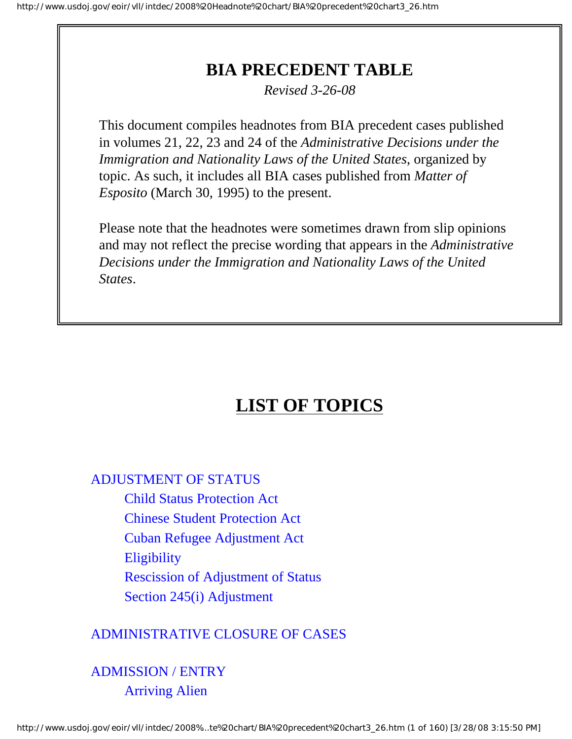# **BIA PRECEDENT TABLE**

*Revised 3-26-08*

<span id="page-0-0"></span>This document compiles headnotes from BIA precedent cases published in volumes 21, 22, 23 and 24 of the *Administrative Decisions under the Immigration and Nationality Laws of the United States*, organized by topic. As such, it includes all BIA cases published from *Matter of Esposito* (March 30, 1995) to the present.

Please note that the headnotes were sometimes drawn from slip opinions and may not reflect the precise wording that appears in the *Administrative Decisions under the Immigration and Nationality Laws of the United States*.

# **LIST OF TOPICS**

## [ADJUSTMENT OF STATUS](#page-11-0)

[Child Status Protection Act](#page-9-0) [Chinese Student Protection Act](#page-9-1) [Cuban Refugee Adjustment Act](#page-9-2) **[Eligibility](#page-10-0)** [Rescission of Adjustment of Status](#page-10-1)

[Section 245\(i\) Adjustment](#page-11-1)

# [ADMINISTRATIVE CLOSURE OF CASES](#page-13-0)

# [ADMISSION / ENTRY](#page-15-0) [Arriving Alien](#page-13-1)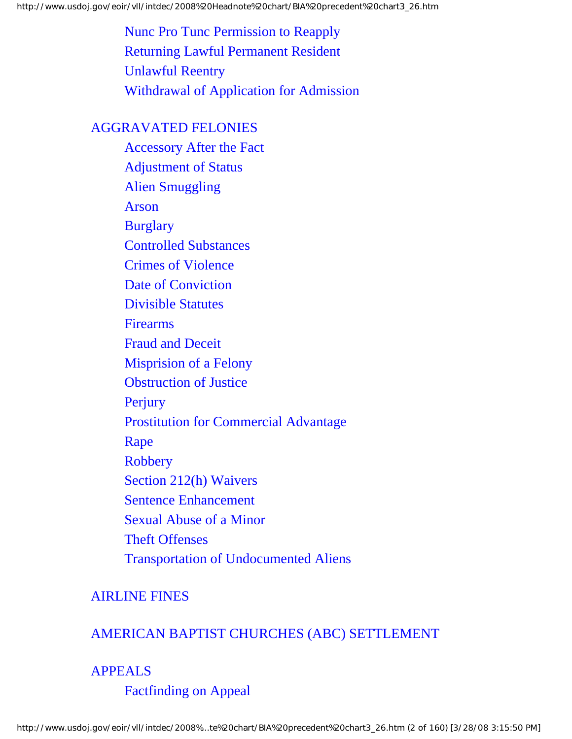[Nunc Pro Tunc Permission to Reapply](#page-13-2) [Returning Lawful Permanent Resident](#page-14-0) [Unlawful Reentry](#page-14-1) [Withdrawal of Application for Admission](#page-15-1)

## [AGGRAVATED FELONIES](#page-33-0)

[Accessory After the Fact](#page-16-0) [Adjustment of Status](#page-16-1) [Alien Smuggling](#page-16-2) [Arson](#page-16-3) **[Burglary](#page-17-0)** [Controlled Substances](#page-17-1) [Crimes of Violence](#page-19-0) [Date of Conviction](#page-23-0) [Divisible Statutes](#page-24-0) [Firearms](#page-24-1) [Fraud and Deceit](#page-25-0) [Misprision of a Felony](#page-26-0) [Obstruction of Justice](#page-27-0) [Perjury](#page-27-1) [Prostitution for Commercial Advantage](#page-27-2) [Rape](#page-28-0) [Robbery](#page-28-1) [Section 212\(h\) Waivers](#page-29-0) [Sentence Enhancement](#page-30-0) [Sexual Abuse of a Minor](#page-30-1) [Theft Offenses](#page-31-0) [Transportation of Undocumented Aliens](#page-32-0)

# [AIRLINE FINES](#page-34-0)

# [AMERICAN BAPTIST CHURCHES \(ABC\) SETTLEMENT](#page-36-0)

# [APPEALS](#page-38-0)

[Factfinding on Appeal](#page-36-1)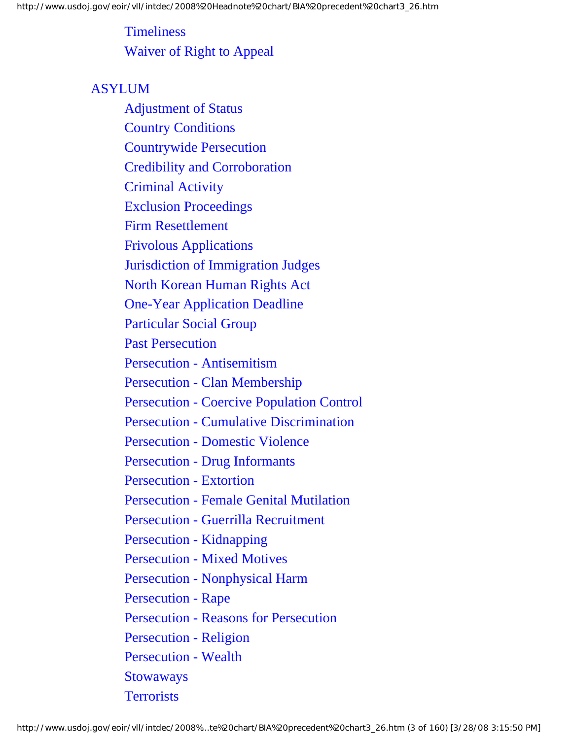**[Timeliness](#page-36-2)** [Waiver of Right to Appeal](#page-37-0)

# **[ASYLUM](#page-65-0)**

[Adjustment of Status](#page-38-1) [Country Conditions](#page-39-0) [Countrywide Persecution](#page-40-0) [Credibility and Corroboration](#page-40-1) [Criminal Activity](#page-44-0) [Exclusion Proceedings](#page-45-0) [Firm Resettlement](#page-46-0) [Frivolous Applications](#page-46-1) [Jurisdiction of Immigration Judges](#page-46-2) [North Korean Human Rights Act](#page-47-0) [One-Year Application Deadline](#page-47-1) [Particular Social Group](#page-47-2) [Past Persecution](#page-51-0) [Persecution - Antisemitism](#page-51-1) [Persecution - Clan Membership](#page-52-0) [Persecution - Coercive Population Control](#page-55-0) [Persecution - Cumulative Discrimination](#page-56-0) [Persecution - Domestic Violence](#page-56-1) [Persecution - Drug Informants](#page-57-0) [Persecution - Extortion](#page-58-0) [Persecution - Female Genital Mutilation](#page-58-1) [Persecution - Guerrilla Recruitment](#page-59-0) [Persecution - Kidnapping](#page-60-0) [Persecution - Mixed Motives](#page-60-1) [Persecution - Nonphysical Harm](#page-60-2) [Persecution - Rape](#page-61-0) [Persecution - Reasons for Persecution](#page-61-1) [Persecution - Religion](#page-61-2) [Persecution - Wealth](#page-62-0) **[Stowaways](#page-65-1) [Terrorists](#page-68-0)**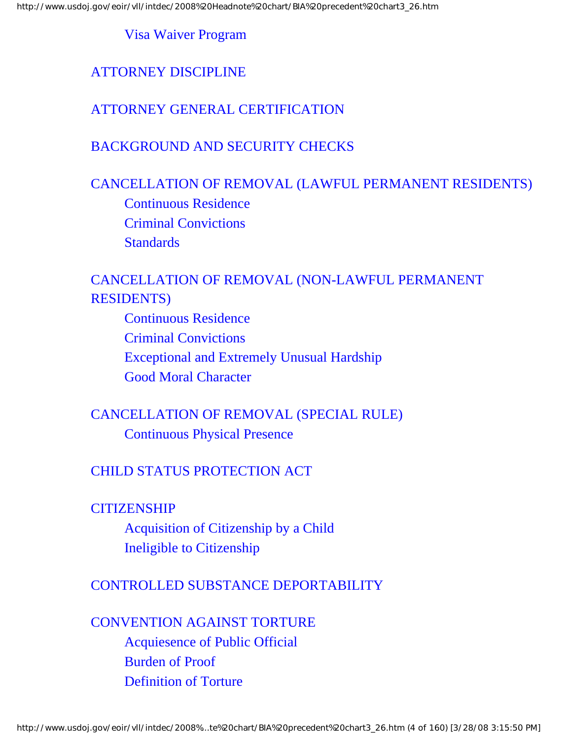#### [Visa Waiver Program](#page-70-0)

## [ATTORNEY DISCIPLINE](#page-67-0)

## [ATTORNEY GENERAL CERTIFICATION](#page-68-1)

#### [BACKGROUND AND SECURITY CHECKS](#page-68-2)

## [CANCELLATION OF REMOVAL \(LAWFUL PERMANENT RESIDENTS\)](#page-71-0)

[Continuous Residence](#page-70-1) [Criminal Convictions](#page-71-1) **[Standards](#page-73-0)** 

# [CANCELLATION OF REMOVAL \(NON-LAWFUL PERMANENT](#page-75-0)  [RESIDENTS\)](#page-75-0)

[Continuous Residence](#page-73-1) [Criminal Convictions](#page-75-1) [Exceptional and Extremely Unusual Hardship](#page-75-2) [Good Moral Character](#page-76-0)

# [CANCELLATION OF REMOVAL \(SPECIAL RULE\)](#page-75-3) [Continuous Physical Presence](#page-77-0)

## [CHILD STATUS PROTECTION ACT](#page-76-1)

### **[CITIZENSHIP](#page-77-1)**

[Acquisition of Citizenship by a Child](#page-78-0) [Ineligible to Citizenship](#page-79-0)

#### [CONTROLLED SUBSTANCE DEPORTABILITY](#page-78-1)

[CONVENTION AGAINST TORTURE](#page-81-0) [Acquiesence of Public Official](#page-79-1) [Burden of Proof](#page-81-1) [Definition of Torture](#page-81-2)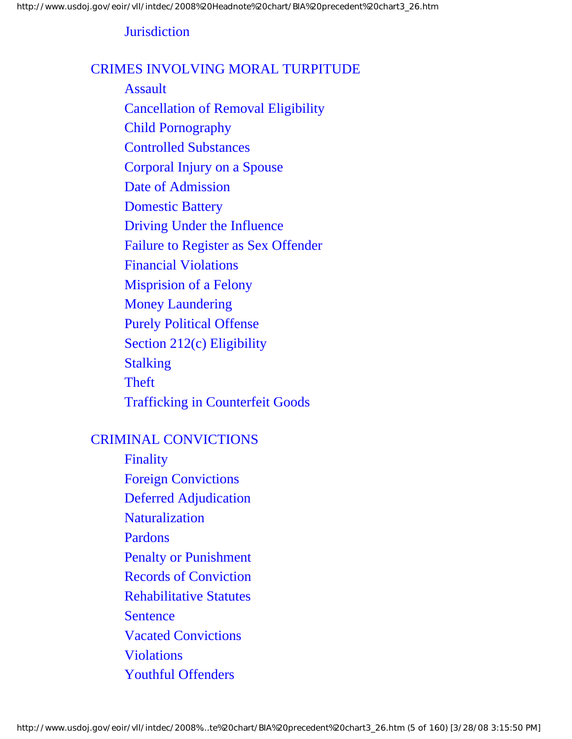## **[Jurisdiction](#page-82-0)**

#### [CRIMES INVOLVING MORAL TURPITUDE](#page-88-0)

[Assault](#page-83-0) [Cancellation of Removal Eligibility](#page-83-1) [Child Pornography](#page-84-0) [Controlled Substances](#page-84-1) [Corporal Injury on a Spouse](#page-84-2) [Date of Admission](#page-84-3) [Domestic Battery](#page-85-0) [Driving Under the Influence](#page-85-1) [Failure to Register as Sex Offender](#page-85-2) [Financial Violations](#page-86-0) [Misprision of a Felony](#page-86-1) [Money Laundering](#page-86-2) [Purely Political Offense](#page-87-0) [Section 212\(c\) Eligibility](#page-87-1) [Stalking](#page-87-2) [Theft](#page-88-1) [Trafficking in Counterfeit Goods](#page-88-2)

### [CRIMINAL CONVICTIONS](#page-96-0)

[Finality](#page-89-0) [Foreign Convictions](#page-89-1) [Deferred Adjudication](#page-90-0) [Naturalization](#page-91-0) [Pardons](#page-94-0) [Penalty or Punishment](#page-94-1) [Records of Conviction](#page-95-0) [Rehabilitative Statutes](#page-95-1) **[Sentence](#page-96-1)** [Vacated Convictions](#page-97-0) [Violations](#page-99-0) [Youthful Offenders](#page-100-0)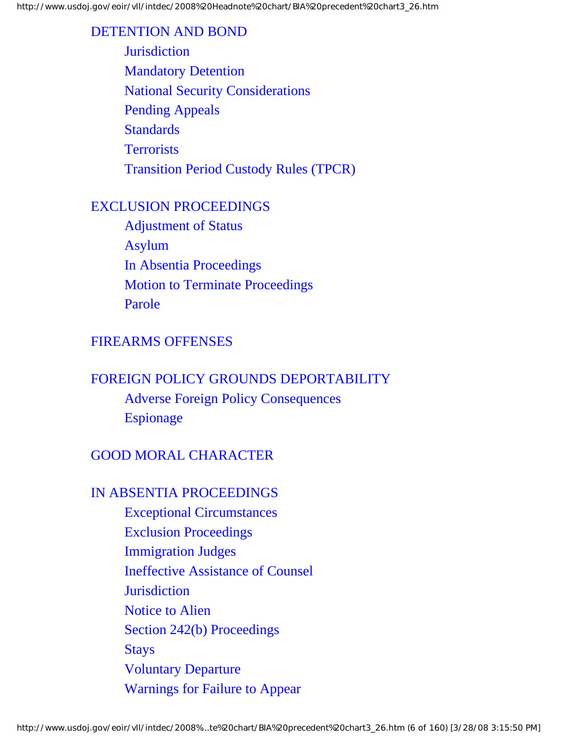#### [DETENTION AND BOND](#page-102-0)

**[Jurisdiction](#page-100-1)** [Mandatory Detention](#page-100-2) [National Security Considerations](#page-101-0) [Pending Appeals](#page-102-1) **[Standards](#page-102-2) [Terrorists](#page-103-0)** [Transition Period Custody Rules \(TPCR\)](#page-103-1)

#### [EXCLUSION PROCEEDINGS](#page-104-0)

[Adjustment of Status](#page-103-2) [Asylum](#page-105-0) [In Absentia Proceedings](#page-106-0) [Motion to Terminate Proceedings](#page-107-0) [Parole](#page-109-0)

## [FIREARMS OFFENSES](#page-105-1)

# [FOREIGN POLICY GROUNDS DEPORTABILITY](#page-107-1) [Adverse Foreign Policy Consequences](#page-109-1) [Espionage](#page-109-2)

# [GOOD MORAL CHARACTER](#page-107-2)

#### [IN ABSENTIA PROCEEDINGS](#page-114-0)

[Exceptional Circumstances](#page-110-0) [Exclusion Proceedings](#page-110-1) [Immigration Judges](#page-113-0) [Ineffective Assistance of Counsel](#page-113-1) **[Jurisdiction](#page-113-2)** [Notice to Alien](#page-113-3) [Section 242\(b\) Proceedings](#page-114-1) [Stays](#page-114-2) [Voluntary Departure](#page-115-0) [Warnings for Failure to Appear](#page-115-1)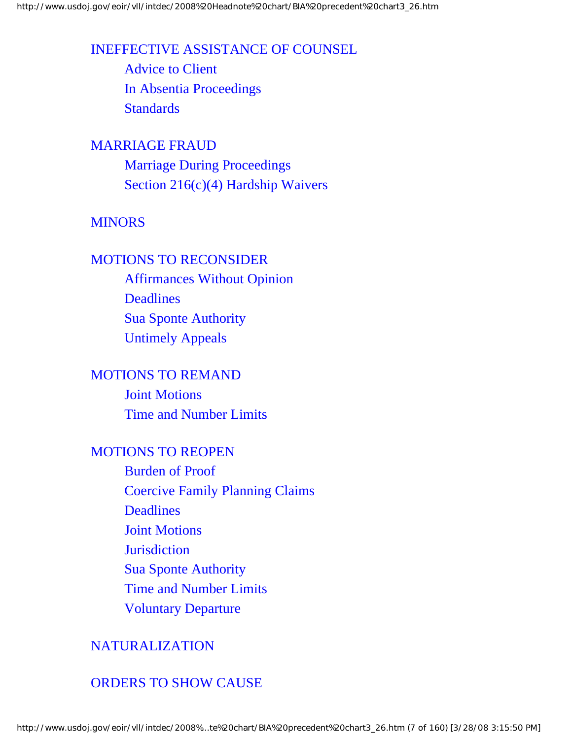#### [INEFFECTIVE ASSISTANCE OF COUNSEL](#page-115-2)

[Advice to Client](#page-116-0) [In Absentia Proceedings](#page-118-0) **[Standards](#page-118-1)** 

#### [MARRIAGE FRAUD](#page-116-1)

[Marriage During Proceedings](#page-118-2) [Section 216\(c\)\(4\) Hardship Waivers](#page-119-0)

## [MINORS](#page-118-3)

#### [MOTIONS TO RECONSIDER](#page-119-1)

[Affirmances Without Opinion](#page-119-2) **[Deadlines](#page-120-0)** [Sua Sponte Authority](#page-120-1) [Untimely Appeals](#page-121-0)

# [MOTIONS TO REMAND](#page-120-2) [Joint Motions](#page-122-0) [Time and Number Limits](#page-122-1)

#### [MOTIONS TO REOPEN](#page-125-0)

[Burden of Proof](#page-123-0) [Coercive Family Planning Claims](#page-123-1) **[Deadlines](#page-124-0)** [Joint Motions](#page-125-1) **[Jurisdiction](#page-130-0)** [Sua Sponte Authority](#page-130-1) [Time and Number Limits](#page-131-0) [Voluntary Departure](#page-132-0)

## [NATURALIZATION](#page-126-0)

## [ORDERS TO SHOW CAUSE](#page-126-1)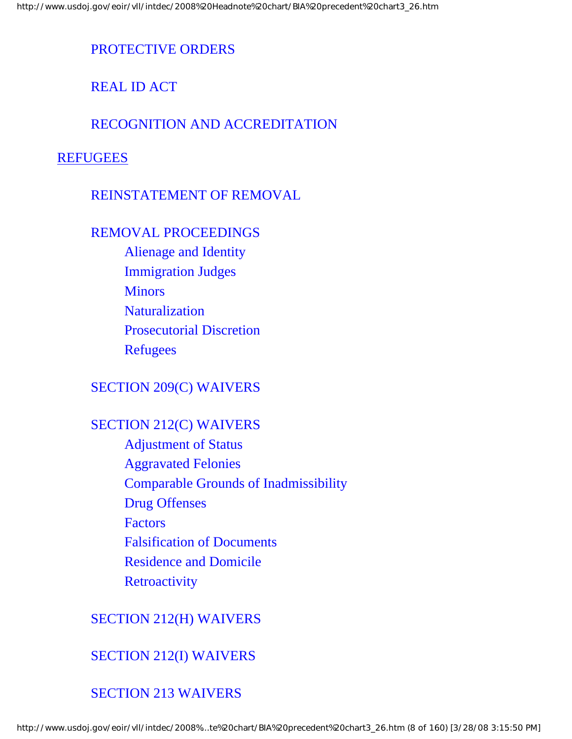# [PROTECTIVE ORDERS](#page-127-0)

[REAL ID ACT](#page-127-1)

## [RECOGNITION AND ACCREDITATION](#page-128-0)

## **[REFUGEES](#page-128-0)**

#### [REINSTATEMENT OF REMOVAL](#page-130-2)

#### [REMOVAL PROCEEDINGS](#page-133-0)

[Alienage and Identity](#page-132-1) [Immigration Judges](#page-133-1) **[Minors](#page-134-0) [Naturalization](#page-135-0)** [Prosecutorial Discretion](#page-136-0) [Refugees](#page-136-1)

## [SECTION 209\(C\) WAIVERS](#page-134-1)

## [SECTION 212\(C\) WAIVERS](#page-139-0)

[Adjustment of Status](#page-136-2) [Aggravated Felonies](#page-137-0) [Comparable Grounds of Inadmissibility](#page-137-1) [Drug Offenses](#page-138-0) **[Factors](#page-144-0)** [Falsification of Documents](#page-145-0) [Residence and Domicile](#page-145-1) **[Retroactivity](#page-147-0)** 

## [SECTION 212\(H\) WAIVERS](#page-141-0)

# [SECTION 212\(I\) WAIVERS](#page-142-0)

# [SECTION 213 WAIVERS](#page-143-0)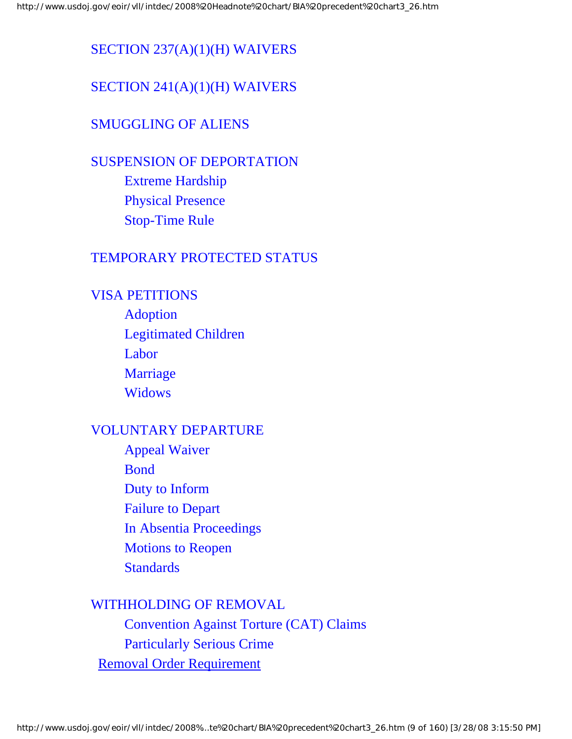# [SECTION 237\(A\)\(1\)\(H\) WAIVERS](#page-143-1)

# [SECTION 241\(A\)\(1\)\(H\) WAIVERS](#page-143-2)

# [SMUGGLING OF ALIENS](#page-144-1)

# [SUSPENSION OF DEPORTATION](#page-147-1) [Extreme Hardship](#page-148-0)

[Physical Presence](#page-150-0) [Stop-Time Rule](#page-150-1)

# [TEMPORARY PROTECTED STATUS](#page-147-2)

# [VISA PETITIONS](#page-151-0)

[Adoption](#page-150-2) [Legitimated Children](#page-151-1) [Labor](#page-151-2) [Marriage](#page-151-3) **[Widows](#page-152-0)** 

# [VOLUNTARY DEPARTURE](#page-154-0)

[Appeal Waiver](#page-152-1) [Bond](#page-152-2) [Duty to Inform](#page-153-0) [Failure to Depart](#page-154-1) [In Absentia Proceedings](#page-154-2) [Motions to Reopen](#page-0-0) **[Standards](#page-0-0)** 

# [WITHHOLDING OF REMOVAL](#page-0-0)

[Convention Against Torture \(CAT\) Claims](#page-0-0) [Particularly Serious Crime](#page-0-0) [Removal Order Requirement](#page-158-0)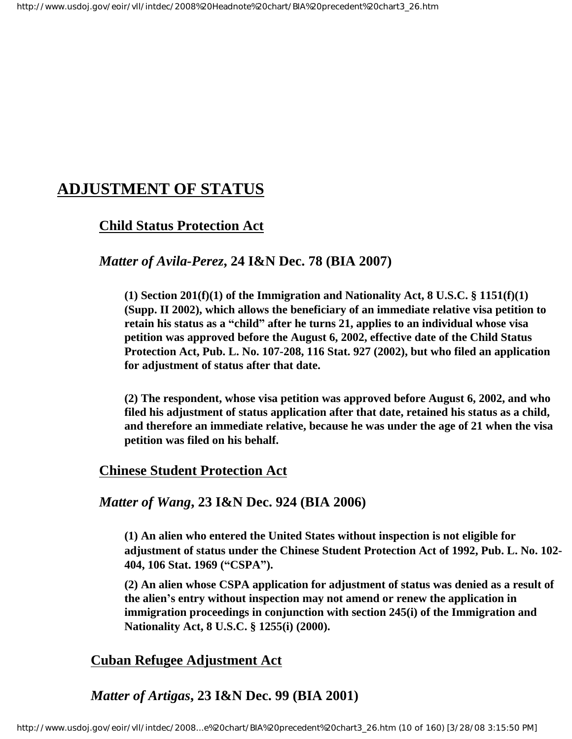# <span id="page-9-0"></span>**ADJUSTMENT OF STATUS**

## **Child Status Protection Act**

#### *Matter of Avila-Perez***, 24 I&N Dec. 78 (BIA 2007)**

**(1) Section 201(f)(1) of the Immigration and Nationality Act, 8 U.S.C. § 1151(f)(1) (Supp. II 2002), which allows the beneficiary of an immediate relative visa petition to retain his status as a "child" after he turns 21, applies to an individual whose visa petition was approved before the August 6, 2002, effective date of the Child Status Protection Act, Pub. L. No. 107-208, 116 Stat. 927 (2002), but who filed an application for adjustment of status after that date.** 

**(2) The respondent, whose visa petition was approved before August 6, 2002, and who filed his adjustment of status application after that date, retained his status as a child, and therefore an immediate relative, because he was under the age of 21 when the visa petition was filed on his behalf.**

#### <span id="page-9-1"></span> **Chinese Student Protection Act**

#### *Matter of Wang***, 23 I&N Dec. 924 (BIA 2006)**

**(1) An alien who entered the United States without inspection is not eligible for adjustment of status under the Chinese Student Protection Act of 1992, Pub. L. No. 102- 404, 106 Stat. 1969 ("CSPA").** 

**(2) An alien whose CSPA application for adjustment of status was denied as a result of the alien's entry without inspection may not amend or renew the application in immigration proceedings in conjunction with section 245(i) of the Immigration and Nationality Act, 8 U.S.C. § 1255(i) (2000).** 

## <span id="page-9-2"></span>**Cuban Refugee Adjustment Act**

## *Matter of Artigas***, 23 I&N Dec. 99 (BIA 2001)**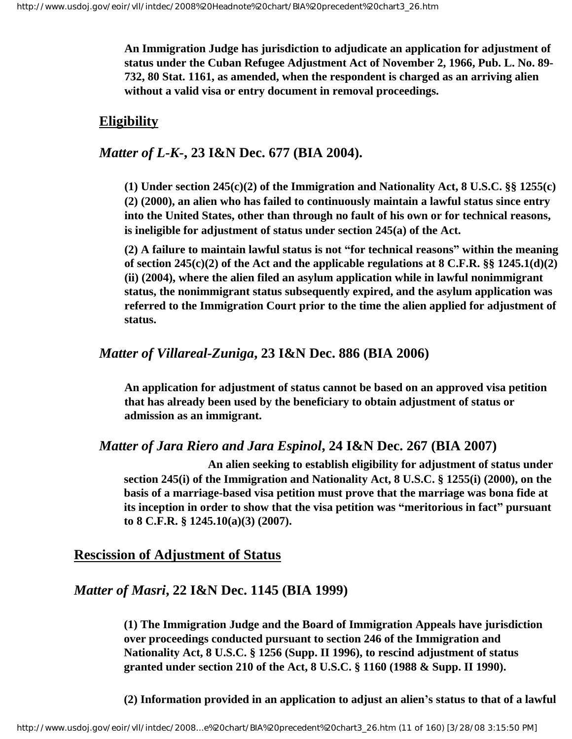**An Immigration Judge has jurisdiction to adjudicate an application for adjustment of status under the Cuban Refugee Adjustment Act of November 2, 1966, Pub. L. No. 89- 732, 80 Stat. 1161, as amended, when the respondent is charged as an arriving alien without a valid visa or entry document in removal proceedings.**

## <span id="page-10-0"></span> **Eligibility**

# *Matter of L-K-***, 23 I&N Dec. 677 (BIA 2004).**

**(1) Under section 245(c)(2) of the Immigration and Nationality Act, 8 U.S.C. §§ 1255(c) (2) (2000), an alien who has failed to continuously maintain a lawful status since entry into the United States, other than through no fault of his own or for technical reasons, is ineligible for adjustment of status under section 245(a) of the Act.** 

**(2) A failure to maintain lawful status is not "for technical reasons" within the meaning of section 245(c)(2) of the Act and the applicable regulations at 8 C.F.R. §§ 1245.1(d)(2) (ii) (2004), where the alien filed an asylum application while in lawful nonimmigrant status, the nonimmigrant status subsequently expired, and the asylum application was referred to the Immigration Court prior to the time the alien applied for adjustment of status.** 

## *Matter of Villareal-Zuniga***, 23 I&N Dec. 886 (BIA 2006)**

**An application for adjustment of status cannot be based on an approved visa petition that has already been used by the beneficiary to obtain adjustment of status or admission as an immigrant.**

## *Matter of Jara Riero and Jara Espinol***, 24 I&N Dec. 267 (BIA 2007)**

 **An alien seeking to establish eligibility for adjustment of status under section 245(i) of the Immigration and Nationality Act, 8 U.S.C. § 1255(i) (2000), on the basis of a marriage-based visa petition must prove that the marriage was bona fide at its inception in order to show that the visa petition was "meritorious in fact" pursuant to 8 C.F.R. § 1245.10(a)(3) (2007).** 

## <span id="page-10-1"></span>**Rescission of Adjustment of Status**

# *Matter of Masri***, 22 I&N Dec. 1145 (BIA 1999)**

**(1) The Immigration Judge and the Board of Immigration Appeals have jurisdiction over proceedings conducted pursuant to section 246 of the Immigration and Nationality Act, 8 U.S.C. § 1256 (Supp. II 1996), to rescind adjustment of status granted under section 210 of the Act, 8 U.S.C. § 1160 (1988 & Supp. II 1990).**

**(2) Information provided in an application to adjust an alien's status to that of a lawful**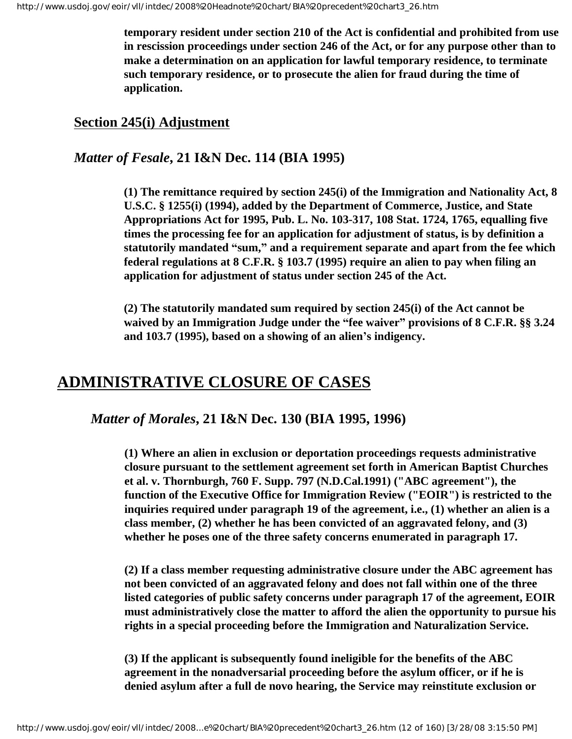**temporary resident under section 210 of the Act is confidential and prohibited from use in rescission proceedings under section 246 of the Act, or for any purpose other than to make a determination on an application for lawful temporary residence, to terminate such temporary residence, or to prosecute the alien for fraud during the time of application.**

## <span id="page-11-1"></span>**Section 245(i) Adjustment**

## *Matter of Fesale***, 21 I&N Dec. 114 (BIA 1995)**

**(1) The remittance required by section 245(i) of the Immigration and Nationality Act, 8 U.S.C. § 1255(i) (1994), added by the Department of Commerce, Justice, and State Appropriations Act for 1995, Pub. L. No. 103-317, 108 Stat. 1724, 1765, equalling five times the processing fee for an application for adjustment of status, is by definition a statutorily mandated "sum," and a requirement separate and apart from the fee which federal regulations at 8 C.F.R. § 103.7 (1995) require an alien to pay when filing an application for adjustment of status under section 245 of the Act.** 

**(2) The statutorily mandated sum required by section 245(i) of the Act cannot be waived by an Immigration Judge under the "fee waiver" provisions of 8 C.F.R. §§ 3.24 and 103.7 (1995), based on a showing of an alien's indigency.** 

# <span id="page-11-0"></span>**ADMINISTRATIVE CLOSURE OF CASES**

*Matter of Morales***, 21 I&N Dec. 130 (BIA 1995, 1996)**

**(1) Where an alien in exclusion or deportation proceedings requests administrative closure pursuant to the settlement agreement set forth in American Baptist Churches et al. v. Thornburgh, 760 F. Supp. 797 (N.D.Cal.1991) ("ABC agreement"), the function of the Executive Office for Immigration Review ("EOIR") is restricted to the inquiries required under paragraph 19 of the agreement, i.e., (1) whether an alien is a class member, (2) whether he has been convicted of an aggravated felony, and (3) whether he poses one of the three safety concerns enumerated in paragraph 17.**

**(2) If a class member requesting administrative closure under the ABC agreement has not been convicted of an aggravated felony and does not fall within one of the three listed categories of public safety concerns under paragraph 17 of the agreement, EOIR must administratively close the matter to afford the alien the opportunity to pursue his rights in a special proceeding before the Immigration and Naturalization Service.**

**(3) If the applicant is subsequently found ineligible for the benefits of the ABC agreement in the nonadversarial proceeding before the asylum officer, or if he is denied asylum after a full de novo hearing, the Service may reinstitute exclusion or**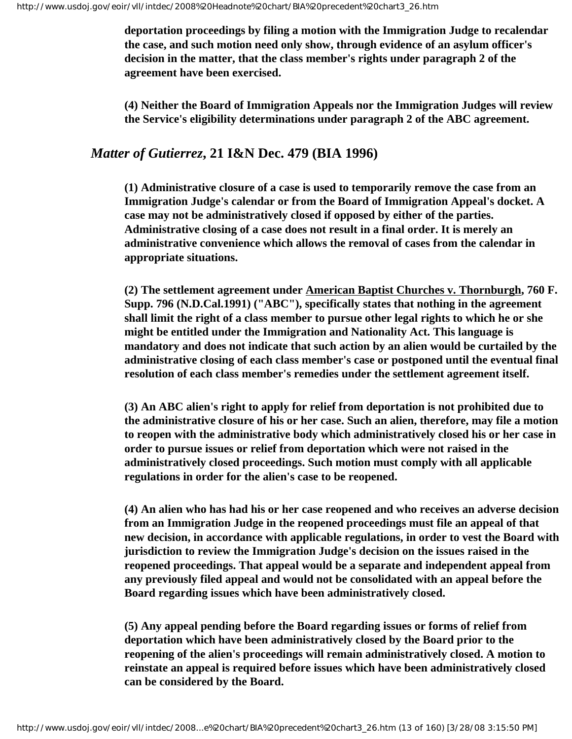**deportation proceedings by filing a motion with the Immigration Judge to recalendar the case, and such motion need only show, through evidence of an asylum officer's decision in the matter, that the class member's rights under paragraph 2 of the agreement have been exercised.**

**(4) Neither the Board of Immigration Appeals nor the Immigration Judges will review the Service's eligibility determinations under paragraph 2 of the ABC agreement.**

#### *Matter of Gutierrez***, 21 I&N Dec. 479 (BIA 1996)**

**(1) Administrative closure of a case is used to temporarily remove the case from an Immigration Judge's calendar or from the Board of Immigration Appeal's docket. A case may not be administratively closed if opposed by either of the parties. Administrative closing of a case does not result in a final order. It is merely an administrative convenience which allows the removal of cases from the calendar in appropriate situations.**

**(2) The settlement agreement under American Baptist Churches v. Thornburgh, 760 F. Supp. 796 (N.D.Cal.1991) ("ABC"), specifically states that nothing in the agreement shall limit the right of a class member to pursue other legal rights to which he or she might be entitled under the Immigration and Nationality Act. This language is mandatory and does not indicate that such action by an alien would be curtailed by the administrative closing of each class member's case or postponed until the eventual final resolution of each class member's remedies under the settlement agreement itself.**

**(3) An ABC alien's right to apply for relief from deportation is not prohibited due to the administrative closure of his or her case. Such an alien, therefore, may file a motion to reopen with the administrative body which administratively closed his or her case in order to pursue issues or relief from deportation which were not raised in the administratively closed proceedings. Such motion must comply with all applicable regulations in order for the alien's case to be reopened.**

**(4) An alien who has had his or her case reopened and who receives an adverse decision from an Immigration Judge in the reopened proceedings must file an appeal of that new decision, in accordance with applicable regulations, in order to vest the Board with jurisdiction to review the Immigration Judge's decision on the issues raised in the reopened proceedings. That appeal would be a separate and independent appeal from any previously filed appeal and would not be consolidated with an appeal before the Board regarding issues which have been administratively closed.**

**(5) Any appeal pending before the Board regarding issues or forms of relief from deportation which have been administratively closed by the Board prior to the reopening of the alien's proceedings will remain administratively closed. A motion to reinstate an appeal is required before issues which have been administratively closed can be considered by the Board.**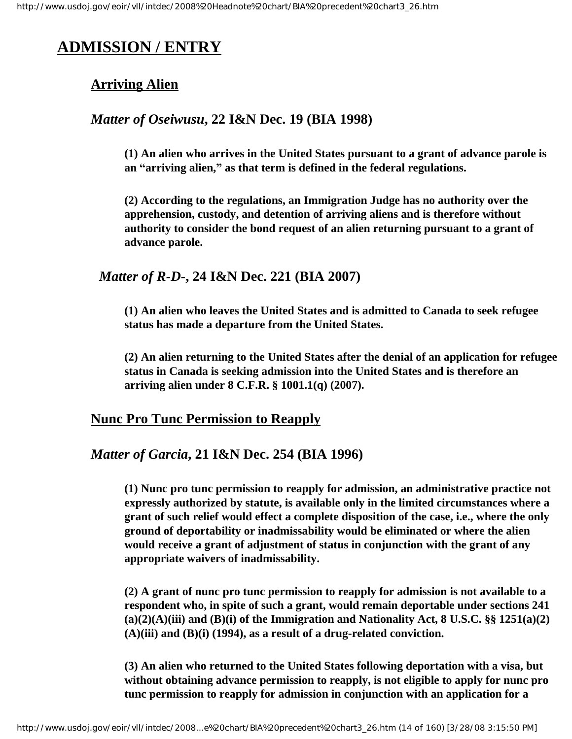# <span id="page-13-1"></span><span id="page-13-0"></span>**ADMISSION / ENTRY**

# **Arriving Alien**

## *Matter of Oseiwusu***, 22 I&N Dec. 19 (BIA 1998)**

**(1) An alien who arrives in the United States pursuant to a grant of advance parole is an "arriving alien," as that term is defined in the federal regulations.** 

**(2) According to the regulations, an Immigration Judge has no authority over the apprehension, custody, and detention of arriving aliens and is therefore without authority to consider the bond request of an alien returning pursuant to a grant of advance parole.**

# *Matter of R-D-***, 24 I&N Dec. 221 (BIA 2007)**

**(1) An alien who leaves the United States and is admitted to Canada to seek refugee status has made a departure from the United States.**

**(2) An alien returning to the United States after the denial of an application for refugee status in Canada is seeking admission into the United States and is therefore an arriving alien under 8 C.F.R. § 1001.1(q) (2007).** 

## <span id="page-13-2"></span>**Nunc Pro Tunc Permission to Reapply**

## *Matter of Garcia***, 21 I&N Dec. 254 (BIA 1996)**

**(1) Nunc pro tunc permission to reapply for admission, an administrative practice not expressly authorized by statute, is available only in the limited circumstances where a grant of such relief would effect a complete disposition of the case, i.e., where the only ground of deportability or inadmissability would be eliminated or where the alien would receive a grant of adjustment of status in conjunction with the grant of any appropriate waivers of inadmissability.**

**(2) A grant of nunc pro tunc permission to reapply for admission is not available to a respondent who, in spite of such a grant, would remain deportable under sections 241 (a)(2)(A)(iii) and (B)(i) of the Immigration and Nationality Act, 8 U.S.C. §§ 1251(a)(2) (A)(iii) and (B)(i) (1994), as a result of a drug-related conviction.**

**(3) An alien who returned to the United States following deportation with a visa, but without obtaining advance permission to reapply, is not eligible to apply for nunc pro tunc permission to reapply for admission in conjunction with an application for a**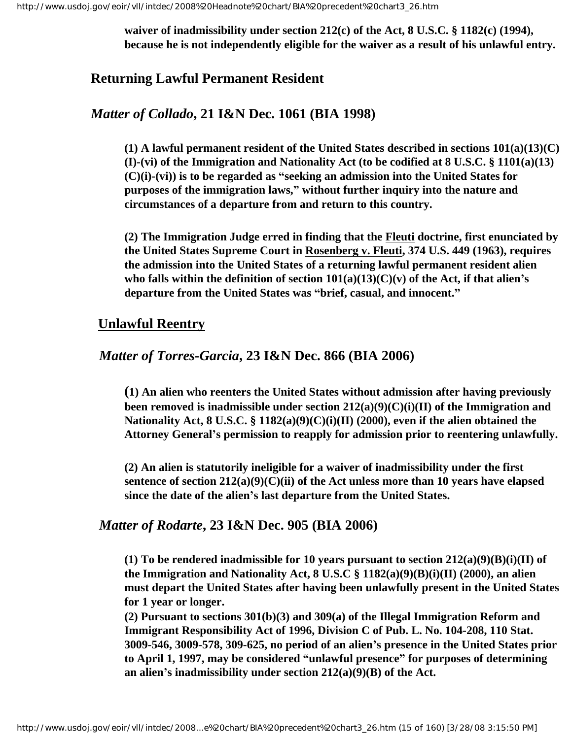**waiver of inadmissibility under section 212(c) of the Act, 8 U.S.C. § 1182(c) (1994), because he is not independently eligible for the waiver as a result of his unlawful entry.**

## <span id="page-14-0"></span>**Returning Lawful Permanent Resident**

#### *Matter of Collado***, 21 I&N Dec. 1061 (BIA 1998)**

**(1) A lawful permanent resident of the United States described in sections 101(a)(13)(C) (I)-(vi) of the Immigration and Nationality Act (to be codified at 8 U.S.C. § 1101(a)(13) (C)(i)-(vi)) is to be regarded as "seeking an admission into the United States for purposes of the immigration laws," without further inquiry into the nature and circumstances of a departure from and return to this country.**

**(2) The Immigration Judge erred in finding that the Fleuti doctrine, first enunciated by the United States Supreme Court in Rosenberg v. Fleuti, 374 U.S. 449 (1963), requires the admission into the United States of a returning lawful permanent resident alien**  who falls within the definition of section  $101(a)(13)(C)(v)$  of the Act, if that alien's **departure from the United States was "brief, casual, and innocent."**

#### <span id="page-14-1"></span> **Unlawful Reentry**

#### *Matter of Torres-Garcia***, 23 I&N Dec. 866 (BIA 2006)**

**(1) An alien who reenters the United States without admission after having previously been removed is inadmissible under section 212(a)(9)(C)(i)(II) of the Immigration and Nationality Act, 8 U.S.C. § 1182(a)(9)(C)(i)(II) (2000), even if the alien obtained the Attorney General's permission to reapply for admission prior to reentering unlawfully.**

**(2) An alien is statutorily ineligible for a waiver of inadmissibility under the first sentence of section 212(a)(9)(C)(ii) of the Act unless more than 10 years have elapsed since the date of the alien's last departure from the United States.**

#### *Matter of Rodarte***, 23 I&N Dec. 905 (BIA 2006)**

**(1) To be rendered inadmissible for 10 years pursuant to section 212(a)(9)(B)(i)(II) of the Immigration and Nationality Act, 8 U.S.C § 1182(a)(9)(B)(i)(II) (2000), an alien must depart the United States after having been unlawfully present in the United States for 1 year or longer.**

**(2) Pursuant to sections 301(b)(3) and 309(a) of the Illegal Immigration Reform and Immigrant Responsibility Act of 1996, Division C of Pub. L. No. 104-208, 110 Stat. 3009-546, 3009-578, 309-625, no period of an alien's presence in the United States prior to April 1, 1997, may be considered "unlawful presence" for purposes of determining an alien's inadmissibility under section 212(a)(9)(B) of the Act.**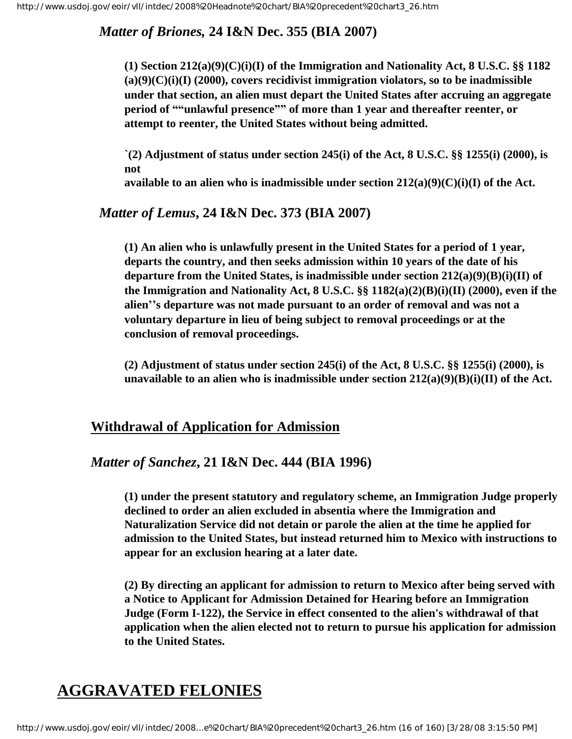# *Matter of Briones,* **24 I&N Dec. 355 (BIA 2007)**

**(1) Section 212(a)(9)(C)(i)(I) of the Immigration and Nationality Act, 8 U.S.C. §§ 1182 (a)(9)(C)(i)(I) (2000), covers recidivist immigration violators, so to be inadmissible under that section, an alien must depart the United States after accruing an aggregate period of ""unlawful presence"" of more than 1 year and thereafter reenter, or attempt to reenter, the United States without being admitted.**

**`(2) Adjustment of status under section 245(i) of the Act, 8 U.S.C. §§ 1255(i) (2000), is not** 

**available to an alien who is inadmissible under section 212(a)(9)(C)(i)(I) of the Act.**

## *Matter of Lemus***, 24 I&N Dec. 373 (BIA 2007)**

**(1) An alien who is unlawfully present in the United States for a period of 1 year, departs the country, and then seeks admission within 10 years of the date of his departure from the United States, is inadmissible under section 212(a)(9)(B)(i)(II) of the Immigration and Nationality Act, 8 U.S.C. §§ 1182(a)(2)(B)(i)(II) (2000), even if the alien''s departure was not made pursuant to an order of removal and was not a voluntary departure in lieu of being subject to removal proceedings or at the conclusion of removal proceedings.**

**(2) Adjustment of status under section 245(i) of the Act, 8 U.S.C. §§ 1255(i) (2000), is unavailable to an alien who is inadmissible under section 212(a)(9)(B)(i)(II) of the Act.** 

# <span id="page-15-1"></span>**Withdrawal of Application for Admission**

## *Matter of Sanchez***, 21 I&N Dec. 444 (BIA 1996)**

**(1) under the present statutory and regulatory scheme, an Immigration Judge properly declined to order an alien excluded in absentia where the Immigration and Naturalization Service did not detain or parole the alien at the time he applied for admission to the United States, but instead returned him to Mexico with instructions to appear for an exclusion hearing at a later date.**

**(2) By directing an applicant for admission to return to Mexico after being served with a Notice to Applicant for Admission Detained for Hearing before an Immigration Judge (Form I-122), the Service in effect consented to the alien's withdrawal of that application when the alien elected not to return to pursue his application for admission to the United States.**

# <span id="page-15-0"></span>**AGGRAVATED FELONIES**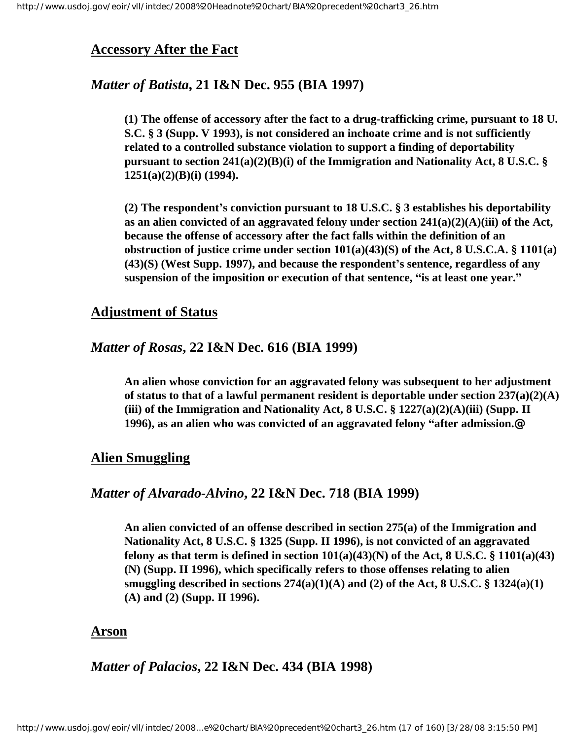#### <span id="page-16-0"></span>**Accessory After the Fact**

#### *Matter of Batista***, 21 I&N Dec. 955 (BIA 1997)**

**(1) The offense of accessory after the fact to a drug-trafficking crime, pursuant to 18 U. S.C. § 3 (Supp. V 1993), is not considered an inchoate crime and is not sufficiently related to a controlled substance violation to support a finding of deportability pursuant to section 241(a)(2)(B)(i) of the Immigration and Nationality Act, 8 U.S.C. § 1251(a)(2)(B)(i) (1994).**

**(2) The respondent's conviction pursuant to 18 U.S.C. § 3 establishes his deportability as an alien convicted of an aggravated felony under section 241(a)(2)(A)(iii) of the Act, because the offense of accessory after the fact falls within the definition of an obstruction of justice crime under section 101(a)(43)(S) of the Act, 8 U.S.C.A. § 1101(a) (43)(S) (West Supp. 1997), and because the respondent's sentence, regardless of any suspension of the imposition or execution of that sentence, "is at least one year."**

#### <span id="page-16-1"></span>**Adjustment of Status**

## *Matter of Rosas***, 22 I&N Dec. 616 (BIA 1999)**

**An alien whose conviction for an aggravated felony was subsequent to her adjustment of status to that of a lawful permanent resident is deportable under section 237(a)(2)(A) (iii) of the Immigration and Nationality Act, 8 U.S.C. § 1227(a)(2)(A)(iii) (Supp. II 1996), as an alien who was convicted of an aggravated felony "after admission.@**

## <span id="page-16-2"></span>**Alien Smuggling**

#### *Matter of Alvarado-Alvino***, 22 I&N Dec. 718 (BIA 1999)**

**An alien convicted of an offense described in section 275(a) of the Immigration and Nationality Act, 8 U.S.C. § 1325 (Supp. II 1996), is not convicted of an aggravated felony as that term is defined in section**  $101(a)(43)(N)$  **of the Act, 8 U.S.C. § 1101(a)(43) (N) (Supp. II 1996), which specifically refers to those offenses relating to alien smuggling described in sections 274(a)(1)(A) and (2) of the Act, 8 U.S.C. § 1324(a)(1) (A) and (2) (Supp. II 1996).**

#### <span id="page-16-3"></span>**Arson**

*Matter of Palacios***, 22 I&N Dec. 434 (BIA 1998)**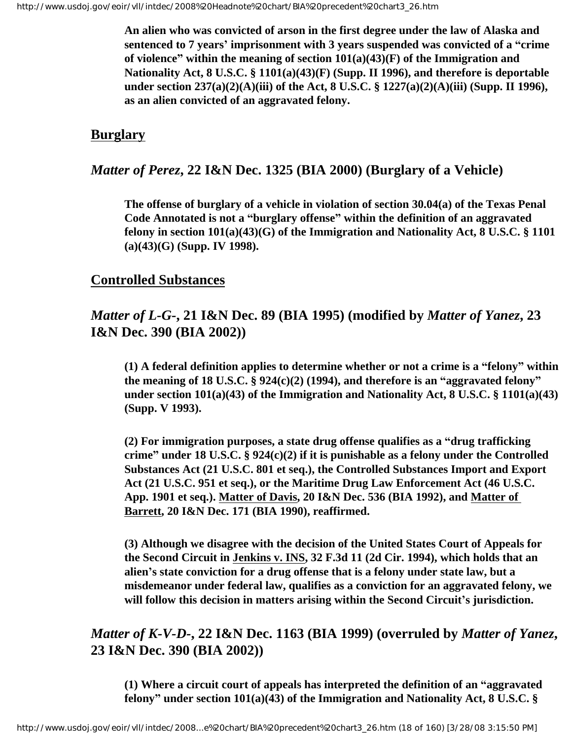**An alien who was convicted of arson in the first degree under the law of Alaska and sentenced to 7 years' imprisonment with 3 years suspended was convicted of a "crime of violence" within the meaning of section 101(a)(43)(F) of the Immigration and Nationality Act, 8 U.S.C. § 1101(a)(43)(F) (Supp. II 1996), and therefore is deportable under section 237(a)(2)(A)(iii) of the Act, 8 U.S.C. § 1227(a)(2)(A)(iii) (Supp. II 1996), as an alien convicted of an aggravated felony.**

# <span id="page-17-0"></span>**Burglary**

# *Matter of Perez***, 22 I&N Dec. 1325 (BIA 2000) (Burglary of a Vehicle)**

**The offense of burglary of a vehicle in violation of section 30.04(a) of the Texas Penal Code Annotated is not a "burglary offense" within the definition of an aggravated felony in section 101(a)(43)(G) of the Immigration and Nationality Act, 8 U.S.C. § 1101 (a)(43)(G) (Supp. IV 1998).**

## <span id="page-17-1"></span>**Controlled Substances**

# *Matter of L-G-***, 21 I&N Dec. 89 (BIA 1995) (modified by** *Matter of Yanez***, 23 I&N Dec. 390 (BIA 2002))**

**(1) A federal definition applies to determine whether or not a crime is a "felony" within the meaning of 18 U.S.C. § 924(c)(2) (1994), and therefore is an "aggravated felony" under section 101(a)(43) of the Immigration and Nationality Act, 8 U.S.C. § 1101(a)(43) (Supp. V 1993).** 

**(2) For immigration purposes, a state drug offense qualifies as a "drug trafficking crime" under 18 U.S.C. § 924(c)(2) if it is punishable as a felony under the Controlled Substances Act (21 U.S.C. 801 et seq.), the Controlled Substances Import and Export Act (21 U.S.C. 951 et seq.), or the Maritime Drug Law Enforcement Act (46 U.S.C. App. 1901 et seq.). Matter of Davis, 20 I&N Dec. 536 (BIA 1992), and Matter of Barrett, 20 I&N Dec. 171 (BIA 1990), reaffirmed.** 

**(3) Although we disagree with the decision of the United States Court of Appeals for the Second Circuit in Jenkins v. INS, 32 F.3d 11 (2d Cir. 1994), which holds that an alien's state conviction for a drug offense that is a felony under state law, but a misdemeanor under federal law, qualifies as a conviction for an aggravated felony, we will follow this decision in matters arising within the Second Circuit's jurisdiction.**

# *Matter of K-V-D-***, 22 I&N Dec. 1163 (BIA 1999) (overruled by** *Matter of Yanez***, 23 I&N Dec. 390 (BIA 2002))**

**(1) Where a circuit court of appeals has interpreted the definition of an "aggravated felony" under section 101(a)(43) of the Immigration and Nationality Act, 8 U.S.C. §**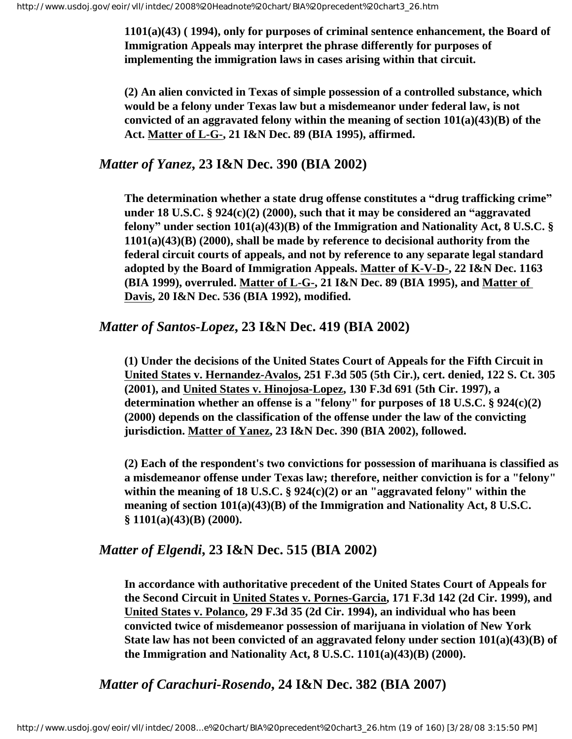**1101(a)(43) ( 1994), only for purposes of criminal sentence enhancement, the Board of Immigration Appeals may interpret the phrase differently for purposes of implementing the immigration laws in cases arising within that circuit.**

**(2) An alien convicted in Texas of simple possession of a controlled substance, which would be a felony under Texas law but a misdemeanor under federal law, is not convicted of an aggravated felony within the meaning of section 101(a)(43)(B) of the Act. Matter of L-G-, 21 I&N Dec. 89 (BIA 1995), affirmed.**

#### *Matter of Yanez***, 23 I&N Dec. 390 (BIA 2002)**

**The determination whether a state drug offense constitutes a "drug trafficking crime" under 18 U.S.C. § 924(c)(2) (2000), such that it may be considered an "aggravated felony" under section 101(a)(43)(B) of the Immigration and Nationality Act, 8 U.S.C. § 1101(a)(43)(B) (2000), shall be made by reference to decisional authority from the federal circuit courts of appeals, and not by reference to any separate legal standard adopted by the Board of Immigration Appeals. Matter of K-V-D-, 22 I&N Dec. 1163 (BIA 1999), overruled. Matter of L-G-, 21 I&N Dec. 89 (BIA 1995), and Matter of Davis, 20 I&N Dec. 536 (BIA 1992), modified.**

#### *Matter of Santos-Lopez***, 23 I&N Dec. 419 (BIA 2002)**

**(1) Under the decisions of the United States Court of Appeals for the Fifth Circuit in United States v. Hernandez-Avalos, 251 F.3d 505 (5th Cir.), cert. denied, 122 S. Ct. 305 (2001), and United States v. Hinojosa-Lopez, 130 F.3d 691 (5th Cir. 1997), a determination whether an offense is a "felony" for purposes of 18 U.S.C. § 924(c)(2) (2000) depends on the classification of the offense under the law of the convicting jurisdiction. Matter of Yanez, 23 I&N Dec. 390 (BIA 2002), followed.** 

**(2) Each of the respondent's two convictions for possession of marihuana is classified as a misdemeanor offense under Texas law; therefore, neither conviction is for a "felony" within the meaning of 18 U.S.C. § 924(c)(2) or an "aggravated felony" within the meaning of section 101(a)(43)(B) of the Immigration and Nationality Act, 8 U.S.C. § 1101(a)(43)(B) (2000).**

## *Matter of Elgendi***, 23 I&N Dec. 515 (BIA 2002)**

**In accordance with authoritative precedent of the United States Court of Appeals for the Second Circuit in United States v. Pornes-Garcia, 171 F.3d 142 (2d Cir. 1999), and United States v. Polanco, 29 F.3d 35 (2d Cir. 1994), an individual who has been convicted twice of misdemeanor possession of marijuana in violation of New York State law has not been convicted of an aggravated felony under section 101(a)(43)(B) of the Immigration and Nationality Act, 8 U.S.C. 1101(a)(43)(B) (2000).**

 *Matter of Carachuri-Rosendo***, 24 I&N Dec. 382 (BIA 2007)**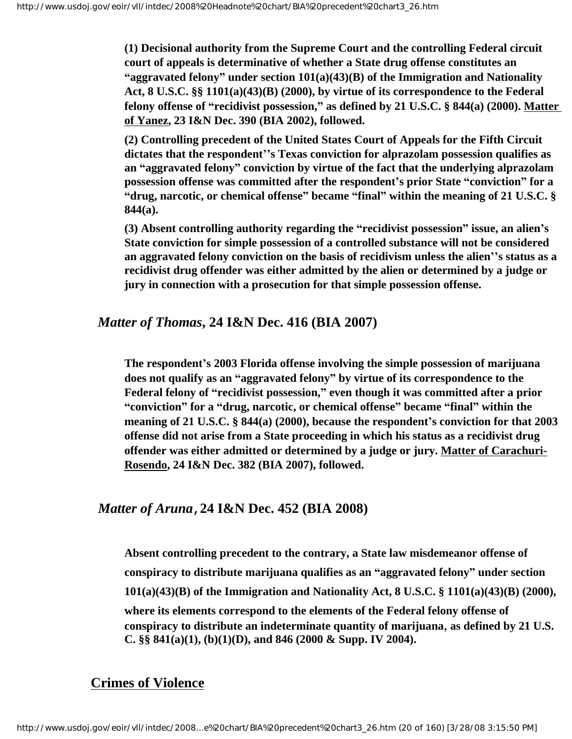**(1) Decisional authority from the Supreme Court and the controlling Federal circuit court of appeals is determinative of whether a State drug offense constitutes an "aggravated felony" under section 101(a)(43)(B) of the Immigration and Nationality Act, 8 U.S.C. §§ 1101(a)(43)(B) (2000), by virtue of its correspondence to the Federal felony offense of "recidivist possession," as defined by 21 U.S.C. § 844(a) (2000). Matter of Yanez, 23 I&N Dec. 390 (BIA 2002), followed.**

**(2) Controlling precedent of the United States Court of Appeals for the Fifth Circuit dictates that the respondent''s Texas conviction for alprazolam possession qualifies as an "aggravated felony" conviction by virtue of the fact that the underlying alprazolam possession offense was committed after the respondent's prior State "conviction" for a "drug, narcotic, or chemical offense" became "final" within the meaning of 21 U.S.C. § 844(a).**

**(3) Absent controlling authority regarding the "recidivist possession" issue, an alien's State conviction for simple possession of a controlled substance will not be considered an aggravated felony conviction on the basis of recidivism unless the alien''s status as a recidivist drug offender was either admitted by the alien or determined by a judge or jury in connection with a prosecution for that simple possession offense.**

#### *Matter of Thomas***, 24 I&N Dec. 416 (BIA 2007)**

**The respondent's 2003 Florida offense involving the simple possession of marijuana does not qualify as an "aggravated felony" by virtue of its correspondence to the Federal felony of "recidivist possession," even though it was committed after a prior "conviction" for a "drug, narcotic, or chemical offense" became "final" within the meaning of 21 U.S.C. § 844(a) (2000), because the respondent's conviction for that 2003 offense did not arise from a State proceeding in which his status as a recidivist drug offender was either admitted or determined by a judge or jury. Matter of Carachuri-Rosendo, 24 I&N Dec. 382 (BIA 2007), followed.**

#### *Matter of Aruna***,24 I&N Dec. 452 (BIA 2008)**

**Absent controlling precedent to the contrary, a State law misdemeanor offense of conspiracy to distribute marijuana qualifies as an "aggravated felony" under section 101(a)(43)(B) of the Immigration and Nationality Act, 8 U.S.C. § 1101(a)(43)(B) (2000), where its elements correspond to the elements of the Federal felony offense of conspiracy to distribute an indeterminate quantity of marijuana**, **as defined by 21 U.S. C. §§ 841(a)(1), (b)(1)(D), and 846 (2000 & Supp. IV 2004).** 

## <span id="page-19-0"></span>**Crimes of Violence**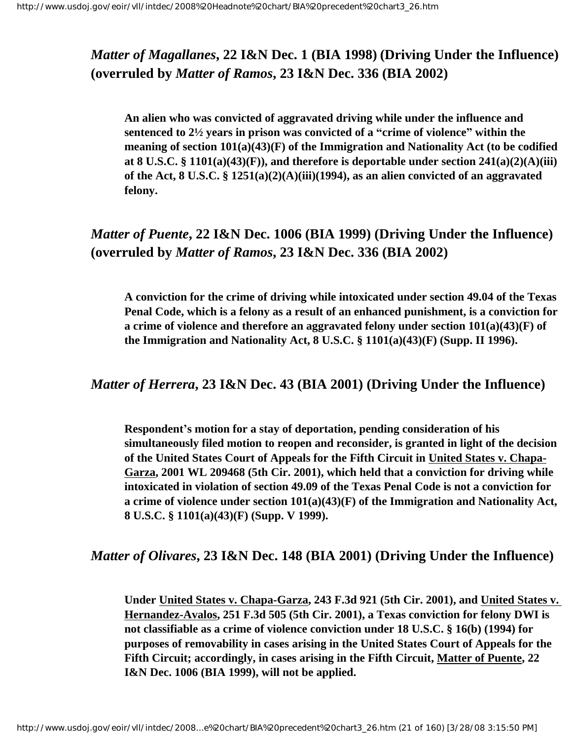# *Matter of Magallanes***, 22 I&N Dec. 1 (BIA 1998) (Driving Under the Influence) (overruled by** *Matter of Ramos***, 23 I&N Dec. 336 (BIA 2002)**

**An alien who was convicted of aggravated driving while under the influence and sentenced to 2½ years in prison was convicted of a "crime of violence" within the meaning of section 101(a)(43)(F) of the Immigration and Nationality Act (to be codified at 8 U.S.C. § 1101(a)(43)(F)), and therefore is deportable under section 241(a)(2)(A)(iii) of the Act, 8 U.S.C. § 1251(a)(2)(A)(iii)(1994), as an alien convicted of an aggravated felony.**

# *Matter of Puente***, 22 I&N Dec. 1006 (BIA 1999) (Driving Under the Influence) (overruled by** *Matter of Ramos***, 23 I&N Dec. 336 (BIA 2002)**

**A conviction for the crime of driving while intoxicated under section 49.04 of the Texas Penal Code, which is a felony as a result of an enhanced punishment, is a conviction for a crime of violence and therefore an aggravated felony under section 101(a)(43)(F) of the Immigration and Nationality Act, 8 U.S.C. § 1101(a)(43)(F) (Supp. II 1996).**

## *Matter of Herrera***, 23 I&N Dec. 43 (BIA 2001) (Driving Under the Influence)**

**Respondent's motion for a stay of deportation, pending consideration of his simultaneously filed motion to reopen and reconsider, is granted in light of the decision of the United States Court of Appeals for the Fifth Circuit in United States v. Chapa-Garza, 2001 WL 209468 (5th Cir. 2001), which held that a conviction for driving while intoxicated in violation of section 49.09 of the Texas Penal Code is not a conviction for a crime of violence under section 101(a)(43)(F) of the Immigration and Nationality Act, 8 U.S.C. § 1101(a)(43)(F) (Supp. V 1999).**

## *Matter of Olivares***, 23 I&N Dec. 148 (BIA 2001) (Driving Under the Influence)**

**Under United States v. Chapa-Garza, 243 F.3d 921 (5th Cir. 2001), and United States v. Hernandez-Avalos, 251 F.3d 505 (5th Cir. 2001), a Texas conviction for felony DWI is not classifiable as a crime of violence conviction under 18 U.S.C. § 16(b) (1994) for purposes of removability in cases arising in the United States Court of Appeals for the Fifth Circuit; accordingly, in cases arising in the Fifth Circuit, Matter of Puente, 22 I&N Dec. 1006 (BIA 1999), will not be applied.**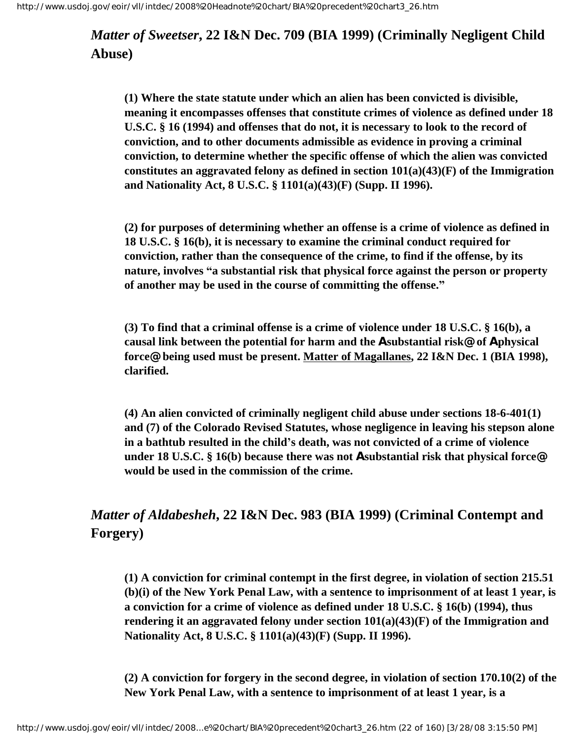*Matter of Sweetser***, 22 I&N Dec. 709 (BIA 1999) (Criminally Negligent Child Abuse)**

**(1) Where the state statute under which an alien has been convicted is divisible, meaning it encompasses offenses that constitute crimes of violence as defined under 18 U.S.C. § 16 (1994) and offenses that do not, it is necessary to look to the record of conviction, and to other documents admissible as evidence in proving a criminal conviction, to determine whether the specific offense of which the alien was convicted constitutes an aggravated felony as defined in section 101(a)(43)(F) of the Immigration and Nationality Act, 8 U.S.C. § 1101(a)(43)(F) (Supp. II 1996).**

**(2) for purposes of determining whether an offense is a crime of violence as defined in 18 U.S.C. § 16(b), it is necessary to examine the criminal conduct required for conviction, rather than the consequence of the crime, to find if the offense, by its nature, involves "a substantial risk that physical force against the person or property of another may be used in the course of committing the offense."**

**(3) To find that a criminal offense is a crime of violence under 18 U.S.C. § 16(b), a causal link between the potential for harm and the Asubstantial risk@ of Aphysical force@ being used must be present. Matter of Magallanes, 22 I&N Dec. 1 (BIA 1998), clarified.**

**(4) An alien convicted of criminally negligent child abuse under sections 18-6-401(1) and (7) of the Colorado Revised Statutes, whose negligence in leaving his stepson alone in a bathtub resulted in the child's death, was not convicted of a crime of violence under 18 U.S.C. § 16(b) because there was not Asubstantial risk that physical force@ would be used in the commission of the crime.**

# *Matter of Aldabesheh***, 22 I&N Dec. 983 (BIA 1999) (Criminal Contempt and Forgery)**

**(1) A conviction for criminal contempt in the first degree, in violation of section 215.51 (b)(i) of the New York Penal Law, with a sentence to imprisonment of at least 1 year, is a conviction for a crime of violence as defined under 18 U.S.C. § 16(b) (1994), thus rendering it an aggravated felony under section 101(a)(43)(F) of the Immigration and Nationality Act, 8 U.S.C. § 1101(a)(43)(F) (Supp. II 1996).**

**(2) A conviction for forgery in the second degree, in violation of section 170.10(2) of the New York Penal Law, with a sentence to imprisonment of at least 1 year, is a**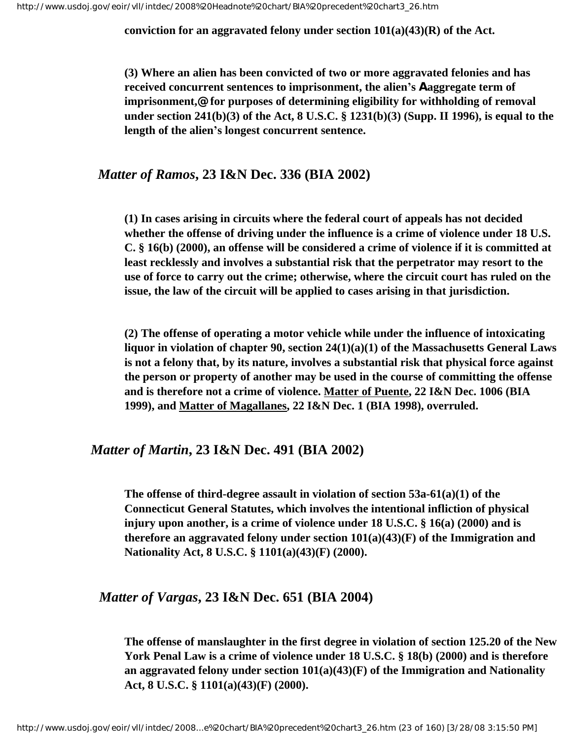**conviction for an aggravated felony under section 101(a)(43)(R) of the Act.**

**(3) Where an alien has been convicted of two or more aggravated felonies and has received concurrent sentences to imprisonment, the alien's Aaggregate term of imprisonment,@ for purposes of determining eligibility for withholding of removal under section 241(b)(3) of the Act, 8 U.S.C. § 1231(b)(3) (Supp. II 1996), is equal to the length of the alien's longest concurrent sentence.**

#### *Matter of Ramos***, 23 I&N Dec. 336 (BIA 2002)**

**(1) In cases arising in circuits where the federal court of appeals has not decided whether the offense of driving under the influence is a crime of violence under 18 U.S. C. § 16(b) (2000), an offense will be considered a crime of violence if it is committed at least recklessly and involves a substantial risk that the perpetrator may resort to the use of force to carry out the crime; otherwise, where the circuit court has ruled on the issue, the law of the circuit will be applied to cases arising in that jurisdiction.**

**(2) The offense of operating a motor vehicle while under the influence of intoxicating liquor in violation of chapter 90, section 24(1)(a)(1) of the Massachusetts General Laws is not a felony that, by its nature, involves a substantial risk that physical force against the person or property of another may be used in the course of committing the offense and is therefore not a crime of violence. Matter of Puente, 22 I&N Dec. 1006 (BIA 1999), and Matter of Magallanes, 22 I&N Dec. 1 (BIA 1998), overruled.**

#### *Matter of Martin***, 23 I&N Dec. 491 (BIA 2002)**

**The offense of third-degree assault in violation of section 53a-61(a)(1) of the Connecticut General Statutes, which involves the intentional infliction of physical injury upon another, is a crime of violence under 18 U.S.C. § 16(a) (2000) and is therefore an aggravated felony under section 101(a)(43)(F) of the Immigration and Nationality Act, 8 U.S.C. § 1101(a)(43)(F) (2000).**

#### *Matter of Vargas***, 23 I&N Dec. 651 (BIA 2004)**

**The offense of manslaughter in the first degree in violation of section 125.20 of the New York Penal Law is a crime of violence under 18 U.S.C. § 18(b) (2000) and is therefore an aggravated felony under section 101(a)(43)(F) of the Immigration and Nationality Act, 8 U.S.C. § 1101(a)(43)(F) (2000).**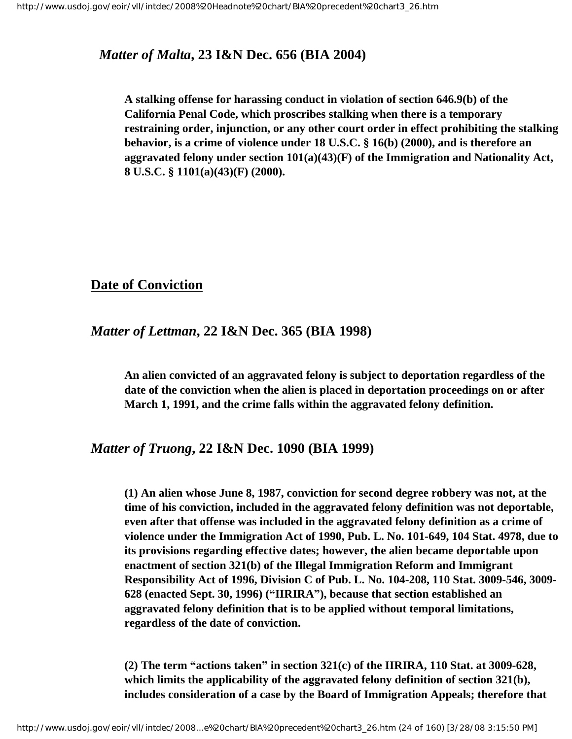#### *Matter of Malta***, 23 I&N Dec. 656 (BIA 2004)**

**A stalking offense for harassing conduct in violation of section 646.9(b) of the California Penal Code, which proscribes stalking when there is a temporary restraining order, injunction, or any other court order in effect prohibiting the stalking behavior, is a crime of violence under 18 U.S.C. § 16(b) (2000), and is therefore an aggravated felony under section 101(a)(43)(F) of the Immigration and Nationality Act, 8 U.S.C. § 1101(a)(43)(F) (2000).** 

## <span id="page-23-0"></span>**Date of Conviction**

#### *Matter of Lettman***, 22 I&N Dec. 365 (BIA 1998)**

**An alien convicted of an aggravated felony is subject to deportation regardless of the date of the conviction when the alien is placed in deportation proceedings on or after March 1, 1991, and the crime falls within the aggravated felony definition.**

#### *Matter of Truong***, 22 I&N Dec. 1090 (BIA 1999)**

**(1) An alien whose June 8, 1987, conviction for second degree robbery was not, at the time of his conviction, included in the aggravated felony definition was not deportable, even after that offense was included in the aggravated felony definition as a crime of violence under the Immigration Act of 1990, Pub. L. No. 101-649, 104 Stat. 4978, due to its provisions regarding effective dates; however, the alien became deportable upon enactment of section 321(b) of the Illegal Immigration Reform and Immigrant Responsibility Act of 1996, Division C of Pub. L. No. 104-208, 110 Stat. 3009-546, 3009- 628 (enacted Sept. 30, 1996) ("IIRIRA"), because that section established an aggravated felony definition that is to be applied without temporal limitations, regardless of the date of conviction.**

**(2) The term "actions taken" in section 321(c) of the IIRIRA, 110 Stat. at 3009-628, which limits the applicability of the aggravated felony definition of section 321(b), includes consideration of a case by the Board of Immigration Appeals; therefore that**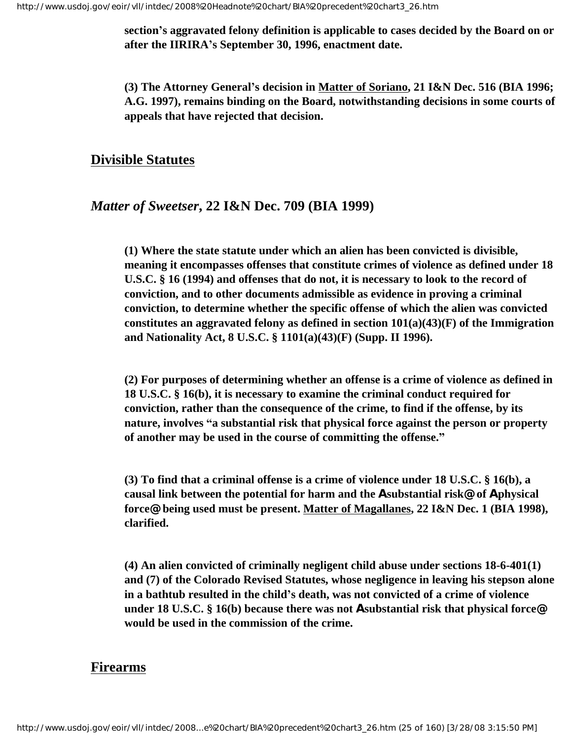**section's aggravated felony definition is applicable to cases decided by the Board on or after the IIRIRA's September 30, 1996, enactment date.**

**(3) The Attorney General's decision in Matter of Soriano, 21 I&N Dec. 516 (BIA 1996; A.G. 1997), remains binding on the Board, notwithstanding decisions in some courts of appeals that have rejected that decision.**

#### <span id="page-24-0"></span>**Divisible Statutes**

#### *Matter of Sweetser***, 22 I&N Dec. 709 (BIA 1999)**

**(1) Where the state statute under which an alien has been convicted is divisible, meaning it encompasses offenses that constitute crimes of violence as defined under 18 U.S.C. § 16 (1994) and offenses that do not, it is necessary to look to the record of conviction, and to other documents admissible as evidence in proving a criminal conviction, to determine whether the specific offense of which the alien was convicted constitutes an aggravated felony as defined in section 101(a)(43)(F) of the Immigration and Nationality Act, 8 U.S.C. § 1101(a)(43)(F) (Supp. II 1996).**

**(2) For purposes of determining whether an offense is a crime of violence as defined in 18 U.S.C. § 16(b), it is necessary to examine the criminal conduct required for conviction, rather than the consequence of the crime, to find if the offense, by its nature, involves "a substantial risk that physical force against the person or property of another may be used in the course of committing the offense."**

**(3) To find that a criminal offense is a crime of violence under 18 U.S.C. § 16(b), a causal link between the potential for harm and the Asubstantial risk@ of Aphysical force@ being used must be present. Matter of Magallanes, 22 I&N Dec. 1 (BIA 1998), clarified.**

**(4) An alien convicted of criminally negligent child abuse under sections 18-6-401(1) and (7) of the Colorado Revised Statutes, whose negligence in leaving his stepson alone in a bathtub resulted in the child's death, was not convicted of a crime of violence under 18 U.S.C. § 16(b) because there was not Asubstantial risk that physical force@ would be used in the commission of the crime.**

#### <span id="page-24-1"></span>**Firearms**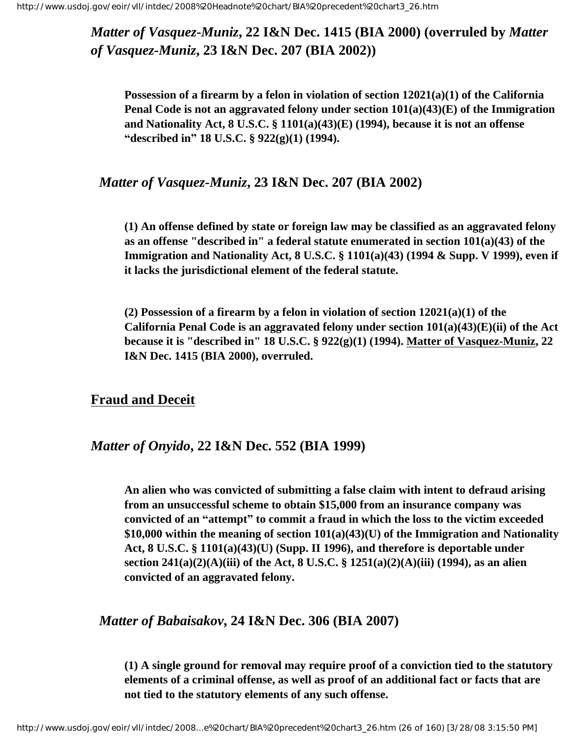*Matter of Vasquez-Muniz***, 22 I&N Dec. 1415 (BIA 2000) (overruled by** *Matter of Vasquez-Muniz***, 23 I&N Dec. 207 (BIA 2002))**

**Possession of a firearm by a felon in violation of section 12021(a)(1) of the California Penal Code is not an aggravated felony under section 101(a)(43)(E) of the Immigration and Nationality Act, 8 U.S.C. § 1101(a)(43)(E) (1994), because it is not an offense "described in" 18 U.S.C. § 922(g)(1) (1994).** 

#### *Matter of Vasquez-Muniz***, 23 I&N Dec. 207 (BIA 2002)**

**(1) An offense defined by state or foreign law may be classified as an aggravated felony as an offense "described in" a federal statute enumerated in section 101(a)(43) of the Immigration and Nationality Act, 8 U.S.C. § 1101(a)(43) (1994 & Supp. V 1999), even if it lacks the jurisdictional element of the federal statute.**

**(2) Possession of a firearm by a felon in violation of section 12021(a)(1) of the California Penal Code is an aggravated felony under section 101(a)(43)(E)(ii) of the Act because it is "described in" 18 U.S.C. § 922(g)(1) (1994). Matter of Vasquez-Muniz, 22 I&N Dec. 1415 (BIA 2000), overruled.**

#### <span id="page-25-0"></span>**Fraud and Deceit**

#### *Matter of Onyido***, 22 I&N Dec. 552 (BIA 1999)**

**An alien who was convicted of submitting a false claim with intent to defraud arising from an unsuccessful scheme to obtain \$15,000 from an insurance company was convicted of an "attempt" to commit a fraud in which the loss to the victim exceeded \$10,000 within the meaning of section 101(a)(43)(U) of the Immigration and Nationality Act, 8 U.S.C. § 1101(a)(43)(U) (Supp. II 1996), and therefore is deportable under section 241(a)(2)(A)(iii) of the Act, 8 U.S.C. § 1251(a)(2)(A)(iii) (1994), as an alien convicted of an aggravated felony.**

#### *Matter of Babaisakov***, 24 I&N Dec. 306 (BIA 2007)**

**(1) A single ground for removal may require proof of a conviction tied to the statutory elements of a criminal offense, as well as proof of an additional fact or facts that are not tied to the statutory elements of any such offense.**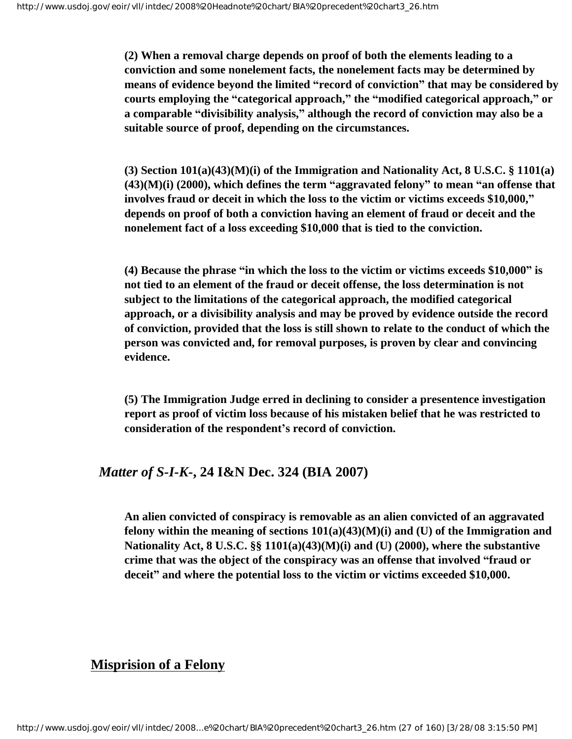**(2) When a removal charge depends on proof of both the elements leading to a conviction and some nonelement facts, the nonelement facts may be determined by means of evidence beyond the limited "record of conviction" that may be considered by courts employing the "categorical approach," the "modified categorical approach," or a comparable "divisibility analysis," although the record of conviction may also be a suitable source of proof, depending on the circumstances.**

**(3) Section 101(a)(43)(M)(i) of the Immigration and Nationality Act, 8 U.S.C. § 1101(a) (43)(M)(i) (2000), which defines the term "aggravated felony" to mean "an offense that involves fraud or deceit in which the loss to the victim or victims exceeds \$10,000," depends on proof of both a conviction having an element of fraud or deceit and the nonelement fact of a loss exceeding \$10,000 that is tied to the conviction.**

**(4) Because the phrase "in which the loss to the victim or victims exceeds \$10,000" is not tied to an element of the fraud or deceit offense, the loss determination is not subject to the limitations of the categorical approach, the modified categorical approach, or a divisibility analysis and may be proved by evidence outside the record of conviction, provided that the loss is still shown to relate to the conduct of which the person was convicted and, for removal purposes, is proven by clear and convincing evidence.**

**(5) The Immigration Judge erred in declining to consider a presentence investigation report as proof of victim loss because of his mistaken belief that he was restricted to consideration of the respondent's record of conviction.**

#### *Matter of S-I-K-***, 24 I&N Dec. 324 (BIA 2007)**

**An alien convicted of conspiracy is removable as an alien convicted of an aggravated felony within the meaning of sections 101(a)(43)(M)(i) and (U) of the Immigration and Nationality Act, 8 U.S.C. §§ 1101(a)(43)(M)(i) and (U) (2000), where the substantive crime that was the object of the conspiracy was an offense that involved "fraud or deceit" and where the potential loss to the victim or victims exceeded \$10,000.**

## <span id="page-26-0"></span>**Misprision of a Felony**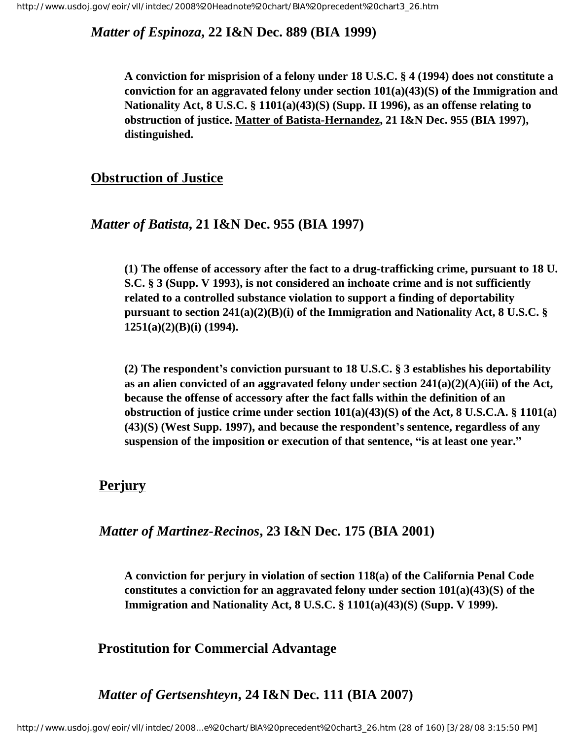*Matter of Espinoza***, 22 I&N Dec. 889 (BIA 1999)**

**A conviction for misprision of a felony under 18 U.S.C. § 4 (1994) does not constitute a conviction for an aggravated felony under section 101(a)(43)(S) of the Immigration and Nationality Act, 8 U.S.C. § 1101(a)(43)(S) (Supp. II 1996), as an offense relating to obstruction of justice. Matter of Batista-Hernandez, 21 I&N Dec. 955 (BIA 1997), distinguished.**

## <span id="page-27-0"></span>**Obstruction of Justice**

#### *Matter of Batista***, 21 I&N Dec. 955 (BIA 1997)**

**(1) The offense of accessory after the fact to a drug-trafficking crime, pursuant to 18 U. S.C. § 3 (Supp. V 1993), is not considered an inchoate crime and is not sufficiently related to a controlled substance violation to support a finding of deportability pursuant to section 241(a)(2)(B)(i) of the Immigration and Nationality Act, 8 U.S.C. § 1251(a)(2)(B)(i) (1994).**

**(2) The respondent's conviction pursuant to 18 U.S.C. § 3 establishes his deportability as an alien convicted of an aggravated felony under section 241(a)(2)(A)(iii) of the Act, because the offense of accessory after the fact falls within the definition of an obstruction of justice crime under section 101(a)(43)(S) of the Act, 8 U.S.C.A. § 1101(a) (43)(S) (West Supp. 1997), and because the respondent's sentence, regardless of any suspension of the imposition or execution of that sentence, "is at least one year."**

## <span id="page-27-1"></span> **Perjury**

#### *Matter of Martinez-Recinos***, 23 I&N Dec. 175 (BIA 2001)**

**A conviction for perjury in violation of section 118(a) of the California Penal Code constitutes a conviction for an aggravated felony under section 101(a)(43)(S) of the Immigration and Nationality Act, 8 U.S.C. § 1101(a)(43)(S) (Supp. V 1999).** 

## <span id="page-27-2"></span> **Prostitution for Commercial Advantage**

# *Matter of Gertsenshteyn***, 24 I&N Dec. 111 (BIA 2007)**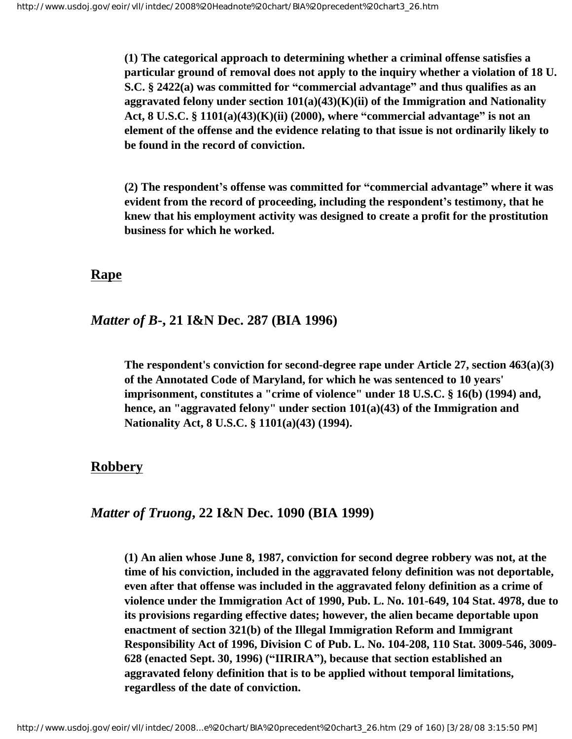**(1) The categorical approach to determining whether a criminal offense satisfies a particular ground of removal does not apply to the inquiry whether a violation of 18 U. S.C. § 2422(a) was committed for "commercial advantage" and thus qualifies as an aggravated felony under section 101(a)(43)(K)(ii) of the Immigration and Nationality Act, 8 U.S.C. § 1101(a)(43)(K)(ii) (2000), where "commercial advantage" is not an element of the offense and the evidence relating to that issue is not ordinarily likely to be found in the record of conviction.**

**(2) The respondent's offense was committed for "commercial advantage" where it was evident from the record of proceeding, including the respondent's testimony, that he knew that his employment activity was designed to create a profit for the prostitution business for which he worked.** 

#### <span id="page-28-0"></span>**Rape**

#### *Matter of B***-, 21 I&N Dec. 287 (BIA 1996)**

**The respondent's conviction for second-degree rape under Article 27, section 463(a)(3) of the Annotated Code of Maryland, for which he was sentenced to 10 years' imprisonment, constitutes a "crime of violence" under 18 U.S.C. § 16(b) (1994) and, hence, an "aggravated felony" under section 101(a)(43) of the Immigration and Nationality Act, 8 U.S.C. § 1101(a)(43) (1994).**

#### <span id="page-28-1"></span>**Robbery**

#### *Matter of Truong***, 22 I&N Dec. 1090 (BIA 1999)**

**(1) An alien whose June 8, 1987, conviction for second degree robbery was not, at the time of his conviction, included in the aggravated felony definition was not deportable, even after that offense was included in the aggravated felony definition as a crime of violence under the Immigration Act of 1990, Pub. L. No. 101-649, 104 Stat. 4978, due to its provisions regarding effective dates; however, the alien became deportable upon enactment of section 321(b) of the Illegal Immigration Reform and Immigrant Responsibility Act of 1996, Division C of Pub. L. No. 104-208, 110 Stat. 3009-546, 3009- 628 (enacted Sept. 30, 1996) ("IIRIRA"), because that section established an aggravated felony definition that is to be applied without temporal limitations, regardless of the date of conviction.**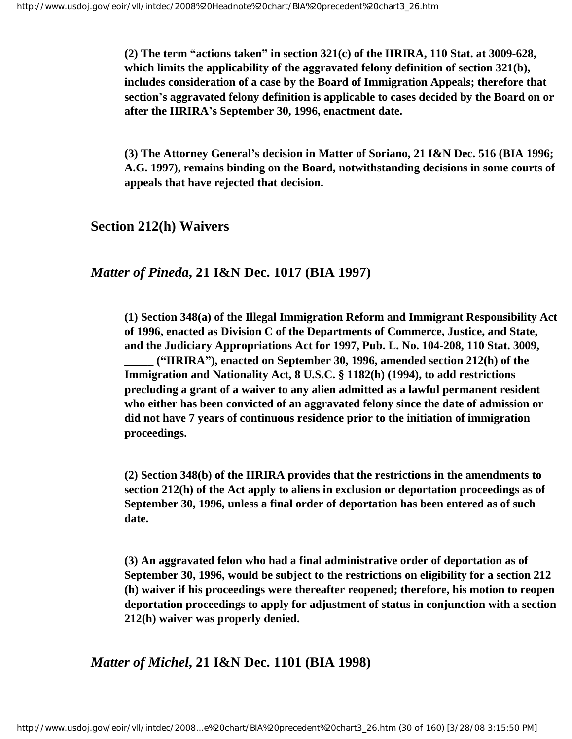**(2) The term "actions taken" in section 321(c) of the IIRIRA, 110 Stat. at 3009-628, which limits the applicability of the aggravated felony definition of section 321(b), includes consideration of a case by the Board of Immigration Appeals; therefore that section's aggravated felony definition is applicable to cases decided by the Board on or after the IIRIRA's September 30, 1996, enactment date.**

**(3) The Attorney General's decision in Matter of Soriano, 21 I&N Dec. 516 (BIA 1996; A.G. 1997), remains binding on the Board, notwithstanding decisions in some courts of appeals that have rejected that decision.**

#### <span id="page-29-0"></span>**Section 212(h) Waivers**

#### *Matter of Pineda***, 21 I&N Dec. 1017 (BIA 1997)**

**(1) Section 348(a) of the Illegal Immigration Reform and Immigrant Responsibility Act of 1996, enacted as Division C of the Departments of Commerce, Justice, and State, and the Judiciary Appropriations Act for 1997, Pub. L. No. 104-208, 110 Stat. 3009, \_\_\_\_\_ ("IIRIRA"), enacted on September 30, 1996, amended section 212(h) of the Immigration and Nationality Act, 8 U.S.C. § 1182(h) (1994), to add restrictions precluding a grant of a waiver to any alien admitted as a lawful permanent resident who either has been convicted of an aggravated felony since the date of admission or** 

**did not have 7 years of continuous residence prior to the initiation of immigration proceedings.**

**(2) Section 348(b) of the IIRIRA provides that the restrictions in the amendments to section 212(h) of the Act apply to aliens in exclusion or deportation proceedings as of September 30, 1996, unless a final order of deportation has been entered as of such date.**

**(3) An aggravated felon who had a final administrative order of deportation as of September 30, 1996, would be subject to the restrictions on eligibility for a section 212 (h) waiver if his proceedings were thereafter reopened; therefore, his motion to reopen deportation proceedings to apply for adjustment of status in conjunction with a section 212(h) waiver was properly denied.**

*Matter of Michel***, 21 I&N Dec. 1101 (BIA 1998)**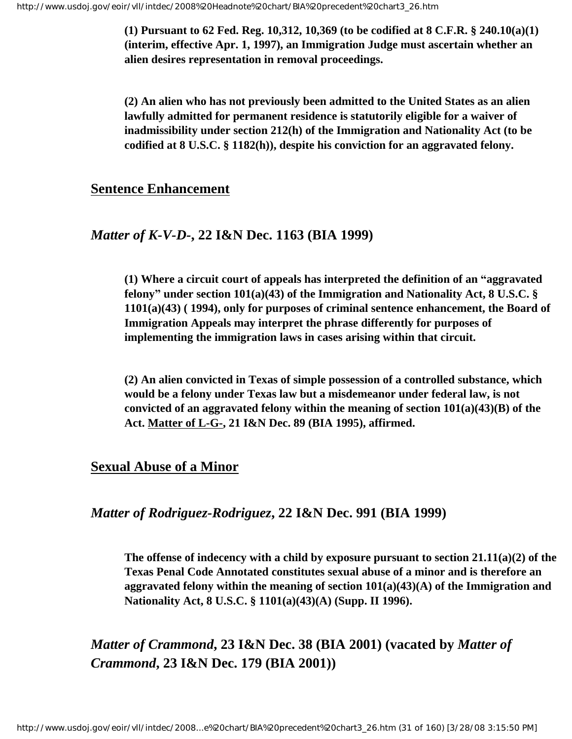**(1) Pursuant to 62 Fed. Reg. 10,312, 10,369 (to be codified at 8 C.F.R. § 240.10(a)(1) (interim, effective Apr. 1, 1997), an Immigration Judge must ascertain whether an alien desires representation in removal proceedings.** 

**(2) An alien who has not previously been admitted to the United States as an alien lawfully admitted for permanent residence is statutorily eligible for a waiver of inadmissibility under section 212(h) of the Immigration and Nationality Act (to be codified at 8 U.S.C. § 1182(h)), despite his conviction for an aggravated felony.**

#### <span id="page-30-0"></span>**Sentence Enhancement**

#### *Matter of K-V-D-***, 22 I&N Dec. 1163 (BIA 1999)**

**(1) Where a circuit court of appeals has interpreted the definition of an "aggravated felony" under section 101(a)(43) of the Immigration and Nationality Act, 8 U.S.C. § 1101(a)(43) ( 1994), only for purposes of criminal sentence enhancement, the Board of Immigration Appeals may interpret the phrase differently for purposes of implementing the immigration laws in cases arising within that circuit.**

**(2) An alien convicted in Texas of simple possession of a controlled substance, which would be a felony under Texas law but a misdemeanor under federal law, is not convicted of an aggravated felony within the meaning of section 101(a)(43)(B) of the Act. Matter of L-G-, 21 I&N Dec. 89 (BIA 1995), affirmed.**

# <span id="page-30-1"></span>**Sexual Abuse of a Minor**

#### *Matter of Rodriguez-Rodriguez***, 22 I&N Dec. 991 (BIA 1999)**

**The offense of indecency with a child by exposure pursuant to section 21.11(a)(2) of the Texas Penal Code Annotated constitutes sexual abuse of a minor and is therefore an aggravated felony within the meaning of section 101(a)(43)(A) of the Immigration and Nationality Act, 8 U.S.C. § 1101(a)(43)(A) (Supp. II 1996).**

*Matter of Crammond***, 23 I&N Dec. 38 (BIA 2001) (vacated by** *Matter of Crammond***, 23 I&N Dec. 179 (BIA 2001))**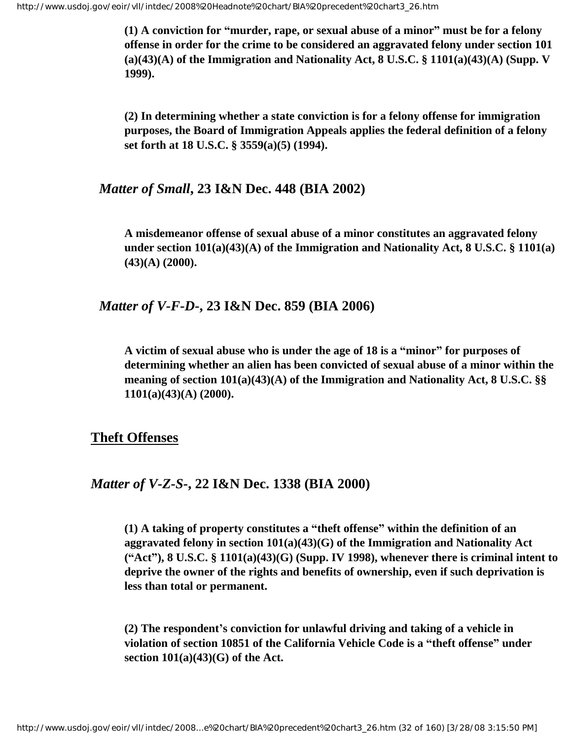**(1) A conviction for "murder, rape, or sexual abuse of a minor" must be for a felony offense in order for the crime to be considered an aggravated felony under section 101 (a)(43)(A) of the Immigration and Nationality Act, 8 U.S.C. § 1101(a)(43)(A) (Supp. V 1999).**

**(2) In determining whether a state conviction is for a felony offense for immigration purposes, the Board of Immigration Appeals applies the federal definition of a felony set forth at 18 U.S.C. § 3559(a)(5) (1994).**

*Matter of Small***, 23 I&N Dec. 448 (BIA 2002)**

**A misdemeanor offense of sexual abuse of a minor constitutes an aggravated felony under section 101(a)(43)(A) of the Immigration and Nationality Act, 8 U.S.C. § 1101(a) (43)(A) (2000).**

*Matter of V-F-D-***, 23 I&N Dec. 859 (BIA 2006)**

**A victim of sexual abuse who is under the age of 18 is a "minor" for purposes of determining whether an alien has been convicted of sexual abuse of a minor within the meaning of section 101(a)(43)(A) of the Immigration and Nationality Act, 8 U.S.C. §§ 1101(a)(43)(A) (2000).** 

#### <span id="page-31-0"></span>**Theft Offenses**

#### *Matter of V-Z-S-***, 22 I&N Dec. 1338 (BIA 2000)**

**(1) A taking of property constitutes a "theft offense" within the definition of an aggravated felony in section 101(a)(43)(G) of the Immigration and Nationality Act ("Act"), 8 U.S.C. § 1101(a)(43)(G) (Supp. IV 1998), whenever there is criminal intent to deprive the owner of the rights and benefits of ownership, even if such deprivation is less than total or permanent.**

**(2) The respondent's conviction for unlawful driving and taking of a vehicle in violation of section 10851 of the California Vehicle Code is a "theft offense" under section 101(a)(43)(G) of the Act.**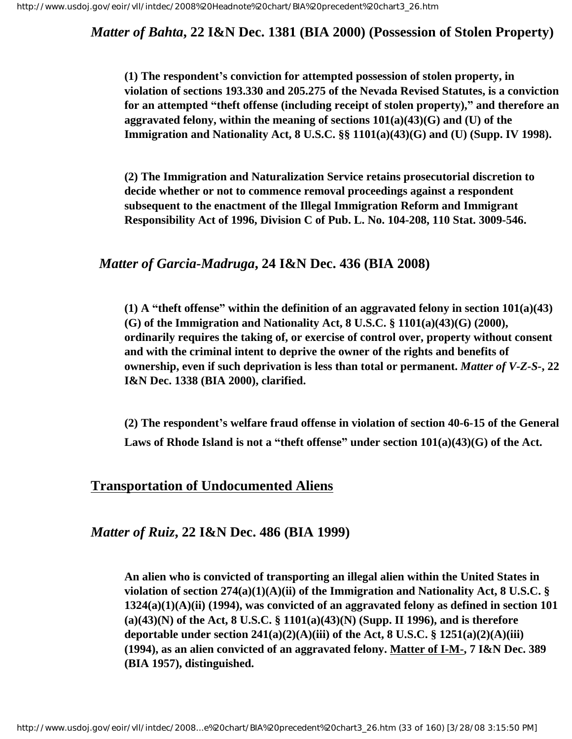*Matter of Bahta***, 22 I&N Dec. 1381 (BIA 2000) (Possession of Stolen Property)**

**(1) The respondent's conviction for attempted possession of stolen property, in violation of sections 193.330 and 205.275 of the Nevada Revised Statutes, is a conviction for an attempted "theft offense (including receipt of stolen property)," and therefore an aggravated felony, within the meaning of sections 101(a)(43)(G) and (U) of the Immigration and Nationality Act, 8 U.S.C. §§ 1101(a)(43)(G) and (U) (Supp. IV 1998).**

**(2) The Immigration and Naturalization Service retains prosecutorial discretion to decide whether or not to commence removal proceedings against a respondent subsequent to the enactment of the Illegal Immigration Reform and Immigrant Responsibility Act of 1996, Division C of Pub. L. No. 104-208, 110 Stat. 3009-546.**

#### *Matter of Garcia-Madruga***, 24 I&N Dec. 436 (BIA 2008)**

**(1) A "theft offense" within the definition of an aggravated felony in section 101(a)(43) (G) of the Immigration and Nationality Act, 8 U.S.C. § 1101(a)(43)(G) (2000), ordinarily requires the taking of, or exercise of control over, property without consent and with the criminal intent to deprive the owner of the rights and benefits of ownership, even if such deprivation is less than total or permanent.** *Matter of V-Z-S-***, 22 I&N Dec. 1338 (BIA 2000), clarified.**

**(2) The respondent's welfare fraud offense in violation of section 40-6-15 of the General Laws of Rhode Island is not a "theft offense" under section 101(a)(43)(G) of the Act.**

#### <span id="page-32-0"></span>**Transportation of Undocumented Aliens**

*Matter of Ruiz***, 22 I&N Dec. 486 (BIA 1999)**

**An alien who is convicted of transporting an illegal alien within the United States in violation of section 274(a)(1)(A)(ii) of the Immigration and Nationality Act, 8 U.S.C. § 1324(a)(1)(A)(ii) (1994), was convicted of an aggravated felony as defined in section 101 (a)(43)(N) of the Act, 8 U.S.C. § 1101(a)(43)(N) (Supp. II 1996), and is therefore deportable under section 241(a)(2)(A)(iii) of the Act, 8 U.S.C. § 1251(a)(2)(A)(iii) (1994), as an alien convicted of an aggravated felony. Matter of I-M-, 7 I&N Dec. 389 (BIA 1957), distinguished.**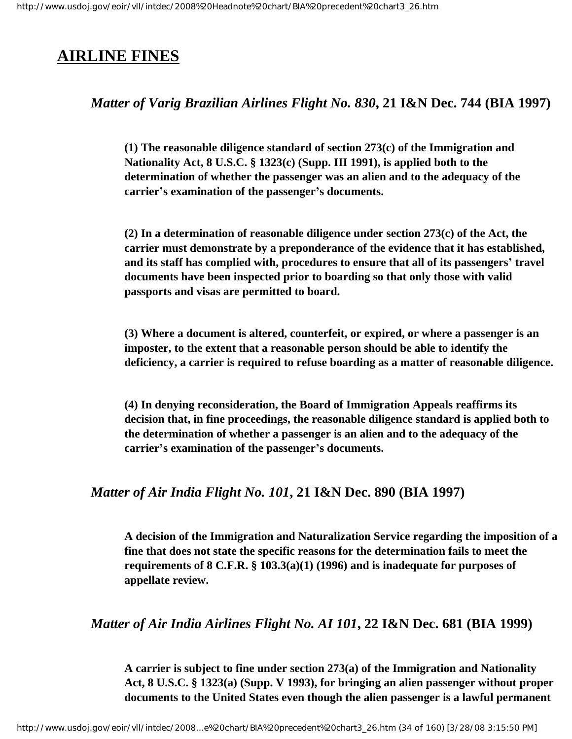# <span id="page-33-0"></span>**AIRLINE FINES**

## *Matter of Varig Brazilian Airlines Flight No. 830***, 21 I&N Dec. 744 (BIA 1997)**

**(1) The reasonable diligence standard of section 273(c) of the Immigration and Nationality Act, 8 U.S.C. § 1323(c) (Supp. III 1991), is applied both to the determination of whether the passenger was an alien and to the adequacy of the carrier's examination of the passenger's documents.** 

**(2) In a determination of reasonable diligence under section 273(c) of the Act, the carrier must demonstrate by a preponderance of the evidence that it has established, and its staff has complied with, procedures to ensure that all of its passengers' travel documents have been inspected prior to boarding so that only those with valid passports and visas are permitted to board.** 

**(3) Where a document is altered, counterfeit, or expired, or where a passenger is an imposter, to the extent that a reasonable person should be able to identify the deficiency, a carrier is required to refuse boarding as a matter of reasonable diligence.** 

**(4) In denying reconsideration, the Board of Immigration Appeals reaffirms its decision that, in fine proceedings, the reasonable diligence standard is applied both to the determination of whether a passenger is an alien and to the adequacy of the carrier's examination of the passenger's documents.**

## *Matter of Air India Flight No. 101***, 21 I&N Dec. 890 (BIA 1997)**

**A decision of the Immigration and Naturalization Service regarding the imposition of a fine that does not state the specific reasons for the determination fails to meet the requirements of 8 C.F.R. § 103.3(a)(1) (1996) and is inadequate for purposes of appellate review.**

## *Matter of Air India Airlines Flight No. AI 101***, 22 I&N Dec. 681 (BIA 1999)**

**A carrier is subject to fine under section 273(a) of the Immigration and Nationality Act, 8 U.S.C. § 1323(a) (Supp. V 1993), for bringing an alien passenger without proper documents to the United States even though the alien passenger is a lawful permanent**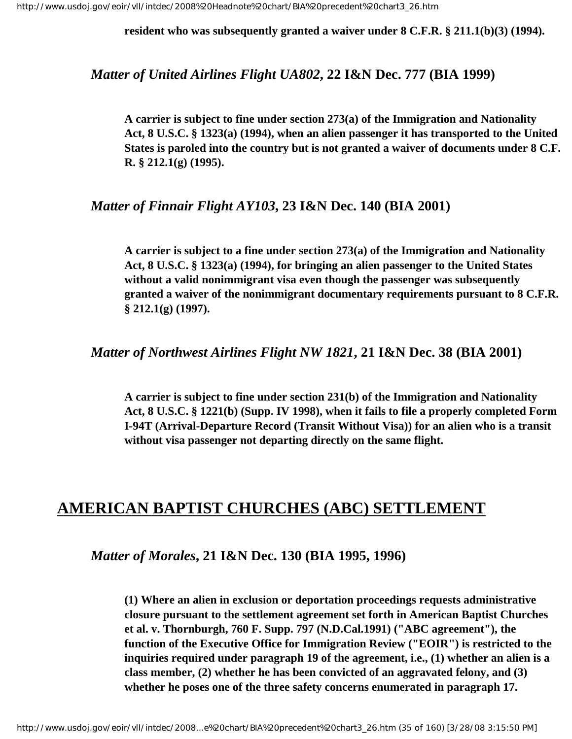**resident who was subsequently granted a waiver under 8 C.F.R. § 211.1(b)(3) (1994).**

*Matter of United Airlines Flight UA802***, 22 I&N Dec. 777 (BIA 1999)**

**A carrier is subject to fine under section 273(a) of the Immigration and Nationality Act, 8 U.S.C. § 1323(a) (1994), when an alien passenger it has transported to the United States is paroled into the country but is not granted a waiver of documents under 8 C.F. R. § 212.1(g) (1995).** 

## *Matter of Finnair Flight AY103***, 23 I&N Dec. 140 (BIA 2001)**

**A carrier is subject to a fine under section 273(a) of the Immigration and Nationality Act, 8 U.S.C. § 1323(a) (1994), for bringing an alien passenger to the United States without a valid nonimmigrant visa even though the passenger was subsequently granted a waiver of the nonimmigrant documentary requirements pursuant to 8 C.F.R. § 212.1(g) (1997).** 

*Matter of Northwest Airlines Flight NW 1821***, 21 I&N Dec. 38 (BIA 2001)**

**A carrier is subject to fine under section 231(b) of the Immigration and Nationality Act, 8 U.S.C. § 1221(b) (Supp. IV 1998), when it fails to file a properly completed Form I-94T (Arrival-Departure Record (Transit Without Visa)) for an alien who is a transit without visa passenger not departing directly on the same flight.** 

# <span id="page-34-0"></span>**AMERICAN BAPTIST CHURCHES (ABC) SETTLEMENT**

*Matter of Morales***, 21 I&N Dec. 130 (BIA 1995, 1996)**

**(1) Where an alien in exclusion or deportation proceedings requests administrative closure pursuant to the settlement agreement set forth in American Baptist Churches et al. v. Thornburgh, 760 F. Supp. 797 (N.D.Cal.1991) ("ABC agreement"), the function of the Executive Office for Immigration Review ("EOIR") is restricted to the inquiries required under paragraph 19 of the agreement, i.e., (1) whether an alien is a class member, (2) whether he has been convicted of an aggravated felony, and (3) whether he poses one of the three safety concerns enumerated in paragraph 17.**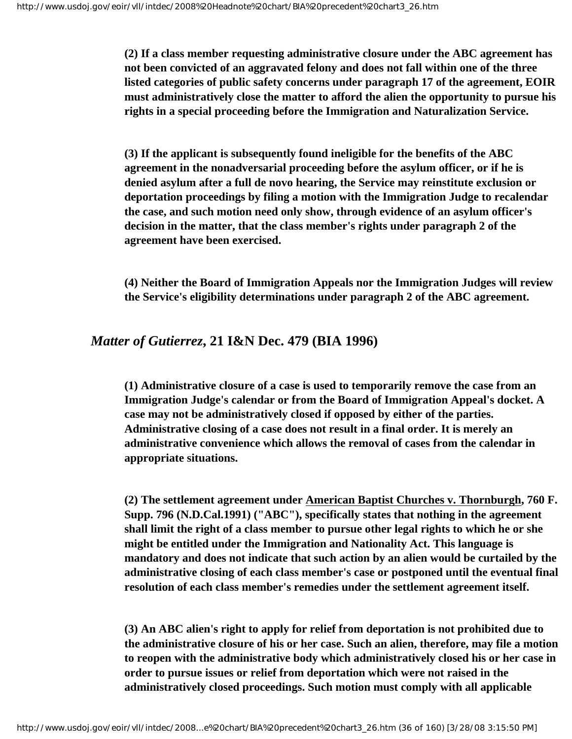**(2) If a class member requesting administrative closure under the ABC agreement has not been convicted of an aggravated felony and does not fall within one of the three listed categories of public safety concerns under paragraph 17 of the agreement, EOIR must administratively close the matter to afford the alien the opportunity to pursue his rights in a special proceeding before the Immigration and Naturalization Service.**

**(3) If the applicant is subsequently found ineligible for the benefits of the ABC agreement in the nonadversarial proceeding before the asylum officer, or if he is denied asylum after a full de novo hearing, the Service may reinstitute exclusion or deportation proceedings by filing a motion with the Immigration Judge to recalendar the case, and such motion need only show, through evidence of an asylum officer's decision in the matter, that the class member's rights under paragraph 2 of the agreement have been exercised.**

**(4) Neither the Board of Immigration Appeals nor the Immigration Judges will review the Service's eligibility determinations under paragraph 2 of the ABC agreement.**

#### *Matter of Gutierrez***, 21 I&N Dec. 479 (BIA 1996)**

**(1) Administrative closure of a case is used to temporarily remove the case from an Immigration Judge's calendar or from the Board of Immigration Appeal's docket. A case may not be administratively closed if opposed by either of the parties. Administrative closing of a case does not result in a final order. It is merely an administrative convenience which allows the removal of cases from the calendar in appropriate situations.**

**(2) The settlement agreement under American Baptist Churches v. Thornburgh, 760 F. Supp. 796 (N.D.Cal.1991) ("ABC"), specifically states that nothing in the agreement shall limit the right of a class member to pursue other legal rights to which he or she might be entitled under the Immigration and Nationality Act. This language is mandatory and does not indicate that such action by an alien would be curtailed by the administrative closing of each class member's case or postponed until the eventual final resolution of each class member's remedies under the settlement agreement itself.**

**(3) An ABC alien's right to apply for relief from deportation is not prohibited due to the administrative closure of his or her case. Such an alien, therefore, may file a motion to reopen with the administrative body which administratively closed his or her case in order to pursue issues or relief from deportation which were not raised in the administratively closed proceedings. Such motion must comply with all applicable**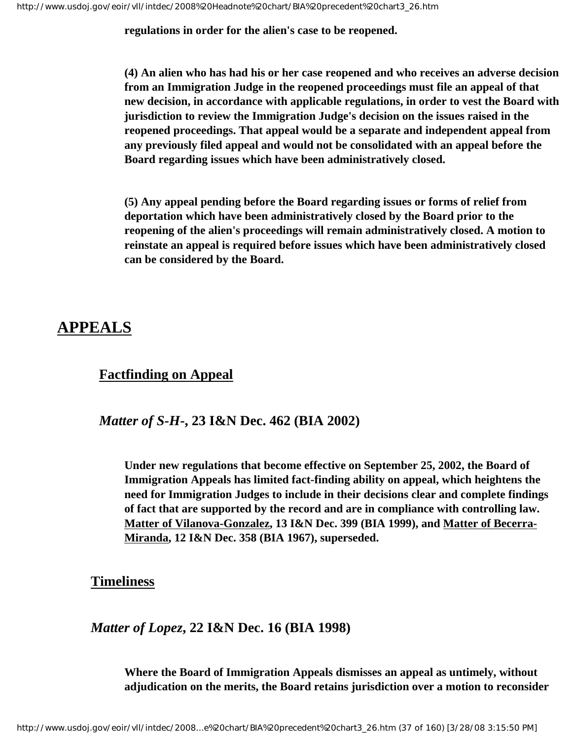**regulations in order for the alien's case to be reopened.**

**(4) An alien who has had his or her case reopened and who receives an adverse decision from an Immigration Judge in the reopened proceedings must file an appeal of that new decision, in accordance with applicable regulations, in order to vest the Board with jurisdiction to review the Immigration Judge's decision on the issues raised in the reopened proceedings. That appeal would be a separate and independent appeal from any previously filed appeal and would not be consolidated with an appeal before the Board regarding issues which have been administratively closed.**

**(5) Any appeal pending before the Board regarding issues or forms of relief from deportation which have been administratively closed by the Board prior to the reopening of the alien's proceedings will remain administratively closed. A motion to reinstate an appeal is required before issues which have been administratively closed can be considered by the Board.**

## **APPEALS**

## **Factfinding on Appeal**

## *Matter of S-H***-, 23 I&N Dec. 462 (BIA 2002)**

**Under new regulations that become effective on September 25, 2002, the Board of Immigration Appeals has limited fact-finding ability on appeal, which heightens the need for Immigration Judges to include in their decisions clear and complete findings of fact that are supported by the record and are in compliance with controlling law. Matter of Vilanova-Gonzalez, 13 I&N Dec. 399 (BIA 1999), and Matter of Becerra-Miranda, 12 I&N Dec. 358 (BIA 1967), superseded.** 

**Timeliness**

*Matter of Lopez***, 22 I&N Dec. 16 (BIA 1998)**

**Where the Board of Immigration Appeals dismisses an appeal as untimely, without adjudication on the merits, the Board retains jurisdiction over a motion to reconsider**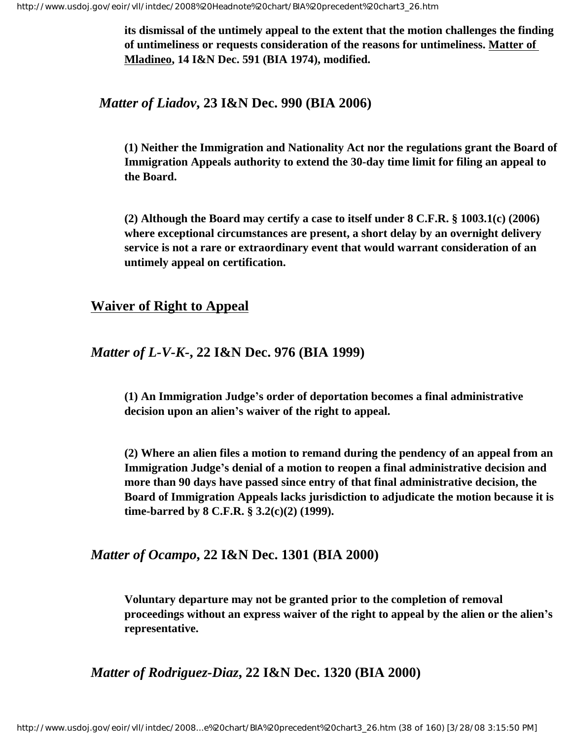**its dismissal of the untimely appeal to the extent that the motion challenges the finding of untimeliness or requests consideration of the reasons for untimeliness. Matter of Mladineo, 14 I&N Dec. 591 (BIA 1974), modified.**

*Matter of Liadov***, 23 I&N Dec. 990 (BIA 2006)**

**(1) Neither the Immigration and Nationality Act nor the regulations grant the Board of Immigration Appeals authority to extend the 30-day time limit for filing an appeal to the Board.**

**(2) Although the Board may certify a case to itself under 8 C.F.R. § 1003.1(c) (2006) where exceptional circumstances are present, a short delay by an overnight delivery service is not a rare or extraordinary event that would warrant consideration of an untimely appeal on certification.**

### **Waiver of Right to Appeal**

#### *Matter of L-V-K-***, 22 I&N Dec. 976 (BIA 1999)**

**(1) An Immigration Judge's order of deportation becomes a final administrative decision upon an alien's waiver of the right to appeal.**

**(2) Where an alien files a motion to remand during the pendency of an appeal from an Immigration Judge's denial of a motion to reopen a final administrative decision and more than 90 days have passed since entry of that final administrative decision, the Board of Immigration Appeals lacks jurisdiction to adjudicate the motion because it is time-barred by 8 C.F.R. § 3.2(c)(2) (1999).**

#### *Matter of Ocampo***, 22 I&N Dec. 1301 (BIA 2000)**

**Voluntary departure may not be granted prior to the completion of removal proceedings without an express waiver of the right to appeal by the alien or the alien's representative.**

*Matter of Rodriguez-Diaz***, 22 I&N Dec. 1320 (BIA 2000)**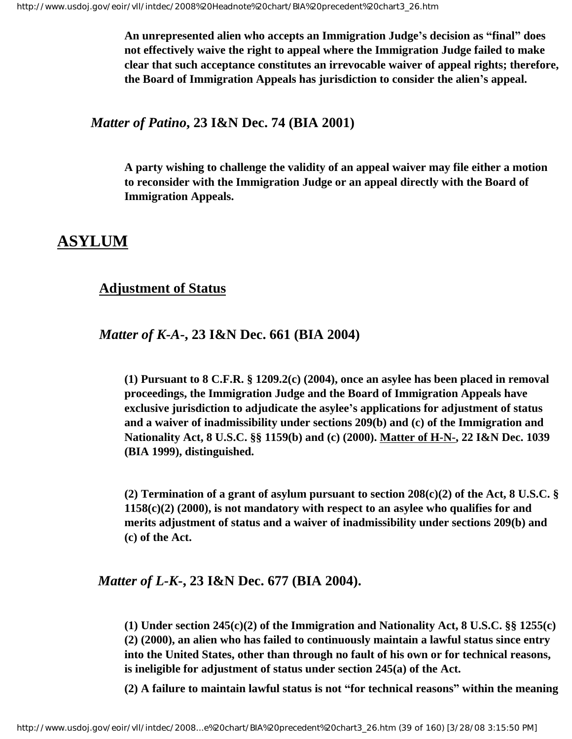**An unrepresented alien who accepts an Immigration Judge's decision as "final" does not effectively waive the right to appeal where the Immigration Judge failed to make clear that such acceptance constitutes an irrevocable waiver of appeal rights; therefore, the Board of Immigration Appeals has jurisdiction to consider the alien's appeal.**

*Matter of Patino***, 23 I&N Dec. 74 (BIA 2001)**

**A party wishing to challenge the validity of an appeal waiver may file either a motion to reconsider with the Immigration Judge or an appeal directly with the Board of Immigration Appeals.**

## **ASYLUM**

## **Adjustment of Status**

*Matter of K-A***-, 23 I&N Dec. 661 (BIA 2004)**

**(1) Pursuant to 8 C.F.R. § 1209.2(c) (2004), once an asylee has been placed in removal proceedings, the Immigration Judge and the Board of Immigration Appeals have exclusive jurisdiction to adjudicate the asylee's applications for adjustment of status and a waiver of inadmissibility under sections 209(b) and (c) of the Immigration and Nationality Act, 8 U.S.C. §§ 1159(b) and (c) (2000). Matter of H-N-, 22 I&N Dec. 1039 (BIA 1999), distinguished.**

**(2) Termination of a grant of asylum pursuant to section 208(c)(2) of the Act, 8 U.S.C. § 1158(c)(2) (2000), is not mandatory with respect to an asylee who qualifies for and merits adjustment of status and a waiver of inadmissibility under sections 209(b) and (c) of the Act.**

## *Matter of L-K-***, 23 I&N Dec. 677 (BIA 2004).**

**(1) Under section 245(c)(2) of the Immigration and Nationality Act, 8 U.S.C. §§ 1255(c) (2) (2000), an alien who has failed to continuously maintain a lawful status since entry into the United States, other than through no fault of his own or for technical reasons, is ineligible for adjustment of status under section 245(a) of the Act.** 

**(2) A failure to maintain lawful status is not "for technical reasons" within the meaning**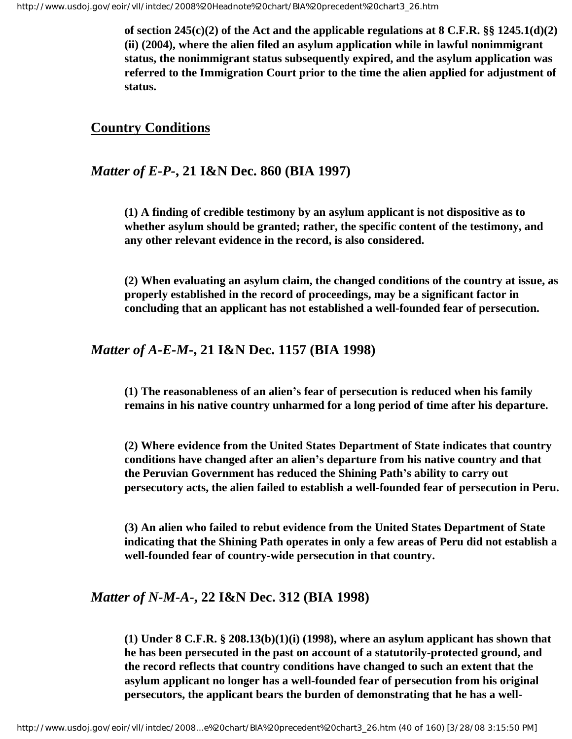**of section 245(c)(2) of the Act and the applicable regulations at 8 C.F.R. §§ 1245.1(d)(2) (ii) (2004), where the alien filed an asylum application while in lawful nonimmigrant status, the nonimmigrant status subsequently expired, and the asylum application was referred to the Immigration Court prior to the time the alien applied for adjustment of status.** 

## **Country Conditions**

## *Matter of E-P-***, 21 I&N Dec. 860 (BIA 1997)**

**(1) A finding of credible testimony by an asylum applicant is not dispositive as to whether asylum should be granted; rather, the specific content of the testimony, and any other relevant evidence in the record, is also considered.**

**(2) When evaluating an asylum claim, the changed conditions of the country at issue, as properly established in the record of proceedings, may be a significant factor in concluding that an applicant has not established a well-founded fear of persecution.**

### *Matter of A-E-M***-, 21 I&N Dec. 1157 (BIA 1998)**

**(1) The reasonableness of an alien's fear of persecution is reduced when his family remains in his native country unharmed for a long period of time after his departure.** 

**(2) Where evidence from the United States Department of State indicates that country conditions have changed after an alien's departure from his native country and that the Peruvian Government has reduced the Shining Path's ability to carry out persecutory acts, the alien failed to establish a well-founded fear of persecution in Peru.** 

**(3) An alien who failed to rebut evidence from the United States Department of State indicating that the Shining Path operates in only a few areas of Peru did not establish a well-founded fear of country-wide persecution in that country.**

## *Matter of N-M-A-***, 22 I&N Dec. 312 (BIA 1998)**

**(1) Under 8 C.F.R. § 208.13(b)(1)(i) (1998), where an asylum applicant has shown that he has been persecuted in the past on account of a statutorily-protected ground, and the record reflects that country conditions have changed to such an extent that the asylum applicant no longer has a well-founded fear of persecution from his original persecutors, the applicant bears the burden of demonstrating that he has a well-**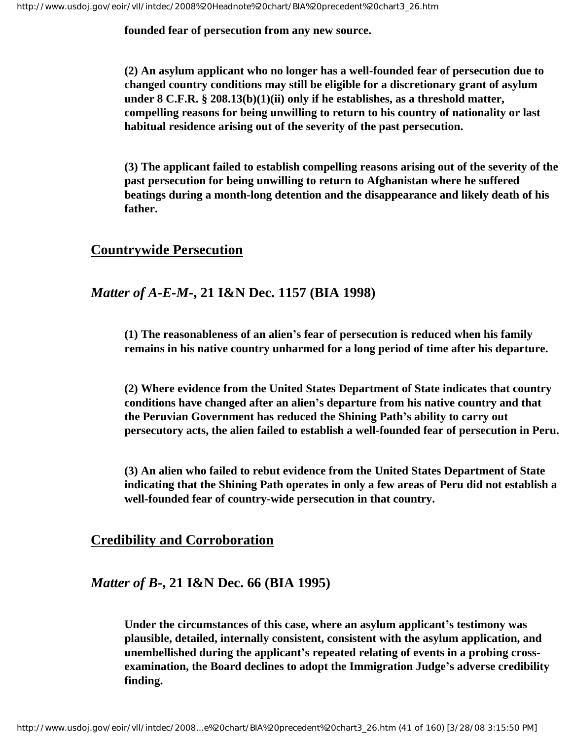**founded fear of persecution from any new source.**

**(2) An asylum applicant who no longer has a well-founded fear of persecution due to changed country conditions may still be eligible for a discretionary grant of asylum under 8 C.F.R. § 208.13(b)(1)(ii) only if he establishes, as a threshold matter, compelling reasons for being unwilling to return to his country of nationality or last habitual residence arising out of the severity of the past persecution.**

**(3) The applicant failed to establish compelling reasons arising out of the severity of the past persecution for being unwilling to return to Afghanistan where he suffered beatings during a month-long detention and the disappearance and likely death of his father.**

## **Countrywide Persecution**

## *Matter of A-E-M-***, 21 I&N Dec. 1157 (BIA 1998)**

**(1) The reasonableness of an alien's fear of persecution is reduced when his family remains in his native country unharmed for a long period of time after his departure.** 

**(2) Where evidence from the United States Department of State indicates that country conditions have changed after an alien's departure from his native country and that the Peruvian Government has reduced the Shining Path's ability to carry out persecutory acts, the alien failed to establish a well-founded fear of persecution in Peru.** 

**(3) An alien who failed to rebut evidence from the United States Department of State indicating that the Shining Path operates in only a few areas of Peru did not establish a well-founded fear of country-wide persecution in that country.**

## **Credibility and Corroboration**

## *Matter of B***-, 21 I&N Dec. 66 (BIA 1995)**

**Under the circumstances of this case, where an asylum applicant's testimony was plausible, detailed, internally consistent, consistent with the asylum application, and unembellished during the applicant's repeated relating of events in a probing crossexamination, the Board declines to adopt the Immigration Judge's adverse credibility finding.**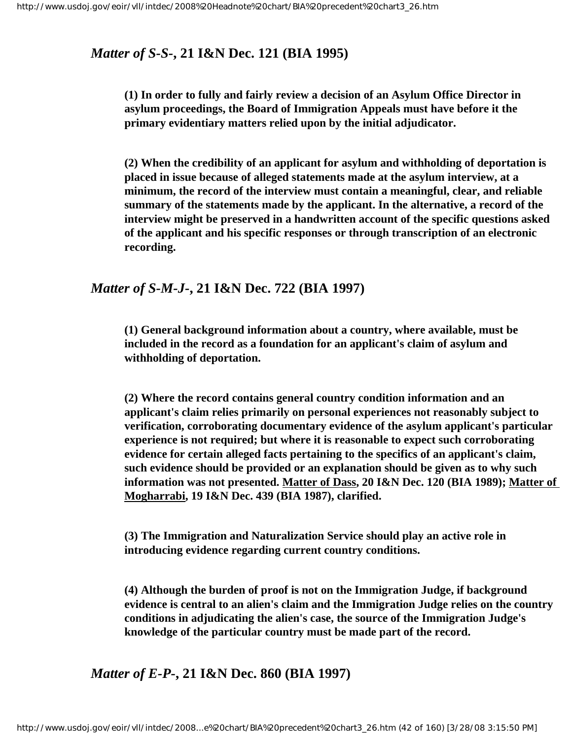## *Matter of S-S-***, 21 I&N Dec. 121 (BIA 1995)**

**(1) In order to fully and fairly review a decision of an Asylum Office Director in asylum proceedings, the Board of Immigration Appeals must have before it the primary evidentiary matters relied upon by the initial adjudicator.** 

**(2) When the credibility of an applicant for asylum and withholding of deportation is placed in issue because of alleged statements made at the asylum interview, at a minimum, the record of the interview must contain a meaningful, clear, and reliable summary of the statements made by the applicant. In the alternative, a record of the interview might be preserved in a handwritten account of the specific questions asked of the applicant and his specific responses or through transcription of an electronic recording.** 

## *Matter of S-M-J-***, 21 I&N Dec. 722 (BIA 1997)**

**(1) General background information about a country, where available, must be included in the record as a foundation for an applicant's claim of asylum and withholding of deportation.**

**(2) Where the record contains general country condition information and an applicant's claim relies primarily on personal experiences not reasonably subject to verification, corroborating documentary evidence of the asylum applicant's particular experience is not required; but where it is reasonable to expect such corroborating evidence for certain alleged facts pertaining to the specifics of an applicant's claim, such evidence should be provided or an explanation should be given as to why such information was not presented. Matter of Dass, 20 I&N Dec. 120 (BIA 1989); Matter of Mogharrabi, 19 I&N Dec. 439 (BIA 1987), clarified.**

**(3) The Immigration and Naturalization Service should play an active role in introducing evidence regarding current country conditions.**

**(4) Although the burden of proof is not on the Immigration Judge, if background evidence is central to an alien's claim and the Immigration Judge relies on the country conditions in adjudicating the alien's case, the source of the Immigration Judge's knowledge of the particular country must be made part of the record.**

*Matter of E-P-***, 21 I&N Dec. 860 (BIA 1997)**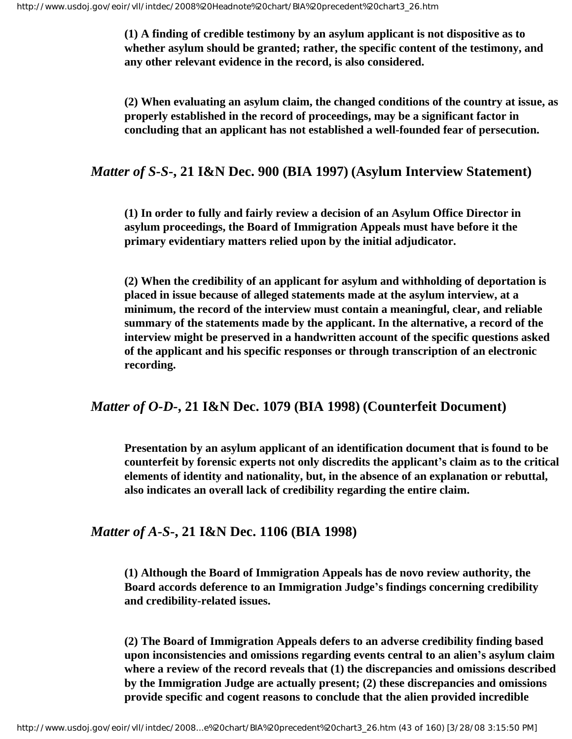**(1) A finding of credible testimony by an asylum applicant is not dispositive as to whether asylum should be granted; rather, the specific content of the testimony, and any other relevant evidence in the record, is also considered.**

**(2) When evaluating an asylum claim, the changed conditions of the country at issue, as properly established in the record of proceedings, may be a significant factor in concluding that an applicant has not established a well-founded fear of persecution.**

## *Matter of S-S***-, 21 I&N Dec. 900 (BIA 1997) (Asylum Interview Statement)**

**(1) In order to fully and fairly review a decision of an Asylum Office Director in asylum proceedings, the Board of Immigration Appeals must have before it the primary evidentiary matters relied upon by the initial adjudicator.**

**(2) When the credibility of an applicant for asylum and withholding of deportation is placed in issue because of alleged statements made at the asylum interview, at a minimum, the record of the interview must contain a meaningful, clear, and reliable summary of the statements made by the applicant. In the alternative, a record of the interview might be preserved in a handwritten account of the specific questions asked of the applicant and his specific responses or through transcription of an electronic recording.**

#### *Matter of O-D-***, 21 I&N Dec. 1079 (BIA 1998) (Counterfeit Document)**

**Presentation by an asylum applicant of an identification document that is found to be counterfeit by forensic experts not only discredits the applicant's claim as to the critical elements of identity and nationality, but, in the absence of an explanation or rebuttal, also indicates an overall lack of credibility regarding the entire claim.** 

#### *Matter of A-S***-, 21 I&N Dec. 1106 (BIA 1998)**

**(1) Although the Board of Immigration Appeals has de novo review authority, the Board accords deference to an Immigration Judge's findings concerning credibility and credibility-related issues.** 

**(2) The Board of Immigration Appeals defers to an adverse credibility finding based upon inconsistencies and omissions regarding events central to an alien's asylum claim where a review of the record reveals that (1) the discrepancies and omissions described by the Immigration Judge are actually present; (2) these discrepancies and omissions provide specific and cogent reasons to conclude that the alien provided incredible**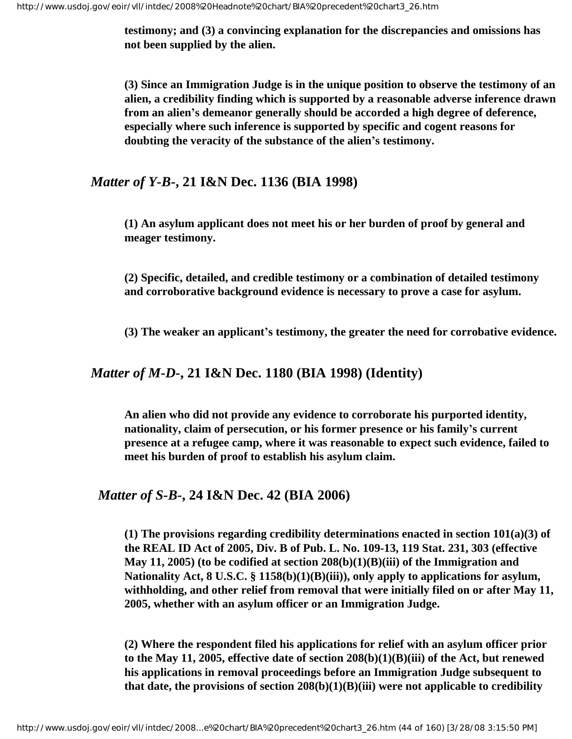**testimony; and (3) a convincing explanation for the discrepancies and omissions has not been supplied by the alien.** 

**(3) Since an Immigration Judge is in the unique position to observe the testimony of an alien, a credibility finding which is supported by a reasonable adverse inference drawn from an alien's demeanor generally should be accorded a high degree of deference, especially where such inference is supported by specific and cogent reasons for doubting the veracity of the substance of the alien's testimony.** 

#### *Matter of Y-B***-, 21 I&N Dec. 1136 (BIA 1998)**

**(1) An asylum applicant does not meet his or her burden of proof by general and meager testimony.**

**(2) Specific, detailed, and credible testimony or a combination of detailed testimony and corroborative background evidence is necessary to prove a case for asylum.**

**(3) The weaker an applicant's testimony, the greater the need for corrobative evidence.** 

#### *Matter of M-D-***, 21 I&N Dec. 1180 (BIA 1998) (Identity)**

**An alien who did not provide any evidence to corroborate his purported identity, nationality, claim of persecution, or his former presence or his family's current presence at a refugee camp, where it was reasonable to expect such evidence, failed to meet his burden of proof to establish his asylum claim.**

#### *Matter of S-B-***, 24 I&N Dec. 42 (BIA 2006)**

**(1) The provisions regarding credibility determinations enacted in section 101(a)(3) of the REAL ID Act of 2005, Div. B of Pub. L. No. 109-13, 119 Stat. 231, 303 (effective May 11, 2005) (to be codified at section 208(b)(1)(B)(iii) of the Immigration and Nationality Act, 8 U.S.C. § 1158(b)(1)(B)(iii)), only apply to applications for asylum, withholding, and other relief from removal that were initially filed on or after May 11, 2005, whether with an asylum officer or an Immigration Judge.**

**(2) Where the respondent filed his applications for relief with an asylum officer prior to the May 11, 2005, effective date of section 208(b)(1)(B)(iii) of the Act, but renewed his applications in removal proceedings before an Immigration Judge subsequent to that date, the provisions of section 208(b)(1)(B)(iii) were not applicable to credibility**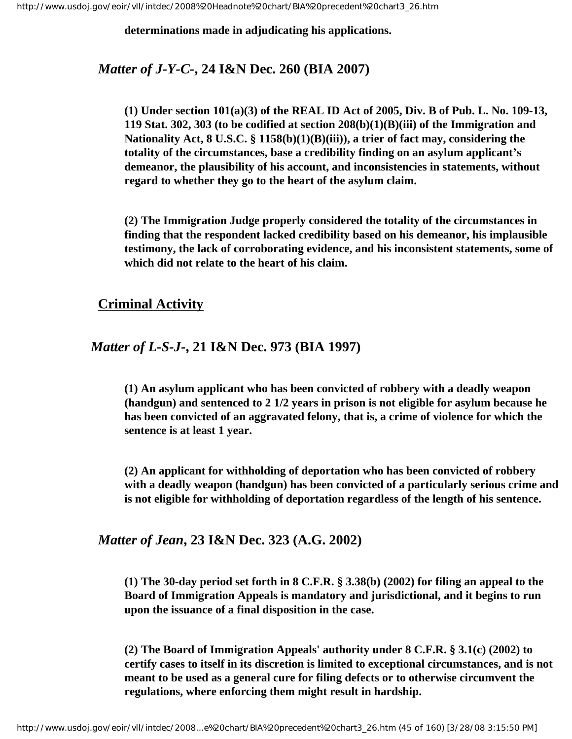**determinations made in adjudicating his applications.** 

#### *Matter of J-Y-C-***, 24 I&N Dec. 260 (BIA 2007)**

**(1) Under section 101(a)(3) of the REAL ID Act of 2005, Div. B of Pub. L. No. 109-13, 119 Stat. 302, 303 (to be codified at section 208(b)(1)(B)(iii) of the Immigration and Nationality Act, 8 U.S.C. § 1158(b)(1)(B)(iii)), a trier of fact may, considering the totality of the circumstances, base a credibility finding on an asylum applicant's demeanor, the plausibility of his account, and inconsistencies in statements, without regard to whether they go to the heart of the asylum claim.**

**(2) The Immigration Judge properly considered the totality of the circumstances in finding that the respondent lacked credibility based on his demeanor, his implausible testimony, the lack of corroborating evidence, and his inconsistent statements, some of which did not relate to the heart of his claim.**

### **Criminal Activity**

#### *Matter of L-S-J***-, 21 I&N Dec. 973 (BIA 1997)**

**(1) An asylum applicant who has been convicted of robbery with a deadly weapon (handgun) and sentenced to 2 1/2 years in prison is not eligible for asylum because he has been convicted of an aggravated felony, that is, a crime of violence for which the sentence is at least 1 year.**

**(2) An applicant for withholding of deportation who has been convicted of robbery with a deadly weapon (handgun) has been convicted of a particularly serious crime and is not eligible for withholding of deportation regardless of the length of his sentence.**

## *Matter of Jean***, 23 I&N Dec. 323 (A.G. 2002)**

**(1) The 30-day period set forth in 8 C.F.R. § 3.38(b) (2002) for filing an appeal to the Board of Immigration Appeals is mandatory and jurisdictional, and it begins to run upon the issuance of a final disposition in the case.**

**(2) The Board of Immigration Appeals' authority under 8 C.F.R. § 3.1(c) (2002) to certify cases to itself in its discretion is limited to exceptional circumstances, and is not meant to be used as a general cure for filing defects or to otherwise circumvent the regulations, where enforcing them might result in hardship.**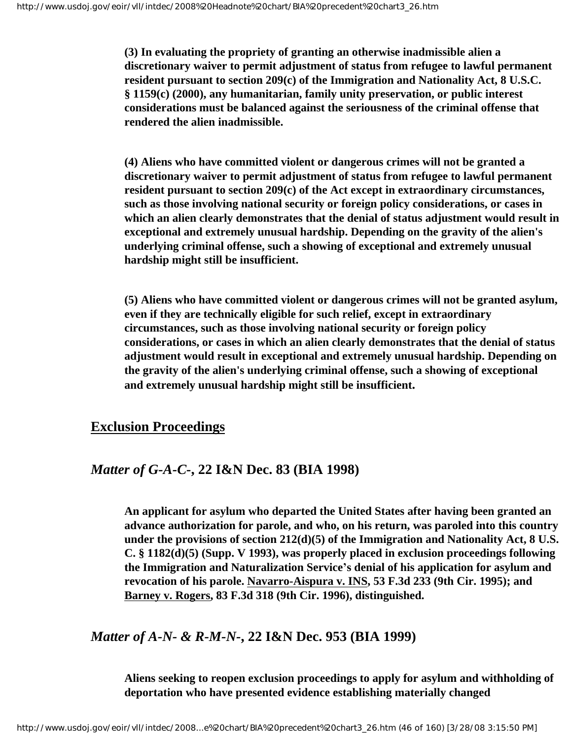**(3) In evaluating the propriety of granting an otherwise inadmissible alien a discretionary waiver to permit adjustment of status from refugee to lawful permanent resident pursuant to section 209(c) of the Immigration and Nationality Act, 8 U.S.C. § 1159(c) (2000), any humanitarian, family unity preservation, or public interest considerations must be balanced against the seriousness of the criminal offense that rendered the alien inadmissible.**

**(4) Aliens who have committed violent or dangerous crimes will not be granted a discretionary waiver to permit adjustment of status from refugee to lawful permanent resident pursuant to section 209(c) of the Act except in extraordinary circumstances, such as those involving national security or foreign policy considerations, or cases in which an alien clearly demonstrates that the denial of status adjustment would result in exceptional and extremely unusual hardship. Depending on the gravity of the alien's underlying criminal offense, such a showing of exceptional and extremely unusual hardship might still be insufficient.** 

**(5) Aliens who have committed violent or dangerous crimes will not be granted asylum, even if they are technically eligible for such relief, except in extraordinary circumstances, such as those involving national security or foreign policy considerations, or cases in which an alien clearly demonstrates that the denial of status adjustment would result in exceptional and extremely unusual hardship. Depending on the gravity of the alien's underlying criminal offense, such a showing of exceptional and extremely unusual hardship might still be insufficient.**

## **Exclusion Proceedings**

## *Matter of G-A-C-***, 22 I&N Dec. 83 (BIA 1998)**

**An applicant for asylum who departed the United States after having been granted an advance authorization for parole, and who, on his return, was paroled into this country under the provisions of section 212(d)(5) of the Immigration and Nationality Act, 8 U.S. C. § 1182(d)(5) (Supp. V 1993), was properly placed in exclusion proceedings following the Immigration and Naturalization Service's denial of his application for asylum and revocation of his parole. Navarro-Aispura v. INS, 53 F.3d 233 (9th Cir. 1995); and Barney v. Rogers, 83 F.3d 318 (9th Cir. 1996), distinguished.**

## *Matter of A-N- & R-M-N-***, 22 I&N Dec. 953 (BIA 1999)**

**Aliens seeking to reopen exclusion proceedings to apply for asylum and withholding of deportation who have presented evidence establishing materially changed**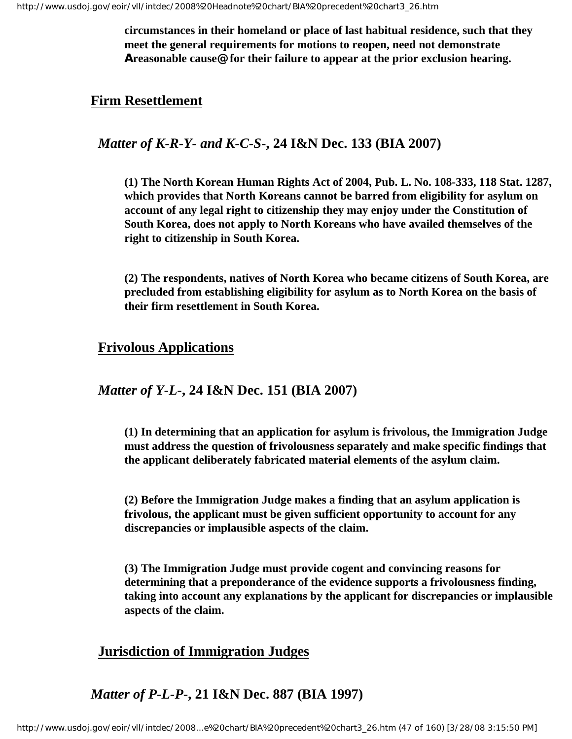**circumstances in their homeland or place of last habitual residence, such that they meet the general requirements for motions to reopen, need not demonstrate Areasonable cause@ for their failure to appear at the prior exclusion hearing.**

## **Firm Resettlement**

*Matter of K-R-Y- and K-C-S***-, 24 I&N Dec. 133 (BIA 2007)**

**(1) The North Korean Human Rights Act of 2004, Pub. L. No. 108-333, 118 Stat. 1287, which provides that North Koreans cannot be barred from eligibility for asylum on account of any legal right to citizenship they may enjoy under the Constitution of South Korea, does not apply to North Koreans who have availed themselves of the right to citizenship in South Korea.**

**(2) The respondents, natives of North Korea who became citizens of South Korea, are precluded from establishing eligibility for asylum as to North Korea on the basis of their firm resettlement in South Korea.**

## **Frivolous Applications**

## *Matter of Y-L-***, 24 I&N Dec. 151 (BIA 2007)**

**(1) In determining that an application for asylum is frivolous, the Immigration Judge must address the question of frivolousness separately and make specific findings that the applicant deliberately fabricated material elements of the asylum claim.**

**(2) Before the Immigration Judge makes a finding that an asylum application is frivolous, the applicant must be given sufficient opportunity to account for any discrepancies or implausible aspects of the claim.**

**(3) The Immigration Judge must provide cogent and convincing reasons for determining that a preponderance of the evidence supports a frivolousness finding, taking into account any explanations by the applicant for discrepancies or implausible aspects of the claim.**

## **Jurisdiction of Immigration Judges**

*Matter of P-L-P***-, 21 I&N Dec. 887 (BIA 1997)**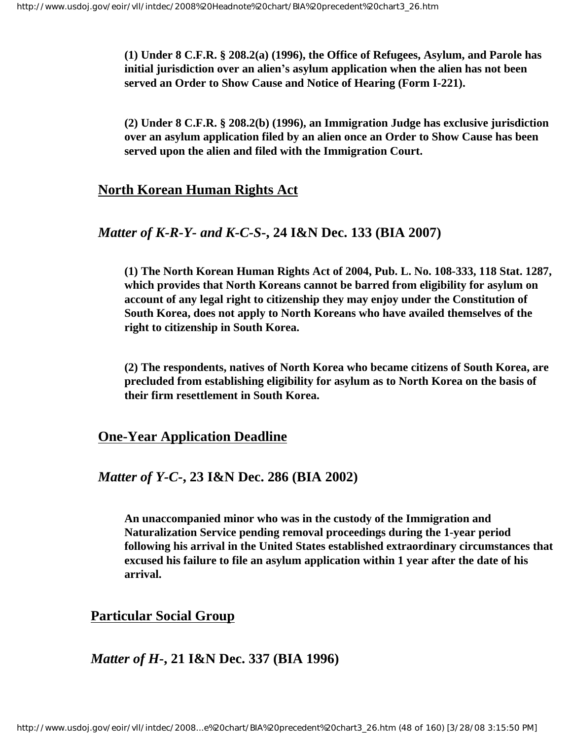**(1) Under 8 C.F.R. § 208.2(a) (1996), the Office of Refugees, Asylum, and Parole has initial jurisdiction over an alien's asylum application when the alien has not been served an Order to Show Cause and Notice of Hearing (Form I-221).**

**(2) Under 8 C.F.R. § 208.2(b) (1996), an Immigration Judge has exclusive jurisdiction over an asylum application filed by an alien once an Order to Show Cause has been served upon the alien and filed with the Immigration Court.**

### **North Korean Human Rights Act**

#### *Matter of K-R-Y- and K-C-S***-, 24 I&N Dec. 133 (BIA 2007)**

**(1) The North Korean Human Rights Act of 2004, Pub. L. No. 108-333, 118 Stat. 1287, which provides that North Koreans cannot be barred from eligibility for asylum on account of any legal right to citizenship they may enjoy under the Constitution of South Korea, does not apply to North Koreans who have availed themselves of the right to citizenship in South Korea.**

**(2) The respondents, natives of North Korea who became citizens of South Korea, are precluded from establishing eligibility for asylum as to North Korea on the basis of their firm resettlement in South Korea.**

#### **One-Year Application Deadline**

### *Matter of Y-C-***, 23 I&N Dec. 286 (BIA 2002)**

**An unaccompanied minor who was in the custody of the Immigration and Naturalization Service pending removal proceedings during the 1-year period following his arrival in the United States established extraordinary circumstances that excused his failure to file an asylum application within 1 year after the date of his arrival.**

### **Particular Social Group**

## *Matter of H***-, 21 I&N Dec. 337 (BIA 1996)**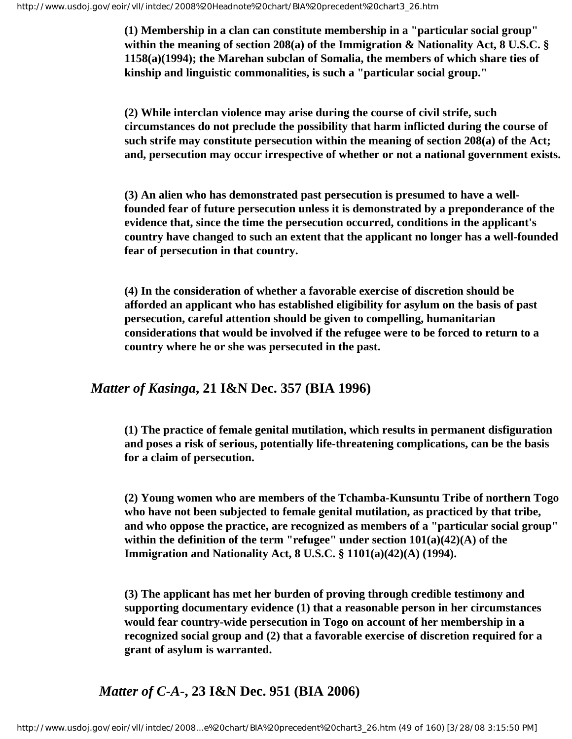**(1) Membership in a clan can constitute membership in a "particular social group" within the meaning of section 208(a) of the Immigration & Nationality Act, 8 U.S.C. § 1158(a)(1994); the Marehan subclan of Somalia, the members of which share ties of kinship and linguistic commonalities, is such a "particular social group."**

**(2) While interclan violence may arise during the course of civil strife, such circumstances do not preclude the possibility that harm inflicted during the course of such strife may constitute persecution within the meaning of section 208(a) of the Act; and, persecution may occur irrespective of whether or not a national government exists.**

**(3) An alien who has demonstrated past persecution is presumed to have a wellfounded fear of future persecution unless it is demonstrated by a preponderance of the evidence that, since the time the persecution occurred, conditions in the applicant's country have changed to such an extent that the applicant no longer has a well-founded fear of persecution in that country.**

**(4) In the consideration of whether a favorable exercise of discretion should be afforded an applicant who has established eligibility for asylum on the basis of past persecution, careful attention should be given to compelling, humanitarian considerations that would be involved if the refugee were to be forced to return to a country where he or she was persecuted in the past.**

*Matter of Kasinga***, 21 I&N Dec. 357 (BIA 1996)**

**(1) The practice of female genital mutilation, which results in permanent disfiguration and poses a risk of serious, potentially life-threatening complications, can be the basis for a claim of persecution.**

**(2) Young women who are members of the Tchamba-Kunsuntu Tribe of northern Togo who have not been subjected to female genital mutilation, as practiced by that tribe, and who oppose the practice, are recognized as members of a "particular social group" within the definition of the term "refugee" under section 101(a)(42)(A) of the Immigration and Nationality Act, 8 U.S.C. § 1101(a)(42)(A) (1994).**

**(3) The applicant has met her burden of proving through credible testimony and supporting documentary evidence (1) that a reasonable person in her circumstances would fear country-wide persecution in Togo on account of her membership in a recognized social group and (2) that a favorable exercise of discretion required for a grant of asylum is warranted.**

*Matter of C-A-***, 23 I&N Dec. 951 (BIA 2006)**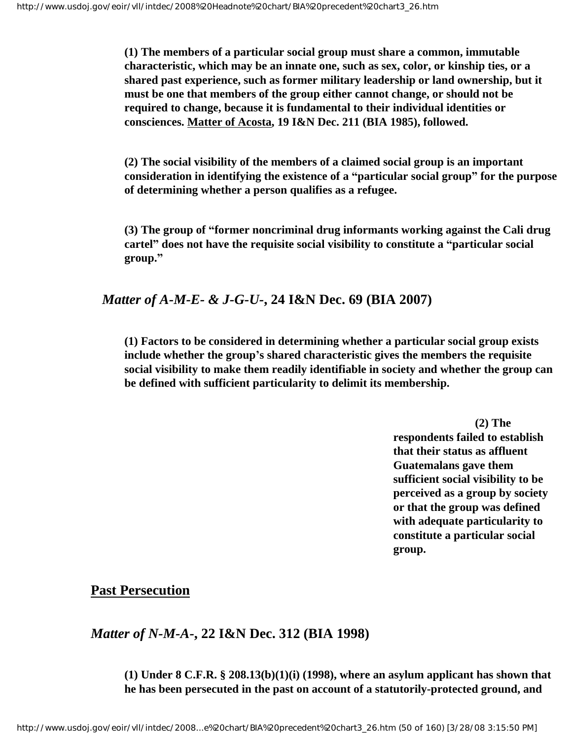**(1) The members of a particular social group must share a common, immutable characteristic, which may be an innate one, such as sex, color, or kinship ties, or a shared past experience, such as former military leadership or land ownership, but it must be one that members of the group either cannot change, or should not be required to change, because it is fundamental to their individual identities or consciences. Matter of Acosta, 19 I&N Dec. 211 (BIA 1985), followed.**

**(2) The social visibility of the members of a claimed social group is an important consideration in identifying the existence of a "particular social group" for the purpose of determining whether a person qualifies as a refugee.**

**(3) The group of "former noncriminal drug informants working against the Cali drug cartel" does not have the requisite social visibility to constitute a "particular social group."**

*Matter of A-M-E- & J-G-U-***, 24 I&N Dec. 69 (BIA 2007)**

**(1) Factors to be considered in determining whether a particular social group exists include whether the group's shared characteristic gives the members the requisite social visibility to make them readily identifiable in society and whether the group can be defined with sufficient particularity to delimit its membership.**

> **(2) The respondents failed to establish that their status as affluent Guatemalans gave them sufficient social visibility to be perceived as a group by society or that the group was defined with adequate particularity to constitute a particular social group.**

## **Past Persecution**

*Matter of N-M-A-***, 22 I&N Dec. 312 (BIA 1998)**

**(1) Under 8 C.F.R. § 208.13(b)(1)(i) (1998), where an asylum applicant has shown that he has been persecuted in the past on account of a statutorily-protected ground, and**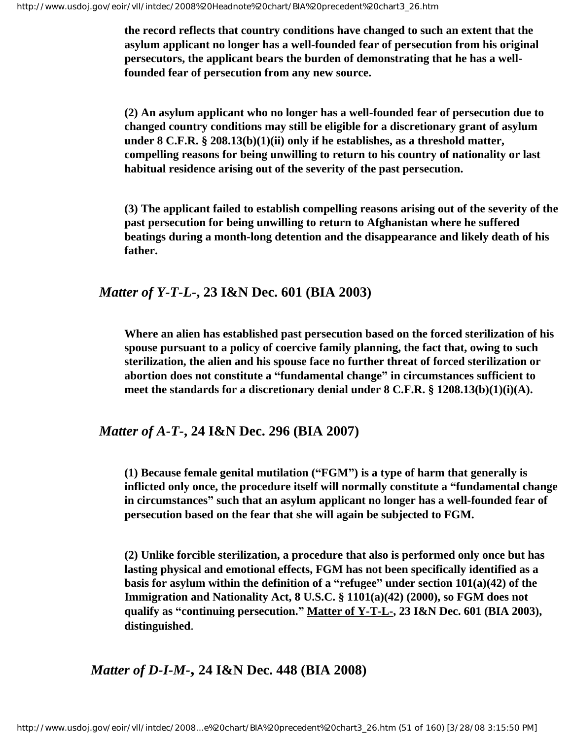**the record reflects that country conditions have changed to such an extent that the asylum applicant no longer has a well-founded fear of persecution from his original persecutors, the applicant bears the burden of demonstrating that he has a wellfounded fear of persecution from any new source.**

**(2) An asylum applicant who no longer has a well-founded fear of persecution due to changed country conditions may still be eligible for a discretionary grant of asylum under 8 C.F.R. § 208.13(b)(1)(ii) only if he establishes, as a threshold matter, compelling reasons for being unwilling to return to his country of nationality or last habitual residence arising out of the severity of the past persecution.**

**(3) The applicant failed to establish compelling reasons arising out of the severity of the past persecution for being unwilling to return to Afghanistan where he suffered beatings during a month-long detention and the disappearance and likely death of his father.**

### *Matter of Y-T-L-***, 23 I&N Dec. 601 (BIA 2003)**

**Where an alien has established past persecution based on the forced sterilization of his spouse pursuant to a policy of coercive family planning, the fact that, owing to such sterilization, the alien and his spouse face no further threat of forced sterilization or abortion does not constitute a "fundamental change" in circumstances sufficient to meet the standards for a discretionary denial under 8 C.F.R. § 1208.13(b)(1)(i)(A).**

## *Matter of A-T-***, 24 I&N Dec. 296 (BIA 2007)**

**(1) Because female genital mutilation ("FGM") is a type of harm that generally is inflicted only once, the procedure itself will normally constitute a "fundamental change in circumstances" such that an asylum applicant no longer has a well-founded fear of persecution based on the fear that she will again be subjected to FGM.**

**(2) Unlike forcible sterilization, a procedure that also is performed only once but has lasting physical and emotional effects, FGM has not been specifically identified as a basis for asylum within the definition of a "refugee" under section 101(a)(42) of the Immigration and Nationality Act, 8 U.S.C. § 1101(a)(42) (2000), so FGM does not qualify as "continuing persecution." Matter of Y-T-L-, 23 I&N Dec. 601 (BIA 2003), distinguished**.

*Matter of D-I-M-***, 24 I&N Dec. 448 (BIA 2008)**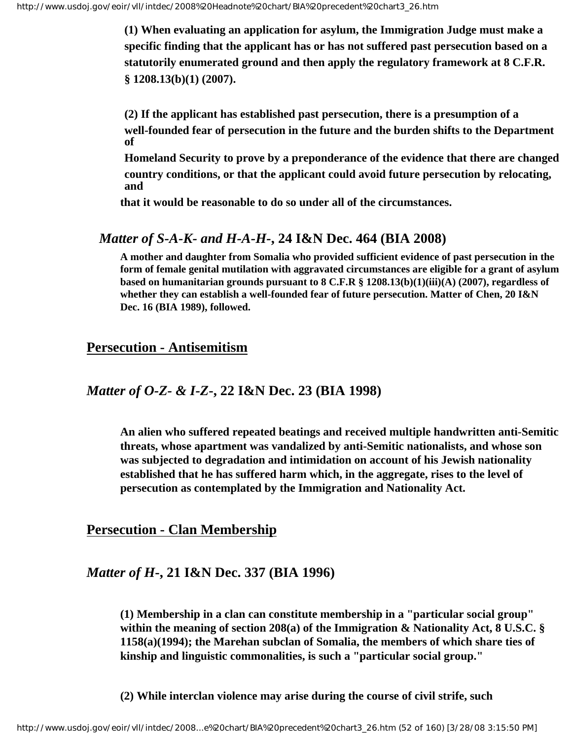**(1) When evaluating an application for asylum, the Immigration Judge must make a specific finding that the applicant has or has not suffered past persecution based on a statutorily enumerated ground and then apply the regulatory framework at 8 C.F.R. § 1208.13(b)(1) (2007).**

**(2) If the applicant has established past persecution, there is a presumption of a well-founded fear of persecution in the future and the burden shifts to the Department of**

**Homeland Security to prove by a preponderance of the evidence that there are changed country conditions, or that the applicant could avoid future persecution by relocating, and**

**that it would be reasonable to do so under all of the circumstances.**

### *Matter of S-A-K- and H-A-H-***, 24 I&N Dec. 464 (BIA 2008)**

**A mother and daughter from Somalia who provided sufficient evidence of past persecution in the form of female genital mutilation with aggravated circumstances are eligible for a grant of asylum based on humanitarian grounds pursuant to 8 C.F.R § 1208.13(b)(1)(iii)(A) (2007), regardless of whether they can establish a well-founded fear of future persecution. Matter of Chen, 20 I&N Dec. 16 (BIA 1989), followed.**

#### **Persecution - Antisemitism**

## *Matter of O-Z- & I-Z***-, 22 I&N Dec. 23 (BIA 1998)**

**An alien who suffered repeated beatings and received multiple handwritten anti-Semitic threats, whose apartment was vandalized by anti-Semitic nationalists, and whose son was subjected to degradation and intimidation on account of his Jewish nationality established that he has suffered harm which, in the aggregate, rises to the level of persecution as contemplated by the Immigration and Nationality Act.**

**Persecution - Clan Membership**

## *Matter of H***-, 21 I&N Dec. 337 (BIA 1996)**

**(1) Membership in a clan can constitute membership in a "particular social group" within the meaning of section 208(a) of the Immigration & Nationality Act, 8 U.S.C. § 1158(a)(1994); the Marehan subclan of Somalia, the members of which share ties of kinship and linguistic commonalities, is such a "particular social group."**

**(2) While interclan violence may arise during the course of civil strife, such**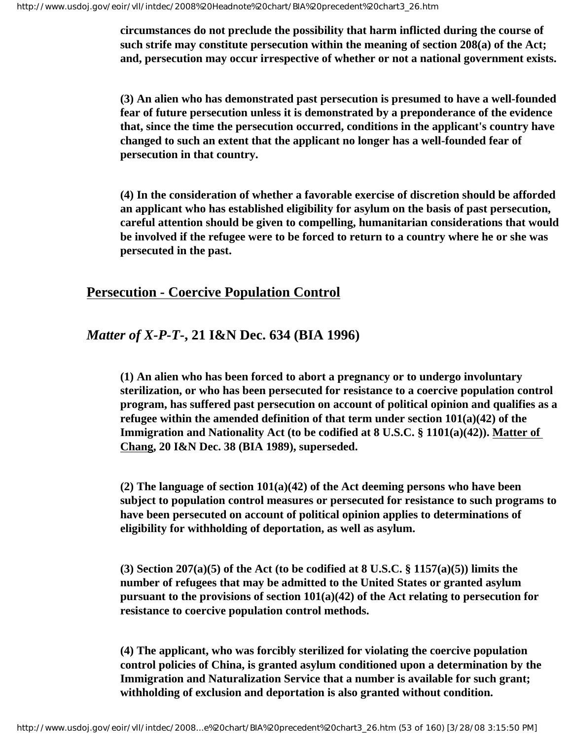**circumstances do not preclude the possibility that harm inflicted during the course of such strife may constitute persecution within the meaning of section 208(a) of the Act; and, persecution may occur irrespective of whether or not a national government exists.**

**(3) An alien who has demonstrated past persecution is presumed to have a well-founded fear of future persecution unless it is demonstrated by a preponderance of the evidence that, since the time the persecution occurred, conditions in the applicant's country have changed to such an extent that the applicant no longer has a well-founded fear of persecution in that country.**

**(4) In the consideration of whether a favorable exercise of discretion should be afforded an applicant who has established eligibility for asylum on the basis of past persecution, careful attention should be given to compelling, humanitarian considerations that would be involved if the refugee were to be forced to return to a country where he or she was persecuted in the past.**

## **Persecution - Coercive Population Control**

## *Matter of X-P-T***-, 21 I&N Dec. 634 (BIA 1996)**

**(1) An alien who has been forced to abort a pregnancy or to undergo involuntary sterilization, or who has been persecuted for resistance to a coercive population control program, has suffered past persecution on account of political opinion and qualifies as a refugee within the amended definition of that term under section 101(a)(42) of the Immigration and Nationality Act (to be codified at 8 U.S.C. § 1101(a)(42)). Matter of Chang, 20 I&N Dec. 38 (BIA 1989), superseded.**

**(2) The language of section 101(a)(42) of the Act deeming persons who have been subject to population control measures or persecuted for resistance to such programs to have been persecuted on account of political opinion applies to determinations of eligibility for withholding of deportation, as well as asylum.**

**(3) Section 207(a)(5) of the Act (to be codified at 8 U.S.C. § 1157(a)(5)) limits the number of refugees that may be admitted to the United States or granted asylum pursuant to the provisions of section 101(a)(42) of the Act relating to persecution for resistance to coercive population control methods.**

**(4) The applicant, who was forcibly sterilized for violating the coercive population control policies of China, is granted asylum conditioned upon a determination by the Immigration and Naturalization Service that a number is available for such grant; withholding of exclusion and deportation is also granted without condition.**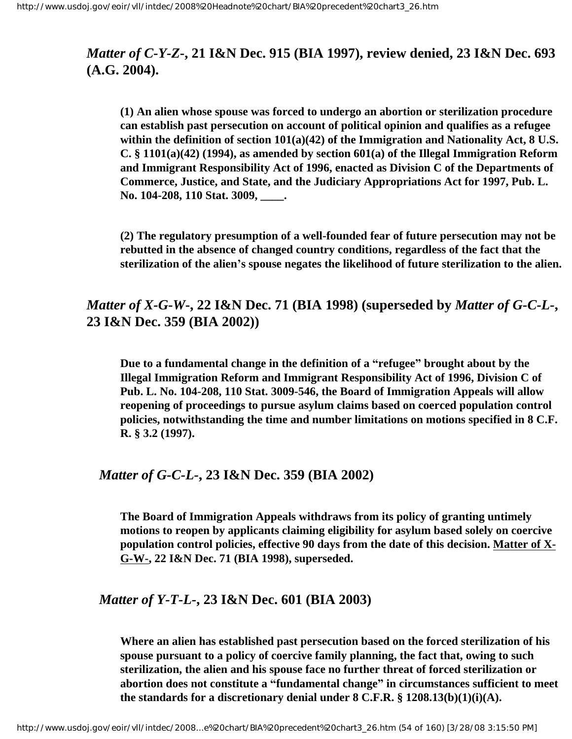## *Matter of C-Y-Z***-, 21 I&N Dec. 915 (BIA 1997), review denied, 23 I&N Dec. 693 (A.G. 2004).**

**(1) An alien whose spouse was forced to undergo an abortion or sterilization procedure can establish past persecution on account of political opinion and qualifies as a refugee within the definition of section 101(a)(42) of the Immigration and Nationality Act, 8 U.S. C. § 1101(a)(42) (1994), as amended by section 601(a) of the Illegal Immigration Reform and Immigrant Responsibility Act of 1996, enacted as Division C of the Departments of Commerce, Justice, and State, and the Judiciary Appropriations Act for 1997, Pub. L. No. 104-208, 110 Stat. 3009, \_\_\_\_.**

**(2) The regulatory presumption of a well-founded fear of future persecution may not be rebutted in the absence of changed country conditions, regardless of the fact that the sterilization of the alien's spouse negates the likelihood of future sterilization to the alien.**

## *Matter of X-G-W***-, 22 I&N Dec. 71 (BIA 1998) (superseded by** *Matter of G-C-L-***, 23 I&N Dec. 359 (BIA 2002))**

**Due to a fundamental change in the definition of a "refugee" brought about by the Illegal Immigration Reform and Immigrant Responsibility Act of 1996, Division C of Pub. L. No. 104-208, 110 Stat. 3009-546, the Board of Immigration Appeals will allow reopening of proceedings to pursue asylum claims based on coerced population control policies, notwithstanding the time and number limitations on motions specified in 8 C.F. R. § 3.2 (1997).**

#### *Matter of G-C-L-***, 23 I&N Dec. 359 (BIA 2002)**

**The Board of Immigration Appeals withdraws from its policy of granting untimely motions to reopen by applicants claiming eligibility for asylum based solely on coercive population control policies, effective 90 days from the date of this decision. Matter of X-G-W-, 22 I&N Dec. 71 (BIA 1998), superseded.**

#### *Matter of Y-T-L-***, 23 I&N Dec. 601 (BIA 2003)**

**Where an alien has established past persecution based on the forced sterilization of his spouse pursuant to a policy of coercive family planning, the fact that, owing to such sterilization, the alien and his spouse face no further threat of forced sterilization or abortion does not constitute a "fundamental change" in circumstances sufficient to meet the standards for a discretionary denial under 8 C.F.R. § 1208.13(b)(1)(i)(A).**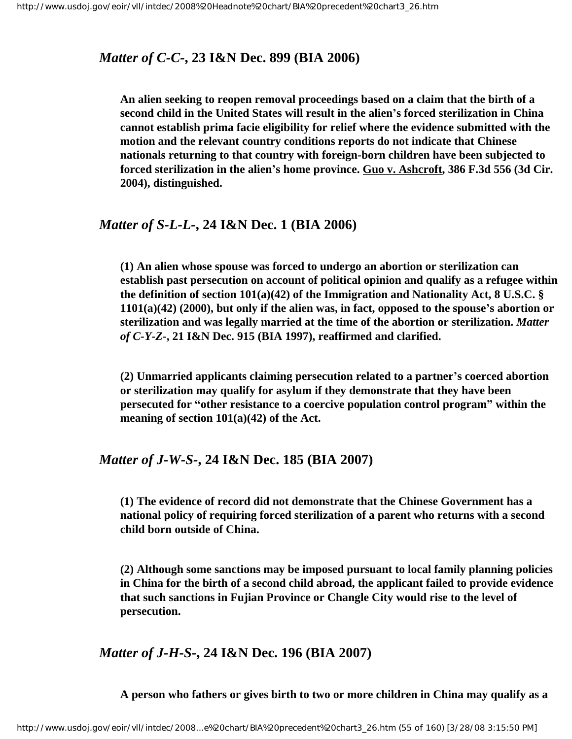## *Matter of C-C-***, 23 I&N Dec. 899 (BIA 2006)**

**An alien seeking to reopen removal proceedings based on a claim that the birth of a second child in the United States will result in the alien's forced sterilization in China cannot establish prima facie eligibility for relief where the evidence submitted with the motion and the relevant country conditions reports do not indicate that Chinese nationals returning to that country with foreign-born children have been subjected to forced sterilization in the alien's home province. Guo v. Ashcroft, 386 F.3d 556 (3d Cir. 2004), distinguished.**

#### *Matter of S-L-L-***, 24 I&N Dec. 1 (BIA 2006)**

**(1) An alien whose spouse was forced to undergo an abortion or sterilization can establish past persecution on account of political opinion and qualify as a refugee within the definition of section 101(a)(42) of the Immigration and Nationality Act, 8 U.S.C. § 1101(a)(42) (2000), but only if the alien was, in fact, opposed to the spouse's abortion or sterilization and was legally married at the time of the abortion or sterilization.** *Matter of C-Y-Z-***, 21 I&N Dec. 915 (BIA 1997), reaffirmed and clarified.**

**(2) Unmarried applicants claiming persecution related to a partner's coerced abortion or sterilization may qualify for asylum if they demonstrate that they have been persecuted for "other resistance to a coercive population control program" within the meaning of section 101(a)(42) of the Act.**

#### *Matter of J-W-S-***, 24 I&N Dec. 185 (BIA 2007)**

**(1) The evidence of record did not demonstrate that the Chinese Government has a national policy of requiring forced sterilization of a parent who returns with a second child born outside of China.**

**(2) Although some sanctions may be imposed pursuant to local family planning policies in China for the birth of a second child abroad, the applicant failed to provide evidence that such sanctions in Fujian Province or Changle City would rise to the level of persecution.**

*Matter of J-H-S-***, 24 I&N Dec. 196 (BIA 2007)**

**A person who fathers or gives birth to two or more children in China may qualify as a**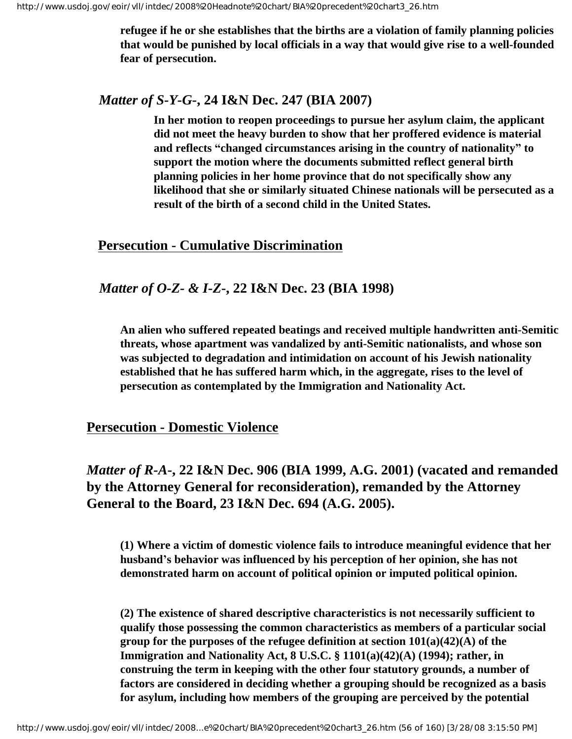**refugee if he or she establishes that the births are a violation of family planning policies that would be punished by local officials in a way that would give rise to a well-founded fear of persecution.**

#### *Matter of S-Y-G-***, 24 I&N Dec. 247 (BIA 2007)**

**In her motion to reopen proceedings to pursue her asylum claim, the applicant did not meet the heavy burden to show that her proffered evidence is material and reflects "changed circumstances arising in the country of nationality" to support the motion where the documents submitted reflect general birth planning policies in her home province that do not specifically show any likelihood that she or similarly situated Chinese nationals will be persecuted as a result of the birth of a second child in the United States.**

### **Persecution - Cumulative Discrimination**

## *Matter of O-Z- & I-Z***-, 22 I&N Dec. 23 (BIA 1998)**

**An alien who suffered repeated beatings and received multiple handwritten anti-Semitic threats, whose apartment was vandalized by anti-Semitic nationalists, and whose son was subjected to degradation and intimidation on account of his Jewish nationality established that he has suffered harm which, in the aggregate, rises to the level of persecution as contemplated by the Immigration and Nationality Act.**

**Persecution - Domestic Violence**

*Matter of R-A***-, 22 I&N Dec. 906 (BIA 1999, A.G. 2001) (vacated and remanded by the Attorney General for reconsideration), remanded by the Attorney General to the Board, 23 I&N Dec. 694 (A.G. 2005).**

**(1) Where a victim of domestic violence fails to introduce meaningful evidence that her husband's behavior was influenced by his perception of her opinion, she has not demonstrated harm on account of political opinion or imputed political opinion.**

**(2) The existence of shared descriptive characteristics is not necessarily sufficient to qualify those possessing the common characteristics as members of a particular social group for the purposes of the refugee definition at section 101(a)(42)(A) of the Immigration and Nationality Act, 8 U.S.C. § 1101(a)(42)(A) (1994); rather, in construing the term in keeping with the other four statutory grounds, a number of factors are considered in deciding whether a grouping should be recognized as a basis for asylum, including how members of the grouping are perceived by the potential**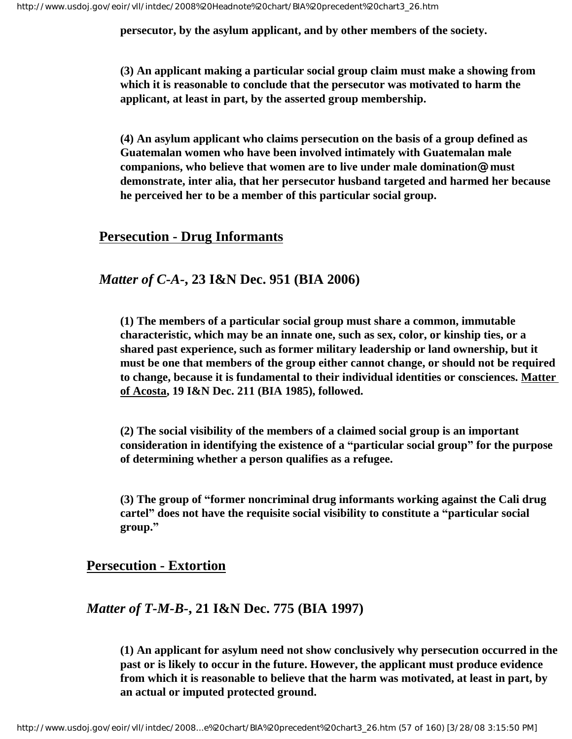**persecutor, by the asylum applicant, and by other members of the society.** 

**(3) An applicant making a particular social group claim must make a showing from which it is reasonable to conclude that the persecutor was motivated to harm the applicant, at least in part, by the asserted group membership.**

**(4) An asylum applicant who claims persecution on the basis of a group defined as Guatemalan women who have been involved intimately with Guatemalan male companions, who believe that women are to live under male domination@ must demonstrate, inter alia, that her persecutor husband targeted and harmed her because he perceived her to be a member of this particular social group.** 

### **Persecution - Drug Informants**

## *Matter of C-A-***, 23 I&N Dec. 951 (BIA 2006)**

**(1) The members of a particular social group must share a common, immutable characteristic, which may be an innate one, such as sex, color, or kinship ties, or a shared past experience, such as former military leadership or land ownership, but it must be one that members of the group either cannot change, or should not be required to change, because it is fundamental to their individual identities or consciences. Matter of Acosta, 19 I&N Dec. 211 (BIA 1985), followed.**

**(2) The social visibility of the members of a claimed social group is an important consideration in identifying the existence of a "particular social group" for the purpose of determining whether a person qualifies as a refugee.**

**(3) The group of "former noncriminal drug informants working against the Cali drug cartel" does not have the requisite social visibility to constitute a "particular social group."**

## **Persecution - Extortion**

## *Matter of T-M-B-***, 21 I&N Dec. 775 (BIA 1997)**

**(1) An applicant for asylum need not show conclusively why persecution occurred in the past or is likely to occur in the future. However, the applicant must produce evidence from which it is reasonable to believe that the harm was motivated, at least in part, by an actual or imputed protected ground.**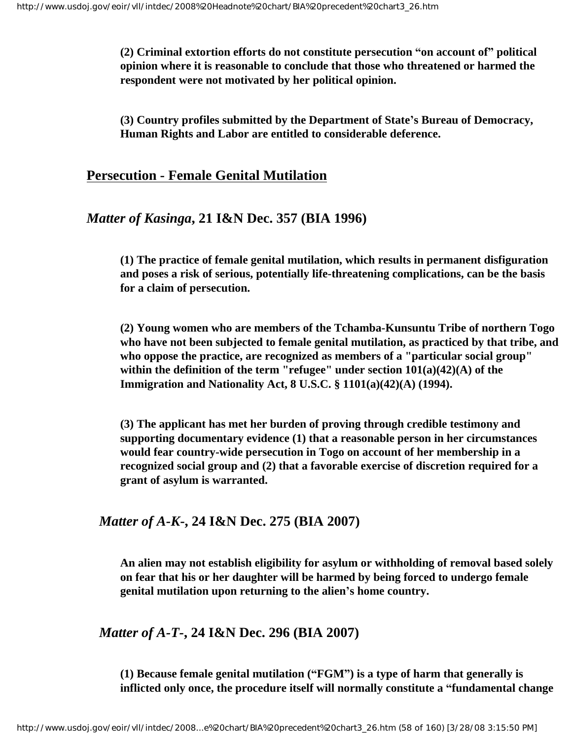**(2) Criminal extortion efforts do not constitute persecution "on account of" political opinion where it is reasonable to conclude that those who threatened or harmed the respondent were not motivated by her political opinion.**

**(3) Country profiles submitted by the Department of State's Bureau of Democracy, Human Rights and Labor are entitled to considerable deference.**

### **Persecution - Female Genital Mutilation**

### *Matter of Kasinga***, 21 I&N Dec. 357 (BIA 1996)**

**(1) The practice of female genital mutilation, which results in permanent disfiguration and poses a risk of serious, potentially life-threatening complications, can be the basis for a claim of persecution.**

**(2) Young women who are members of the Tchamba-Kunsuntu Tribe of northern Togo who have not been subjected to female genital mutilation, as practiced by that tribe, and who oppose the practice, are recognized as members of a "particular social group" within the definition of the term "refugee" under section 101(a)(42)(A) of the Immigration and Nationality Act, 8 U.S.C. § 1101(a)(42)(A) (1994).**

**(3) The applicant has met her burden of proving through credible testimony and supporting documentary evidence (1) that a reasonable person in her circumstances would fear country-wide persecution in Togo on account of her membership in a recognized social group and (2) that a favorable exercise of discretion required for a grant of asylum is warranted.**

## *Matter of A-K***-, 24 I&N Dec. 275 (BIA 2007)**

**An alien may not establish eligibility for asylum or withholding of removal based solely on fear that his or her daughter will be harmed by being forced to undergo female genital mutilation upon returning to the alien's home country.**

## *Matter of A-T-***, 24 I&N Dec. 296 (BIA 2007)**

**(1) Because female genital mutilation ("FGM") is a type of harm that generally is inflicted only once, the procedure itself will normally constitute a "fundamental change**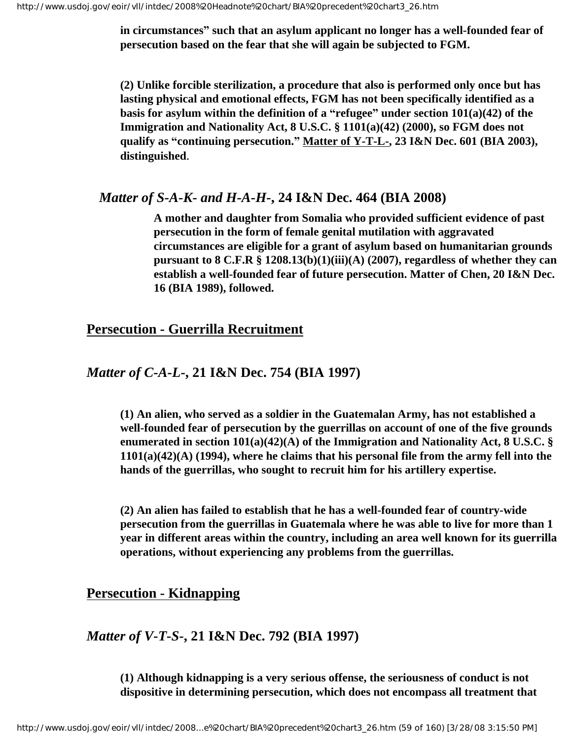**in circumstances" such that an asylum applicant no longer has a well-founded fear of persecution based on the fear that she will again be subjected to FGM.**

**(2) Unlike forcible sterilization, a procedure that also is performed only once but has lasting physical and emotional effects, FGM has not been specifically identified as a basis for asylum within the definition of a "refugee" under section 101(a)(42) of the Immigration and Nationality Act, 8 U.S.C. § 1101(a)(42) (2000), so FGM does not qualify as "continuing persecution." Matter of Y-T-L-, 23 I&N Dec. 601 (BIA 2003), distinguished**.

#### *Matter of S-A-K- and H-A-H-***, 24 I&N Dec. 464 (BIA 2008)**

**A mother and daughter from Somalia who provided sufficient evidence of past persecution in the form of female genital mutilation with aggravated circumstances are eligible for a grant of asylum based on humanitarian grounds pursuant to 8 C.F.R § 1208.13(b)(1)(iii)(A) (2007), regardless of whether they can establish a well-founded fear of future persecution. Matter of Chen, 20 I&N Dec. 16 (BIA 1989), followed.**

#### **Persecution - Guerrilla Recruitment**

## *Matter of C-A-L-***, 21 I&N Dec. 754 (BIA 1997)**

**(1) An alien, who served as a soldier in the Guatemalan Army, has not established a well-founded fear of persecution by the guerrillas on account of one of the five grounds enumerated in section 101(a)(42)(A) of the Immigration and Nationality Act, 8 U.S.C. § 1101(a)(42)(A) (1994), where he claims that his personal file from the army fell into the hands of the guerrillas, who sought to recruit him for his artillery expertise.**

**(2) An alien has failed to establish that he has a well-founded fear of country-wide persecution from the guerrillas in Guatemala where he was able to live for more than 1 year in different areas within the country, including an area well known for its guerrilla operations, without experiencing any problems from the guerrillas.**

## **Persecution - Kidnapping**

## *Matter of V-T-S***-, 21 I&N Dec. 792 (BIA 1997)**

**(1) Although kidnapping is a very serious offense, the seriousness of conduct is not dispositive in determining persecution, which does not encompass all treatment that**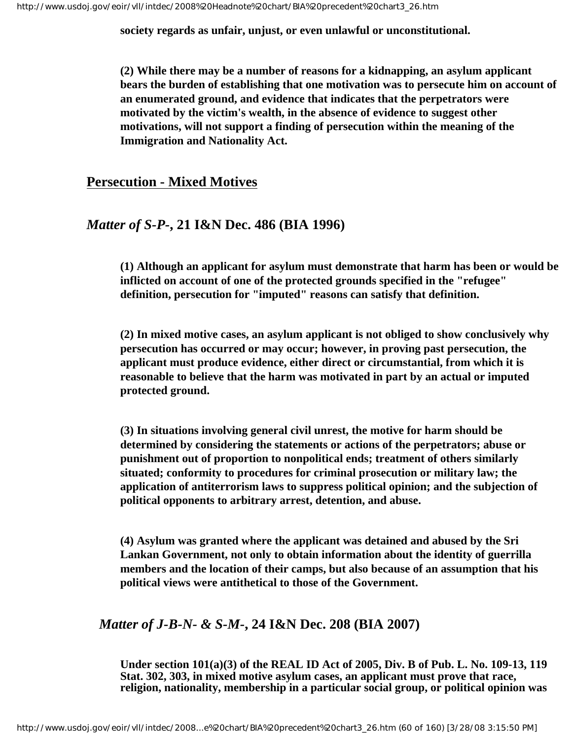**society regards as unfair, unjust, or even unlawful or unconstitutional.** 

**(2) While there may be a number of reasons for a kidnapping, an asylum applicant bears the burden of establishing that one motivation was to persecute him on account of an enumerated ground, and evidence that indicates that the perpetrators were motivated by the victim's wealth, in the absence of evidence to suggest other motivations, will not support a finding of persecution within the meaning of the Immigration and Nationality Act.** 

#### **Persecution - Mixed Motives**

## *Matter of S-P-***, 21 I&N Dec. 486 (BIA 1996)**

**(1) Although an applicant for asylum must demonstrate that harm has been or would be inflicted on account of one of the protected grounds specified in the "refugee" definition, persecution for "imputed" reasons can satisfy that definition.**

**(2) In mixed motive cases, an asylum applicant is not obliged to show conclusively why persecution has occurred or may occur; however, in proving past persecution, the applicant must produce evidence, either direct or circumstantial, from which it is reasonable to believe that the harm was motivated in part by an actual or imputed protected ground.**

**(3) In situations involving general civil unrest, the motive for harm should be determined by considering the statements or actions of the perpetrators; abuse or punishment out of proportion to nonpolitical ends; treatment of others similarly situated; conformity to procedures for criminal prosecution or military law; the application of antiterrorism laws to suppress political opinion; and the subjection of political opponents to arbitrary arrest, detention, and abuse.**

**(4) Asylum was granted where the applicant was detained and abused by the Sri Lankan Government, not only to obtain information about the identity of guerrilla members and the location of their camps, but also because of an assumption that his political views were antithetical to those of the Government.**

## *Matter of J-B-N- & S-M-***, 24 I&N Dec. 208 (BIA 2007)**

**Under section 101(a)(3) of the REAL ID Act of 2005, Div. B of Pub. L. No. 109-13, 119 Stat. 302, 303, in mixed motive asylum cases, an applicant must prove that race, religion, nationality, membership in a particular social group, or political opinion was**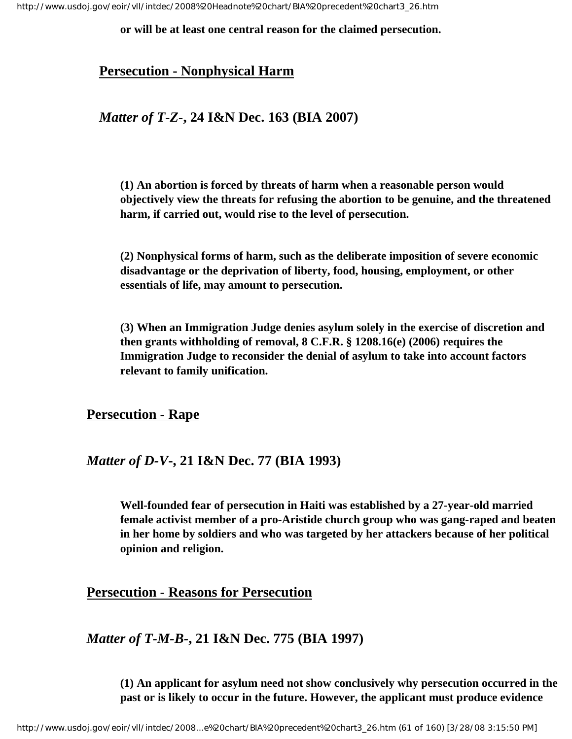**or will be at least one central reason for the claimed persecution.**

#### **Persecution - Nonphysical Harm**

#### *Matter of T-Z-***, 24 I&N Dec. 163 (BIA 2007)**

**(1) An abortion is forced by threats of harm when a reasonable person would objectively view the threats for refusing the abortion to be genuine, and the threatened harm, if carried out, would rise to the level of persecution.**

**(2) Nonphysical forms of harm, such as the deliberate imposition of severe economic disadvantage or the deprivation of liberty, food, housing, employment, or other essentials of life, may amount to persecution.**

**(3) When an Immigration Judge denies asylum solely in the exercise of discretion and then grants withholding of removal, 8 C.F.R. § 1208.16(e) (2006) requires the Immigration Judge to reconsider the denial of asylum to take into account factors relevant to family unification.** 

#### **Persecution - Rape**

#### *Matter of D-V***-, 21 I&N Dec. 77 (BIA 1993)**

**Well-founded fear of persecution in Haiti was established by a 27-year-old married female activist member of a pro-Aristide church group who was gang-raped and beaten in her home by soldiers and who was targeted by her attackers because of her political opinion and religion.** 

#### **Persecution - Reasons for Persecution**

#### *Matter of T-M-B-***, 21 I&N Dec. 775 (BIA 1997)**

**(1) An applicant for asylum need not show conclusively why persecution occurred in the past or is likely to occur in the future. However, the applicant must produce evidence**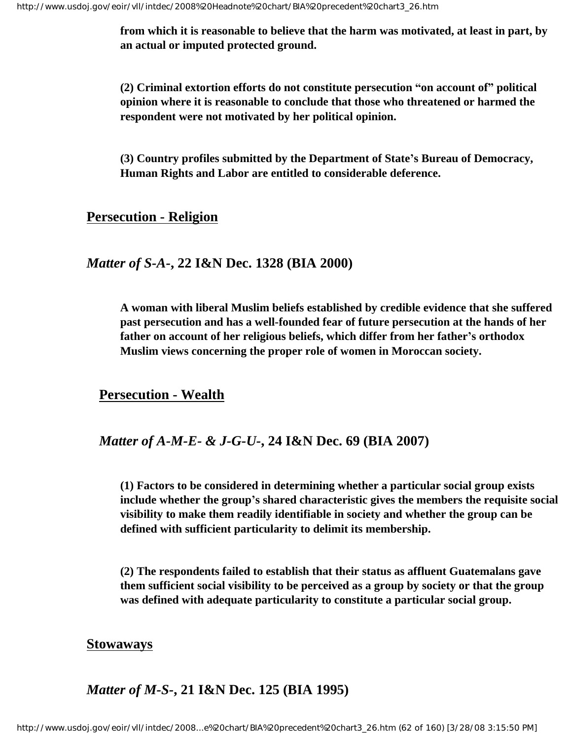**from which it is reasonable to believe that the harm was motivated, at least in part, by an actual or imputed protected ground.**

**(2) Criminal extortion efforts do not constitute persecution "on account of" political opinion where it is reasonable to conclude that those who threatened or harmed the respondent were not motivated by her political opinion.**

**(3) Country profiles submitted by the Department of State's Bureau of Democracy, Human Rights and Labor are entitled to considerable deference.**

#### **Persecution - Religion**

#### *Matter of S-A-***, 22 I&N Dec. 1328 (BIA 2000)**

**A woman with liberal Muslim beliefs established by credible evidence that she suffered past persecution and has a well-founded fear of future persecution at the hands of her father on account of her religious beliefs, which differ from her father's orthodox Muslim views concerning the proper role of women in Moroccan society.**

#### **Persecution - Wealth**

#### *Matter of A-M-E- & J-G-U-***, 24 I&N Dec. 69 (BIA 2007)**

**(1) Factors to be considered in determining whether a particular social group exists include whether the group's shared characteristic gives the members the requisite social visibility to make them readily identifiable in society and whether the group can be defined with sufficient particularity to delimit its membership.**

**(2) The respondents failed to establish that their status as affluent Guatemalans gave them sufficient social visibility to be perceived as a group by society or that the group was defined with adequate particularity to constitute a particular social group.**

#### **Stowaways**

## *Matter of M-S-***, 21 I&N Dec. 125 (BIA 1995)**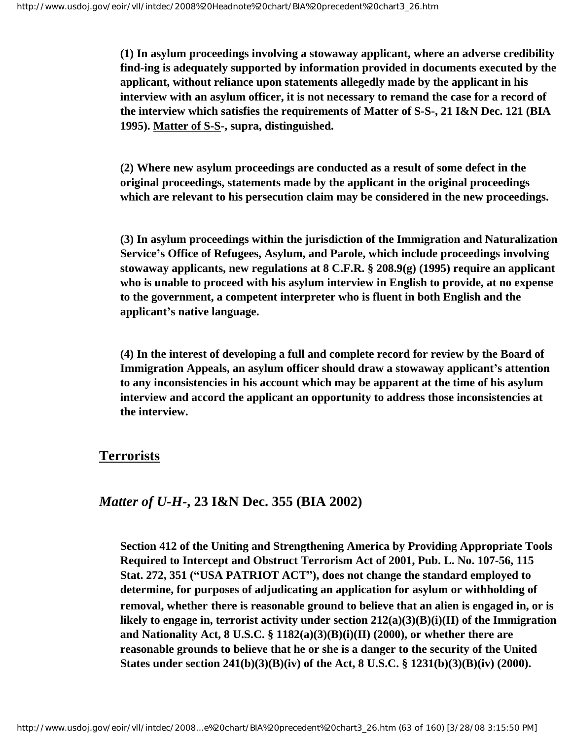**(1) In asylum proceedings involving a stowaway applicant, where an adverse credibility find-ing is adequately supported by information provided in documents executed by the applicant, without reliance upon statements allegedly made by the applicant in his interview with an asylum officer, it is not necessary to remand the case for a record of the interview which satisfies the requirements of Matter of S-S-, 21 I&N Dec. 121 (BIA 1995). Matter of S-S-, supra, distinguished.** 

**(2) Where new asylum proceedings are conducted as a result of some defect in the original proceedings, statements made by the applicant in the original proceedings which are relevant to his persecution claim may be considered in the new proceedings.** 

**(3) In asylum proceedings within the jurisdiction of the Immigration and Naturalization Service's Office of Refugees, Asylum, and Parole, which include proceedings involving stowaway applicants, new regulations at 8 C.F.R. § 208.9(g) (1995) require an applicant who is unable to proceed with his asylum interview in English to provide, at no expense to the government, a competent interpreter who is fluent in both English and the applicant's native language.** 

**(4) In the interest of developing a full and complete record for review by the Board of Immigration Appeals, an asylum officer should draw a stowaway applicant's attention to any inconsistencies in his account which may be apparent at the time of his asylum interview and accord the applicant an opportunity to address those inconsistencies at the interview.** 

#### **Terrorists**

### *Matter of U-H-***, 23 I&N Dec. 355 (BIA 2002)**

**Section 412 of the Uniting and Strengthening America by Providing Appropriate Tools Required to Intercept and Obstruct Terrorism Act of 2001, Pub. L. No. 107-56, 115 Stat. 272, 351 ("USA PATRIOT ACT"), does not change the standard employed to determine, for purposes of adjudicating an application for asylum or withholding of removal, whether there is reasonable ground to believe that an alien is engaged in, or is likely to engage in, terrorist activity under section 212(a)(3)(B)(i)(II) of the Immigration and Nationality Act, 8 U.S.C. § 1182(a)(3)(B)(i)(II) (2000), or whether there are reasonable grounds to believe that he or she is a danger to the security of the United States under section 241(b)(3)(B)(iv) of the Act, 8 U.S.C. § 1231(b)(3)(B)(iv) (2000).**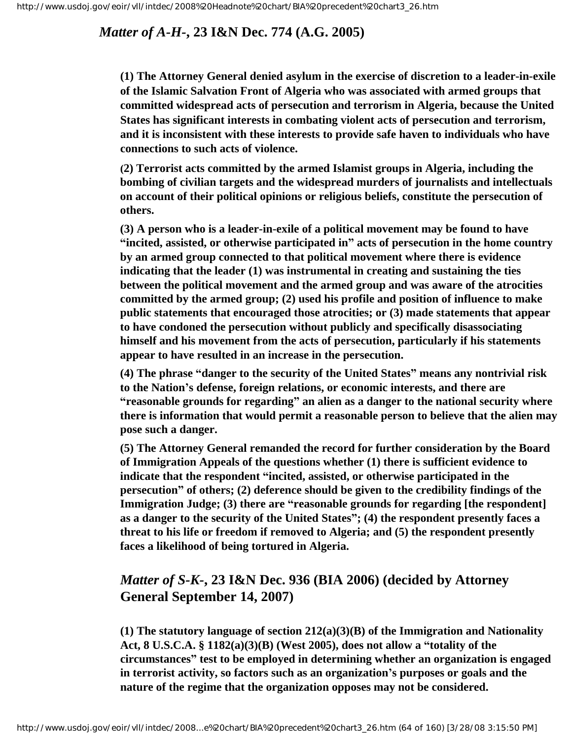## *Matter of A-H-***, 23 I&N Dec. 774 (A.G. 2005)**

**(1) The Attorney General denied asylum in the exercise of discretion to a leader-in-exile of the Islamic Salvation Front of Algeria who was associated with armed groups that committed widespread acts of persecution and terrorism in Algeria, because the United States has significant interests in combating violent acts of persecution and terrorism, and it is inconsistent with these interests to provide safe haven to individuals who have connections to such acts of violence.**

**(2) Terrorist acts committed by the armed Islamist groups in Algeria, including the bombing of civilian targets and the widespread murders of journalists and intellectuals on account of their political opinions or religious beliefs, constitute the persecution of others.**

**(3) A person who is a leader-in-exile of a political movement may be found to have "incited, assisted, or otherwise participated in" acts of persecution in the home country by an armed group connected to that political movement where there is evidence indicating that the leader (1) was instrumental in creating and sustaining the ties between the political movement and the armed group and was aware of the atrocities committed by the armed group; (2) used his profile and position of influence to make public statements that encouraged those atrocities; or (3) made statements that appear to have condoned the persecution without publicly and specifically disassociating himself and his movement from the acts of persecution, particularly if his statements appear to have resulted in an increase in the persecution.**

**(4) The phrase "danger to the security of the United States" means any nontrivial risk to the Nation's defense, foreign relations, or economic interests, and there are "reasonable grounds for regarding" an alien as a danger to the national security where there is information that would permit a reasonable person to believe that the alien may pose such a danger.**

**(5) The Attorney General remanded the record for further consideration by the Board of Immigration Appeals of the questions whether (1) there is sufficient evidence to indicate that the respondent "incited, assisted, or otherwise participated in the persecution" of others; (2) deference should be given to the credibility findings of the Immigration Judge; (3) there are "reasonable grounds for regarding [the respondent] as a danger to the security of the United States"; (4) the respondent presently faces a threat to his life or freedom if removed to Algeria; and (5) the respondent presently faces a likelihood of being tortured in Algeria.** 

## *Matter of S-K-***, 23 I&N Dec. 936 (BIA 2006) (decided by Attorney General September 14, 2007)**

**(1) The statutory language of section 212(a)(3)(B) of the Immigration and Nationality Act, 8 U.S.C.A. § 1182(a)(3)(B) (West 2005), does not allow a "totality of the circumstances" test to be employed in determining whether an organization is engaged in terrorist activity, so factors such as an organization's purposes or goals and the nature of the regime that the organization opposes may not be considered.**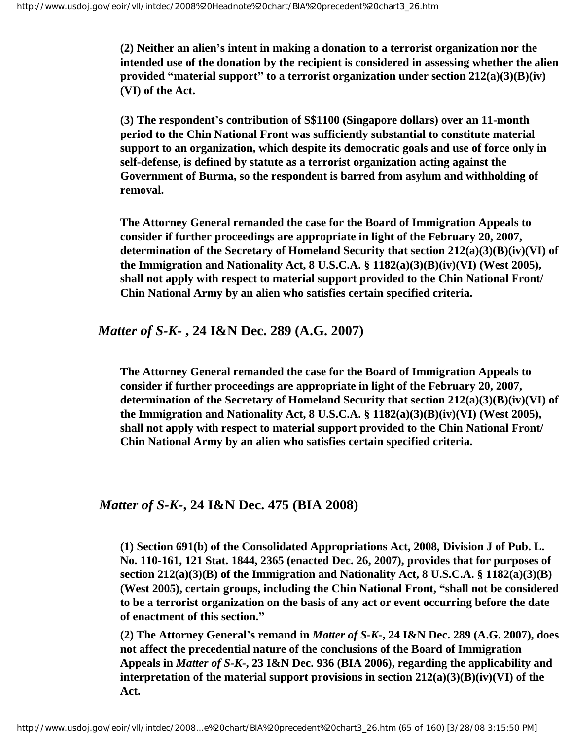**(2) Neither an alien's intent in making a donation to a terrorist organization nor the intended use of the donation by the recipient is considered in assessing whether the alien provided "material support" to a terrorist organization under section 212(a)(3)(B)(iv) (VI) of the Act.** 

**(3) The respondent's contribution of S\$1100 (Singapore dollars) over an 11-month period to the Chin National Front was sufficiently substantial to constitute material support to an organization, which despite its democratic goals and use of force only in self-defense, is defined by statute as a terrorist organization acting against the Government of Burma, so the respondent is barred from asylum and withholding of removal.**

**The Attorney General remanded the case for the Board of Immigration Appeals to consider if further proceedings are appropriate in light of the February 20, 2007, determination of the Secretary of Homeland Security that section 212(a)(3)(B)(iv)(VI) of the Immigration and Nationality Act, 8 U.S.C.A. § 1182(a)(3)(B)(iv)(VI) (West 2005), shall not apply with respect to material support provided to the Chin National Front/ Chin National Army by an alien who satisfies certain specified criteria.**

### *Matter of S-K-* **, 24 I&N Dec. 289 (A.G. 2007)**

**The Attorney General remanded the case for the Board of Immigration Appeals to consider if further proceedings are appropriate in light of the February 20, 2007, determination of the Secretary of Homeland Security that section 212(a)(3)(B)(iv)(VI) of the Immigration and Nationality Act, 8 U.S.C.A. § 1182(a)(3)(B)(iv)(VI) (West 2005), shall not apply with respect to material support provided to the Chin National Front/ Chin National Army by an alien who satisfies certain specified criteria.**

## *Matter of S-K-***, 24 I&N Dec. 475 (BIA 2008)**

**(1) Section 691(b) of the Consolidated Appropriations Act, 2008, Division J of Pub. L. No. 110-161, 121 Stat. 1844, 2365 (enacted Dec. 26, 2007), provides that for purposes of section 212(a)(3)(B) of the Immigration and Nationality Act, 8 U.S.C.A. § 1182(a)(3)(B) (West 2005), certain groups, including the Chin National Front, "shall not be considered to be a terrorist organization on the basis of any act or event occurring before the date of enactment of this section."**

**(2) The Attorney General's remand in** *Matter of S-K-***, 24 I&N Dec. 289 (A.G. 2007), does not affect the precedential nature of the conclusions of the Board of Immigration Appeals in** *Matter of S-K-***, 23 I&N Dec. 936 (BIA 2006), regarding the applicability and interpretation of the material support provisions in section 212(a)(3)(B)(iv)(VI) of the Act.**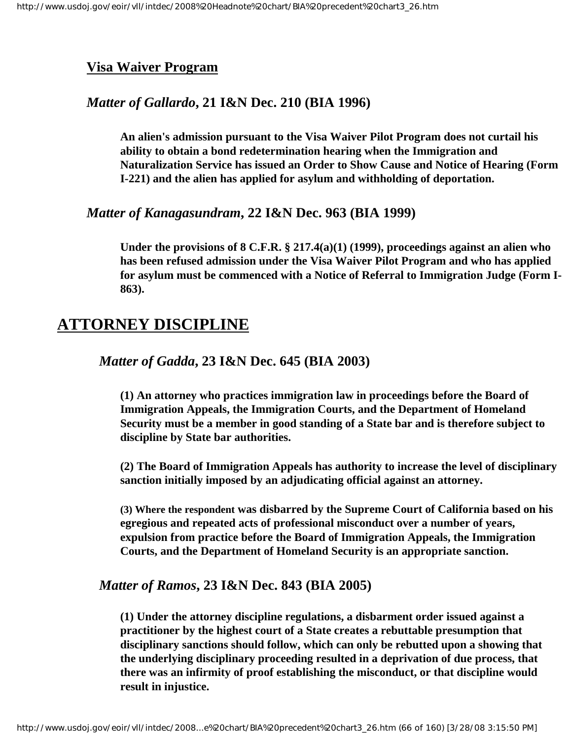### **Visa Waiver Program**

### *Matter of Gallardo***, 21 I&N Dec. 210 (BIA 1996)**

**An alien's admission pursuant to the Visa Waiver Pilot Program does not curtail his ability to obtain a bond redetermination hearing when the Immigration and Naturalization Service has issued an Order to Show Cause and Notice of Hearing (Form I-221) and the alien has applied for asylum and withholding of deportation.**

#### *Matter of Kanagasundram***, 22 I&N Dec. 963 (BIA 1999)**

**Under the provisions of 8 C.F.R. § 217.4(a)(1) (1999), proceedings against an alien who has been refused admission under the Visa Waiver Pilot Program and who has applied for asylum must be commenced with a Notice of Referral to Immigration Judge (Form I-863).**

## **ATTORNEY DISCIPLINE**

*Matter of Gadda***, 23 I&N Dec. 645 (BIA 2003)**

**(1) An attorney who practices immigration law in proceedings before the Board of Immigration Appeals, the Immigration Courts, and the Department of Homeland Security must be a member in good standing of a State bar and is therefore subject to discipline by State bar authorities.**

**(2) The Board of Immigration Appeals has authority to increase the level of disciplinary sanction initially imposed by an adjudicating official against an attorney.**

**(3) Where the respondent was disbarred by the Supreme Court of California based on his egregious and repeated acts of professional misconduct over a number of years, expulsion from practice before the Board of Immigration Appeals, the Immigration Courts, and the Department of Homeland Security is an appropriate sanction.** 

#### *Matter of Ramos***, 23 I&N Dec. 843 (BIA 2005)**

**(1) Under the attorney discipline regulations, a disbarment order issued against a practitioner by the highest court of a State creates a rebuttable presumption that disciplinary sanctions should follow, which can only be rebutted upon a showing that the underlying disciplinary proceeding resulted in a deprivation of due process, that there was an infirmity of proof establishing the misconduct, or that discipline would result in injustice.**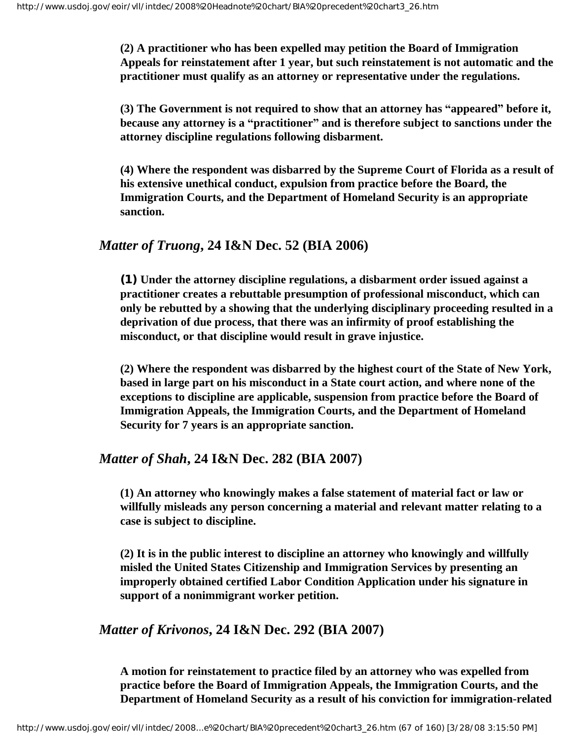**(2) A practitioner who has been expelled may petition the Board of Immigration Appeals for reinstatement after 1 year, but such reinstatement is not automatic and the practitioner must qualify as an attorney or representative under the regulations.**

**(3) The Government is not required to show that an attorney has "appeared" before it, because any attorney is a "practitioner" and is therefore subject to sanctions under the attorney discipline regulations following disbarment.**

**(4) Where the respondent was disbarred by the Supreme Court of Florida as a result of his extensive unethical conduct, expulsion from practice before the Board, the Immigration Courts, and the Department of Homeland Security is an appropriate sanction.**

### *Matter of Truong***, 24 I&N Dec. 52 (BIA 2006)**

**(1) Under the attorney discipline regulations, a disbarment order issued against a practitioner creates a rebuttable presumption of professional misconduct, which can only be rebutted by a showing that the underlying disciplinary proceeding resulted in a deprivation of due process, that there was an infirmity of proof establishing the misconduct, or that discipline would result in grave injustice.**

**(2) Where the respondent was disbarred by the highest court of the State of New York, based in large part on his misconduct in a State court action, and where none of the exceptions to discipline are applicable, suspension from practice before the Board of Immigration Appeals, the Immigration Courts, and the Department of Homeland Security for 7 years is an appropriate sanction.**

## *Matter of Shah***, 24 I&N Dec. 282 (BIA 2007)**

**(1) An attorney who knowingly makes a false statement of material fact or law or willfully misleads any person concerning a material and relevant matter relating to a case is subject to discipline.**

**(2) It is in the public interest to discipline an attorney who knowingly and willfully misled the United States Citizenship and Immigration Services by presenting an improperly obtained certified Labor Condition Application under his signature in support of a nonimmigrant worker petition.** 

## *Matter of Krivonos***, 24 I&N Dec. 292 (BIA 2007)**

**A motion for reinstatement to practice filed by an attorney who was expelled from practice before the Board of Immigration Appeals, the Immigration Courts, and the Department of Homeland Security as a result of his conviction for immigration-related**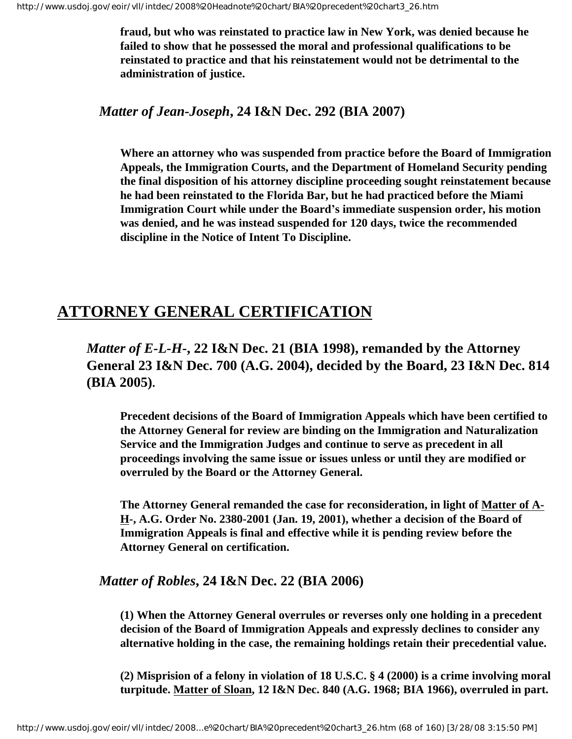**fraud, but who was reinstated to practice law in New York, was denied because he failed to show that he possessed the moral and professional qualifications to be reinstated to practice and that his reinstatement would not be detrimental to the administration of justice.**

#### *Matter of Jean-Joseph***, 24 I&N Dec. 292 (BIA 2007)**

**Where an attorney who was suspended from practice before the Board of Immigration Appeals, the Immigration Courts, and the Department of Homeland Security pending the final disposition of his attorney discipline proceeding sought reinstatement because he had been reinstated to the Florida Bar, but he had practiced before the Miami Immigration Court while under the Board's immediate suspension order, his motion was denied, and he was instead suspended for 120 days, twice the recommended discipline in the Notice of Intent To Discipline.**

## **ATTORNEY GENERAL CERTIFICATION**

## *Matter of E-L-H***-, 22 I&N Dec. 21 (BIA 1998), remanded by the Attorney General 23 I&N Dec. 700 (A.G. 2004), decided by the Board, 23 I&N Dec. 814 (BIA 2005).**

**Precedent decisions of the Board of Immigration Appeals which have been certified to the Attorney General for review are binding on the Immigration and Naturalization Service and the Immigration Judges and continue to serve as precedent in all proceedings involving the same issue or issues unless or until they are modified or overruled by the Board or the Attorney General.** 

**The Attorney General remanded the case for reconsideration, in light of Matter of A-H-, A.G. Order No. 2380-2001 (Jan. 19, 2001), whether a decision of the Board of Immigration Appeals is final and effective while it is pending review before the Attorney General on certification.** 

## *Matter of Robles***, 24 I&N Dec. 22 (BIA 2006)**

**(1) When the Attorney General overrules or reverses only one holding in a precedent decision of the Board of Immigration Appeals and expressly declines to consider any alternative holding in the case, the remaining holdings retain their precedential value.**

**(2) Misprision of a felony in violation of 18 U.S.C. § 4 (2000) is a crime involving moral turpitude. Matter of Sloan, 12 I&N Dec. 840 (A.G. 1968; BIA 1966), overruled in part.**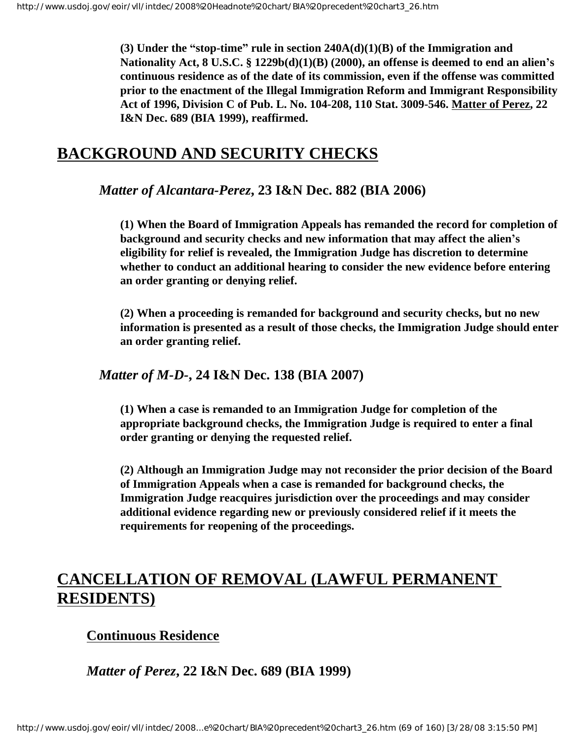**(3) Under the "stop-time" rule in section 240A(d)(1)(B) of the Immigration and Nationality Act, 8 U.S.C. § 1229b(d)(1)(B) (2000), an offense is deemed to end an alien's continuous residence as of the date of its commission, even if the offense was committed prior to the enactment of the Illegal Immigration Reform and Immigrant Responsibility Act of 1996, Division C of Pub. L. No. 104-208, 110 Stat. 3009-546. Matter of Perez, 22 I&N Dec. 689 (BIA 1999), reaffirmed.**

## **BACKGROUND AND SECURITY CHECKS**

### *Matter of Alcantara-Perez***, 23 I&N Dec. 882 (BIA 2006)**

**(1) When the Board of Immigration Appeals has remanded the record for completion of background and security checks and new information that may affect the alien's eligibility for relief is revealed, the Immigration Judge has discretion to determine whether to conduct an additional hearing to consider the new evidence before entering an order granting or denying relief.**

**(2) When a proceeding is remanded for background and security checks, but no new information is presented as a result of those checks, the Immigration Judge should enter an order granting relief.** 

#### *Matter of M-D-***, 24 I&N Dec. 138 (BIA 2007)**

**(1) When a case is remanded to an Immigration Judge for completion of the appropriate background checks, the Immigration Judge is required to enter a final order granting or denying the requested relief.** 

**(2) Although an Immigration Judge may not reconsider the prior decision of the Board of Immigration Appeals when a case is remanded for background checks, the Immigration Judge reacquires jurisdiction over the proceedings and may consider additional evidence regarding new or previously considered relief if it meets the requirements for reopening of the proceedings.**

# **CANCELLATION OF REMOVAL (LAWFUL PERMANENT RESIDENTS)**

## **Continuous Residence**

*Matter of Perez***, 22 I&N Dec. 689 (BIA 1999)**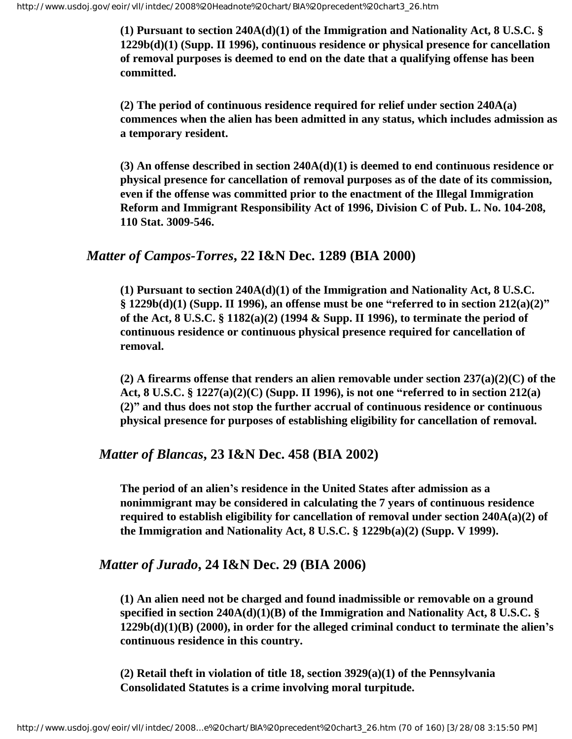**(1) Pursuant to section 240A(d)(1) of the Immigration and Nationality Act, 8 U.S.C. § 1229b(d)(1) (Supp. II 1996), continuous residence or physical presence for cancellation of removal purposes is deemed to end on the date that a qualifying offense has been committed.**

**(2) The period of continuous residence required for relief under section 240A(a) commences when the alien has been admitted in any status, which includes admission as a temporary resident.**

**(3) An offense described in section 240A(d)(1) is deemed to end continuous residence or physical presence for cancellation of removal purposes as of the date of its commission, even if the offense was committed prior to the enactment of the Illegal Immigration Reform and Immigrant Responsibility Act of 1996, Division C of Pub. L. No. 104-208, 110 Stat. 3009-546.**

#### *Matter of Campos-Torres***, 22 I&N Dec. 1289 (BIA 2000)**

**(1) Pursuant to section 240A(d)(1) of the Immigration and Nationality Act, 8 U.S.C. § 1229b(d)(1) (Supp. II 1996), an offense must be one "referred to in section 212(a)(2)" of the Act, 8 U.S.C. § 1182(a)(2) (1994 & Supp. II 1996), to terminate the period of continuous residence or continuous physical presence required for cancellation of removal.**

**(2) A firearms offense that renders an alien removable under section 237(a)(2)(C) of the Act, 8 U.S.C. § 1227(a)(2)(C) (Supp. II 1996), is not one "referred to in section 212(a) (2)" and thus does not stop the further accrual of continuous residence or continuous physical presence for purposes of establishing eligibility for cancellation of removal.**

#### *Matter of Blancas***, 23 I&N Dec. 458 (BIA 2002)**

**The period of an alien's residence in the United States after admission as a nonimmigrant may be considered in calculating the 7 years of continuous residence required to establish eligibility for cancellation of removal under section 240A(a)(2) of the Immigration and Nationality Act, 8 U.S.C. § 1229b(a)(2) (Supp. V 1999).**

## *Matter of Jurado***, 24 I&N Dec. 29 (BIA 2006)**

**(1) An alien need not be charged and found inadmissible or removable on a ground specified in section 240A(d)(1)(B) of the Immigration and Nationality Act, 8 U.S.C. § 1229b(d)(1)(B) (2000), in order for the alleged criminal conduct to terminate the alien's continuous residence in this country.**

**(2) Retail theft in violation of title 18, section 3929(a)(1) of the Pennsylvania Consolidated Statutes is a crime involving moral turpitude.**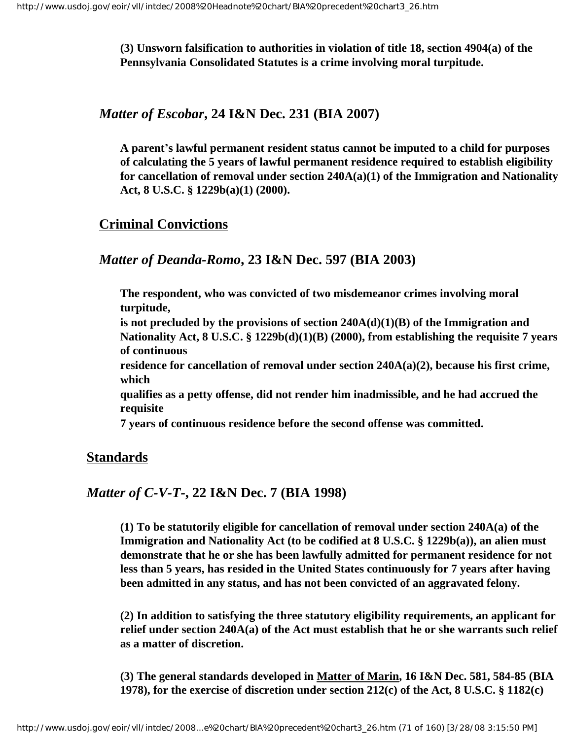**(3) Unsworn falsification to authorities in violation of title 18, section 4904(a) of the Pennsylvania Consolidated Statutes is a crime involving moral turpitude.**

*Matter of Escobar***, 24 I&N Dec. 231 (BIA 2007)**

**A parent's lawful permanent resident status cannot be imputed to a child for purposes of calculating the 5 years of lawful permanent residence required to establish eligibility for cancellation of removal under section 240A(a)(1) of the Immigration and Nationality Act, 8 U.S.C. § 1229b(a)(1) (2000).** 

## **Criminal Convictions**

## *Matter of Deanda-Romo***, 23 I&N Dec. 597 (BIA 2003)**

**The respondent, who was convicted of two misdemeanor crimes involving moral turpitude,**

**is not precluded by the provisions of section 240A(d)(1)(B) of the Immigration and Nationality Act, 8 U.S.C. § 1229b(d)(1)(B) (2000), from establishing the requisite 7 years of continuous**

**residence for cancellation of removal under section 240A(a)(2), because his first crime, which**

**qualifies as a petty offense, did not render him inadmissible, and he had accrued the requisite**

**7 years of continuous residence before the second offense was committed.**

## **Standards**

## *Matter of C-V-T-***, 22 I&N Dec. 7 (BIA 1998)**

**(1) To be statutorily eligible for cancellation of removal under section 240A(a) of the Immigration and Nationality Act (to be codified at 8 U.S.C. § 1229b(a)), an alien must demonstrate that he or she has been lawfully admitted for permanent residence for not less than 5 years, has resided in the United States continuously for 7 years after having been admitted in any status, and has not been convicted of an aggravated felony.**

**(2) In addition to satisfying the three statutory eligibility requirements, an applicant for relief under section 240A(a) of the Act must establish that he or she warrants such relief as a matter of discretion.**

**(3) The general standards developed in Matter of Marin, 16 I&N Dec. 581, 584-85 (BIA 1978), for the exercise of discretion under section 212(c) of the Act, 8 U.S.C. § 1182(c)**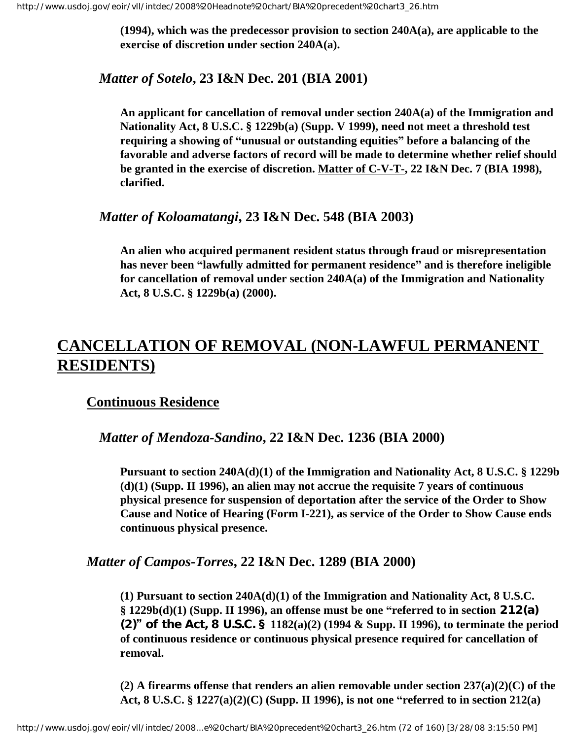**(1994), which was the predecessor provision to section 240A(a), are applicable to the exercise of discretion under section 240A(a).**

### *Matter of Sotelo***, 23 I&N Dec. 201 (BIA 2001)**

**An applicant for cancellation of removal under section 240A(a) of the Immigration and Nationality Act, 8 U.S.C. § 1229b(a) (Supp. V 1999), need not meet a threshold test requiring a showing of "unusual or outstanding equities" before a balancing of the favorable and adverse factors of record will be made to determine whether relief should be granted in the exercise of discretion. Matter of C-V-T-, 22 I&N Dec. 7 (BIA 1998), clarified.** 

### *Matter of Koloamatangi***, 23 I&N Dec. 548 (BIA 2003)**

**An alien who acquired permanent resident status through fraud or misrepresentation has never been "lawfully admitted for permanent residence" and is therefore ineligible for cancellation of removal under section 240A(a) of the Immigration and Nationality Act, 8 U.S.C. § 1229b(a) (2000).**

# **CANCELLATION OF REMOVAL (NON-LAWFUL PERMANENT RESIDENTS)**

## **Continuous Residence**

*Matter of Mendoza-Sandino***, 22 I&N Dec. 1236 (BIA 2000)**

**Pursuant to section 240A(d)(1) of the Immigration and Nationality Act, 8 U.S.C. § 1229b (d)(1) (Supp. II 1996), an alien may not accrue the requisite 7 years of continuous physical presence for suspension of deportation after the service of the Order to Show Cause and Notice of Hearing (Form I-221), as service of the Order to Show Cause ends continuous physical presence.**

#### *Matter of Campos-Torres***, 22 I&N Dec. 1289 (BIA 2000)**

**(1) Pursuant to section 240A(d)(1) of the Immigration and Nationality Act, 8 U.S.C. § 1229b(d)(1) (Supp. II 1996), an offense must be one "referred to in section 212(a) (2)" of the Act, 8 U.S.C. § 1182(a)(2) (1994 & Supp. II 1996), to terminate the period of continuous residence or continuous physical presence required for cancellation of removal.**

**(2) A firearms offense that renders an alien removable under section 237(a)(2)(C) of the Act, 8 U.S.C. § 1227(a)(2)(C) (Supp. II 1996), is not one "referred to in section 212(a)**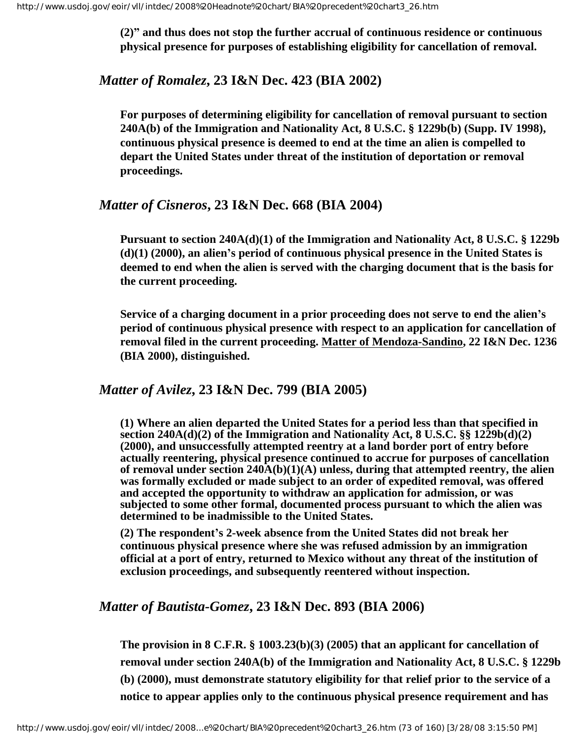**(2)" and thus does not stop the further accrual of continuous residence or continuous physical presence for purposes of establishing eligibility for cancellation of removal.**

#### *Matter of Romalez***, 23 I&N Dec. 423 (BIA 2002)**

**For purposes of determining eligibility for cancellation of removal pursuant to section 240A(b) of the Immigration and Nationality Act, 8 U.S.C. § 1229b(b) (Supp. IV 1998), continuous physical presence is deemed to end at the time an alien is compelled to depart the United States under threat of the institution of deportation or removal proceedings.**

#### *Matter of Cisneros***, 23 I&N Dec. 668 (BIA 2004)**

**Pursuant to section 240A(d)(1) of the Immigration and Nationality Act, 8 U.S.C. § 1229b (d)(1) (2000), an alien's period of continuous physical presence in the United States is deemed to end when the alien is served with the charging document that is the basis for the current proceeding.**

**Service of a charging document in a prior proceeding does not serve to end the alien's period of continuous physical presence with respect to an application for cancellation of removal filed in the current proceeding. Matter of Mendoza-Sandino, 22 I&N Dec. 1236 (BIA 2000), distinguished.**

#### *Matter of Avilez***, 23 I&N Dec. 799 (BIA 2005)**

**(1) Where an alien departed the United States for a period less than that specified in section 240A(d)(2) of the Immigration and Nationality Act, 8 U.S.C. §§ 1229b(d)(2) (2000), and unsuccessfully attempted reentry at a land border port of entry before actually reentering, physical presence continued to accrue for purposes of cancellation of removal under section 240A(b)(1)(A) unless, during that attempted reentry, the alien was formally excluded or made subject to an order of expedited removal, was offered and accepted the opportunity to withdraw an application for admission, or was subjected to some other formal, documented process pursuant to which the alien was determined to be inadmissible to the United States.** 

**(2) The respondent's 2-week absence from the United States did not break her continuous physical presence where she was refused admission by an immigration official at a port of entry, returned to Mexico without any threat of the institution of exclusion proceedings, and subsequently reentered without inspection.** 

#### *Matter of Bautista-Gomez***, 23 I&N Dec. 893 (BIA 2006)**

**The provision in 8 C.F.R. § 1003.23(b)(3) (2005) that an applicant for cancellation of removal under section 240A(b) of the Immigration and Nationality Act, 8 U.S.C. § 1229b (b) (2000), must demonstrate statutory eligibility for that relief prior to the service of a notice to appear applies only to the continuous physical presence requirement and has**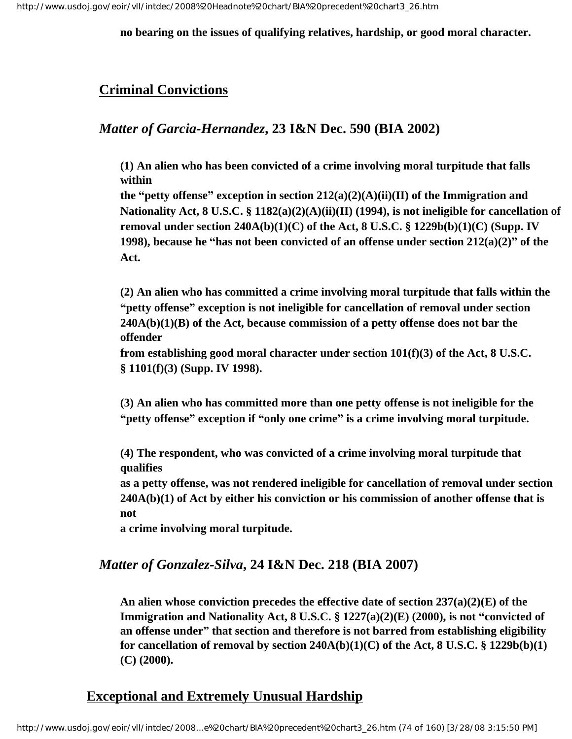**no bearing on the issues of qualifying relatives, hardship, or good moral character.**

## **Criminal Convictions**

## *Matter of Garcia-Hernandez***, 23 I&N Dec. 590 (BIA 2002)**

**(1) An alien who has been convicted of a crime involving moral turpitude that falls within**

**the "petty offense" exception in section 212(a)(2)(A)(ii)(II) of the Immigration and Nationality Act, 8 U.S.C. § 1182(a)(2)(A)(ii)(II) (1994), is not ineligible for cancellation of removal under section 240A(b)(1)(C) of the Act, 8 U.S.C. § 1229b(b)(1)(C) (Supp. IV 1998), because he "has not been convicted of an offense under section 212(a)(2)" of the Act.**

**(2) An alien who has committed a crime involving moral turpitude that falls within the "petty offense" exception is not ineligible for cancellation of removal under section 240A(b)(1)(B) of the Act, because commission of a petty offense does not bar the offender**

**from establishing good moral character under section 101(f)(3) of the Act, 8 U.S.C. § 1101(f)(3) (Supp. IV 1998).**

**(3) An alien who has committed more than one petty offense is not ineligible for the "petty offense" exception if "only one crime" is a crime involving moral turpitude.**

**(4) The respondent, who was convicted of a crime involving moral turpitude that qualifies**

**as a petty offense, was not rendered ineligible for cancellation of removal under section 240A(b)(1) of Act by either his conviction or his commission of another offense that is not**

**a crime involving moral turpitude.**

## *Matter of Gonzalez-Silva***, 24 I&N Dec. 218 (BIA 2007)**

**An alien whose conviction precedes the effective date of section 237(a)(2)(E) of the Immigration and Nationality Act, 8 U.S.C. § 1227(a)(2)(E) (2000), is not "convicted of an offense under" that section and therefore is not barred from establishing eligibility for cancellation of removal by section 240A(b)(1)(C) of the Act, 8 U.S.C. § 1229b(b)(1) (C) (2000).**

## **Exceptional and Extremely Unusual Hardship**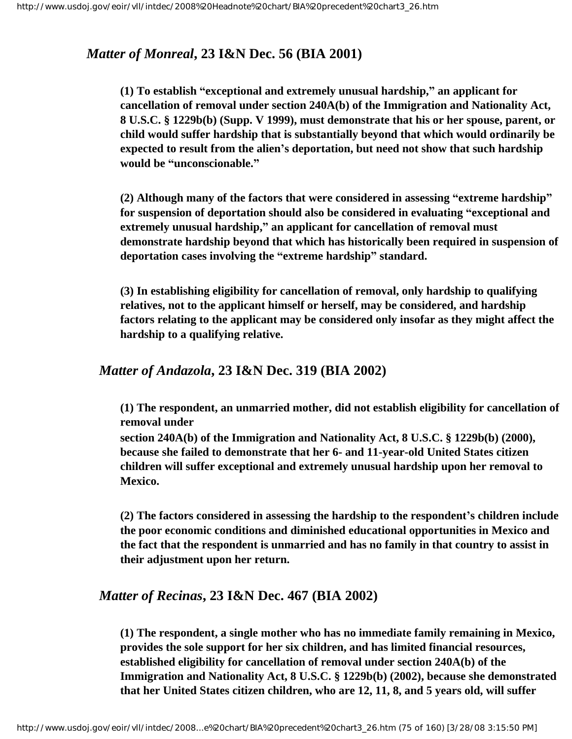### *Matter of Monreal***, 23 I&N Dec. 56 (BIA 2001)**

**(1) To establish "exceptional and extremely unusual hardship," an applicant for cancellation of removal under section 240A(b) of the Immigration and Nationality Act, 8 U.S.C. § 1229b(b) (Supp. V 1999), must demonstrate that his or her spouse, parent, or child would suffer hardship that is substantially beyond that which would ordinarily be expected to result from the alien's deportation, but need not show that such hardship would be "unconscionable."**

**(2) Although many of the factors that were considered in assessing "extreme hardship" for suspension of deportation should also be considered in evaluating "exceptional and extremely unusual hardship," an applicant for cancellation of removal must demonstrate hardship beyond that which has historically been required in suspension of deportation cases involving the "extreme hardship" standard.** 

**(3) In establishing eligibility for cancellation of removal, only hardship to qualifying relatives, not to the applicant himself or herself, may be considered, and hardship factors relating to the applicant may be considered only insofar as they might affect the hardship to a qualifying relative.**

#### *Matter of Andazola***, 23 I&N Dec. 319 (BIA 2002)**

**(1) The respondent, an unmarried mother, did not establish eligibility for cancellation of removal under**

**section 240A(b) of the Immigration and Nationality Act, 8 U.S.C. § 1229b(b) (2000), because she failed to demonstrate that her 6- and 11-year-old United States citizen children will suffer exceptional and extremely unusual hardship upon her removal to Mexico.**

**(2) The factors considered in assessing the hardship to the respondent's children include the poor economic conditions and diminished educational opportunities in Mexico and the fact that the respondent is unmarried and has no family in that country to assist in their adjustment upon her return.**

#### *Matter of Recinas***, 23 I&N Dec. 467 (BIA 2002)**

**(1) The respondent, a single mother who has no immediate family remaining in Mexico, provides the sole support for her six children, and has limited financial resources, established eligibility for cancellation of removal under section 240A(b) of the Immigration and Nationality Act, 8 U.S.C. § 1229b(b) (2002), because she demonstrated that her United States citizen children, who are 12, 11, 8, and 5 years old, will suffer**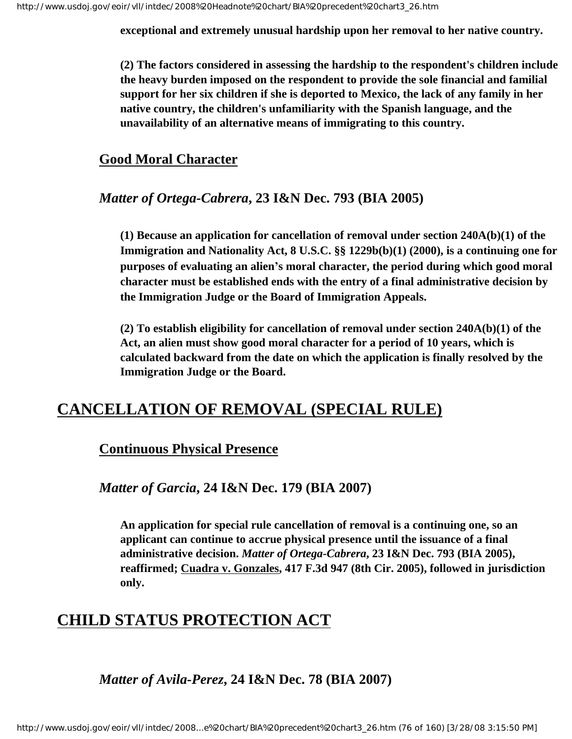**exceptional and extremely unusual hardship upon her removal to her native country.**

**(2) The factors considered in assessing the hardship to the respondent's children include the heavy burden imposed on the respondent to provide the sole financial and familial support for her six children if she is deported to Mexico, the lack of any family in her native country, the children's unfamiliarity with the Spanish language, and the unavailability of an alternative means of immigrating to this country.**

### **Good Moral Character**

## *Matter of Ortega-Cabrera***, 23 I&N Dec. 793 (BIA 2005)**

**(1) Because an application for cancellation of removal under section 240A(b)(1) of the Immigration and Nationality Act, 8 U.S.C. §§ 1229b(b)(1) (2000), is a continuing one for purposes of evaluating an alien's moral character, the period during which good moral character must be established ends with the entry of a final administrative decision by the Immigration Judge or the Board of Immigration Appeals.** 

**(2) To establish eligibility for cancellation of removal under section 240A(b)(1) of the Act, an alien must show good moral character for a period of 10 years, which is calculated backward from the date on which the application is finally resolved by the Immigration Judge or the Board.** 

# **CANCELLATION OF REMOVAL (SPECIAL RULE)**

## **Continuous Physical Presence**

*Matter of Garcia***, 24 I&N Dec. 179 (BIA 2007)**

**An application for special rule cancellation of removal is a continuing one, so an applicant can continue to accrue physical presence until the issuance of a final administrative decision.** *Matter of Ortega-Cabrera***, 23 I&N Dec. 793 (BIA 2005), reaffirmed; Cuadra v. Gonzales, 417 F.3d 947 (8th Cir. 2005), followed in jurisdiction only.**

# **CHILD STATUS PROTECTION ACT**

## *Matter of Avila-Perez***, 24 I&N Dec. 78 (BIA 2007)**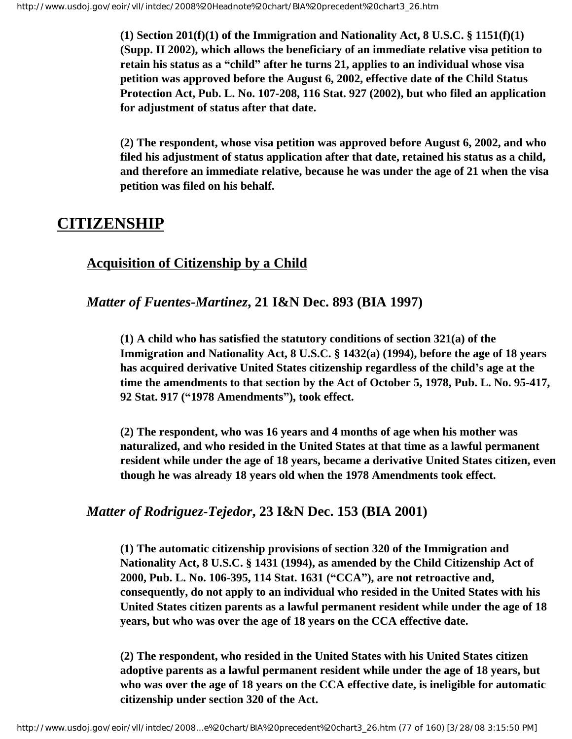**(1) Section 201(f)(1) of the Immigration and Nationality Act, 8 U.S.C. § 1151(f)(1) (Supp. II 2002), which allows the beneficiary of an immediate relative visa petition to retain his status as a "child" after he turns 21, applies to an individual whose visa petition was approved before the August 6, 2002, effective date of the Child Status Protection Act, Pub. L. No. 107-208, 116 Stat. 927 (2002), but who filed an application for adjustment of status after that date.** 

**(2) The respondent, whose visa petition was approved before August 6, 2002, and who filed his adjustment of status application after that date, retained his status as a child, and therefore an immediate relative, because he was under the age of 21 when the visa petition was filed on his behalf.**

# **CITIZENSHIP**

## **Acquisition of Citizenship by a Child**

## *Matter of Fuentes-Martinez***, 21 I&N Dec. 893 (BIA 1997)**

**(1) A child who has satisfied the statutory conditions of section 321(a) of the Immigration and Nationality Act, 8 U.S.C. § 1432(a) (1994), before the age of 18 years has acquired derivative United States citizenship regardless of the child's age at the time the amendments to that section by the Act of October 5, 1978, Pub. L. No. 95-417, 92 Stat. 917 ("1978 Amendments"), took effect.**

**(2) The respondent, who was 16 years and 4 months of age when his mother was naturalized, and who resided in the United States at that time as a lawful permanent resident while under the age of 18 years, became a derivative United States citizen, even though he was already 18 years old when the 1978 Amendments took effect.**

## *Matter of Rodriguez-Tejedor***, 23 I&N Dec. 153 (BIA 2001)**

**(1) The automatic citizenship provisions of section 320 of the Immigration and Nationality Act, 8 U.S.C. § 1431 (1994), as amended by the Child Citizenship Act of 2000, Pub. L. No. 106-395, 114 Stat. 1631 ("CCA"), are not retroactive and, consequently, do not apply to an individual who resided in the United States with his United States citizen parents as a lawful permanent resident while under the age of 18 years, but who was over the age of 18 years on the CCA effective date.**

**(2) The respondent, who resided in the United States with his United States citizen adoptive parents as a lawful permanent resident while under the age of 18 years, but who was over the age of 18 years on the CCA effective date, is ineligible for automatic citizenship under section 320 of the Act.**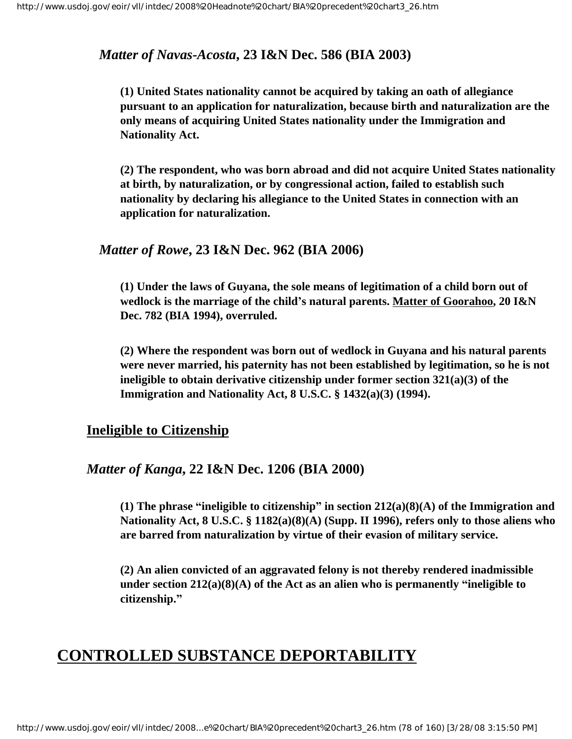#### *Matter of Navas-Acosta***, 23 I&N Dec. 586 (BIA 2003)**

**(1) United States nationality cannot be acquired by taking an oath of allegiance pursuant to an application for naturalization, because birth and naturalization are the only means of acquiring United States nationality under the Immigration and Nationality Act.**

**(2) The respondent, who was born abroad and did not acquire United States nationality at birth, by naturalization, or by congressional action, failed to establish such nationality by declaring his allegiance to the United States in connection with an application for naturalization.**

#### *Matter of Rowe***, 23 I&N Dec. 962 (BIA 2006)**

**(1) Under the laws of Guyana, the sole means of legitimation of a child born out of wedlock is the marriage of the child's natural parents. Matter of Goorahoo, 20 I&N Dec. 782 (BIA 1994), overruled.**

**(2) Where the respondent was born out of wedlock in Guyana and his natural parents were never married, his paternity has not been established by legitimation, so he is not ineligible to obtain derivative citizenship under former section 321(a)(3) of the Immigration and Nationality Act, 8 U.S.C. § 1432(a)(3) (1994).**

#### **Ineligible to Citizenship**

#### *Matter of Kanga***, 22 I&N Dec. 1206 (BIA 2000)**

**(1) The phrase "ineligible to citizenship" in section 212(a)(8)(A) of the Immigration and Nationality Act, 8 U.S.C. § 1182(a)(8)(A) (Supp. II 1996), refers only to those aliens who are barred from naturalization by virtue of their evasion of military service.**

**(2) An alien convicted of an aggravated felony is not thereby rendered inadmissible under section 212(a)(8)(A) of the Act as an alien who is permanently "ineligible to citizenship."**

# **CONTROLLED SUBSTANCE DEPORTABILITY**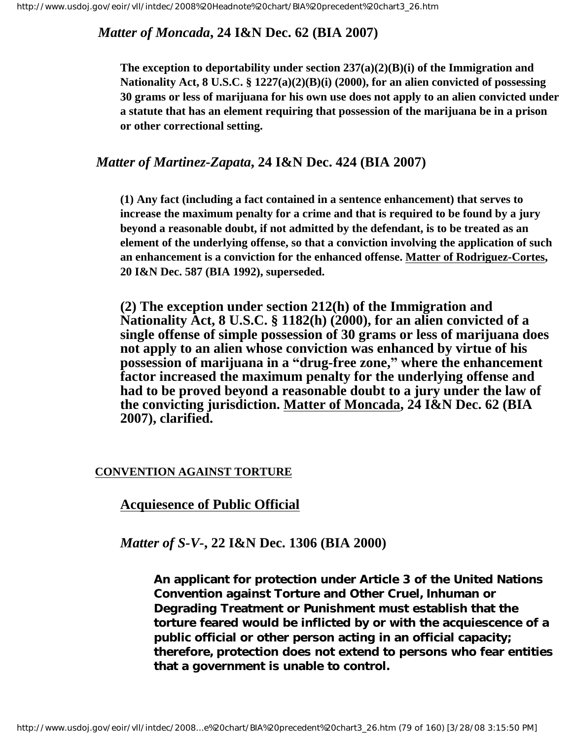*Matter of Moncada***, 24 I&N Dec. 62 (BIA 2007)**

**The exception to deportability under section 237(a)(2)(B)(i) of the Immigration and Nationality Act, 8 U.S.C. § 1227(a)(2)(B)(i) (2000), for an alien convicted of possessing 30 grams or less of marijuana for his own use does not apply to an alien convicted under a statute that has an element requiring that possession of the marijuana be in a prison or other correctional setting.**

## *Matter of Martinez-Zapata***, 24 I&N Dec. 424 (BIA 2007)**

**(1) Any fact (including a fact contained in a sentence enhancement) that serves to increase the maximum penalty for a crime and that is required to be found by a jury beyond a reasonable doubt, if not admitted by the defendant, is to be treated as an element of the underlying offense, so that a conviction involving the application of such an enhancement is a conviction for the enhanced offense. Matter of Rodriguez-Cortes, 20 I&N Dec. 587 (BIA 1992), superseded.** 

**(2) The exception under section 212(h) of the Immigration and Nationality Act, 8 U.S.C. § 1182(h) (2000), for an alien convicted of a single offense of simple possession of 30 grams or less of marijuana does not apply to an alien whose conviction was enhanced by virtue of his possession of marijuana in a "drug-free zone," where the enhancement factor increased the maximum penalty for the underlying offense and had to be proved beyond a reasonable doubt to a jury under the law of the convicting jurisdiction. Matter of Moncada, 24 I&N Dec. 62 (BIA 2007), clarified.**

#### **CONVENTION AGAINST TORTURE**

## **Acquiesence of Public Official**

#### *Matter of S-V-***, 22 I&N Dec. 1306 (BIA 2000)**

**An applicant for protection under Article 3 of the United Nations Convention against Torture and Other Cruel, Inhuman or Degrading Treatment or Punishment must establish that the torture feared would be inflicted by or with the acquiescence of a public official or other person acting in an official capacity; therefore, protection does not extend to persons who fear entities that a government is unable to control.**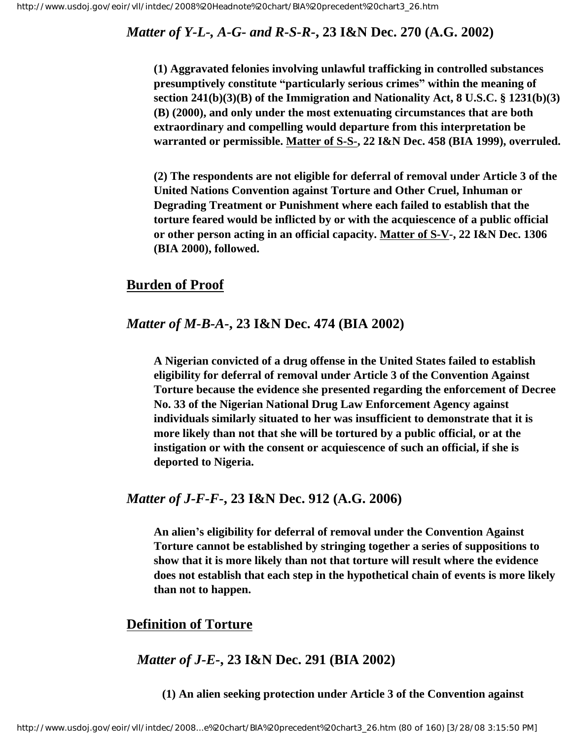## *Matter of Y-L-, A-G- and R-S-R-***, 23 I&N Dec. 270 (A.G. 2002)**

**(1) Aggravated felonies involving unlawful trafficking in controlled substances presumptively constitute "particularly serious crimes" within the meaning of section 241(b)(3)(B) of the Immigration and Nationality Act, 8 U.S.C. § 1231(b)(3) (B) (2000), and only under the most extenuating circumstances that are both extraordinary and compelling would departure from this interpretation be warranted or permissible. Matter of S-S-, 22 I&N Dec. 458 (BIA 1999), overruled.**

**(2) The respondents are not eligible for deferral of removal under Article 3 of the United Nations Convention against Torture and Other Cruel, Inhuman or Degrading Treatment or Punishment where each failed to establish that the torture feared would be inflicted by or with the acquiescence of a public official or other person acting in an official capacity. Matter of S-V-, 22 I&N Dec. 1306 (BIA 2000), followed.** 

#### **Burden of Proof**

#### *Matter of M-B-A-***, 23 I&N Dec. 474 (BIA 2002)**

**A Nigerian convicted of a drug offense in the United States failed to establish eligibility for deferral of removal under Article 3 of the Convention Against Torture because the evidence she presented regarding the enforcement of Decree No. 33 of the Nigerian National Drug Law Enforcement Agency against individuals similarly situated to her was insufficient to demonstrate that it is more likely than not that she will be tortured by a public official, or at the instigation or with the consent or acquiescence of such an official, if she is deported to Nigeria.**

#### *Matter of J-F-F-***, 23 I&N Dec. 912 (A.G. 2006)**

**An alien's eligibility for deferral of removal under the Convention Against Torture cannot be established by stringing together a series of suppositions to show that it is more likely than not that torture will result where the evidence does not establish that each step in the hypothetical chain of events is more likely than not to happen.** 

#### **Definition of Torture**

## *Matter of J-E-***, 23 I&N Dec. 291 (BIA 2002)**

**(1) An alien seeking protection under Article 3 of the Convention against**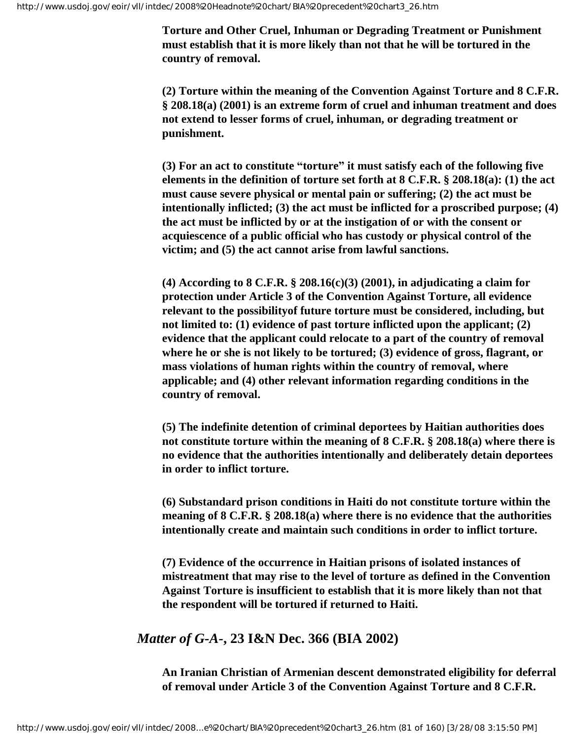**Torture and Other Cruel, Inhuman or Degrading Treatment or Punishment must establish that it is more likely than not that he will be tortured in the country of removal.**

**(2) Torture within the meaning of the Convention Against Torture and 8 C.F.R. § 208.18(a) (2001) is an extreme form of cruel and inhuman treatment and does not extend to lesser forms of cruel, inhuman, or degrading treatment or punishment.**

**(3) For an act to constitute "torture" it must satisfy each of the following five elements in the definition of torture set forth at 8 C.F.R. § 208.18(a): (1) the act must cause severe physical or mental pain or suffering; (2) the act must be intentionally inflicted; (3) the act must be inflicted for a proscribed purpose; (4) the act must be inflicted by or at the instigation of or with the consent or acquiescence of a public official who has custody or physical control of the victim; and (5) the act cannot arise from lawful sanctions.**

**(4) According to 8 C.F.R. § 208.16(c)(3) (2001), in adjudicating a claim for protection under Article 3 of the Convention Against Torture, all evidence relevant to the possibilityof future torture must be considered, including, but not limited to: (1) evidence of past torture inflicted upon the applicant; (2) evidence that the applicant could relocate to a part of the country of removal where he or she is not likely to be tortured; (3) evidence of gross, flagrant, or mass violations of human rights within the country of removal, where applicable; and (4) other relevant information regarding conditions in the country of removal.**

**(5) The indefinite detention of criminal deportees by Haitian authorities does not constitute torture within the meaning of 8 C.F.R. § 208.18(a) where there is no evidence that the authorities intentionally and deliberately detain deportees in order to inflict torture.**

**(6) Substandard prison conditions in Haiti do not constitute torture within the meaning of 8 C.F.R. § 208.18(a) where there is no evidence that the authorities intentionally create and maintain such conditions in order to inflict torture.**

**(7) Evidence of the occurrence in Haitian prisons of isolated instances of mistreatment that may rise to the level of torture as defined in the Convention Against Torture is insufficient to establish that it is more likely than not that the respondent will be tortured if returned to Haiti.**

## *Matter of G-A-***, 23 I&N Dec. 366 (BIA 2002)**

**An Iranian Christian of Armenian descent demonstrated eligibility for deferral of removal under Article 3 of the Convention Against Torture and 8 C.F.R.**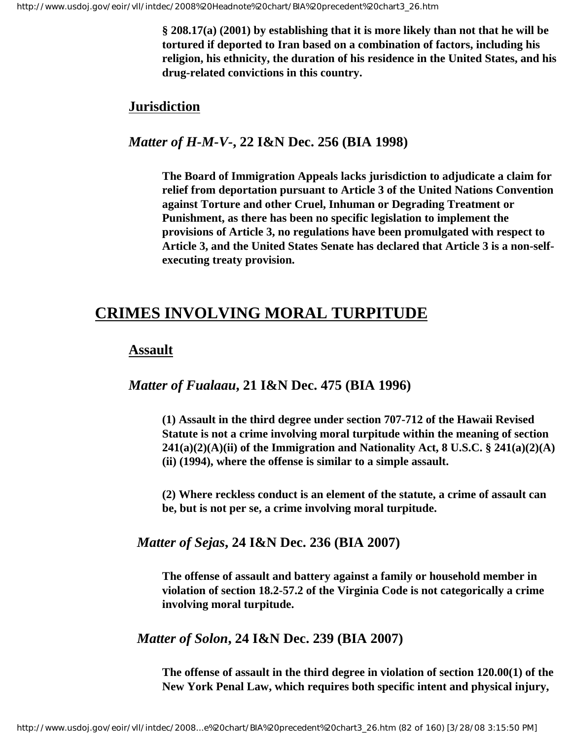**§ 208.17(a) (2001) by establishing that it is more likely than not that he will be tortured if deported to Iran based on a combination of factors, including his religion, his ethnicity, the duration of his residence in the United States, and his drug-related convictions in this country.**

#### **Jurisdiction**

#### *Matter of H-M-V-***, 22 I&N Dec. 256 (BIA 1998)**

**The Board of Immigration Appeals lacks jurisdiction to adjudicate a claim for relief from deportation pursuant to Article 3 of the United Nations Convention against Torture and other Cruel, Inhuman or Degrading Treatment or Punishment, as there has been no specific legislation to implement the provisions of Article 3, no regulations have been promulgated with respect to Article 3, and the United States Senate has declared that Article 3 is a non-selfexecuting treaty provision.**

# **CRIMES INVOLVING MORAL TURPITUDE**

#### **Assault**

#### *Matter of Fualaau***, 21 I&N Dec. 475 (BIA 1996)**

**(1) Assault in the third degree under section 707-712 of the Hawaii Revised Statute is not a crime involving moral turpitude within the meaning of section 241(a)(2)(A)(ii) of the Immigration and Nationality Act, 8 U.S.C. § 241(a)(2)(A) (ii) (1994), where the offense is similar to a simple assault.**

**(2) Where reckless conduct is an element of the statute, a crime of assault can be, but is not per se, a crime involving moral turpitude.**

#### *Matter of Sejas***, 24 I&N Dec. 236 (BIA 2007)**

**The offense of assault and battery against a family or household member in violation of section 18.2-57.2 of the Virginia Code is not categorically a crime involving moral turpitude.**

#### *Matter of Solon***, 24 I&N Dec. 239 (BIA 2007)**

**The offense of assault in the third degree in violation of section 120.00(1) of the New York Penal Law, which requires both specific intent and physical injury,**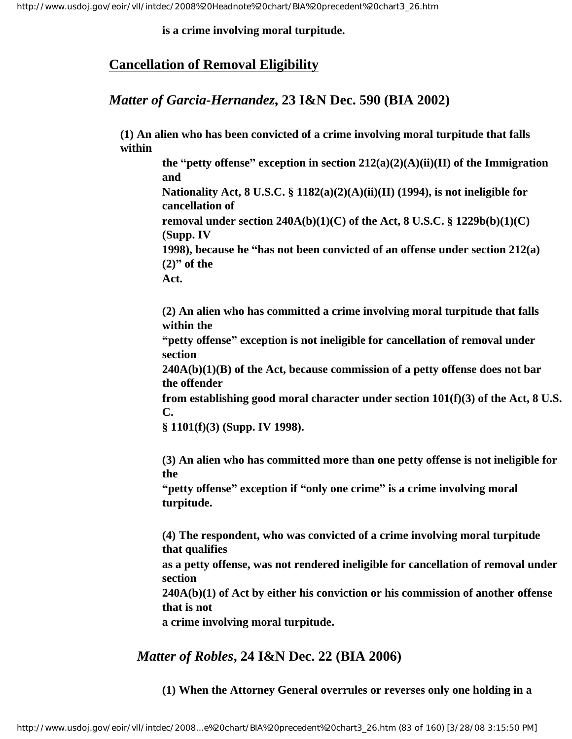**is a crime involving moral turpitude.**

## **Cancellation of Removal Eligibility**

## *Matter of Garcia-Hernandez***, 23 I&N Dec. 590 (BIA 2002)**

**(1) An alien who has been convicted of a crime involving moral turpitude that falls within**

**the "petty offense" exception in section**  $212(a)(2)(A)(ii)(II)$  **of the Immigration and Nationality Act, 8 U.S.C. § 1182(a)(2)(A)(ii)(II) (1994), is not ineligible for cancellation of removal under section 240A(b)(1)(C) of the Act, 8 U.S.C. § 1229b(b)(1)(C) (Supp. IV 1998), because he "has not been convicted of an offense under section 212(a) (2)" of the Act.**

**(2) An alien who has committed a crime involving moral turpitude that falls within the**

**"petty offense" exception is not ineligible for cancellation of removal under section**

**240A(b)(1)(B) of the Act, because commission of a petty offense does not bar the offender**

**from establishing good moral character under section 101(f)(3) of the Act, 8 U.S. C.**

**§ 1101(f)(3) (Supp. IV 1998).**

**(3) An alien who has committed more than one petty offense is not ineligible for the**

**"petty offense" exception if "only one crime" is a crime involving moral turpitude.**

**(4) The respondent, who was convicted of a crime involving moral turpitude that qualifies as a petty offense, was not rendered ineligible for cancellation of removal under section 240A(b)(1) of Act by either his conviction or his commission of another offense that is not a crime involving moral turpitude.**

*Matter of Robles***, 24 I&N Dec. 22 (BIA 2006)**

**(1) When the Attorney General overrules or reverses only one holding in a**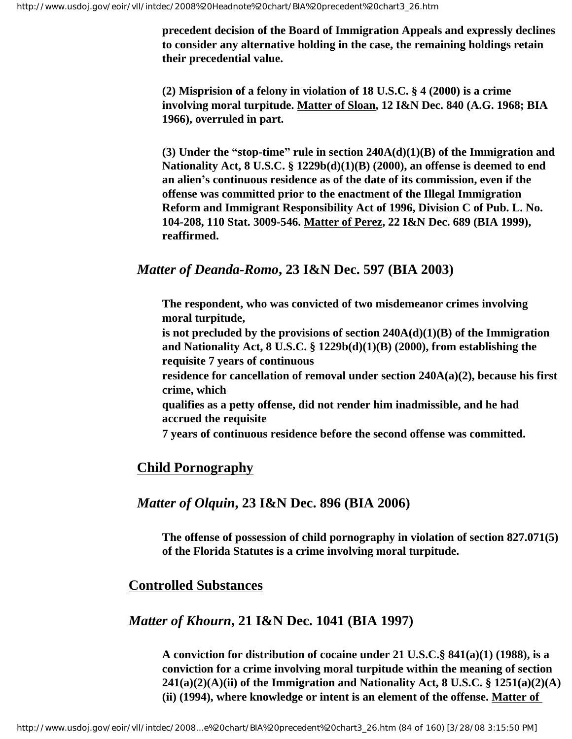**precedent decision of the Board of Immigration Appeals and expressly declines to consider any alternative holding in the case, the remaining holdings retain their precedential value.**

**(2) Misprision of a felony in violation of 18 U.S.C. § 4 (2000) is a crime involving moral turpitude. Matter of Sloan, 12 I&N Dec. 840 (A.G. 1968; BIA 1966), overruled in part.**

**(3) Under the "stop-time" rule in section 240A(d)(1)(B) of the Immigration and Nationality Act, 8 U.S.C. § 1229b(d)(1)(B) (2000), an offense is deemed to end an alien's continuous residence as of the date of its commission, even if the offense was committed prior to the enactment of the Illegal Immigration Reform and Immigrant Responsibility Act of 1996, Division C of Pub. L. No. 104-208, 110 Stat. 3009-546. Matter of Perez, 22 I&N Dec. 689 (BIA 1999), reaffirmed.**

#### *Matter of Deanda-Romo***, 23 I&N Dec. 597 (BIA 2003)**

**The respondent, who was convicted of two misdemeanor crimes involving moral turpitude,**

**is not precluded by the provisions of section 240A(d)(1)(B) of the Immigration and Nationality Act, 8 U.S.C. § 1229b(d)(1)(B) (2000), from establishing the requisite 7 years of continuous**

**residence for cancellation of removal under section 240A(a)(2), because his first crime, which**

**qualifies as a petty offense, did not render him inadmissible, and he had accrued the requisite**

**7 years of continuous residence before the second offense was committed.**

#### **Child Pornography**

#### *Matter of Olquin***, 23 I&N Dec. 896 (BIA 2006)**

**The offense of possession of child pornography in violation of section 827.071(5) of the Florida Statutes is a crime involving moral turpitude.**

#### **Controlled Substances**

#### *Matter of Khourn***, 21 I&N Dec. 1041 (BIA 1997)**

**A conviction for distribution of cocaine under 21 U.S.C.§ 841(a)(1) (1988), is a conviction for a crime involving moral turpitude within the meaning of section 241(a)(2)(A)(ii) of the Immigration and Nationality Act, 8 U.S.C. § 1251(a)(2)(A) (ii) (1994), where knowledge or intent is an element of the offense. Matter of**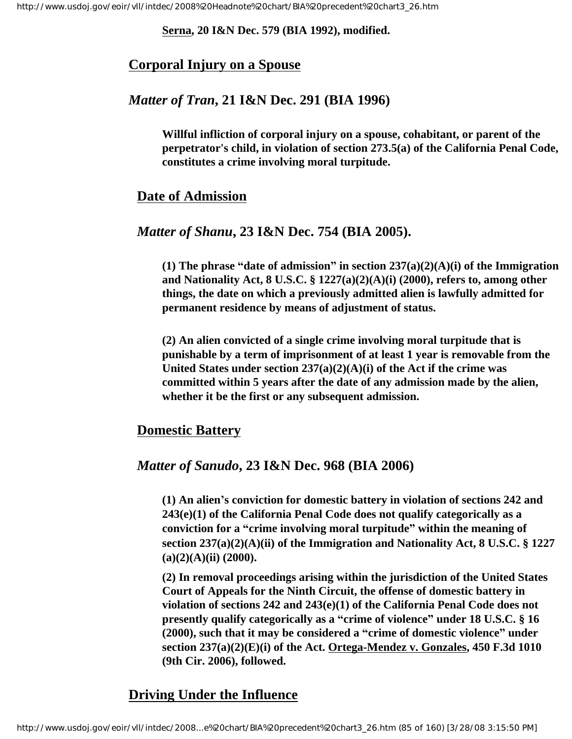#### **Serna, 20 I&N Dec. 579 (BIA 1992), modified.**

#### **Corporal Injury on a Spouse**

#### *Matter of Tran***, 21 I&N Dec. 291 (BIA 1996)**

**Willful infliction of corporal injury on a spouse, cohabitant, or parent of the perpetrator's child, in violation of section 273.5(a) of the California Penal Code, constitutes a crime involving moral turpitude.**

#### **Date of Admission**

#### *Matter of Shanu***, 23 I&N Dec. 754 (BIA 2005).**

**(1) The phrase "date of admission" in section 237(a)(2)(A)(i) of the Immigration and Nationality Act, 8 U.S.C. § 1227(a)(2)(A)(i) (2000), refers to, among other things, the date on which a previously admitted alien is lawfully admitted for permanent residence by means of adjustment of status.**

**(2) An alien convicted of a single crime involving moral turpitude that is punishable by a term of imprisonment of at least 1 year is removable from the United States under section 237(a)(2)(A)(i) of the Act if the crime was committed within 5 years after the date of any admission made by the alien, whether it be the first or any subsequent admission.**

#### **Domestic Battery**

#### *Matter of Sanudo***, 23 I&N Dec. 968 (BIA 2006)**

**(1) An alien's conviction for domestic battery in violation of sections 242 and 243(e)(1) of the California Penal Code does not qualify categorically as a conviction for a "crime involving moral turpitude" within the meaning of section 237(a)(2)(A)(ii) of the Immigration and Nationality Act, 8 U.S.C. § 1227 (a)(2)(A)(ii) (2000).** 

**(2) In removal proceedings arising within the jurisdiction of the United States Court of Appeals for the Ninth Circuit, the offense of domestic battery in violation of sections 242 and 243(e)(1) of the California Penal Code does not presently qualify categorically as a "crime of violence" under 18 U.S.C. § 16 (2000), such that it may be considered a "crime of domestic violence" under section 237(a)(2)(E)(i) of the Act. Ortega-Mendez v. Gonzales, 450 F.3d 1010 (9th Cir. 2006), followed.** 

## **Driving Under the Influence**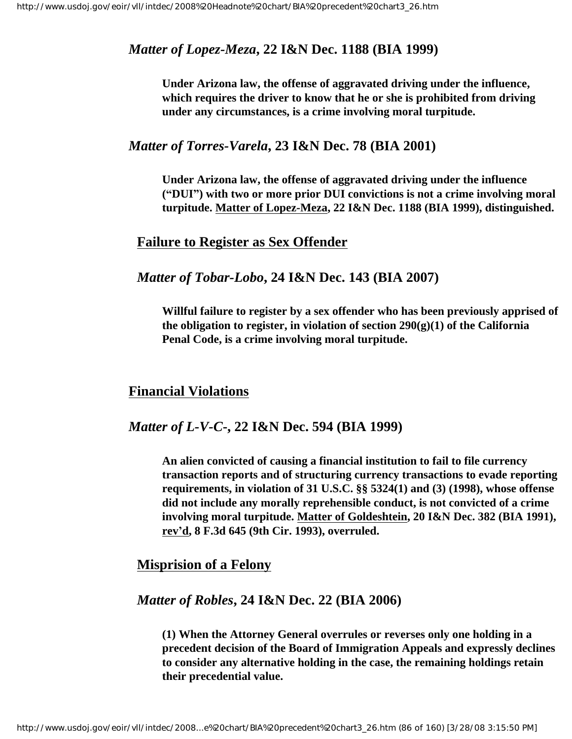### *Matter of Lopez-Meza***, 22 I&N Dec. 1188 (BIA 1999)**

**Under Arizona law, the offense of aggravated driving under the influence, which requires the driver to know that he or she is prohibited from driving under any circumstances, is a crime involving moral turpitude.**

#### *Matter of Torres-Varela***, 23 I&N Dec. 78 (BIA 2001)**

**Under Arizona law, the offense of aggravated driving under the influence ("DUI") with two or more prior DUI convictions is not a crime involving moral turpitude. Matter of Lopez-Meza, 22 I&N Dec. 1188 (BIA 1999), distinguished.**

#### **Failure to Register as Sex Offender**

#### *Matter of Tobar-Lobo***, 24 I&N Dec. 143 (BIA 2007)**

**Willful failure to register by a sex offender who has been previously apprised of the obligation to register, in violation of section 290(g)(1) of the California Penal Code, is a crime involving moral turpitude.**

#### **Financial Violations**

#### *Matter of L-V-C***-, 22 I&N Dec. 594 (BIA 1999)**

**An alien convicted of causing a financial institution to fail to file currency transaction reports and of structuring currency transactions to evade reporting requirements, in violation of 31 U.S.C. §§ 5324(1) and (3) (1998), whose offense did not include any morally reprehensible conduct, is not convicted of a crime involving moral turpitude. Matter of Goldeshtein, 20 I&N Dec. 382 (BIA 1991), rev'd, 8 F.3d 645 (9th Cir. 1993), overruled.**

#### **Misprision of a Felony**

#### *Matter of Robles***, 24 I&N Dec. 22 (BIA 2006)**

**(1) When the Attorney General overrules or reverses only one holding in a precedent decision of the Board of Immigration Appeals and expressly declines to consider any alternative holding in the case, the remaining holdings retain their precedential value.**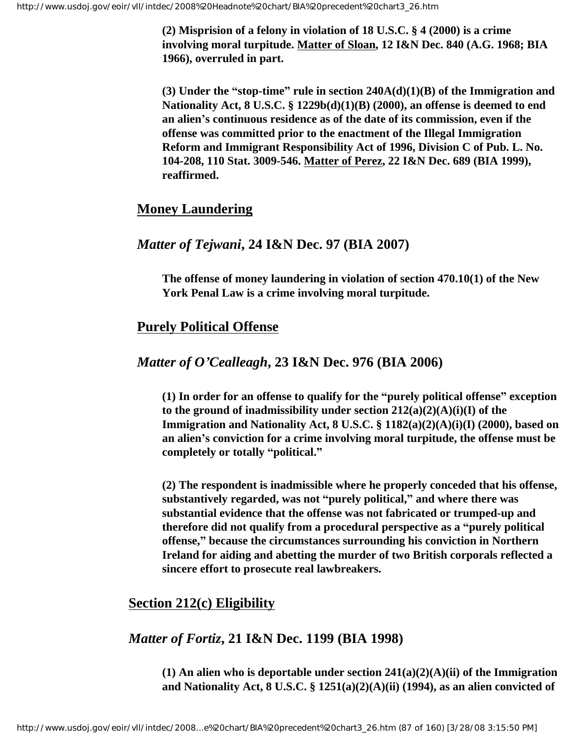**(2) Misprision of a felony in violation of 18 U.S.C. § 4 (2000) is a crime involving moral turpitude. Matter of Sloan, 12 I&N Dec. 840 (A.G. 1968; BIA 1966), overruled in part.**

**(3) Under the "stop-time" rule in section 240A(d)(1)(B) of the Immigration and Nationality Act, 8 U.S.C. § 1229b(d)(1)(B) (2000), an offense is deemed to end an alien's continuous residence as of the date of its commission, even if the offense was committed prior to the enactment of the Illegal Immigration Reform and Immigrant Responsibility Act of 1996, Division C of Pub. L. No. 104-208, 110 Stat. 3009-546. Matter of Perez, 22 I&N Dec. 689 (BIA 1999), reaffirmed.**

#### **Money Laundering**

#### *Matter of Tejwani***, 24 I&N Dec. 97 (BIA 2007)**

**The offense of money laundering in violation of section 470.10(1) of the New York Penal Law is a crime involving moral turpitude.** 

#### **Purely Political Offense**

#### *Matter of O'Cealleagh***, 23 I&N Dec. 976 (BIA 2006)**

**(1) In order for an offense to qualify for the "purely political offense" exception to the ground of inadmissibility under section 212(a)(2)(A)(i)(I) of the Immigration and Nationality Act, 8 U.S.C. § 1182(a)(2)(A)(i)(I) (2000), based on an alien's conviction for a crime involving moral turpitude, the offense must be completely or totally "political."**

**(2) The respondent is inadmissible where he properly conceded that his offense, substantively regarded, was not "purely political," and where there was substantial evidence that the offense was not fabricated or trumped-up and therefore did not qualify from a procedural perspective as a "purely political offense," because the circumstances surrounding his conviction in Northern Ireland for aiding and abetting the murder of two British corporals reflected a sincere effort to prosecute real lawbreakers.** 

## **Section 212(c) Eligibility**

#### *Matter of Fortiz***, 21 I&N Dec. 1199 (BIA 1998)**

**(1) An alien who is deportable under section 241(a)(2)(A)(ii) of the Immigration and Nationality Act, 8 U.S.C. § 1251(a)(2)(A)(ii) (1994), as an alien convicted of**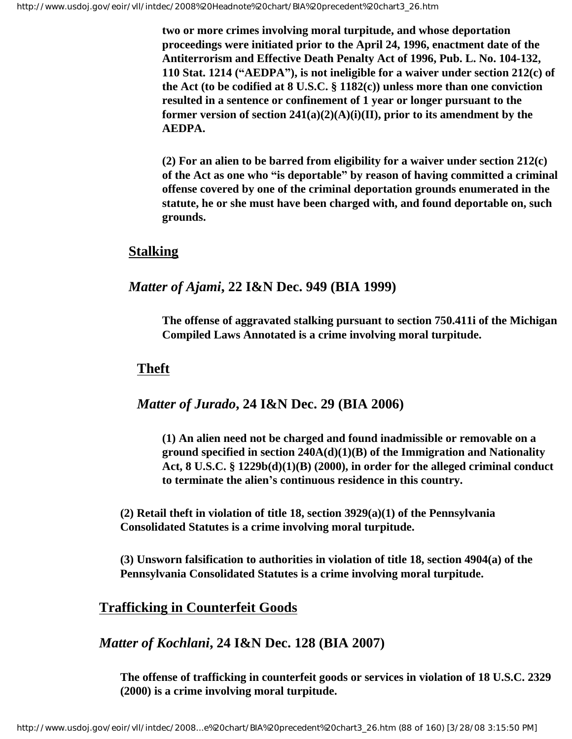**two or more crimes involving moral turpitude, and whose deportation proceedings were initiated prior to the April 24, 1996, enactment date of the Antiterrorism and Effective Death Penalty Act of 1996, Pub. L. No. 104-132, 110 Stat. 1214 ("AEDPA"), is not ineligible for a waiver under section 212(c) of the Act (to be codified at 8 U.S.C. § 1182(c)) unless more than one conviction resulted in a sentence or confinement of 1 year or longer pursuant to the former version of section 241(a)(2)(A)(i)(II), prior to its amendment by the AEDPA.**

**(2) For an alien to be barred from eligibility for a waiver under section 212(c) of the Act as one who "is deportable" by reason of having committed a criminal offense covered by one of the criminal deportation grounds enumerated in the statute, he or she must have been charged with, and found deportable on, such grounds.** 

#### **Stalking**

#### *Matter of Ajami***, 22 I&N Dec. 949 (BIA 1999)**

**The offense of aggravated stalking pursuant to section 750.411i of the Michigan Compiled Laws Annotated is a crime involving moral turpitude.**

#### **Theft**

#### *Matter of Jurado***, 24 I&N Dec. 29 (BIA 2006)**

**(1) An alien need not be charged and found inadmissible or removable on a ground specified in section 240A(d)(1)(B) of the Immigration and Nationality Act, 8 U.S.C. § 1229b(d)(1)(B) (2000), in order for the alleged criminal conduct to terminate the alien's continuous residence in this country.**

**(2) Retail theft in violation of title 18, section 3929(a)(1) of the Pennsylvania Consolidated Statutes is a crime involving moral turpitude.**

**(3) Unsworn falsification to authorities in violation of title 18, section 4904(a) of the Pennsylvania Consolidated Statutes is a crime involving moral turpitude.**

#### **Trafficking in Counterfeit Goods**

#### *Matter of Kochlani***, 24 I&N Dec. 128 (BIA 2007)**

**The offense of trafficking in counterfeit goods or services in violation of 18 U.S.C. 2329 (2000) is a crime involving moral turpitude.**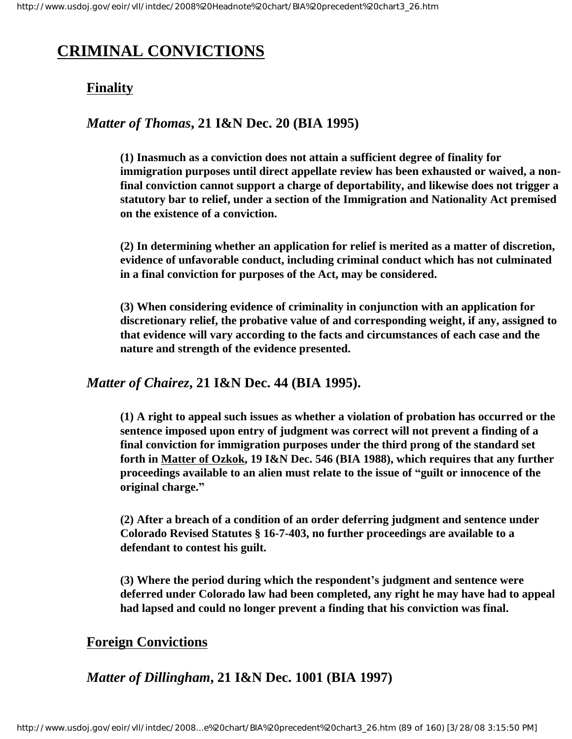# **CRIMINAL CONVICTIONS**

## **Finality**

## *Matter of Thomas***, 21 I&N Dec. 20 (BIA 1995)**

**(1) Inasmuch as a conviction does not attain a sufficient degree of finality for immigration purposes until direct appellate review has been exhausted or waived, a nonfinal conviction cannot support a charge of deportability, and likewise does not trigger a statutory bar to relief, under a section of the Immigration and Nationality Act premised on the existence of a conviction.** 

**(2) In determining whether an application for relief is merited as a matter of discretion, evidence of unfavorable conduct, including criminal conduct which has not culminated in a final conviction for purposes of the Act, may be considered.** 

**(3) When considering evidence of criminality in conjunction with an application for discretionary relief, the probative value of and corresponding weight, if any, assigned to that evidence will vary according to the facts and circumstances of each case and the nature and strength of the evidence presented.** 

#### *Matter of Chairez***, 21 I&N Dec. 44 (BIA 1995).**

**(1) A right to appeal such issues as whether a violation of probation has occurred or the sentence imposed upon entry of judgment was correct will not prevent a finding of a final conviction for immigration purposes under the third prong of the standard set forth in Matter of Ozkok, 19 I&N Dec. 546 (BIA 1988), which requires that any further proceedings available to an alien must relate to the issue of "guilt or innocence of the original charge."**

**(2) After a breach of a condition of an order deferring judgment and sentence under Colorado Revised Statutes § 16-7-403, no further proceedings are available to a defendant to contest his guilt.** 

**(3) Where the period during which the respondent's judgment and sentence were deferred under Colorado law had been completed, any right he may have had to appeal had lapsed and could no longer prevent a finding that his conviction was final.** 

## **Foreign Convictions**

*Matter of Dillingham***, 21 I&N Dec. 1001 (BIA 1997)**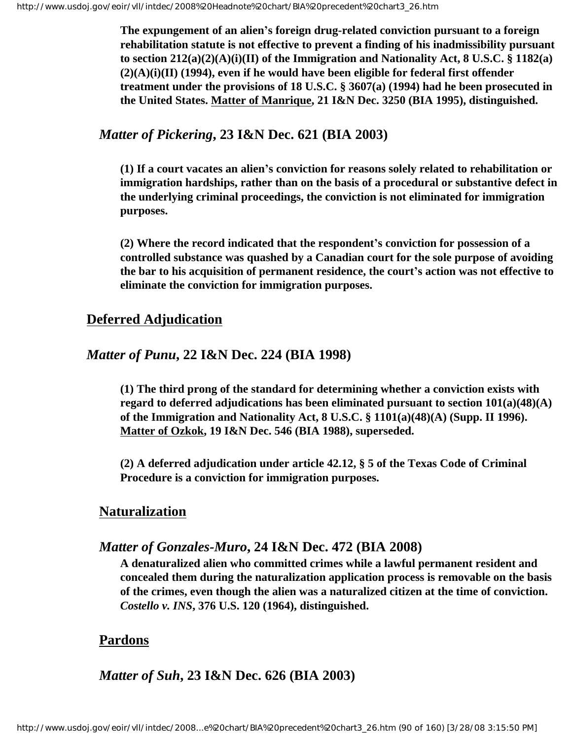**The expungement of an alien's foreign drug-related conviction pursuant to a foreign rehabilitation statute is not effective to prevent a finding of his inadmissibility pursuant to section 212(a)(2)(A)(i)(II) of the Immigration and Nationality Act, 8 U.S.C. § 1182(a) (2)(A)(i)(II) (1994), even if he would have been eligible for federal first offender treatment under the provisions of 18 U.S.C. § 3607(a) (1994) had he been prosecuted in the United States. Matter of Manrique, 21 I&N Dec. 3250 (BIA 1995), distinguished.**

## *Matter of Pickering***, 23 I&N Dec. 621 (BIA 2003)**

**(1) If a court vacates an alien's conviction for reasons solely related to rehabilitation or immigration hardships, rather than on the basis of a procedural or substantive defect in the underlying criminal proceedings, the conviction is not eliminated for immigration purposes.**

**(2) Where the record indicated that the respondent's conviction for possession of a controlled substance was quashed by a Canadian court for the sole purpose of avoiding the bar to his acquisition of permanent residence, the court's action was not effective to eliminate the conviction for immigration purposes.**

#### **Deferred Adjudication**

#### *Matter of Punu***, 22 I&N Dec. 224 (BIA 1998)**

**(1) The third prong of the standard for determining whether a conviction exists with regard to deferred adjudications has been eliminated pursuant to section 101(a)(48)(A) of the Immigration and Nationality Act, 8 U.S.C. § 1101(a)(48)(A) (Supp. II 1996). Matter of Ozkok, 19 I&N Dec. 546 (BIA 1988), superseded.**

**(2) A deferred adjudication under article 42.12, § 5 of the Texas Code of Criminal Procedure is a conviction for immigration purposes.** 

#### **Naturalization**

#### *Matter of Gonzales-Muro***, 24 I&N Dec. 472 (BIA 2008)**

**A denaturalized alien who committed crimes while a lawful permanent resident and concealed them during the naturalization application process is removable on the basis of the crimes, even though the alien was a naturalized citizen at the time of conviction.** *Costello v. INS***, 376 U.S. 120 (1964), distinguished.**

#### **Pardons**

*Matter of Suh***, 23 I&N Dec. 626 (BIA 2003)**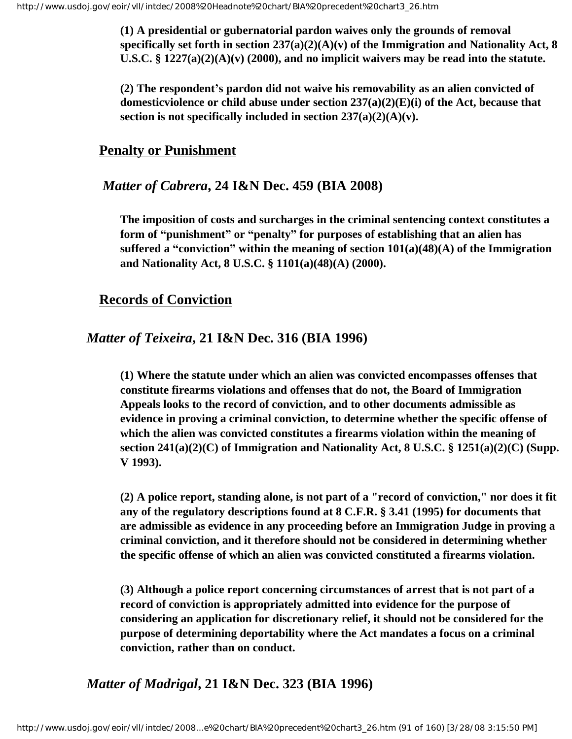**(1) A presidential or gubernatorial pardon waives only the grounds of removal specifically set forth in section 237(a)(2)(A)(v) of the Immigration and Nationality Act, 8 U.S.C. § 1227(a)(2)(A)(v) (2000), and no implicit waivers may be read into the statute.**

**(2) The respondent's pardon did not waive his removability as an alien convicted of domesticviolence or child abuse under section 237(a)(2)(E)(i) of the Act, because that section is not specifically included in section 237(a)(2)(A)(v).**

#### **Penalty or Punishment**

#### *Matter of Cabrera***, 24 I&N Dec. 459 (BIA 2008)**

**The imposition of costs and surcharges in the criminal sentencing context constitutes a form of "punishment" or "penalty" for purposes of establishing that an alien has suffered a "conviction" within the meaning of section 101(a)(48)(A) of the Immigration and Nationality Act, 8 U.S.C. § 1101(a)(48)(A) (2000).**

#### **Records of Conviction**

#### *Matter of Teixeira***, 21 I&N Dec. 316 (BIA 1996)**

**(1) Where the statute under which an alien was convicted encompasses offenses that constitute firearms violations and offenses that do not, the Board of Immigration Appeals looks to the record of conviction, and to other documents admissible as evidence in proving a criminal conviction, to determine whether the specific offense of which the alien was convicted constitutes a firearms violation within the meaning of section 241(a)(2)(C) of Immigration and Nationality Act, 8 U.S.C. § 1251(a)(2)(C) (Supp. V 1993).**

**(2) A police report, standing alone, is not part of a "record of conviction," nor does it fit any of the regulatory descriptions found at 8 C.F.R. § 3.41 (1995) for documents that are admissible as evidence in any proceeding before an Immigration Judge in proving a criminal conviction, and it therefore should not be considered in determining whether the specific offense of which an alien was convicted constituted a firearms violation.**

**(3) Although a police report concerning circumstances of arrest that is not part of a record of conviction is appropriately admitted into evidence for the purpose of considering an application for discretionary relief, it should not be considered for the purpose of determining deportability where the Act mandates a focus on a criminal conviction, rather than on conduct.**

*Matter of Madrigal***, 21 I&N Dec. 323 (BIA 1996)**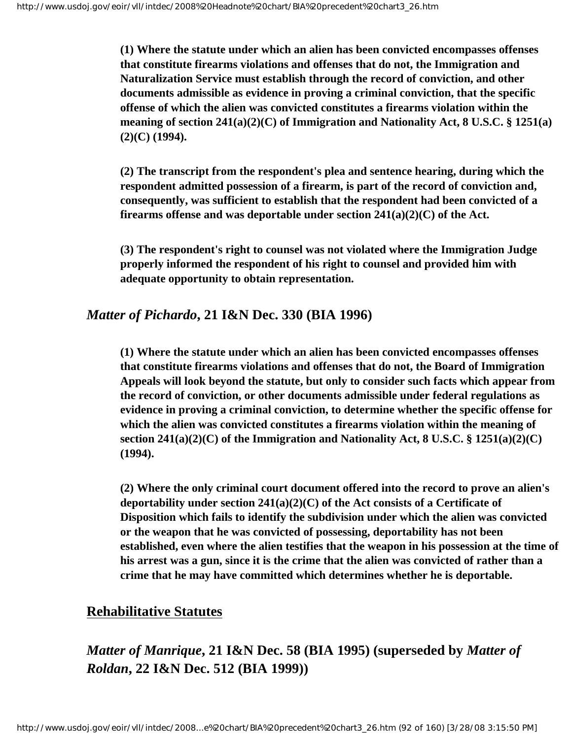**(1) Where the statute under which an alien has been convicted encompasses offenses that constitute firearms violations and offenses that do not, the Immigration and Naturalization Service must establish through the record of conviction, and other documents admissible as evidence in proving a criminal conviction, that the specific offense of which the alien was convicted constitutes a firearms violation within the meaning of section 241(a)(2)(C) of Immigration and Nationality Act, 8 U.S.C. § 1251(a) (2)(C) (1994).**

**(2) The transcript from the respondent's plea and sentence hearing, during which the respondent admitted possession of a firearm, is part of the record of conviction and, consequently, was sufficient to establish that the respondent had been convicted of a firearms offense and was deportable under section 241(a)(2)(C) of the Act.**

**(3) The respondent's right to counsel was not violated where the Immigration Judge properly informed the respondent of his right to counsel and provided him with adequate opportunity to obtain representation.**

#### *Matter of Pichardo***, 21 I&N Dec. 330 (BIA 1996)**

**(1) Where the statute under which an alien has been convicted encompasses offenses that constitute firearms violations and offenses that do not, the Board of Immigration Appeals will look beyond the statute, but only to consider such facts which appear from the record of conviction, or other documents admissible under federal regulations as evidence in proving a criminal conviction, to determine whether the specific offense for which the alien was convicted constitutes a firearms violation within the meaning of section 241(a)(2)(C) of the Immigration and Nationality Act, 8 U.S.C. § 1251(a)(2)(C) (1994).**

**(2) Where the only criminal court document offered into the record to prove an alien's deportability under section 241(a)(2)(C) of the Act consists of a Certificate of Disposition which fails to identify the subdivision under which the alien was convicted or the weapon that he was convicted of possessing, deportability has not been established, even where the alien testifies that the weapon in his possession at the time of his arrest was a gun, since it is the crime that the alien was convicted of rather than a crime that he may have committed which determines whether he is deportable.**

#### **Rehabilitative Statutes**

*Matter of Manrique***, 21 I&N Dec. 58 (BIA 1995) (superseded by** *Matter of Roldan***, 22 I&N Dec. 512 (BIA 1999))**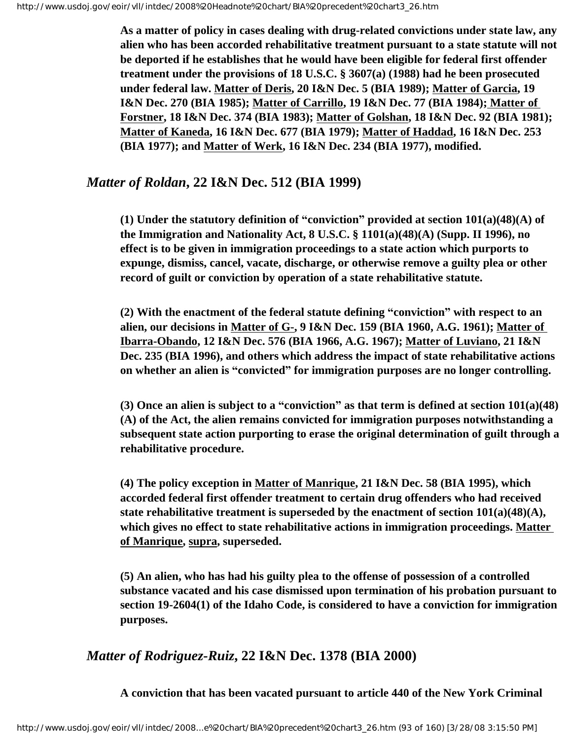**As a matter of policy in cases dealing with drug-related convictions under state law, any alien who has been accorded rehabilitative treatment pursuant to a state statute will not be deported if he establishes that he would have been eligible for federal first offender treatment under the provisions of 18 U.S.C. § 3607(a) (1988) had he been prosecuted under federal law. Matter of Deris, 20 I&N Dec. 5 (BIA 1989); Matter of Garcia, 19 I&N Dec. 270 (BIA 1985); Matter of Carrillo, 19 I&N Dec. 77 (BIA 1984); Matter of Forstner, 18 I&N Dec. 374 (BIA 1983); Matter of Golshan, 18 I&N Dec. 92 (BIA 1981); Matter of Kaneda, 16 I&N Dec. 677 (BIA 1979); Matter of Haddad, 16 I&N Dec. 253 (BIA 1977); and Matter of Werk, 16 I&N Dec. 234 (BIA 1977), modified.** 

## *Matter of Roldan***, 22 I&N Dec. 512 (BIA 1999)**

**(1) Under the statutory definition of "conviction" provided at section 101(a)(48)(A) of the Immigration and Nationality Act, 8 U.S.C. § 1101(a)(48)(A) (Supp. II 1996), no effect is to be given in immigration proceedings to a state action which purports to expunge, dismiss, cancel, vacate, discharge, or otherwise remove a guilty plea or other record of guilt or conviction by operation of a state rehabilitative statute.**

**(2) With the enactment of the federal statute defining "conviction" with respect to an alien, our decisions in Matter of G-, 9 I&N Dec. 159 (BIA 1960, A.G. 1961); Matter of Ibarra-Obando, 12 I&N Dec. 576 (BIA 1966, A.G. 1967); Matter of Luviano, 21 I&N Dec. 235 (BIA 1996), and others which address the impact of state rehabilitative actions on whether an alien is "convicted" for immigration purposes are no longer controlling.**

**(3) Once an alien is subject to a "conviction" as that term is defined at section 101(a)(48) (A) of the Act, the alien remains convicted for immigration purposes notwithstanding a subsequent state action purporting to erase the original determination of guilt through a rehabilitative procedure.**

**(4) The policy exception in Matter of Manrique, 21 I&N Dec. 58 (BIA 1995), which accorded federal first offender treatment to certain drug offenders who had received state rehabilitative treatment is superseded by the enactment of section 101(a)(48)(A), which gives no effect to state rehabilitative actions in immigration proceedings. Matter of Manrique, supra, superseded.**

**(5) An alien, who has had his guilty plea to the offense of possession of a controlled substance vacated and his case dismissed upon termination of his probation pursuant to section 19-2604(1) of the Idaho Code, is considered to have a conviction for immigration purposes.**

## *Matter of Rodriguez-Ruiz***, 22 I&N Dec. 1378 (BIA 2000)**

**A conviction that has been vacated pursuant to article 440 of the New York Criminal**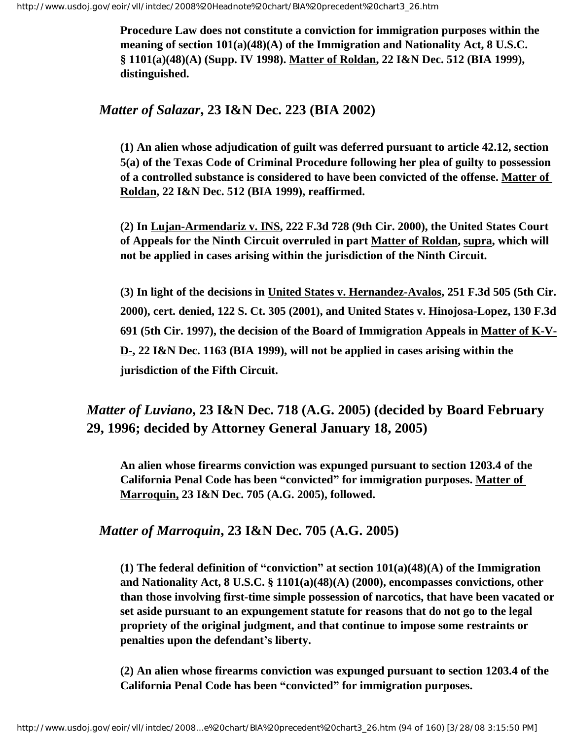**Procedure Law does not constitute a conviction for immigration purposes within the meaning of section 101(a)(48)(A) of the Immigration and Nationality Act, 8 U.S.C. § 1101(a)(48)(A) (Supp. IV 1998). Matter of Roldan, 22 I&N Dec. 512 (BIA 1999), distinguished.**

## *Matter of Salazar***, 23 I&N Dec. 223 (BIA 2002)**

**(1) An alien whose adjudication of guilt was deferred pursuant to article 42.12, section 5(a) of the Texas Code of Criminal Procedure following her plea of guilty to possession of a controlled substance is considered to have been convicted of the offense. Matter of Roldan, 22 I&N Dec. 512 (BIA 1999), reaffirmed.**

**(2) In Lujan-Armendariz v. INS, 222 F.3d 728 (9th Cir. 2000), the United States Court of Appeals for the Ninth Circuit overruled in part Matter of Roldan, supra, which will not be applied in cases arising within the jurisdiction of the Ninth Circuit.**

**(3) In light of the decisions in United States v. Hernandez-Avalos, 251 F.3d 505 (5th Cir. 2000), cert. denied, 122 S. Ct. 305 (2001), and United States v. Hinojosa-Lopez, 130 F.3d 691 (5th Cir. 1997), the decision of the Board of Immigration Appeals in Matter of K-V-D-, 22 I&N Dec. 1163 (BIA 1999), will not be applied in cases arising within the jurisdiction of the Fifth Circuit.**

## *Matter of Luviano***, 23 I&N Dec. 718 (A.G. 2005) (decided by Board February 29, 1996; decided by Attorney General January 18, 2005)**

**An alien whose firearms conviction was expunged pursuant to section 1203.4 of the California Penal Code has been "convicted" for immigration purposes. Matter of Marroquin, 23 I&N Dec. 705 (A.G. 2005), followed.**

#### *Matter of Marroquin***, 23 I&N Dec. 705 (A.G. 2005)**

**(1) The federal definition of "conviction" at section 101(a)(48)(A) of the Immigration and Nationality Act, 8 U.S.C. § 1101(a)(48)(A) (2000), encompasses convictions, other than those involving first-time simple possession of narcotics, that have been vacated or set aside pursuant to an expungement statute for reasons that do not go to the legal propriety of the original judgment, and that continue to impose some restraints or penalties upon the defendant's liberty.** 

**(2) An alien whose firearms conviction was expunged pursuant to section 1203.4 of the California Penal Code has been "convicted" for immigration purposes.**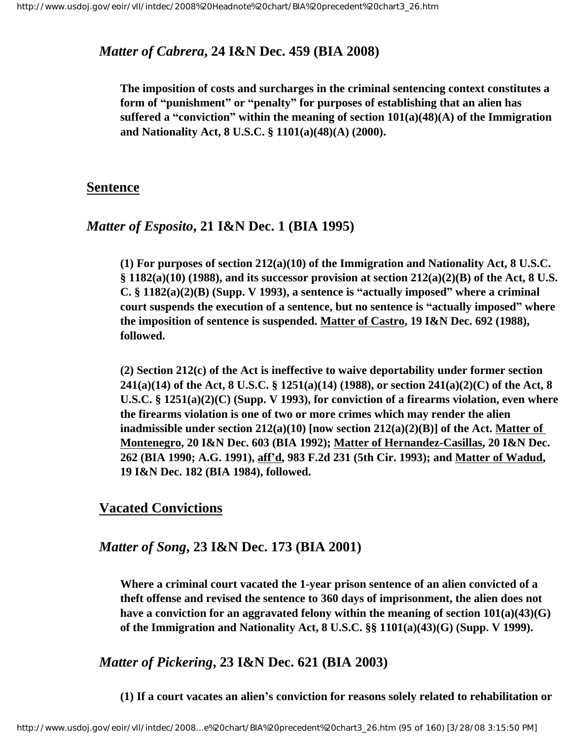#### *Matter of Cabrera***, 24 I&N Dec. 459 (BIA 2008)**

**The imposition of costs and surcharges in the criminal sentencing context constitutes a form of "punishment" or "penalty" for purposes of establishing that an alien has suffered a "conviction" within the meaning of section 101(a)(48)(A) of the Immigration and Nationality Act, 8 U.S.C. § 1101(a)(48)(A) (2000).**

#### **Sentence**

#### *Matter of Esposito***, 21 I&N Dec. 1 (BIA 1995)**

**(1) For purposes of section 212(a)(10) of the Immigration and Nationality Act, 8 U.S.C. § 1182(a)(10) (1988), and its successor provision at section 212(a)(2)(B) of the Act, 8 U.S. C. § 1182(a)(2)(B) (Supp. V 1993), a sentence is "actually imposed" where a criminal court suspends the execution of a sentence, but no sentence is "actually imposed" where the imposition of sentence is suspended. Matter of Castro, 19 I&N Dec. 692 (1988), followed.** 

**(2) Section 212(c) of the Act is ineffective to waive deportability under former section 241(a)(14) of the Act, 8 U.S.C. § 1251(a)(14) (1988), or section 241(a)(2)(C) of the Act, 8 U.S.C. § 1251(a)(2)(C) (Supp. V 1993), for conviction of a firearms violation, even where the firearms violation is one of two or more crimes which may render the alien inadmissible under section 212(a)(10) [now section 212(a)(2)(B)] of the Act. Matter of Montenegro, 20 I&N Dec. 603 (BIA 1992); Matter of Hernandez-Casillas, 20 I&N Dec. 262 (BIA 1990; A.G. 1991), aff'd, 983 F.2d 231 (5th Cir. 1993); and Matter of Wadud, 19 I&N Dec. 182 (BIA 1984), followed.** 

#### **Vacated Convictions**

#### *Matter of Song***, 23 I&N Dec. 173 (BIA 2001)**

**Where a criminal court vacated the 1-year prison sentence of an alien convicted of a theft offense and revised the sentence to 360 days of imprisonment, the alien does not have a conviction for an aggravated felony within the meaning of section 101(a)(43)(G) of the Immigration and Nationality Act, 8 U.S.C. §§ 1101(a)(43)(G) (Supp. V 1999).** 

*Matter of Pickering***, 23 I&N Dec. 621 (BIA 2003)**

**(1) If a court vacates an alien's conviction for reasons solely related to rehabilitation or**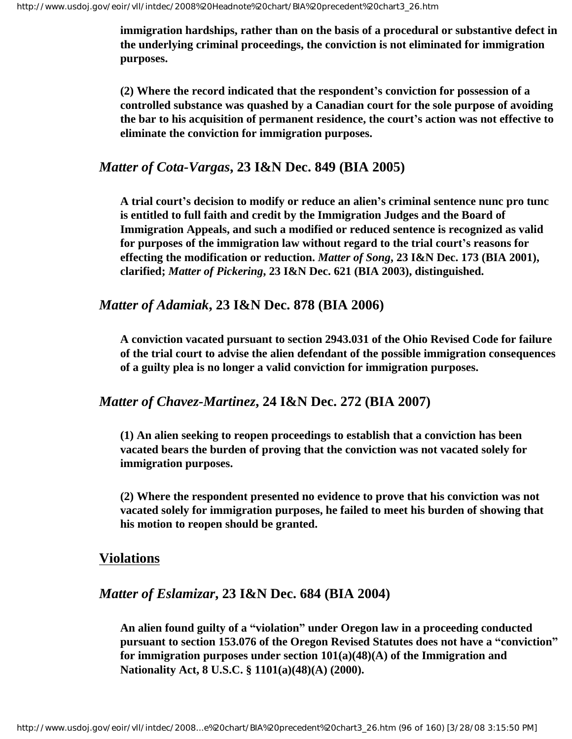**immigration hardships, rather than on the basis of a procedural or substantive defect in the underlying criminal proceedings, the conviction is not eliminated for immigration purposes.**

**(2) Where the record indicated that the respondent's conviction for possession of a controlled substance was quashed by a Canadian court for the sole purpose of avoiding the bar to his acquisition of permanent residence, the court's action was not effective to eliminate the conviction for immigration purposes.**

#### *Matter of Cota-Vargas***, 23 I&N Dec. 849 (BIA 2005)**

**A trial court's decision to modify or reduce an alien's criminal sentence nunc pro tunc is entitled to full faith and credit by the Immigration Judges and the Board of Immigration Appeals, and such a modified or reduced sentence is recognized as valid for purposes of the immigration law without regard to the trial court's reasons for effecting the modification or reduction.** *Matter of Song***, 23 I&N Dec. 173 (BIA 2001), clarified;** *Matter of Pickering***, 23 I&N Dec. 621 (BIA 2003), distinguished.**

## *Matter of Adamiak***, 23 I&N Dec. 878 (BIA 2006)**

**A conviction vacated pursuant to section 2943.031 of the Ohio Revised Code for failure of the trial court to advise the alien defendant of the possible immigration consequences of a guilty plea is no longer a valid conviction for immigration purposes.**

### *Matter of Chavez-Martinez***, 24 I&N Dec. 272 (BIA 2007)**

**(1) An alien seeking to reopen proceedings to establish that a conviction has been vacated bears the burden of proving that the conviction was not vacated solely for immigration purposes.**

**(2) Where the respondent presented no evidence to prove that his conviction was not vacated solely for immigration purposes, he failed to meet his burden of showing that his motion to reopen should be granted.**

#### **Violations**

## *Matter of Eslamizar***, 23 I&N Dec. 684 (BIA 2004)**

**An alien found guilty of a "violation" under Oregon law in a proceeding conducted pursuant to section 153.076 of the Oregon Revised Statutes does not have a "conviction" for immigration purposes under section 101(a)(48)(A) of the Immigration and Nationality Act, 8 U.S.C. § 1101(a)(48)(A) (2000).**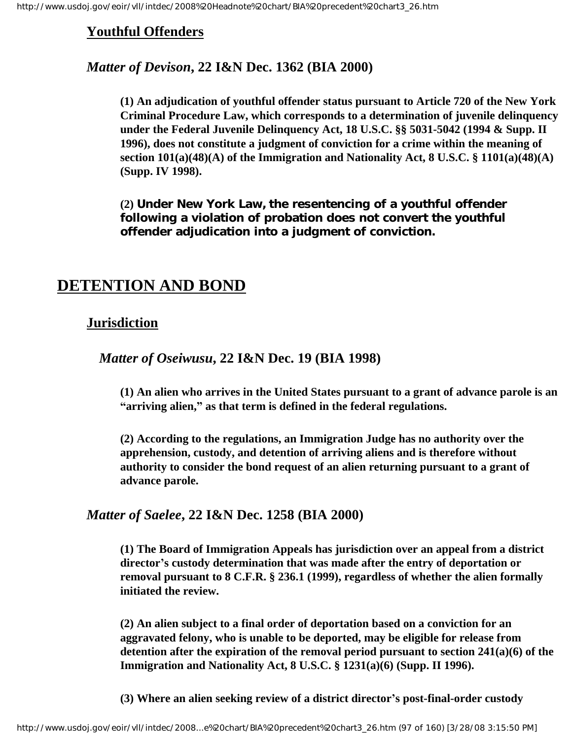## **Youthful Offenders**

## *Matter of Devison***, 22 I&N Dec. 1362 (BIA 2000)**

**(1) An adjudication of youthful offender status pursuant to Article 720 of the New York Criminal Procedure Law, which corresponds to a determination of juvenile delinquency under the Federal Juvenile Delinquency Act, 18 U.S.C. §§ 5031-5042 (1994 & Supp. II 1996), does not constitute a judgment of conviction for a crime within the meaning of section 101(a)(48)(A) of the Immigration and Nationality Act, 8 U.S.C. § 1101(a)(48)(A) (Supp. IV 1998).** 

**(2) Under New York Law, the resentencing of a youthful offender following a violation of probation does not convert the youthful offender adjudication into a judgment of conviction.**

# **DETENTION AND BOND**

## **Jurisdiction**

*Matter of Oseiwusu***, 22 I&N Dec. 19 (BIA 1998)**

**(1) An alien who arrives in the United States pursuant to a grant of advance parole is an "arriving alien," as that term is defined in the federal regulations.** 

**(2) According to the regulations, an Immigration Judge has no authority over the apprehension, custody, and detention of arriving aliens and is therefore without authority to consider the bond request of an alien returning pursuant to a grant of advance parole.**

## *Matter of Saelee***, 22 I&N Dec. 1258 (BIA 2000)**

**(1) The Board of Immigration Appeals has jurisdiction over an appeal from a district director's custody determination that was made after the entry of deportation or removal pursuant to 8 C.F.R. § 236.1 (1999), regardless of whether the alien formally initiated the review.**

**(2) An alien subject to a final order of deportation based on a conviction for an aggravated felony, who is unable to be deported, may be eligible for release from detention after the expiration of the removal period pursuant to section 241(a)(6) of the Immigration and Nationality Act, 8 U.S.C. § 1231(a)(6) (Supp. II 1996).**

**(3) Where an alien seeking review of a district director's post-final-order custody**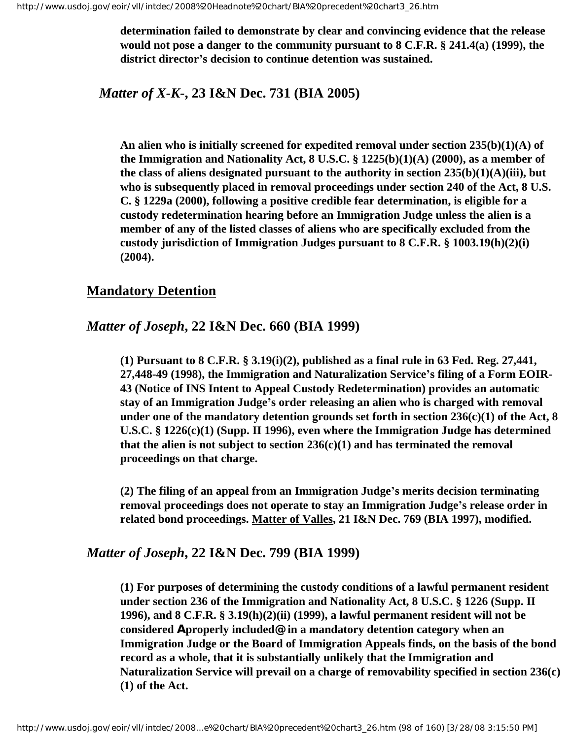**determination failed to demonstrate by clear and convincing evidence that the release would not pose a danger to the community pursuant to 8 C.F.R. § 241.4(a) (1999), the district director's decision to continue detention was sustained.**

## *Matter of X-K-***, 23 I&N Dec. 731 (BIA 2005)**

**An alien who is initially screened for expedited removal under section 235(b)(1)(A) of the Immigration and Nationality Act, 8 U.S.C. § 1225(b)(1)(A) (2000), as a member of the class of aliens designated pursuant to the authority in section 235(b)(1)(A)(iii), but who is subsequently placed in removal proceedings under section 240 of the Act, 8 U.S. C. § 1229a (2000), following a positive credible fear determination, is eligible for a custody redetermination hearing before an Immigration Judge unless the alien is a member of any of the listed classes of aliens who are specifically excluded from the custody jurisdiction of Immigration Judges pursuant to 8 C.F.R. § 1003.19(h)(2)(i) (2004).**

#### **Mandatory Detention**

### *Matter of Joseph***, 22 I&N Dec. 660 (BIA 1999)**

**(1) Pursuant to 8 C.F.R. § 3.19(i)(2), published as a final rule in 63 Fed. Reg. 27,441, 27,448-49 (1998), the Immigration and Naturalization Service's filing of a Form EOIR-43 (Notice of INS Intent to Appeal Custody Redetermination) provides an automatic stay of an Immigration Judge's order releasing an alien who is charged with removal under one of the mandatory detention grounds set forth in section 236(c)(1) of the Act, 8 U.S.C. § 1226(c)(1) (Supp. II 1996), even where the Immigration Judge has determined that the alien is not subject to section 236(c)(1) and has terminated the removal proceedings on that charge.**

**(2) The filing of an appeal from an Immigration Judge's merits decision terminating removal proceedings does not operate to stay an Immigration Judge's release order in related bond proceedings. Matter of Valles, 21 I&N Dec. 769 (BIA 1997), modified.**

#### *Matter of Joseph***, 22 I&N Dec. 799 (BIA 1999)**

**(1) For purposes of determining the custody conditions of a lawful permanent resident under section 236 of the Immigration and Nationality Act, 8 U.S.C. § 1226 (Supp. II 1996), and 8 C.F.R. § 3.19(h)(2)(ii) (1999), a lawful permanent resident will not be considered Aproperly included@ in a mandatory detention category when an Immigration Judge or the Board of Immigration Appeals finds, on the basis of the bond record as a whole, that it is substantially unlikely that the Immigration and Naturalization Service will prevail on a charge of removability specified in section 236(c) (1) of the Act.**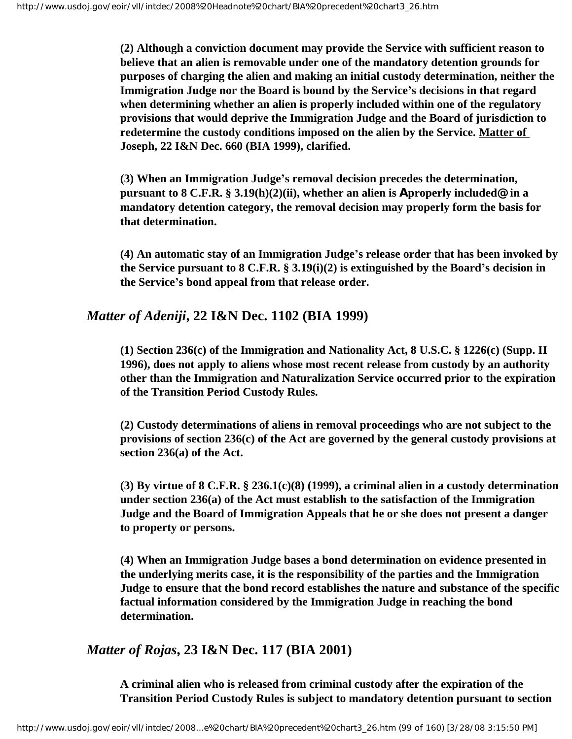**(2) Although a conviction document may provide the Service with sufficient reason to believe that an alien is removable under one of the mandatory detention grounds for purposes of charging the alien and making an initial custody determination, neither the Immigration Judge nor the Board is bound by the Service's decisions in that regard when determining whether an alien is properly included within one of the regulatory provisions that would deprive the Immigration Judge and the Board of jurisdiction to redetermine the custody conditions imposed on the alien by the Service. Matter of Joseph, 22 I&N Dec. 660 (BIA 1999), clarified.**

**(3) When an Immigration Judge's removal decision precedes the determination, pursuant to 8 C.F.R. § 3.19(h)(2)(ii), whether an alien is Aproperly included@ in a mandatory detention category, the removal decision may properly form the basis for that determination.** 

**(4) An automatic stay of an Immigration Judge's release order that has been invoked by the Service pursuant to 8 C.F.R. § 3.19(i)(2) is extinguished by the Board's decision in the Service's bond appeal from that release order.**

## *Matter of Adeniji***, 22 I&N Dec. 1102 (BIA 1999)**

**(1) Section 236(c) of the Immigration and Nationality Act, 8 U.S.C. § 1226(c) (Supp. II 1996), does not apply to aliens whose most recent release from custody by an authority other than the Immigration and Naturalization Service occurred prior to the expiration of the Transition Period Custody Rules.**

**(2) Custody determinations of aliens in removal proceedings who are not subject to the provisions of section 236(c) of the Act are governed by the general custody provisions at section 236(a) of the Act.**

**(3) By virtue of 8 C.F.R. § 236.1(c)(8) (1999), a criminal alien in a custody determination under section 236(a) of the Act must establish to the satisfaction of the Immigration Judge and the Board of Immigration Appeals that he or she does not present a danger to property or persons.**

**(4) When an Immigration Judge bases a bond determination on evidence presented in the underlying merits case, it is the responsibility of the parties and the Immigration Judge to ensure that the bond record establishes the nature and substance of the specific factual information considered by the Immigration Judge in reaching the bond determination.**

*Matter of Rojas***, 23 I&N Dec. 117 (BIA 2001)**

**A criminal alien who is released from criminal custody after the expiration of the Transition Period Custody Rules is subject to mandatory detention pursuant to section**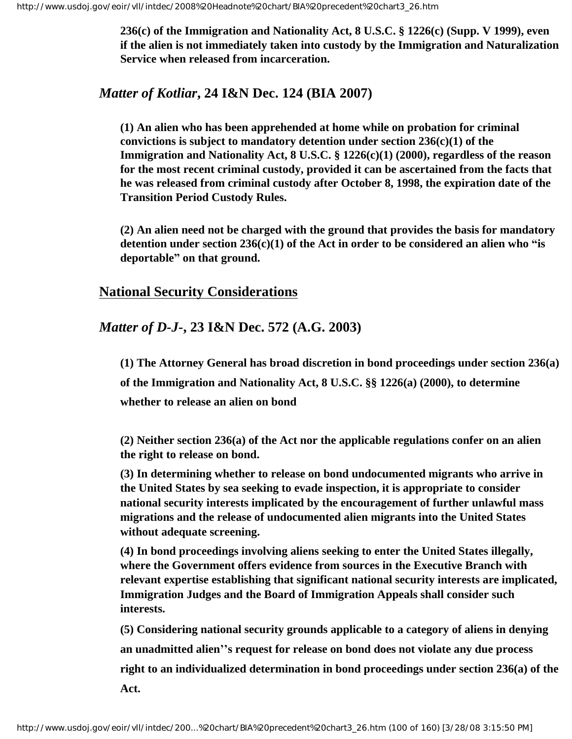**236(c) of the Immigration and Nationality Act, 8 U.S.C. § 1226(c) (Supp. V 1999), even if the alien is not immediately taken into custody by the Immigration and Naturalization Service when released from incarceration.**

## *Matter of Kotliar***, 24 I&N Dec. 124 (BIA 2007)**

**(1) An alien who has been apprehended at home while on probation for criminal convictions is subject to mandatory detention under section 236(c)(1) of the Immigration and Nationality Act, 8 U.S.C. § 1226(c)(1) (2000), regardless of the reason for the most recent criminal custody, provided it can be ascertained from the facts that he was released from criminal custody after October 8, 1998, the expiration date of the Transition Period Custody Rules.**

**(2) An alien need not be charged with the ground that provides the basis for mandatory detention under section 236(c)(1) of the Act in order to be considered an alien who "is deportable" on that ground.**

## **National Security Considerations**

## *Matter of D-J-***, 23 I&N Dec. 572 (A.G. 2003)**

**(1) The Attorney General has broad discretion in bond proceedings under section 236(a) of the Immigration and Nationality Act, 8 U.S.C. §§ 1226(a) (2000), to determine whether to release an alien on bond**

**(2) Neither section 236(a) of the Act nor the applicable regulations confer on an alien the right to release on bond.**

**(3) In determining whether to release on bond undocumented migrants who arrive in the United States by sea seeking to evade inspection, it is appropriate to consider national security interests implicated by the encouragement of further unlawful mass migrations and the release of undocumented alien migrants into the United States without adequate screening.**

**(4) In bond proceedings involving aliens seeking to enter the United States illegally, where the Government offers evidence from sources in the Executive Branch with relevant expertise establishing that significant national security interests are implicated, Immigration Judges and the Board of Immigration Appeals shall consider such interests.**

**(5) Considering national security grounds applicable to a category of aliens in denying an unadmitted alien''s request for release on bond does not violate any due process right to an individualized determination in bond proceedings under section 236(a) of the Act.**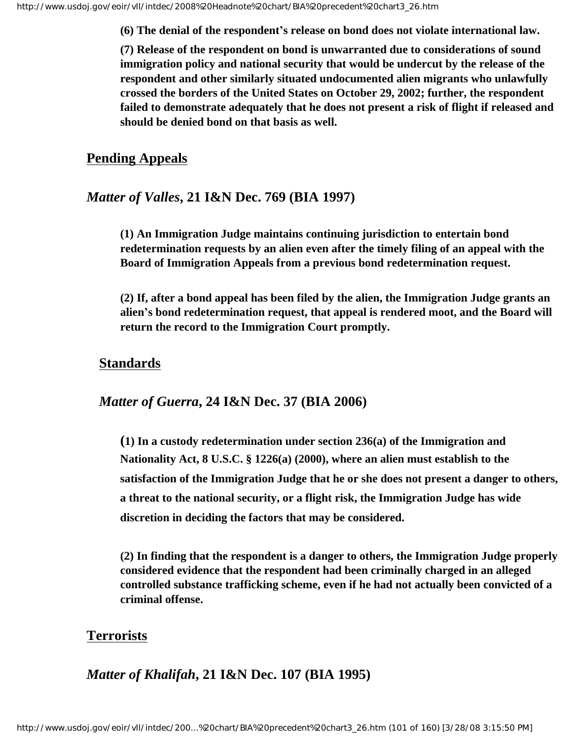**(6) The denial of the respondent's release on bond does not violate international law.**

**(7) Release of the respondent on bond is unwarranted due to considerations of sound immigration policy and national security that would be undercut by the release of the respondent and other similarly situated undocumented alien migrants who unlawfully crossed the borders of the United States on October 29, 2002; further, the respondent failed to demonstrate adequately that he does not present a risk of flight if released and should be denied bond on that basis as well.**

#### **Pending Appeals**

## *Matter of Valles***, 21 I&N Dec. 769 (BIA 1997)**

**(1) An Immigration Judge maintains continuing jurisdiction to entertain bond redetermination requests by an alien even after the timely filing of an appeal with the Board of Immigration Appeals from a previous bond redetermination request.**

**(2) If, after a bond appeal has been filed by the alien, the Immigration Judge grants an alien's bond redetermination request, that appeal is rendered moot, and the Board will return the record to the Immigration Court promptly.**

#### **Standards**

### *Matter of Guerra***, 24 I&N Dec. 37 (BIA 2006)**

**(1) In a custody redetermination under section 236(a) of the Immigration and Nationality Act, 8 U.S.C. § 1226(a) (2000), where an alien must establish to the satisfaction of the Immigration Judge that he or she does not present a danger to others, a threat to the national security, or a flight risk, the Immigration Judge has wide discretion in deciding the factors that may be considered.**

**(2) In finding that the respondent is a danger to others, the Immigration Judge properly considered evidence that the respondent had been criminally charged in an alleged controlled substance trafficking scheme, even if he had not actually been convicted of a criminal offense.**

#### **Terrorists**

*Matter of Khalifah***, 21 I&N Dec. 107 (BIA 1995)**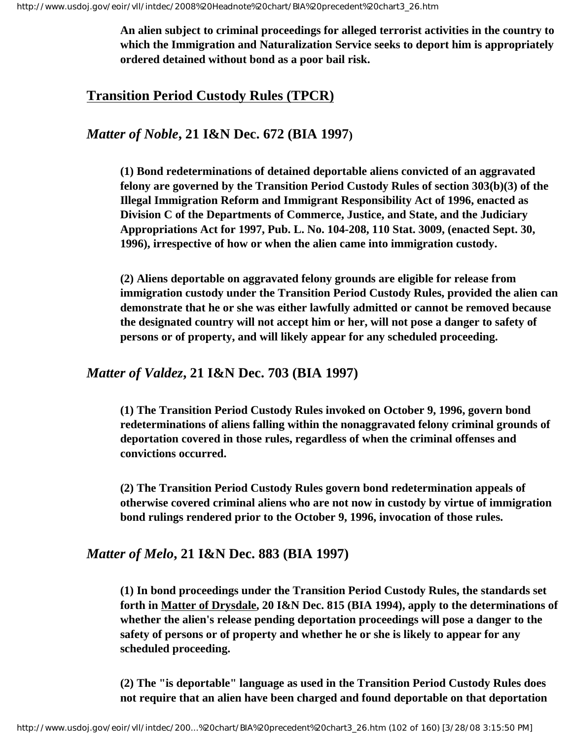**An alien subject to criminal proceedings for alleged terrorist activities in the country to which the Immigration and Naturalization Service seeks to deport him is appropriately ordered detained without bond as a poor bail risk.** 

## **Transition Period Custody Rules (TPCR)**

*Matter of Noble***, 21 I&N Dec. 672 (BIA 1997)**

**(1) Bond redeterminations of detained deportable aliens convicted of an aggravated felony are governed by the Transition Period Custody Rules of section 303(b)(3) of the Illegal Immigration Reform and Immigrant Responsibility Act of 1996, enacted as Division C of the Departments of Commerce, Justice, and State, and the Judiciary Appropriations Act for 1997, Pub. L. No. 104-208, 110 Stat. 3009, (enacted Sept. 30, 1996), irrespective of how or when the alien came into immigration custody.**

**(2) Aliens deportable on aggravated felony grounds are eligible for release from immigration custody under the Transition Period Custody Rules, provided the alien can demonstrate that he or she was either lawfully admitted or cannot be removed because the designated country will not accept him or her, will not pose a danger to safety of persons or of property, and will likely appear for any scheduled proceeding.**

#### *Matter of Valdez***, 21 I&N Dec. 703 (BIA 1997)**

**(1) The Transition Period Custody Rules invoked on October 9, 1996, govern bond redeterminations of aliens falling within the nonaggravated felony criminal grounds of deportation covered in those rules, regardless of when the criminal offenses and convictions occurred.**

**(2) The Transition Period Custody Rules govern bond redetermination appeals of otherwise covered criminal aliens who are not now in custody by virtue of immigration bond rulings rendered prior to the October 9, 1996, invocation of those rules.**

#### *Matter of Melo***, 21 I&N Dec. 883 (BIA 1997)**

**(1) In bond proceedings under the Transition Period Custody Rules, the standards set forth in Matter of Drysdale, 20 I&N Dec. 815 (BIA 1994), apply to the determinations of whether the alien's release pending deportation proceedings will pose a danger to the safety of persons or of property and whether he or she is likely to appear for any scheduled proceeding.**

**(2) The "is deportable" language as used in the Transition Period Custody Rules does not require that an alien have been charged and found deportable on that deportation**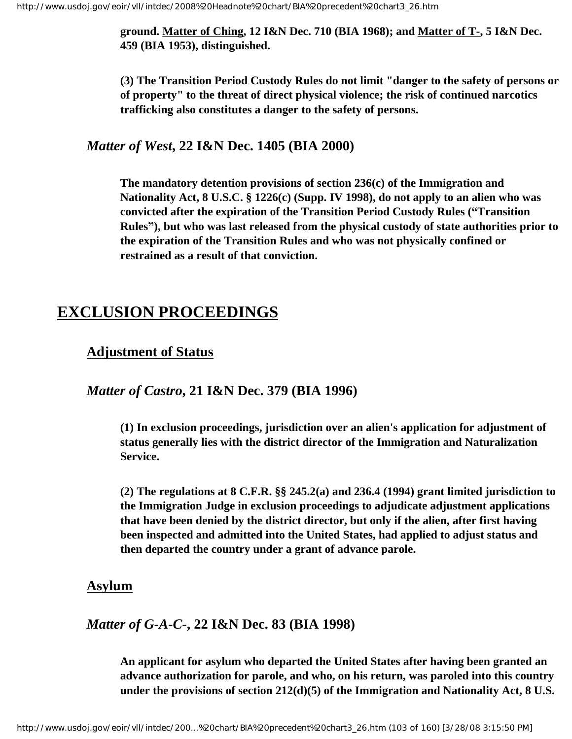**ground. Matter of Ching, 12 I&N Dec. 710 (BIA 1968); and Matter of T-, 5 I&N Dec. 459 (BIA 1953), distinguished.**

**(3) The Transition Period Custody Rules do not limit "danger to the safety of persons or of property" to the threat of direct physical violence; the risk of continued narcotics trafficking also constitutes a danger to the safety of persons.**

#### *Matter of West***, 22 I&N Dec. 1405 (BIA 2000)**

**The mandatory detention provisions of section 236(c) of the Immigration and Nationality Act, 8 U.S.C. § 1226(c) (Supp. IV 1998), do not apply to an alien who was convicted after the expiration of the Transition Period Custody Rules ("Transition Rules"), but who was last released from the physical custody of state authorities prior to the expiration of the Transition Rules and who was not physically confined or restrained as a result of that conviction.**

## **EXCLUSION PROCEEDINGS**

#### **Adjustment of Status**

*Matter of Castro***, 21 I&N Dec. 379 (BIA 1996)**

**(1) In exclusion proceedings, jurisdiction over an alien's application for adjustment of status generally lies with the district director of the Immigration and Naturalization Service.**

**(2) The regulations at 8 C.F.R. §§ 245.2(a) and 236.4 (1994) grant limited jurisdiction to the Immigration Judge in exclusion proceedings to adjudicate adjustment applications that have been denied by the district director, but only if the alien, after first having been inspected and admitted into the United States, had applied to adjust status and then departed the country under a grant of advance parole.**

#### **Asylum**

*Matter of G-A-C-***, 22 I&N Dec. 83 (BIA 1998)**

**An applicant for asylum who departed the United States after having been granted an advance authorization for parole, and who, on his return, was paroled into this country under the provisions of section 212(d)(5) of the Immigration and Nationality Act, 8 U.S.**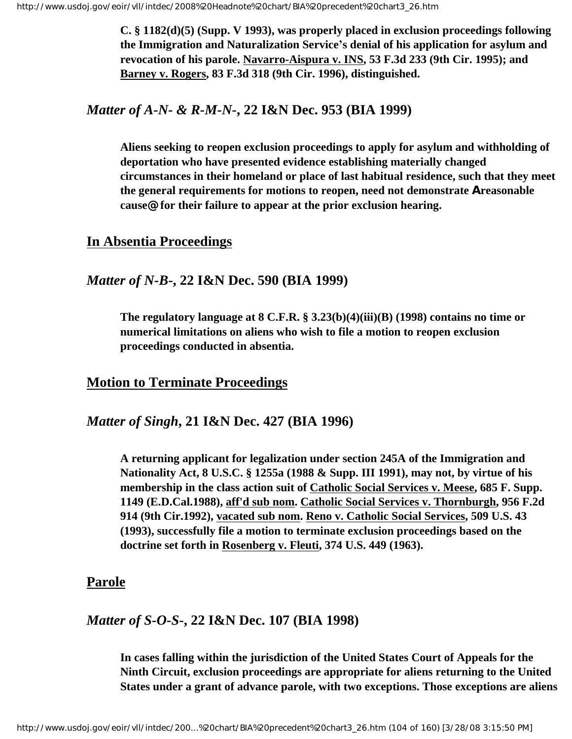**C. § 1182(d)(5) (Supp. V 1993), was properly placed in exclusion proceedings following the Immigration and Naturalization Service's denial of his application for asylum and revocation of his parole. Navarro-Aispura v. INS, 53 F.3d 233 (9th Cir. 1995); and Barney v. Rogers, 83 F.3d 318 (9th Cir. 1996), distinguished.**

#### *Matter of A-N- & R-M-N-***, 22 I&N Dec. 953 (BIA 1999)**

**Aliens seeking to reopen exclusion proceedings to apply for asylum and withholding of deportation who have presented evidence establishing materially changed circumstances in their homeland or place of last habitual residence, such that they meet the general requirements for motions to reopen, need not demonstrate Areasonable cause@ for their failure to appear at the prior exclusion hearing.**

#### **In Absentia Proceedings**

#### *Matter of N-B***-, 22 I&N Dec. 590 (BIA 1999)**

**The regulatory language at 8 C.F.R. § 3.23(b)(4)(iii)(B) (1998) contains no time or numerical limitations on aliens who wish to file a motion to reopen exclusion proceedings conducted in absentia.**

#### **Motion to Terminate Proceedings**

#### *Matter of Singh***, 21 I&N Dec. 427 (BIA 1996)**

**A returning applicant for legalization under section 245A of the Immigration and Nationality Act, 8 U.S.C. § 1255a (1988 & Supp. III 1991), may not, by virtue of his membership in the class action suit of Catholic Social Services v. Meese, 685 F. Supp. 1149 (E.D.Cal.1988), aff'd sub nom. Catholic Social Services v. Thornburgh, 956 F.2d 914 (9th Cir.1992), vacated sub nom. Reno v. Catholic Social Services, 509 U.S. 43 (1993), successfully file a motion to terminate exclusion proceedings based on the doctrine set forth in Rosenberg v. Fleuti, 374 U.S. 449 (1963).**

#### **Parole**

#### *Matter of S-O-S***-, 22 I&N Dec. 107 (BIA 1998)**

**In cases falling within the jurisdiction of the United States Court of Appeals for the Ninth Circuit, exclusion proceedings are appropriate for aliens returning to the United States under a grant of advance parole, with two exceptions. Those exceptions are aliens**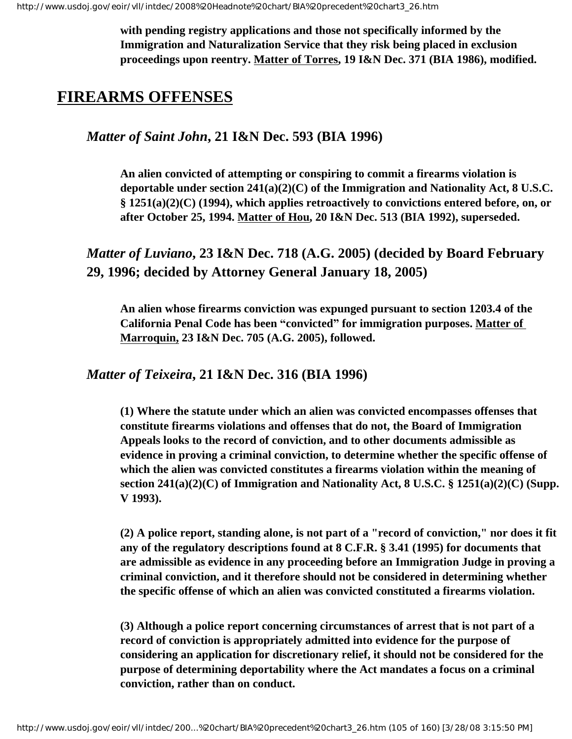**with pending registry applications and those not specifically informed by the Immigration and Naturalization Service that they risk being placed in exclusion proceedings upon reentry. Matter of Torres, 19 I&N Dec. 371 (BIA 1986), modified.**

# **FIREARMS OFFENSES**

*Matter of Saint John***, 21 I&N Dec. 593 (BIA 1996)**

**An alien convicted of attempting or conspiring to commit a firearms violation is deportable under section 241(a)(2)(C) of the Immigration and Nationality Act, 8 U.S.C. § 1251(a)(2)(C) (1994), which applies retroactively to convictions entered before, on, or after October 25, 1994. Matter of Hou, 20 I&N Dec. 513 (BIA 1992), superseded.**

*Matter of Luviano***, 23 I&N Dec. 718 (A.G. 2005) (decided by Board February 29, 1996; decided by Attorney General January 18, 2005)**

**An alien whose firearms conviction was expunged pursuant to section 1203.4 of the California Penal Code has been "convicted" for immigration purposes. Matter of Marroquin, 23 I&N Dec. 705 (A.G. 2005), followed.**

*Matter of Teixeira***, 21 I&N Dec. 316 (BIA 1996)**

**(1) Where the statute under which an alien was convicted encompasses offenses that constitute firearms violations and offenses that do not, the Board of Immigration Appeals looks to the record of conviction, and to other documents admissible as evidence in proving a criminal conviction, to determine whether the specific offense of which the alien was convicted constitutes a firearms violation within the meaning of section 241(a)(2)(C) of Immigration and Nationality Act, 8 U.S.C. § 1251(a)(2)(C) (Supp. V 1993).**

**(2) A police report, standing alone, is not part of a "record of conviction," nor does it fit any of the regulatory descriptions found at 8 C.F.R. § 3.41 (1995) for documents that are admissible as evidence in any proceeding before an Immigration Judge in proving a criminal conviction, and it therefore should not be considered in determining whether the specific offense of which an alien was convicted constituted a firearms violation.**

**(3) Although a police report concerning circumstances of arrest that is not part of a record of conviction is appropriately admitted into evidence for the purpose of considering an application for discretionary relief, it should not be considered for the purpose of determining deportability where the Act mandates a focus on a criminal conviction, rather than on conduct.**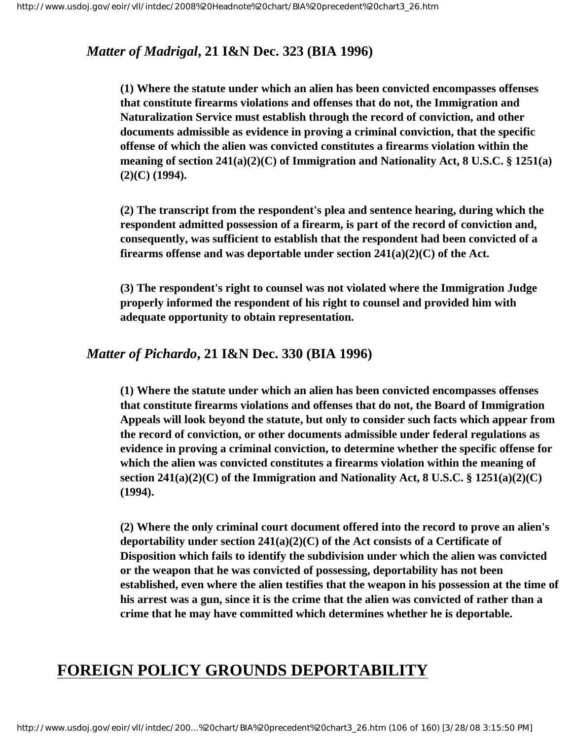## *Matter of Madrigal***, 21 I&N Dec. 323 (BIA 1996)**

**(1) Where the statute under which an alien has been convicted encompasses offenses that constitute firearms violations and offenses that do not, the Immigration and Naturalization Service must establish through the record of conviction, and other documents admissible as evidence in proving a criminal conviction, that the specific offense of which the alien was convicted constitutes a firearms violation within the meaning of section 241(a)(2)(C) of Immigration and Nationality Act, 8 U.S.C. § 1251(a) (2)(C) (1994).**

**(2) The transcript from the respondent's plea and sentence hearing, during which the respondent admitted possession of a firearm, is part of the record of conviction and, consequently, was sufficient to establish that the respondent had been convicted of a firearms offense and was deportable under section 241(a)(2)(C) of the Act.**

**(3) The respondent's right to counsel was not violated where the Immigration Judge properly informed the respondent of his right to counsel and provided him with adequate opportunity to obtain representation.**

#### *Matter of Pichardo***, 21 I&N Dec. 330 (BIA 1996)**

**(1) Where the statute under which an alien has been convicted encompasses offenses that constitute firearms violations and offenses that do not, the Board of Immigration Appeals will look beyond the statute, but only to consider such facts which appear from the record of conviction, or other documents admissible under federal regulations as evidence in proving a criminal conviction, to determine whether the specific offense for which the alien was convicted constitutes a firearms violation within the meaning of section 241(a)(2)(C) of the Immigration and Nationality Act, 8 U.S.C. § 1251(a)(2)(C) (1994).**

**(2) Where the only criminal court document offered into the record to prove an alien's deportability under section 241(a)(2)(C) of the Act consists of a Certificate of Disposition which fails to identify the subdivision under which the alien was convicted or the weapon that he was convicted of possessing, deportability has not been established, even where the alien testifies that the weapon in his possession at the time of his arrest was a gun, since it is the crime that the alien was convicted of rather than a crime that he may have committed which determines whether he is deportable.**

# **FOREIGN POLICY GROUNDS DEPORTABILITY**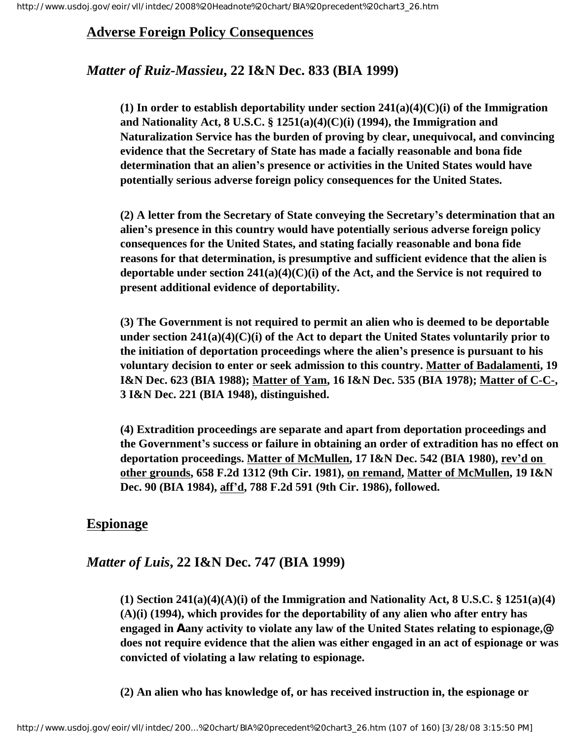## **Adverse Foreign Policy Consequences**

## *Matter of Ruiz-Massieu***, 22 I&N Dec. 833 (BIA 1999)**

**(1) In order to establish deportability under section 241(a)(4)(C)(i) of the Immigration and Nationality Act, 8 U.S.C. § 1251(a)(4)(C)(i) (1994), the Immigration and Naturalization Service has the burden of proving by clear, unequivocal, and convincing evidence that the Secretary of State has made a facially reasonable and bona fide determination that an alien's presence or activities in the United States would have potentially serious adverse foreign policy consequences for the United States.**

**(2) A letter from the Secretary of State conveying the Secretary's determination that an alien's presence in this country would have potentially serious adverse foreign policy consequences for the United States, and stating facially reasonable and bona fide reasons for that determination, is presumptive and sufficient evidence that the alien is deportable under section 241(a)(4)(C)(i) of the Act, and the Service is not required to present additional evidence of deportability.**

**(3) The Government is not required to permit an alien who is deemed to be deportable under section 241(a)(4)(C)(i) of the Act to depart the United States voluntarily prior to the initiation of deportation proceedings where the alien's presence is pursuant to his voluntary decision to enter or seek admission to this country. Matter of Badalamenti, 19 I&N Dec. 623 (BIA 1988); Matter of Yam, 16 I&N Dec. 535 (BIA 1978); Matter of C-C-, 3 I&N Dec. 221 (BIA 1948), distinguished.**

**(4) Extradition proceedings are separate and apart from deportation proceedings and the Government's success or failure in obtaining an order of extradition has no effect on deportation proceedings. Matter of McMullen, 17 I&N Dec. 542 (BIA 1980), rev'd on other grounds, 658 F.2d 1312 (9th Cir. 1981), on remand, Matter of McMullen, 19 I&N Dec. 90 (BIA 1984), aff'd, 788 F.2d 591 (9th Cir. 1986), followed.**

## **Espionage**

## *Matter of Luis***, 22 I&N Dec. 747 (BIA 1999)**

**(1) Section 241(a)(4)(A)(i) of the Immigration and Nationality Act, 8 U.S.C. § 1251(a)(4) (A)(i) (1994), which provides for the deportability of any alien who after entry has engaged in Aany activity to violate any law of the United States relating to espionage,@ does not require evidence that the alien was either engaged in an act of espionage or was convicted of violating a law relating to espionage.**

**(2) An alien who has knowledge of, or has received instruction in, the espionage or**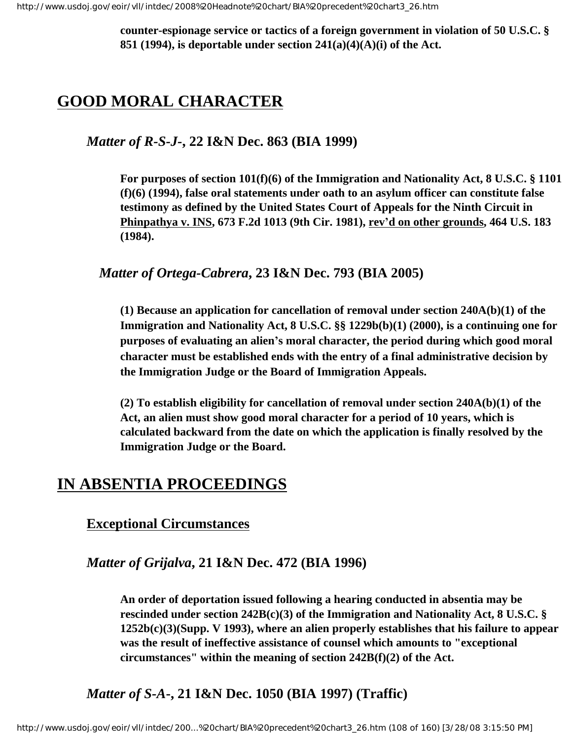**counter-espionage service or tactics of a foreign government in violation of 50 U.S.C. § 851 (1994), is deportable under section 241(a)(4)(A)(i) of the Act.**

# **GOOD MORAL CHARACTER**

### *Matter of R-S-J-***, 22 I&N Dec. 863 (BIA 1999)**

**For purposes of section 101(f)(6) of the Immigration and Nationality Act, 8 U.S.C. § 1101 (f)(6) (1994), false oral statements under oath to an asylum officer can constitute false testimony as defined by the United States Court of Appeals for the Ninth Circuit in Phinpathya v. INS, 673 F.2d 1013 (9th Cir. 1981), rev'd on other grounds, 464 U.S. 183 (1984).**

#### *Matter of Ortega-Cabrera***, 23 I&N Dec. 793 (BIA 2005)**

**(1) Because an application for cancellation of removal under section 240A(b)(1) of the Immigration and Nationality Act, 8 U.S.C. §§ 1229b(b)(1) (2000), is a continuing one for purposes of evaluating an alien's moral character, the period during which good moral character must be established ends with the entry of a final administrative decision by the Immigration Judge or the Board of Immigration Appeals.** 

**(2) To establish eligibility for cancellation of removal under section 240A(b)(1) of the Act, an alien must show good moral character for a period of 10 years, which is calculated backward from the date on which the application is finally resolved by the Immigration Judge or the Board.** 

## **IN ABSENTIA PROCEEDINGS**

#### **Exceptional Circumstances**

#### *Matter of Grijalva***, 21 I&N Dec. 472 (BIA 1996)**

**An order of deportation issued following a hearing conducted in absentia may be rescinded under section 242B(c)(3) of the Immigration and Nationality Act, 8 U.S.C. § 1252b(c)(3)(Supp. V 1993), where an alien properly establishes that his failure to appear was the result of ineffective assistance of counsel which amounts to "exceptional circumstances" within the meaning of section 242B(f)(2) of the Act.**

## *Matter of S-A***-, 21 I&N Dec. 1050 (BIA 1997) (Traffic)**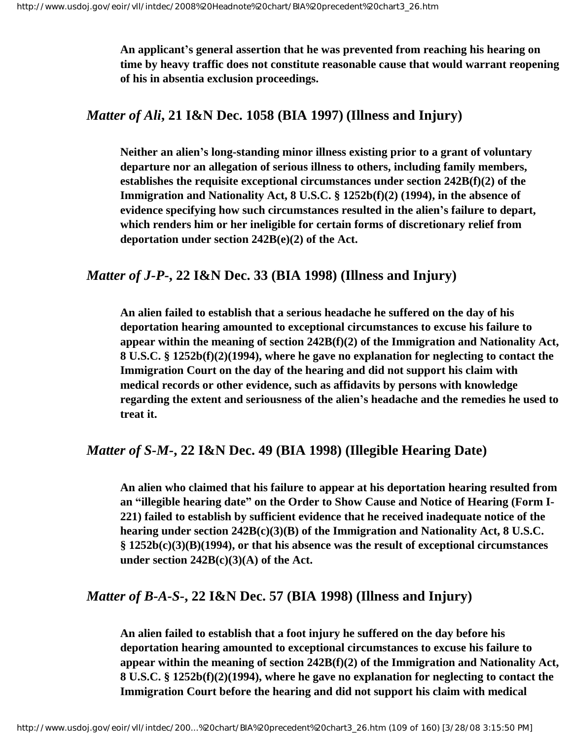**An applicant's general assertion that he was prevented from reaching his hearing on time by heavy traffic does not constitute reasonable cause that would warrant reopening of his in absentia exclusion proceedings.**

# *Matter of Ali***, 21 I&N Dec. 1058 (BIA 1997) (Illness and Injury)**

**Neither an alien's long-standing minor illness existing prior to a grant of voluntary departure nor an allegation of serious illness to others, including family members, establishes the requisite exceptional circumstances under section 242B(f)(2) of the Immigration and Nationality Act, 8 U.S.C. § 1252b(f)(2) (1994), in the absence of evidence specifying how such circumstances resulted in the alien's failure to depart, which renders him or her ineligible for certain forms of discretionary relief from deportation under section 242B(e)(2) of the Act.** 

# *Matter of J-P***-, 22 I&N Dec. 33 (BIA 1998) (Illness and Injury)**

**An alien failed to establish that a serious headache he suffered on the day of his deportation hearing amounted to exceptional circumstances to excuse his failure to appear within the meaning of section 242B(f)(2) of the Immigration and Nationality Act, 8 U.S.C. § 1252b(f)(2)(1994), where he gave no explanation for neglecting to contact the Immigration Court on the day of the hearing and did not support his claim with medical records or other evidence, such as affidavits by persons with knowledge regarding the extent and seriousness of the alien's headache and the remedies he used to treat it.**

# *Matter of S-M-***, 22 I&N Dec. 49 (BIA 1998) (Illegible Hearing Date)**

**An alien who claimed that his failure to appear at his deportation hearing resulted from an "illegible hearing date" on the Order to Show Cause and Notice of Hearing (Form I-221) failed to establish by sufficient evidence that he received inadequate notice of the hearing under section 242B(c)(3)(B) of the Immigration and Nationality Act, 8 U.S.C. § 1252b(c)(3)(B)(1994), or that his absence was the result of exceptional circumstances under section 242B(c)(3)(A) of the Act.** 

# *Matter of B-A-S-***, 22 I&N Dec. 57 (BIA 1998) (Illness and Injury)**

**An alien failed to establish that a foot injury he suffered on the day before his deportation hearing amounted to exceptional circumstances to excuse his failure to appear within the meaning of section 242B(f)(2) of the Immigration and Nationality Act, 8 U.S.C. § 1252b(f)(2)(1994), where he gave no explanation for neglecting to contact the Immigration Court before the hearing and did not support his claim with medical**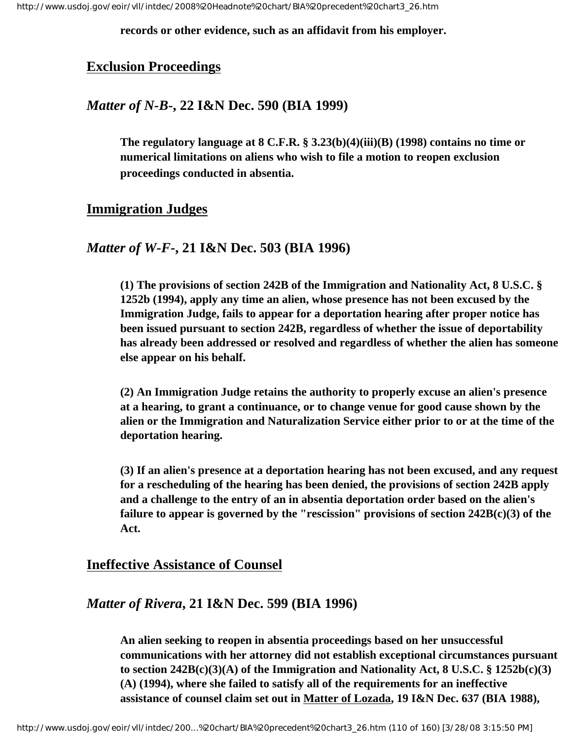**records or other evidence, such as an affidavit from his employer.**

#### **Exclusion Proceedings**

#### *Matter of N-B***-, 22 I&N Dec. 590 (BIA 1999)**

**The regulatory language at 8 C.F.R. § 3.23(b)(4)(iii)(B) (1998) contains no time or numerical limitations on aliens who wish to file a motion to reopen exclusion proceedings conducted in absentia.**

#### **Immigration Judges**

#### *Matter of W-F-***, 21 I&N Dec. 503 (BIA 1996)**

**(1) The provisions of section 242B of the Immigration and Nationality Act, 8 U.S.C. § 1252b (1994), apply any time an alien, whose presence has not been excused by the Immigration Judge, fails to appear for a deportation hearing after proper notice has been issued pursuant to section 242B, regardless of whether the issue of deportability has already been addressed or resolved and regardless of whether the alien has someone else appear on his behalf.**

**(2) An Immigration Judge retains the authority to properly excuse an alien's presence at a hearing, to grant a continuance, or to change venue for good cause shown by the alien or the Immigration and Naturalization Service either prior to or at the time of the deportation hearing.**

**(3) If an alien's presence at a deportation hearing has not been excused, and any request for a rescheduling of the hearing has been denied, the provisions of section 242B apply and a challenge to the entry of an in absentia deportation order based on the alien's failure to appear is governed by the "rescission" provisions of section 242B(c)(3) of the Act.**

#### **Ineffective Assistance of Counsel**

### *Matter of Rivera***, 21 I&N Dec. 599 (BIA 1996)**

**An alien seeking to reopen in absentia proceedings based on her unsuccessful communications with her attorney did not establish exceptional circumstances pursuant to section 242B(c)(3)(A) of the Immigration and Nationality Act, 8 U.S.C. § 1252b(c)(3) (A) (1994), where she failed to satisfy all of the requirements for an ineffective assistance of counsel claim set out in Matter of Lozada, 19 I&N Dec. 637 (BIA 1988),**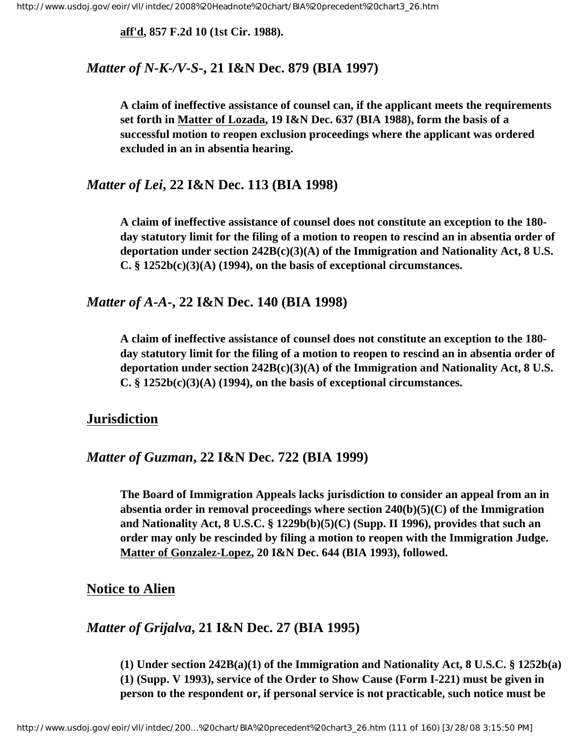**aff'd, 857 F.2d 10 (1st Cir. 1988).**

#### *Matter of N-K-/V-S-***, 21 I&N Dec. 879 (BIA 1997)**

**A claim of ineffective assistance of counsel can, if the applicant meets the requirements set forth in Matter of Lozada, 19 I&N Dec. 637 (BIA 1988), form the basis of a successful motion to reopen exclusion proceedings where the applicant was ordered excluded in an in absentia hearing.**

#### *Matter of Lei***, 22 I&N Dec. 113 (BIA 1998)**

**A claim of ineffective assistance of counsel does not constitute an exception to the 180 day statutory limit for the filing of a motion to reopen to rescind an in absentia order of deportation under section 242B(c)(3)(A) of the Immigration and Nationality Act, 8 U.S. C. § 1252b(c)(3)(A) (1994), on the basis of exceptional circumstances.**

*Matter of A-A***-, 22 I&N Dec. 140 (BIA 1998)**

**A claim of ineffective assistance of counsel does not constitute an exception to the 180 day statutory limit for the filing of a motion to reopen to rescind an in absentia order of deportation under section 242B(c)(3)(A) of the Immigration and Nationality Act, 8 U.S. C. § 1252b(c)(3)(A) (1994), on the basis of exceptional circumstances.**

#### **Jurisdiction**

#### *Matter of Guzman***, 22 I&N Dec. 722 (BIA 1999)**

**The Board of Immigration Appeals lacks jurisdiction to consider an appeal from an in absentia order in removal proceedings where section 240(b)(5)(C) of the Immigration and Nationality Act, 8 U.S.C. § 1229b(b)(5)(C) (Supp. II 1996), provides that such an order may only be rescinded by filing a motion to reopen with the Immigration Judge. Matter of Gonzalez-Lopez, 20 I&N Dec. 644 (BIA 1993), followed.**

#### **Notice to Alien**

## *Matter of Grijalva***, 21 I&N Dec. 27 (BIA 1995)**

**(1) Under section 242B(a)(1) of the Immigration and Nationality Act, 8 U.S.C. § 1252b(a) (1) (Supp. V 1993), service of the Order to Show Cause (Form I-221) must be given in person to the respondent or, if personal service is not practicable, such notice must be**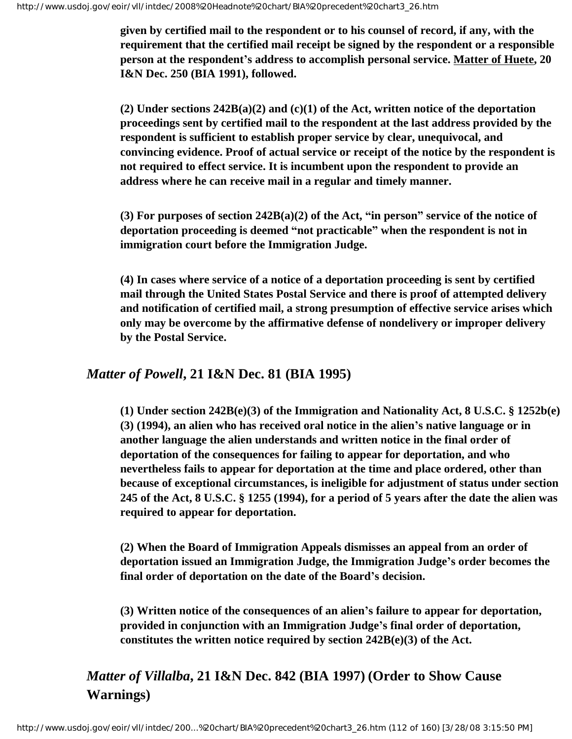**given by certified mail to the respondent or to his counsel of record, if any, with the requirement that the certified mail receipt be signed by the respondent or a responsible person at the respondent's address to accomplish personal service. Matter of Huete, 20 I&N Dec. 250 (BIA 1991), followed.** 

**(2) Under sections 242B(a)(2) and (c)(1) of the Act, written notice of the deportation proceedings sent by certified mail to the respondent at the last address provided by the respondent is sufficient to establish proper service by clear, unequivocal, and convincing evidence. Proof of actual service or receipt of the notice by the respondent is not required to effect service. It is incumbent upon the respondent to provide an address where he can receive mail in a regular and timely manner.** 

**(3) For purposes of section 242B(a)(2) of the Act, "in person" service of the notice of deportation proceeding is deemed "not practicable" when the respondent is not in immigration court before the Immigration Judge.** 

**(4) In cases where service of a notice of a deportation proceeding is sent by certified mail through the United States Postal Service and there is proof of attempted delivery and notification of certified mail, a strong presumption of effective service arises which only may be overcome by the affirmative defense of nondelivery or improper delivery by the Postal Service.** 

*Matter of Powell***, 21 I&N Dec. 81 (BIA 1995)**

**(1) Under section 242B(e)(3) of the Immigration and Nationality Act, 8 U.S.C. § 1252b(e) (3) (1994), an alien who has received oral notice in the alien's native language or in another language the alien understands and written notice in the final order of deportation of the consequences for failing to appear for deportation, and who nevertheless fails to appear for deportation at the time and place ordered, other than because of exceptional circumstances, is ineligible for adjustment of status under section 245 of the Act, 8 U.S.C. § 1255 (1994), for a period of 5 years after the date the alien was required to appear for deportation.** 

**(2) When the Board of Immigration Appeals dismisses an appeal from an order of deportation issued an Immigration Judge, the Immigration Judge's order becomes the final order of deportation on the date of the Board's decision.** 

**(3) Written notice of the consequences of an alien's failure to appear for deportation, provided in conjunction with an Immigration Judge's final order of deportation, constitutes the written notice required by section 242B(e)(3) of the Act.** 

*Matter of Villalba***, 21 I&N Dec. 842 (BIA 1997) (Order to Show Cause Warnings)**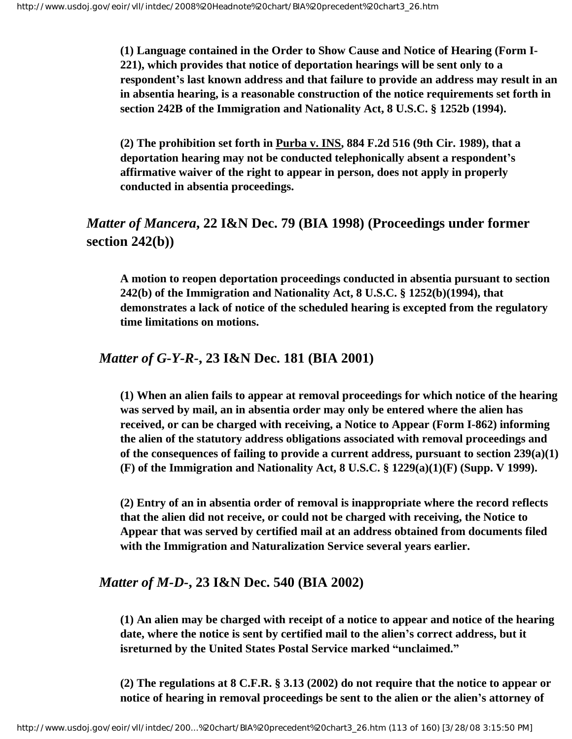**(1) Language contained in the Order to Show Cause and Notice of Hearing (Form I-221), which provides that notice of deportation hearings will be sent only to a respondent's last known address and that failure to provide an address may result in an in absentia hearing, is a reasonable construction of the notice requirements set forth in section 242B of the Immigration and Nationality Act, 8 U.S.C. § 1252b (1994).**

**(2) The prohibition set forth in Purba v. INS, 884 F.2d 516 (9th Cir. 1989), that a deportation hearing may not be conducted telephonically absent a respondent's affirmative waiver of the right to appear in person, does not apply in properly conducted in absentia proceedings.**

# *Matter of Mancera***, 22 I&N Dec. 79 (BIA 1998) (Proceedings under former section 242(b))**

**A motion to reopen deportation proceedings conducted in absentia pursuant to section 242(b) of the Immigration and Nationality Act, 8 U.S.C. § 1252(b)(1994), that demonstrates a lack of notice of the scheduled hearing is excepted from the regulatory time limitations on motions.**

# *Matter of G-Y-R-***, 23 I&N Dec. 181 (BIA 2001)**

**(1) When an alien fails to appear at removal proceedings for which notice of the hearing was served by mail, an in absentia order may only be entered where the alien has received, or can be charged with receiving, a Notice to Appear (Form I-862) informing the alien of the statutory address obligations associated with removal proceedings and of the consequences of failing to provide a current address, pursuant to section 239(a)(1) (F) of the Immigration and Nationality Act, 8 U.S.C. § 1229(a)(1)(F) (Supp. V 1999).** 

**(2) Entry of an in absentia order of removal is inappropriate where the record reflects that the alien did not receive, or could not be charged with receiving, the Notice to Appear that was served by certified mail at an address obtained from documents filed with the Immigration and Naturalization Service several years earlier.** 

## *Matter of M-D-***, 23 I&N Dec. 540 (BIA 2002)**

**(1) An alien may be charged with receipt of a notice to appear and notice of the hearing date, where the notice is sent by certified mail to the alien's correct address, but it isreturned by the United States Postal Service marked "unclaimed."**

**(2) The regulations at 8 C.F.R. § 3.13 (2002) do not require that the notice to appear or notice of hearing in removal proceedings be sent to the alien or the alien's attorney of**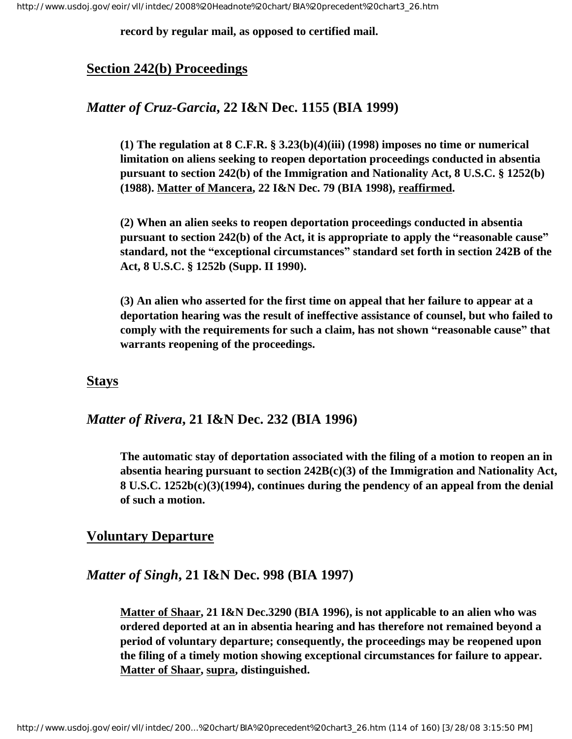**record by regular mail, as opposed to certified mail.**

# **Section 242(b) Proceedings**

# *Matter of Cruz-Garcia***, 22 I&N Dec. 1155 (BIA 1999)**

**(1) The regulation at 8 C.F.R. § 3.23(b)(4)(iii) (1998) imposes no time or numerical limitation on aliens seeking to reopen deportation proceedings conducted in absentia pursuant to section 242(b) of the Immigration and Nationality Act, 8 U.S.C. § 1252(b) (1988). Matter of Mancera, 22 I&N Dec. 79 (BIA 1998), reaffirmed.** 

**(2) When an alien seeks to reopen deportation proceedings conducted in absentia pursuant to section 242(b) of the Act, it is appropriate to apply the "reasonable cause" standard, not the "exceptional circumstances" standard set forth in section 242B of the Act, 8 U.S.C. § 1252b (Supp. II 1990).**

**(3) An alien who asserted for the first time on appeal that her failure to appear at a deportation hearing was the result of ineffective assistance of counsel, but who failed to comply with the requirements for such a claim, has not shown "reasonable cause" that warrants reopening of the proceedings.**

#### **Stays**

## *Matter of Rivera***, 21 I&N Dec. 232 (BIA 1996)**

**The automatic stay of deportation associated with the filing of a motion to reopen an in absentia hearing pursuant to section 242B(c)(3) of the Immigration and Nationality Act, 8 U.S.C. 1252b(c)(3)(1994), continues during the pendency of an appeal from the denial of such a motion.**

## **Voluntary Departure**

## *Matter of Singh***, 21 I&N Dec. 998 (BIA 1997)**

**Matter of Shaar, 21 I&N Dec.3290 (BIA 1996), is not applicable to an alien who was ordered deported at an in absentia hearing and has therefore not remained beyond a period of voluntary departure; consequently, the proceedings may be reopened upon the filing of a timely motion showing exceptional circumstances for failure to appear. Matter of Shaar, supra, distinguished.**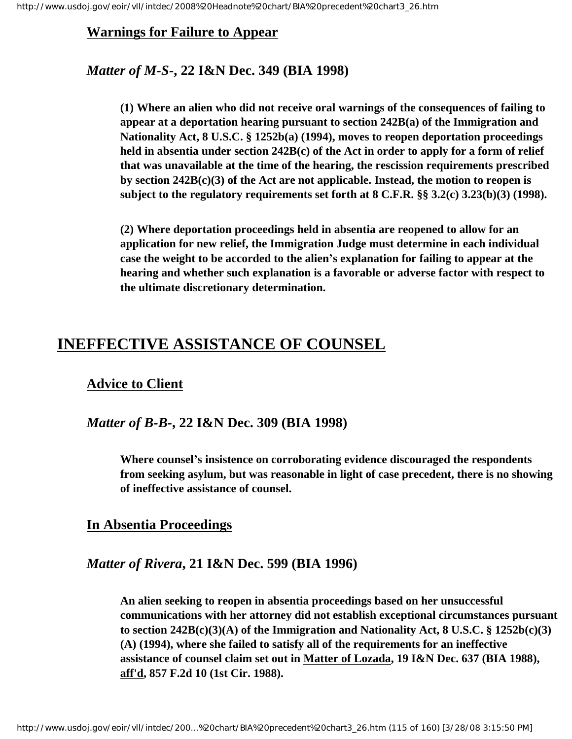## **Warnings for Failure to Appear**

# *Matter of M-S***-, 22 I&N Dec. 349 (BIA 1998)**

**(1) Where an alien who did not receive oral warnings of the consequences of failing to appear at a deportation hearing pursuant to section 242B(a) of the Immigration and Nationality Act, 8 U.S.C. § 1252b(a) (1994), moves to reopen deportation proceedings held in absentia under section 242B(c) of the Act in order to apply for a form of relief that was unavailable at the time of the hearing, the rescission requirements prescribed by section 242B(c)(3) of the Act are not applicable. Instead, the motion to reopen is subject to the regulatory requirements set forth at 8 C.F.R. §§ 3.2(c) 3.23(b)(3) (1998).** 

**(2) Where deportation proceedings held in absentia are reopened to allow for an application for new relief, the Immigration Judge must determine in each individual case the weight to be accorded to the alien's explanation for failing to appear at the hearing and whether such explanation is a favorable or adverse factor with respect to the ultimate discretionary determination.**

# **INEFFECTIVE ASSISTANCE OF COUNSEL**

# **Advice to Client**

#### *Matter of B-B-***, 22 I&N Dec. 309 (BIA 1998)**

**Where counsel's insistence on corroborating evidence discouraged the respondents from seeking asylum, but was reasonable in light of case precedent, there is no showing of ineffective assistance of counsel.**

## **In Absentia Proceedings**

## *Matter of Rivera***, 21 I&N Dec. 599 (BIA 1996)**

**An alien seeking to reopen in absentia proceedings based on her unsuccessful communications with her attorney did not establish exceptional circumstances pursuant to section 242B(c)(3)(A) of the Immigration and Nationality Act, 8 U.S.C. § 1252b(c)(3) (A) (1994), where she failed to satisfy all of the requirements for an ineffective assistance of counsel claim set out in Matter of Lozada, 19 I&N Dec. 637 (BIA 1988), aff'd, 857 F.2d 10 (1st Cir. 1988).**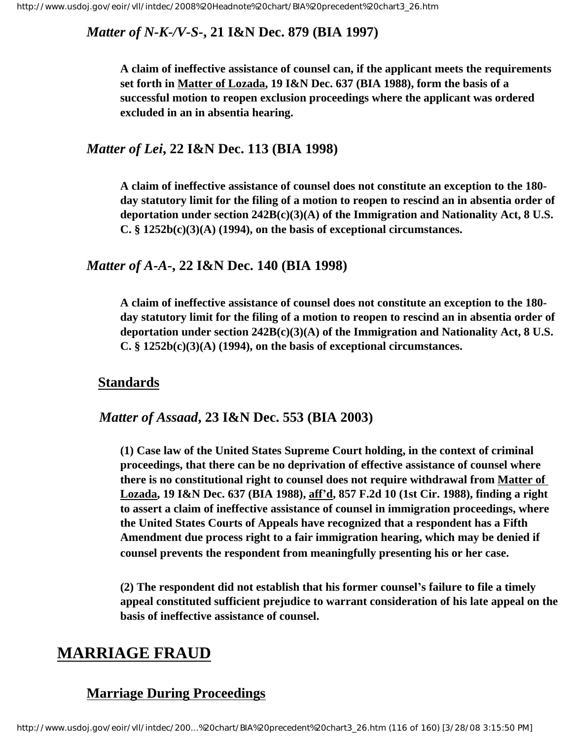# *Matter of N-K-/V-S-***, 21 I&N Dec. 879 (BIA 1997)**

**A claim of ineffective assistance of counsel can, if the applicant meets the requirements set forth in Matter of Lozada, 19 I&N Dec. 637 (BIA 1988), form the basis of a successful motion to reopen exclusion proceedings where the applicant was ordered excluded in an in absentia hearing.**

### *Matter of Lei***, 22 I&N Dec. 113 (BIA 1998)**

**A claim of ineffective assistance of counsel does not constitute an exception to the 180 day statutory limit for the filing of a motion to reopen to rescind an in absentia order of deportation under section 242B(c)(3)(A) of the Immigration and Nationality Act, 8 U.S. C. § 1252b(c)(3)(A) (1994), on the basis of exceptional circumstances.**

## *Matter of A-A***-, 22 I&N Dec. 140 (BIA 1998)**

**A claim of ineffective assistance of counsel does not constitute an exception to the 180 day statutory limit for the filing of a motion to reopen to rescind an in absentia order of deportation under section 242B(c)(3)(A) of the Immigration and Nationality Act, 8 U.S. C. § 1252b(c)(3)(A) (1994), on the basis of exceptional circumstances.**

#### **Standards**

#### *Matter of Assaad***, 23 I&N Dec. 553 (BIA 2003)**

**(1) Case law of the United States Supreme Court holding, in the context of criminal proceedings, that there can be no deprivation of effective assistance of counsel where there is no constitutional right to counsel does not require withdrawal from Matter of Lozada, 19 I&N Dec. 637 (BIA 1988), aff'd, 857 F.2d 10 (1st Cir. 1988), finding a right to assert a claim of ineffective assistance of counsel in immigration proceedings, where the United States Courts of Appeals have recognized that a respondent has a Fifth Amendment due process right to a fair immigration hearing, which may be denied if counsel prevents the respondent from meaningfully presenting his or her case.**

**(2) The respondent did not establish that his former counsel's failure to file a timely appeal constituted sufficient prejudice to warrant consideration of his late appeal on the basis of ineffective assistance of counsel.**

# **MARRIAGE FRAUD**

# **Marriage During Proceedings**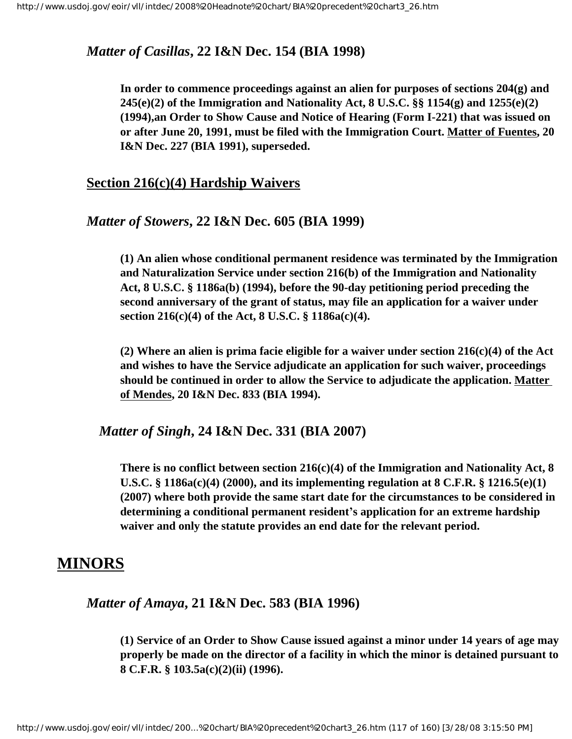## *Matter of Casillas***, 22 I&N Dec. 154 (BIA 1998)**

**In order to commence proceedings against an alien for purposes of sections 204(g) and 245(e)(2) of the Immigration and Nationality Act, 8 U.S.C. §§ 1154(g) and 1255(e)(2) (1994),an Order to Show Cause and Notice of Hearing (Form I-221) that was issued on or after June 20, 1991, must be filed with the Immigration Court. Matter of Fuentes, 20 I&N Dec. 227 (BIA 1991), superseded.**

#### **Section 216(c)(4) Hardship Waivers**

#### *Matter of Stowers***, 22 I&N Dec. 605 (BIA 1999)**

**(1) An alien whose conditional permanent residence was terminated by the Immigration and Naturalization Service under section 216(b) of the Immigration and Nationality Act, 8 U.S.C. § 1186a(b) (1994), before the 90-day petitioning period preceding the second anniversary of the grant of status, may file an application for a waiver under section 216(c)(4) of the Act, 8 U.S.C. § 1186a(c)(4).**

**(2) Where an alien is prima facie eligible for a waiver under section 216(c)(4) of the Act and wishes to have the Service adjudicate an application for such waiver, proceedings should be continued in order to allow the Service to adjudicate the application. Matter of Mendes, 20 I&N Dec. 833 (BIA 1994).**

*Matter of Singh***, 24 I&N Dec. 331 (BIA 2007)**

**There is no conflict between section 216(c)(4) of the Immigration and Nationality Act, 8 U.S.C. § 1186a(c)(4) (2000), and its implementing regulation at 8 C.F.R. § 1216.5(e)(1) (2007) where both provide the same start date for the circumstances to be considered in determining a conditional permanent resident's application for an extreme hardship waiver and only the statute provides an end date for the relevant period.**

# **MINORS**

*Matter of Amaya***, 21 I&N Dec. 583 (BIA 1996)**

**(1) Service of an Order to Show Cause issued against a minor under 14 years of age may properly be made on the director of a facility in which the minor is detained pursuant to 8 C.F.R. § 103.5a(c)(2)(ii) (1996).**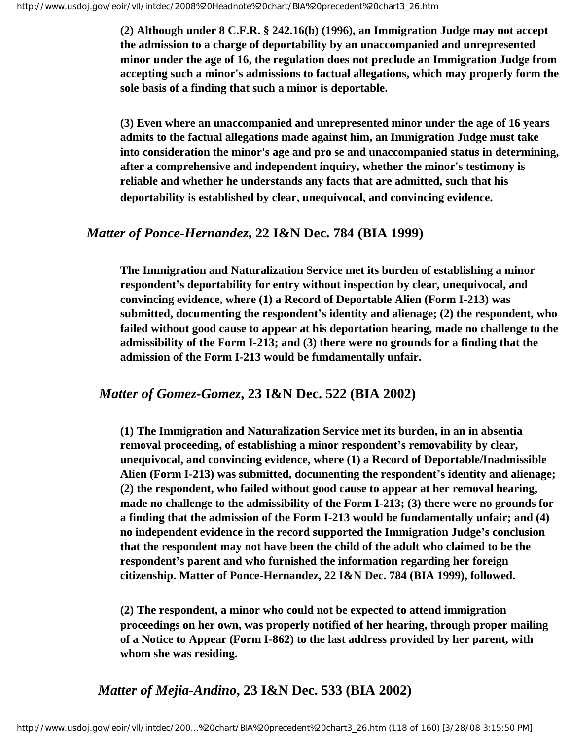**(2) Although under 8 C.F.R. § 242.16(b) (1996), an Immigration Judge may not accept the admission to a charge of deportability by an unaccompanied and unrepresented minor under the age of 16, the regulation does not preclude an Immigration Judge from accepting such a minor's admissions to factual allegations, which may properly form the sole basis of a finding that such a minor is deportable.**

**(3) Even where an unaccompanied and unrepresented minor under the age of 16 years admits to the factual allegations made against him, an Immigration Judge must take into consideration the minor's age and pro se and unaccompanied status in determining, after a comprehensive and independent inquiry, whether the minor's testimony is reliable and whether he understands any facts that are admitted, such that his deportability is established by clear, unequivocal, and convincing evidence.**

#### *Matter of Ponce-Hernandez***, 22 I&N Dec. 784 (BIA 1999)**

**The Immigration and Naturalization Service met its burden of establishing a minor respondent's deportability for entry without inspection by clear, unequivocal, and convincing evidence, where (1) a Record of Deportable Alien (Form I-213) was submitted, documenting the respondent's identity and alienage; (2) the respondent, who failed without good cause to appear at his deportation hearing, made no challenge to the admissibility of the Form I-213; and (3) there were no grounds for a finding that the admission of the Form I-213 would be fundamentally unfair.**

#### *Matter of Gomez-Gomez***, 23 I&N Dec. 522 (BIA 2002)**

**(1) The Immigration and Naturalization Service met its burden, in an in absentia removal proceeding, of establishing a minor respondent's removability by clear, unequivocal, and convincing evidence, where (1) a Record of Deportable/Inadmissible Alien (Form I-213) was submitted, documenting the respondent's identity and alienage; (2) the respondent, who failed without good cause to appear at her removal hearing, made no challenge to the admissibility of the Form I-213; (3) there were no grounds for a finding that the admission of the Form I-213 would be fundamentally unfair; and (4) no independent evidence in the record supported the Immigration Judge's conclusion that the respondent may not have been the child of the adult who claimed to be the respondent's parent and who furnished the information regarding her foreign citizenship. Matter of Ponce-Hernandez, 22 I&N Dec. 784 (BIA 1999), followed.**

**(2) The respondent, a minor who could not be expected to attend immigration proceedings on her own, was properly notified of her hearing, through proper mailing of a Notice to Appear (Form I-862) to the last address provided by her parent, with whom she was residing.**

# *Matter of Mejia-Andino***, 23 I&N Dec. 533 (BIA 2002)**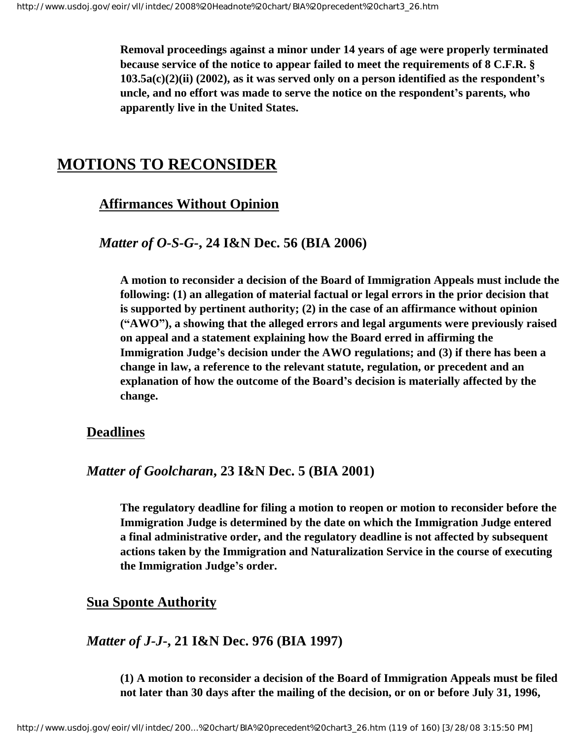**Removal proceedings against a minor under 14 years of age were properly terminated because service of the notice to appear failed to meet the requirements of 8 C.F.R. § 103.5a(c)(2)(ii) (2002), as it was served only on a person identified as the respondent's uncle, and no effort was made to serve the notice on the respondent's parents, who apparently live in the United States.**

# **MOTIONS TO RECONSIDER**

## **Affirmances Without Opinion**

### *Matter of O-S-G-***, 24 I&N Dec. 56 (BIA 2006)**

**A motion to reconsider a decision of the Board of Immigration Appeals must include the following: (1) an allegation of material factual or legal errors in the prior decision that is supported by pertinent authority; (2) in the case of an affirmance without opinion ("AWO"), a showing that the alleged errors and legal arguments were previously raised on appeal and a statement explaining how the Board erred in affirming the Immigration Judge's decision under the AWO regulations; and (3) if there has been a change in law, a reference to the relevant statute, regulation, or precedent and an explanation of how the outcome of the Board's decision is materially affected by the change.**

## **Deadlines**

### *Matter of Goolcharan***, 23 I&N Dec. 5 (BIA 2001)**

**The regulatory deadline for filing a motion to reopen or motion to reconsider before the Immigration Judge is determined by the date on which the Immigration Judge entered a final administrative order, and the regulatory deadline is not affected by subsequent actions taken by the Immigration and Naturalization Service in the course of executing the Immigration Judge's order.**

## **Sua Sponte Authority**

## *Matter of J-J***-, 21 I&N Dec. 976 (BIA 1997)**

**(1) A motion to reconsider a decision of the Board of Immigration Appeals must be filed not later than 30 days after the mailing of the decision, or on or before July 31, 1996,**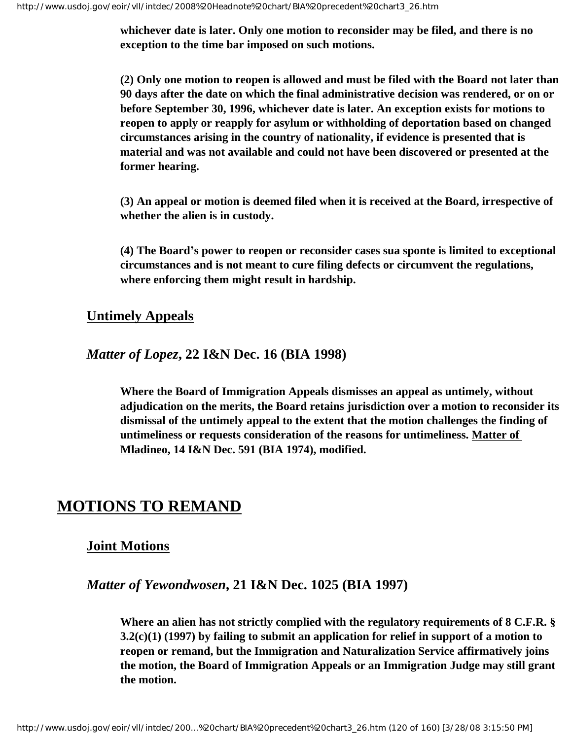**whichever date is later. Only one motion to reconsider may be filed, and there is no exception to the time bar imposed on such motions.**

**(2) Only one motion to reopen is allowed and must be filed with the Board not later than 90 days after the date on which the final administrative decision was rendered, or on or before September 30, 1996, whichever date is later. An exception exists for motions to reopen to apply or reapply for asylum or withholding of deportation based on changed circumstances arising in the country of nationality, if evidence is presented that is material and was not available and could not have been discovered or presented at the former hearing.**

**(3) An appeal or motion is deemed filed when it is received at the Board, irrespective of whether the alien is in custody.**

**(4) The Board's power to reopen or reconsider cases sua sponte is limited to exceptional circumstances and is not meant to cure filing defects or circumvent the regulations, where enforcing them might result in hardship.**

# **Untimely Appeals**

*Matter of Lopez***, 22 I&N Dec. 16 (BIA 1998)**

**Where the Board of Immigration Appeals dismisses an appeal as untimely, without adjudication on the merits, the Board retains jurisdiction over a motion to reconsider its dismissal of the untimely appeal to the extent that the motion challenges the finding of untimeliness or requests consideration of the reasons for untimeliness. Matter of Mladineo, 14 I&N Dec. 591 (BIA 1974), modified.**

# **MOTIONS TO REMAND**

## **Joint Motions**

## *Matter of Yewondwosen***, 21 I&N Dec. 1025 (BIA 1997)**

**Where an alien has not strictly complied with the regulatory requirements of 8 C.F.R. § 3.2(c)(1) (1997) by failing to submit an application for relief in support of a motion to reopen or remand, but the Immigration and Naturalization Service affirmatively joins the motion, the Board of Immigration Appeals or an Immigration Judge may still grant the motion.**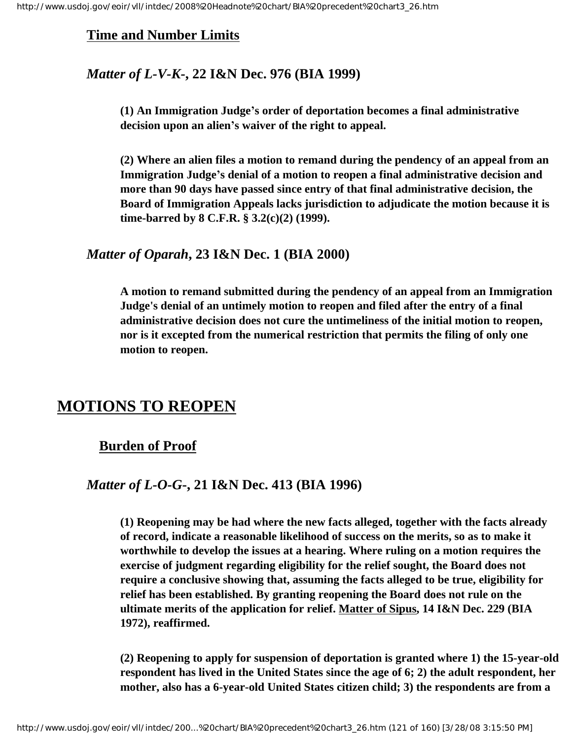# **Time and Number Limits**

# *Matter of L-V-K-***, 22 I&N Dec. 976 (BIA 1999)**

**(1) An Immigration Judge's order of deportation becomes a final administrative decision upon an alien's waiver of the right to appeal.**

**(2) Where an alien files a motion to remand during the pendency of an appeal from an Immigration Judge's denial of a motion to reopen a final administrative decision and more than 90 days have passed since entry of that final administrative decision, the Board of Immigration Appeals lacks jurisdiction to adjudicate the motion because it is time-barred by 8 C.F.R. § 3.2(c)(2) (1999).**

## *Matter of Oparah***, 23 I&N Dec. 1 (BIA 2000)**

**A motion to remand submitted during the pendency of an appeal from an Immigration Judge's denial of an untimely motion to reopen and filed after the entry of a final administrative decision does not cure the untimeliness of the initial motion to reopen, nor is it excepted from the numerical restriction that permits the filing of only one motion to reopen.**

# **MOTIONS TO REOPEN**

## **Burden of Proof**

## *Matter of L-O-G***-, 21 I&N Dec. 413 (BIA 1996)**

**(1) Reopening may be had where the new facts alleged, together with the facts already of record, indicate a reasonable likelihood of success on the merits, so as to make it worthwhile to develop the issues at a hearing. Where ruling on a motion requires the exercise of judgment regarding eligibility for the relief sought, the Board does not require a conclusive showing that, assuming the facts alleged to be true, eligibility for relief has been established. By granting reopening the Board does not rule on the ultimate merits of the application for relief. Matter of Sipus, 14 I&N Dec. 229 (BIA 1972), reaffirmed.**

**(2) Reopening to apply for suspension of deportation is granted where 1) the 15-year-old respondent has lived in the United States since the age of 6; 2) the adult respondent, her mother, also has a 6-year-old United States citizen child; 3) the respondents are from a**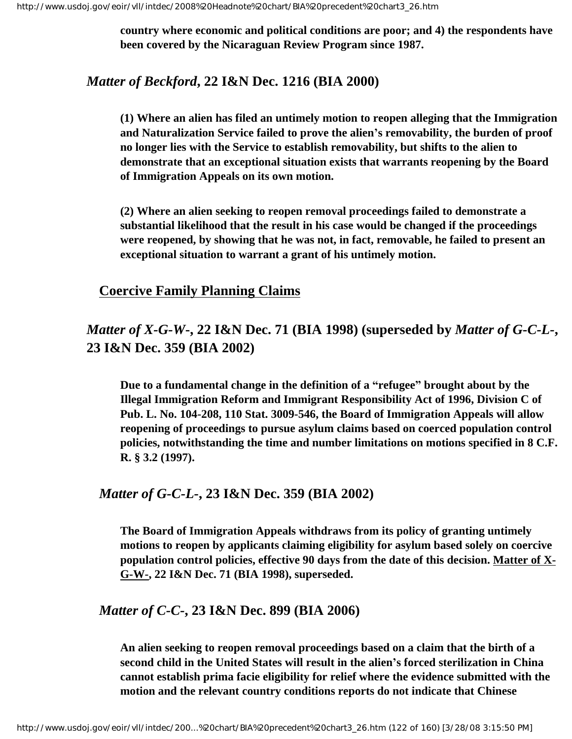**country where economic and political conditions are poor; and 4) the respondents have been covered by the Nicaraguan Review Program since 1987.**

# *Matter of Beckford***, 22 I&N Dec. 1216 (BIA 2000)**

**(1) Where an alien has filed an untimely motion to reopen alleging that the Immigration and Naturalization Service failed to prove the alien's removability, the burden of proof no longer lies with the Service to establish removability, but shifts to the alien to demonstrate that an exceptional situation exists that warrants reopening by the Board of Immigration Appeals on its own motion.**

**(2) Where an alien seeking to reopen removal proceedings failed to demonstrate a substantial likelihood that the result in his case would be changed if the proceedings were reopened, by showing that he was not, in fact, removable, he failed to present an exceptional situation to warrant a grant of his untimely motion.**

# **Coercive Family Planning Claims**

# *Matter of X-G-W***-, 22 I&N Dec. 71 (BIA 1998) (superseded by** *Matter of G-C-L-***, 23 I&N Dec. 359 (BIA 2002)**

**Due to a fundamental change in the definition of a "refugee" brought about by the Illegal Immigration Reform and Immigrant Responsibility Act of 1996, Division C of Pub. L. No. 104-208, 110 Stat. 3009-546, the Board of Immigration Appeals will allow reopening of proceedings to pursue asylum claims based on coerced population control policies, notwithstanding the time and number limitations on motions specified in 8 C.F. R. § 3.2 (1997).**

#### *Matter of G-C-L-***, 23 I&N Dec. 359 (BIA 2002)**

**The Board of Immigration Appeals withdraws from its policy of granting untimely motions to reopen by applicants claiming eligibility for asylum based solely on coercive population control policies, effective 90 days from the date of this decision. Matter of X-G-W-, 22 I&N Dec. 71 (BIA 1998), superseded.**

#### *Matter of C-C-***, 23 I&N Dec. 899 (BIA 2006)**

**An alien seeking to reopen removal proceedings based on a claim that the birth of a second child in the United States will result in the alien's forced sterilization in China cannot establish prima facie eligibility for relief where the evidence submitted with the motion and the relevant country conditions reports do not indicate that Chinese**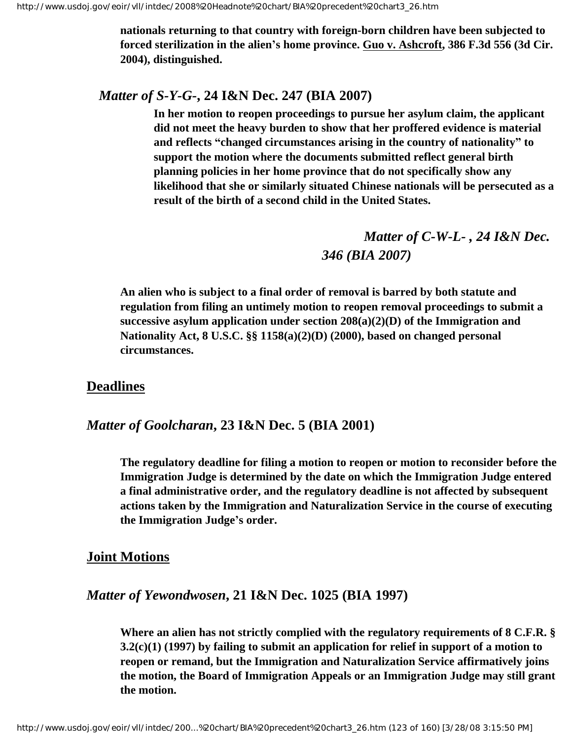**nationals returning to that country with foreign-born children have been subjected to forced sterilization in the alien's home province. Guo v. Ashcroft, 386 F.3d 556 (3d Cir. 2004), distinguished.**

#### *Matter of S-Y-G-***, 24 I&N Dec. 247 (BIA 2007)**

**In her motion to reopen proceedings to pursue her asylum claim, the applicant did not meet the heavy burden to show that her proffered evidence is material and reflects "changed circumstances arising in the country of nationality" to support the motion where the documents submitted reflect general birth planning policies in her home province that do not specifically show any likelihood that she or similarly situated Chinese nationals will be persecuted as a result of the birth of a second child in the United States.**

> *Matter of C-W-L- , 24 I&N Dec. 346 (BIA 2007)*

**An alien who is subject to a final order of removal is barred by both statute and regulation from filing an untimely motion to reopen removal proceedings to submit a successive asylum application under section 208(a)(2)(D) of the Immigration and Nationality Act, 8 U.S.C. §§ 1158(a)(2)(D) (2000), based on changed personal circumstances.**

## **Deadlines**

*Matter of Goolcharan***, 23 I&N Dec. 5 (BIA 2001)**

**The regulatory deadline for filing a motion to reopen or motion to reconsider before the Immigration Judge is determined by the date on which the Immigration Judge entered a final administrative order, and the regulatory deadline is not affected by subsequent actions taken by the Immigration and Naturalization Service in the course of executing the Immigration Judge's order.**

#### **Joint Motions**

#### *Matter of Yewondwosen***, 21 I&N Dec. 1025 (BIA 1997)**

**Where an alien has not strictly complied with the regulatory requirements of 8 C.F.R. § 3.2(c)(1) (1997) by failing to submit an application for relief in support of a motion to reopen or remand, but the Immigration and Naturalization Service affirmatively joins the motion, the Board of Immigration Appeals or an Immigration Judge may still grant the motion.**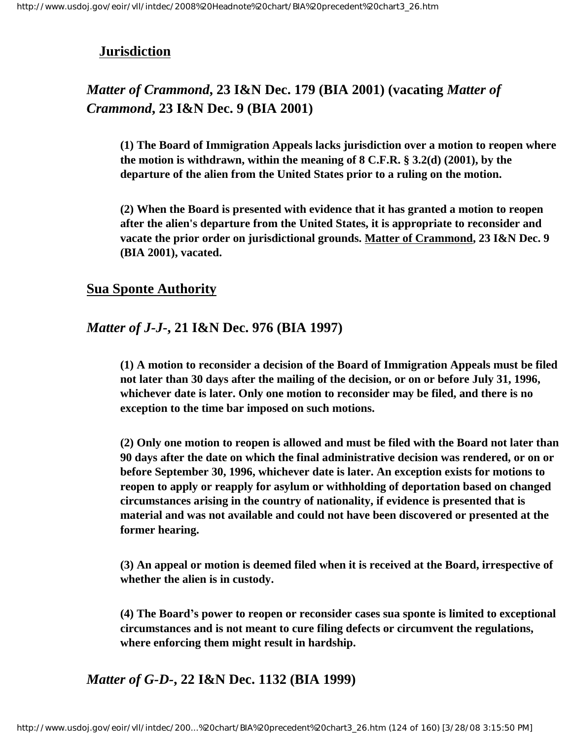# **Jurisdiction**

# *Matter of Crammond***, 23 I&N Dec. 179 (BIA 2001) (vacating** *Matter of Crammond***, 23 I&N Dec. 9 (BIA 2001)**

**(1) The Board of Immigration Appeals lacks jurisdiction over a motion to reopen where the motion is withdrawn, within the meaning of 8 C.F.R. § 3.2(d) (2001), by the departure of the alien from the United States prior to a ruling on the motion.**

**(2) When the Board is presented with evidence that it has granted a motion to reopen after the alien's departure from the United States, it is appropriate to reconsider and vacate the prior order on jurisdictional grounds. Matter of Crammond, 23 I&N Dec. 9 (BIA 2001), vacated.** 

## **Sua Sponte Authority**

## *Matter of J-J***-, 21 I&N Dec. 976 (BIA 1997)**

**(1) A motion to reconsider a decision of the Board of Immigration Appeals must be filed not later than 30 days after the mailing of the decision, or on or before July 31, 1996, whichever date is later. Only one motion to reconsider may be filed, and there is no exception to the time bar imposed on such motions.**

**(2) Only one motion to reopen is allowed and must be filed with the Board not later than 90 days after the date on which the final administrative decision was rendered, or on or before September 30, 1996, whichever date is later. An exception exists for motions to reopen to apply or reapply for asylum or withholding of deportation based on changed circumstances arising in the country of nationality, if evidence is presented that is material and was not available and could not have been discovered or presented at the former hearing.**

**(3) An appeal or motion is deemed filed when it is received at the Board, irrespective of whether the alien is in custody.**

**(4) The Board's power to reopen or reconsider cases sua sponte is limited to exceptional circumstances and is not meant to cure filing defects or circumvent the regulations, where enforcing them might result in hardship.**

*Matter of G-D-***, 22 I&N Dec. 1132 (BIA 1999)**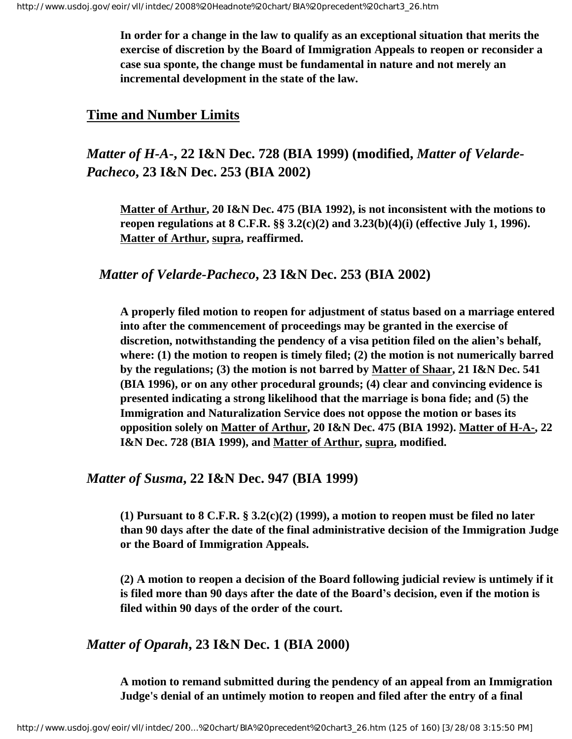**In order for a change in the law to qualify as an exceptional situation that merits the exercise of discretion by the Board of Immigration Appeals to reopen or reconsider a case sua sponte, the change must be fundamental in nature and not merely an incremental development in the state of the law.**

### **Time and Number Limits**

# *Matter of H-A***-, 22 I&N Dec. 728 (BIA 1999) (modified,** *Matter of Velarde-Pacheco***, 23 I&N Dec. 253 (BIA 2002)**

**Matter of Arthur, 20 I&N Dec. 475 (BIA 1992), is not inconsistent with the motions to reopen regulations at 8 C.F.R. §§ 3.2(c)(2) and 3.23(b)(4)(i) (effective July 1, 1996). Matter of Arthur, supra, reaffirmed.**

#### *Matter of Velarde-Pacheco***, 23 I&N Dec. 253 (BIA 2002)**

**A properly filed motion to reopen for adjustment of status based on a marriage entered into after the commencement of proceedings may be granted in the exercise of discretion, notwithstanding the pendency of a visa petition filed on the alien's behalf, where: (1) the motion to reopen is timely filed; (2) the motion is not numerically barred by the regulations; (3) the motion is not barred by Matter of Shaar, 21 I&N Dec. 541 (BIA 1996), or on any other procedural grounds; (4) clear and convincing evidence is presented indicating a strong likelihood that the marriage is bona fide; and (5) the Immigration and Naturalization Service does not oppose the motion or bases its opposition solely on Matter of Arthur, 20 I&N Dec. 475 (BIA 1992). Matter of H-A-, 22 I&N Dec. 728 (BIA 1999), and Matter of Arthur, supra, modified.**

#### *Matter of Susma***, 22 I&N Dec. 947 (BIA 1999)**

**(1) Pursuant to 8 C.F.R. § 3.2(c)(2) (1999), a motion to reopen must be filed no later than 90 days after the date of the final administrative decision of the Immigration Judge or the Board of Immigration Appeals.**

**(2) A motion to reopen a decision of the Board following judicial review is untimely if it is filed more than 90 days after the date of the Board's decision, even if the motion is filed within 90 days of the order of the court.**

# *Matter of Oparah***, 23 I&N Dec. 1 (BIA 2000)**

**A motion to remand submitted during the pendency of an appeal from an Immigration Judge's denial of an untimely motion to reopen and filed after the entry of a final**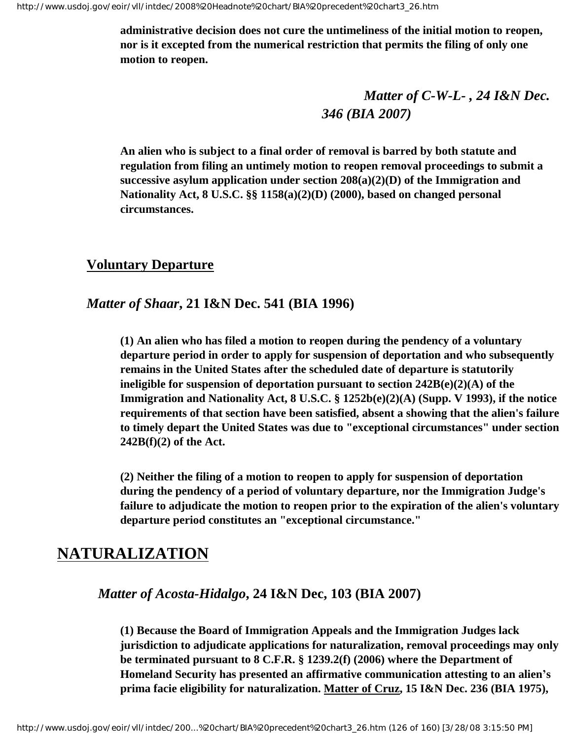**administrative decision does not cure the untimeliness of the initial motion to reopen, nor is it excepted from the numerical restriction that permits the filing of only one motion to reopen.**

> *Matter of C-W-L- , 24 I&N Dec. 346 (BIA 2007)*

**An alien who is subject to a final order of removal is barred by both statute and regulation from filing an untimely motion to reopen removal proceedings to submit a successive asylum application under section 208(a)(2)(D) of the Immigration and Nationality Act, 8 U.S.C. §§ 1158(a)(2)(D) (2000), based on changed personal circumstances.**

## **Voluntary Departure**

#### *Matter of Shaar***, 21 I&N Dec. 541 (BIA 1996)**

**(1) An alien who has filed a motion to reopen during the pendency of a voluntary departure period in order to apply for suspension of deportation and who subsequently remains in the United States after the scheduled date of departure is statutorily ineligible for suspension of deportation pursuant to section 242B(e)(2)(A) of the Immigration and Nationality Act, 8 U.S.C. § 1252b(e)(2)(A) (Supp. V 1993), if the notice requirements of that section have been satisfied, absent a showing that the alien's failure to timely depart the United States was due to "exceptional circumstances" under section 242B(f)(2) of the Act.**

**(2) Neither the filing of a motion to reopen to apply for suspension of deportation during the pendency of a period of voluntary departure, nor the Immigration Judge's failure to adjudicate the motion to reopen prior to the expiration of the alien's voluntary departure period constitutes an "exceptional circumstance."**

# **NATURALIZATION**

#### *Matter of Acosta-Hidalgo***, 24 I&N Dec, 103 (BIA 2007)**

**(1) Because the Board of Immigration Appeals and the Immigration Judges lack jurisdiction to adjudicate applications for naturalization, removal proceedings may only be terminated pursuant to 8 C.F.R. § 1239.2(f) (2006) where the Department of Homeland Security has presented an affirmative communication attesting to an alien's prima facie eligibility for naturalization. Matter of Cruz, 15 I&N Dec. 236 (BIA 1975),**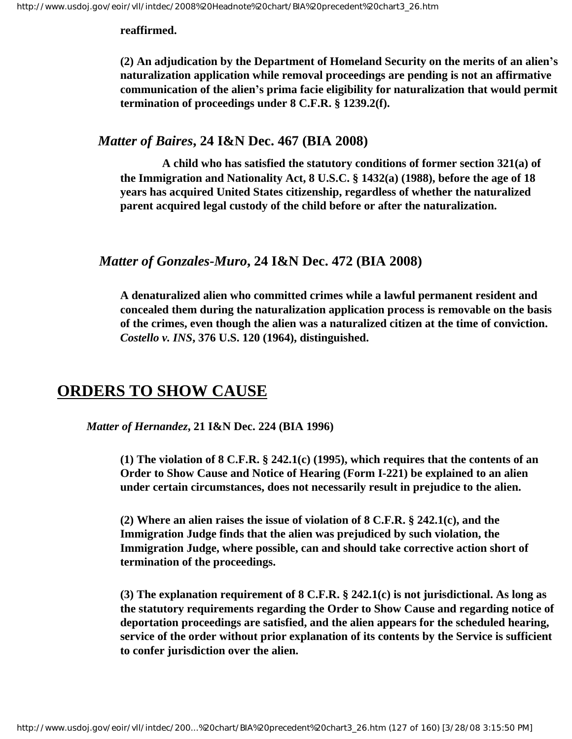#### **reaffirmed.**

**(2) An adjudication by the Department of Homeland Security on the merits of an alien's naturalization application while removal proceedings are pending is not an affirmative communication of the alien's prima facie eligibility for naturalization that would permit termination of proceedings under 8 C.F.R. § 1239.2(f).**

#### *Matter of Baires***, 24 I&N Dec. 467 (BIA 2008)**

 **A child who has satisfied the statutory conditions of former section 321(a) of the Immigration and Nationality Act, 8 U.S.C. § 1432(a) (1988), before the age of 18 years has acquired United States citizenship, regardless of whether the naturalized parent acquired legal custody of the child before or after the naturalization.**

#### *Matter of Gonzales-Muro***, 24 I&N Dec. 472 (BIA 2008)**

**A denaturalized alien who committed crimes while a lawful permanent resident and concealed them during the naturalization application process is removable on the basis of the crimes, even though the alien was a naturalized citizen at the time of conviction.** *Costello v. INS***, 376 U.S. 120 (1964), distinguished.**

# **ORDERS TO SHOW CAUSE**

*Matter of Hernandez***, 21 I&N Dec. 224 (BIA 1996)**

**(1) The violation of 8 C.F.R. § 242.1(c) (1995), which requires that the contents of an Order to Show Cause and Notice of Hearing (Form I-221) be explained to an alien under certain circumstances, does not necessarily result in prejudice to the alien.**

**(2) Where an alien raises the issue of violation of 8 C.F.R. § 242.1(c), and the Immigration Judge finds that the alien was prejudiced by such violation, the Immigration Judge, where possible, can and should take corrective action short of termination of the proceedings.**

**(3) The explanation requirement of 8 C.F.R. § 242.1(c) is not jurisdictional. As long as the statutory requirements regarding the Order to Show Cause and regarding notice of deportation proceedings are satisfied, and the alien appears for the scheduled hearing, service of the order without prior explanation of its contents by the Service is sufficient to confer jurisdiction over the alien.**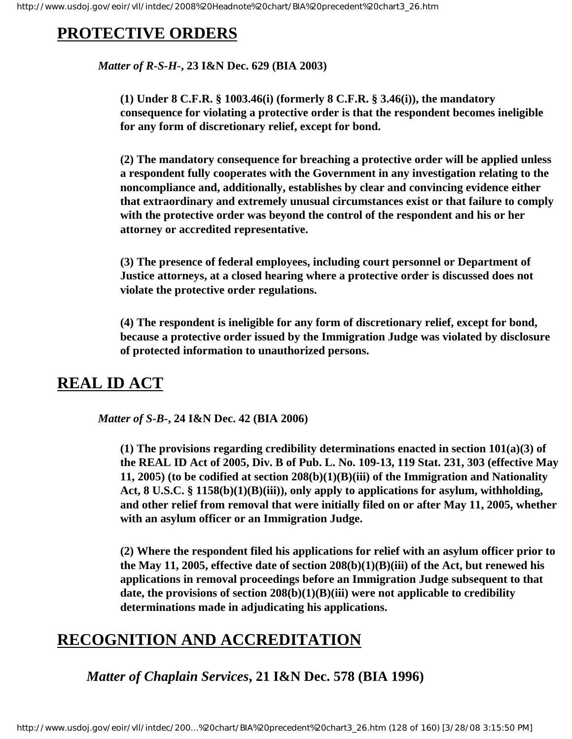# **PROTECTIVE ORDERS**

*Matter of R-S-H-***, 23 I&N Dec. 629 (BIA 2003)**

**(1) Under 8 C.F.R. § 1003.46(i) (formerly 8 C.F.R. § 3.46(i)), the mandatory consequence for violating a protective order is that the respondent becomes ineligible for any form of discretionary relief, except for bond.**

**(2) The mandatory consequence for breaching a protective order will be applied unless a respondent fully cooperates with the Government in any investigation relating to the noncompliance and, additionally, establishes by clear and convincing evidence either that extraordinary and extremely unusual circumstances exist or that failure to comply with the protective order was beyond the control of the respondent and his or her attorney or accredited representative.**

**(3) The presence of federal employees, including court personnel or Department of Justice attorneys, at a closed hearing where a protective order is discussed does not violate the protective order regulations.**

**(4) The respondent is ineligible for any form of discretionary relief, except for bond, because a protective order issued by the Immigration Judge was violated by disclosure of protected information to unauthorized persons.**

# **REAL ID ACT**

 *Matter of S-B-***, 24 I&N Dec. 42 (BIA 2006)** 

**(1) The provisions regarding credibility determinations enacted in section 101(a)(3) of the REAL ID Act of 2005, Div. B of Pub. L. No. 109-13, 119 Stat. 231, 303 (effective May 11, 2005) (to be codified at section 208(b)(1)(B)(iii) of the Immigration and Nationality Act, 8 U.S.C. § 1158(b)(1)(B)(iii)), only apply to applications for asylum, withholding, and other relief from removal that were initially filed on or after May 11, 2005, whether with an asylum officer or an Immigration Judge.**

**(2) Where the respondent filed his applications for relief with an asylum officer prior to the May 11, 2005, effective date of section 208(b)(1)(B)(iii) of the Act, but renewed his applications in removal proceedings before an Immigration Judge subsequent to that date, the provisions of section 208(b)(1)(B)(iii) were not applicable to credibility determinations made in adjudicating his applications.** 

# **RECOGNITION AND ACCREDITATION**

*Matter of Chaplain Services***, 21 I&N Dec. 578 (BIA 1996)**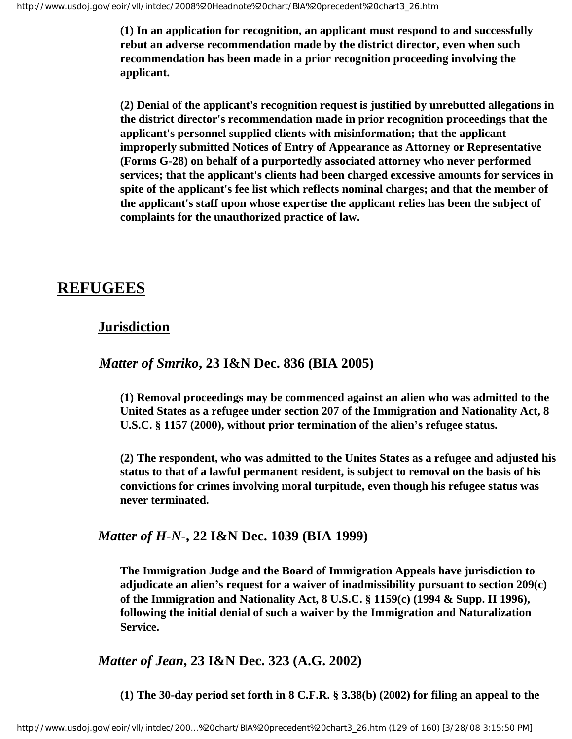**(1) In an application for recognition, an applicant must respond to and successfully rebut an adverse recommendation made by the district director, even when such recommendation has been made in a prior recognition proceeding involving the applicant.**

**(2) Denial of the applicant's recognition request is justified by unrebutted allegations in the district director's recommendation made in prior recognition proceedings that the applicant's personnel supplied clients with misinformation; that the applicant improperly submitted Notices of Entry of Appearance as Attorney or Representative (Forms G-28) on behalf of a purportedly associated attorney who never performed services; that the applicant's clients had been charged excessive amounts for services in spite of the applicant's fee list which reflects nominal charges; and that the member of the applicant's staff upon whose expertise the applicant relies has been the subject of complaints for the unauthorized practice of law.**

# **REFUGEES**

# **Jurisdiction**

## *Matter of Smriko***, 23 I&N Dec. 836 (BIA 2005)**

**(1) Removal proceedings may be commenced against an alien who was admitted to the United States as a refugee under section 207 of the Immigration and Nationality Act, 8 U.S.C. § 1157 (2000), without prior termination of the alien's refugee status.**

**(2) The respondent, who was admitted to the Unites States as a refugee and adjusted his status to that of a lawful permanent resident, is subject to removal on the basis of his convictions for crimes involving moral turpitude, even though his refugee status was never terminated.**

## *Matter of H-N***-, 22 I&N Dec. 1039 (BIA 1999)**

**The Immigration Judge and the Board of Immigration Appeals have jurisdiction to adjudicate an alien's request for a waiver of inadmissibility pursuant to section 209(c) of the Immigration and Nationality Act, 8 U.S.C. § 1159(c) (1994 & Supp. II 1996), following the initial denial of such a waiver by the Immigration and Naturalization Service.**

*Matter of Jean***, 23 I&N Dec. 323 (A.G. 2002)**

**(1) The 30-day period set forth in 8 C.F.R. § 3.38(b) (2002) for filing an appeal to the**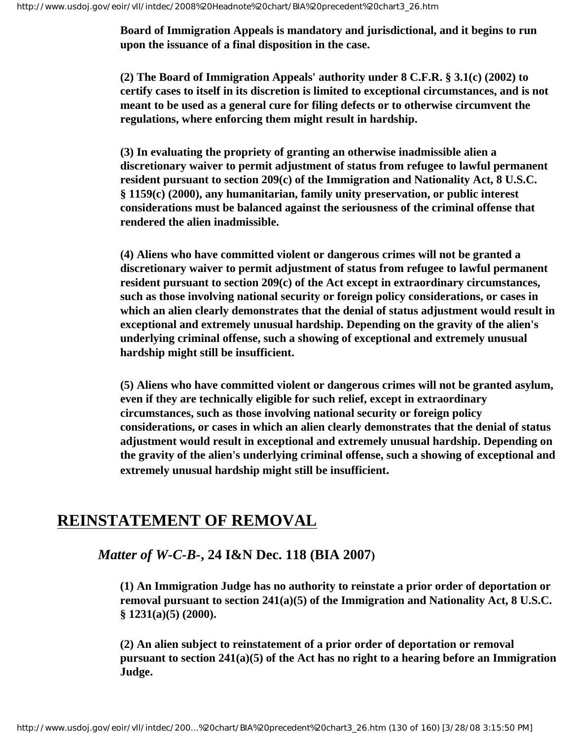**Board of Immigration Appeals is mandatory and jurisdictional, and it begins to run upon the issuance of a final disposition in the case.**

**(2) The Board of Immigration Appeals' authority under 8 C.F.R. § 3.1(c) (2002) to certify cases to itself in its discretion is limited to exceptional circumstances, and is not meant to be used as a general cure for filing defects or to otherwise circumvent the regulations, where enforcing them might result in hardship.**

**(3) In evaluating the propriety of granting an otherwise inadmissible alien a discretionary waiver to permit adjustment of status from refugee to lawful permanent resident pursuant to section 209(c) of the Immigration and Nationality Act, 8 U.S.C. § 1159(c) (2000), any humanitarian, family unity preservation, or public interest considerations must be balanced against the seriousness of the criminal offense that rendered the alien inadmissible.**

**(4) Aliens who have committed violent or dangerous crimes will not be granted a discretionary waiver to permit adjustment of status from refugee to lawful permanent resident pursuant to section 209(c) of the Act except in extraordinary circumstances, such as those involving national security or foreign policy considerations, or cases in which an alien clearly demonstrates that the denial of status adjustment would result in exceptional and extremely unusual hardship. Depending on the gravity of the alien's underlying criminal offense, such a showing of exceptional and extremely unusual hardship might still be insufficient.** 

**(5) Aliens who have committed violent or dangerous crimes will not be granted asylum, even if they are technically eligible for such relief, except in extraordinary circumstances, such as those involving national security or foreign policy considerations, or cases in which an alien clearly demonstrates that the denial of status adjustment would result in exceptional and extremely unusual hardship. Depending on the gravity of the alien's underlying criminal offense, such a showing of exceptional and extremely unusual hardship might still be insufficient.**

# **REINSTATEMENT OF REMOVAL**

# *Matter of W-C-B-***, 24 I&N Dec. 118 (BIA 2007)**

**(1) An Immigration Judge has no authority to reinstate a prior order of deportation or removal pursuant to section 241(a)(5) of the Immigration and Nationality Act, 8 U.S.C. § 1231(a)(5) (2000).**

**(2) An alien subject to reinstatement of a prior order of deportation or removal pursuant to section 241(a)(5) of the Act has no right to a hearing before an Immigration Judge.**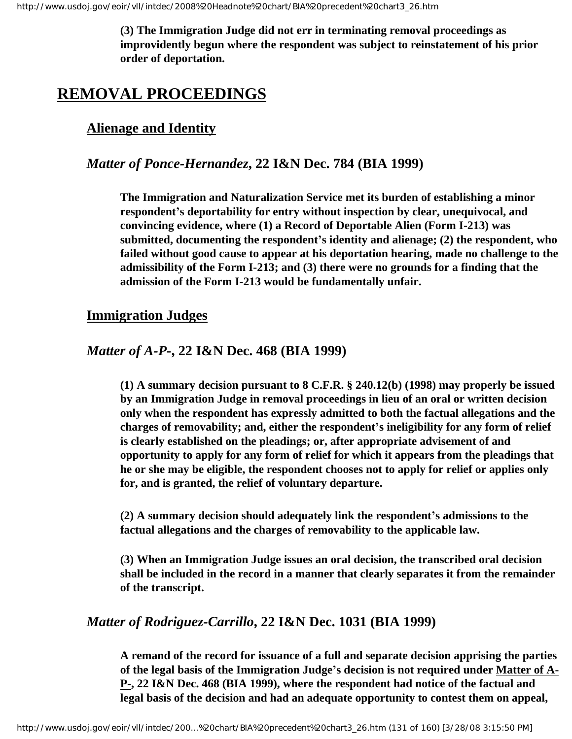**(3) The Immigration Judge did not err in terminating removal proceedings as improvidently begun where the respondent was subject to reinstatement of his prior order of deportation.**

# **REMOVAL PROCEEDINGS**

# **Alienage and Identity**

# *Matter of Ponce-Hernandez***, 22 I&N Dec. 784 (BIA 1999)**

**The Immigration and Naturalization Service met its burden of establishing a minor respondent's deportability for entry without inspection by clear, unequivocal, and convincing evidence, where (1) a Record of Deportable Alien (Form I-213) was submitted, documenting the respondent's identity and alienage; (2) the respondent, who failed without good cause to appear at his deportation hearing, made no challenge to the admissibility of the Form I-213; and (3) there were no grounds for a finding that the admission of the Form I-213 would be fundamentally unfair.**

## **Immigration Judges**

## *Matter of A-P-***, 22 I&N Dec. 468 (BIA 1999)**

**(1) A summary decision pursuant to 8 C.F.R. § 240.12(b) (1998) may properly be issued by an Immigration Judge in removal proceedings in lieu of an oral or written decision only when the respondent has expressly admitted to both the factual allegations and the charges of removability; and, either the respondent's ineligibility for any form of relief is clearly established on the pleadings; or, after appropriate advisement of and opportunity to apply for any form of relief for which it appears from the pleadings that he or she may be eligible, the respondent chooses not to apply for relief or applies only for, and is granted, the relief of voluntary departure.**

**(2) A summary decision should adequately link the respondent's admissions to the factual allegations and the charges of removability to the applicable law.**

**(3) When an Immigration Judge issues an oral decision, the transcribed oral decision shall be included in the record in a manner that clearly separates it from the remainder of the transcript.**

# *Matter of Rodriguez-Carrillo***, 22 I&N Dec. 1031 (BIA 1999)**

**A remand of the record for issuance of a full and separate decision apprising the parties of the legal basis of the Immigration Judge's decision is not required under Matter of A-P-, 22 I&N Dec. 468 (BIA 1999), where the respondent had notice of the factual and legal basis of the decision and had an adequate opportunity to contest them on appeal,**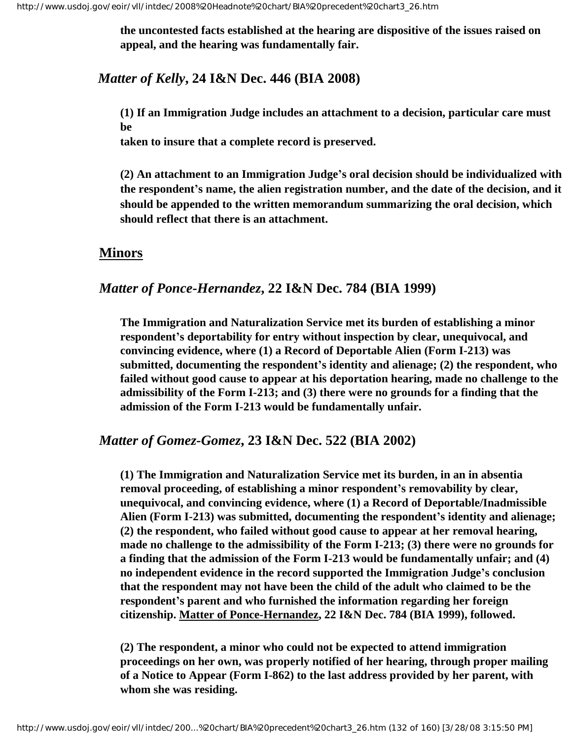**the uncontested facts established at the hearing are dispositive of the issues raised on appeal, and the hearing was fundamentally fair.**

# *Matter of Kelly***, 24 I&N Dec. 446 (BIA 2008)**

**(1) If an Immigration Judge includes an attachment to a decision, particular care must be**

**taken to insure that a complete record is preserved.**

**(2) An attachment to an Immigration Judge's oral decision should be individualized with the respondent's name, the alien registration number, and the date of the decision, and it should be appended to the written memorandum summarizing the oral decision, which should reflect that there is an attachment.**

## **Minors**

# *Matter of Ponce-Hernandez***, 22 I&N Dec. 784 (BIA 1999)**

**The Immigration and Naturalization Service met its burden of establishing a minor respondent's deportability for entry without inspection by clear, unequivocal, and convincing evidence, where (1) a Record of Deportable Alien (Form I-213) was submitted, documenting the respondent's identity and alienage; (2) the respondent, who failed without good cause to appear at his deportation hearing, made no challenge to the admissibility of the Form I-213; and (3) there were no grounds for a finding that the admission of the Form I-213 would be fundamentally unfair.**

#### *Matter of Gomez-Gomez***, 23 I&N Dec. 522 (BIA 2002)**

**(1) The Immigration and Naturalization Service met its burden, in an in absentia removal proceeding, of establishing a minor respondent's removability by clear, unequivocal, and convincing evidence, where (1) a Record of Deportable/Inadmissible Alien (Form I-213) was submitted, documenting the respondent's identity and alienage; (2) the respondent, who failed without good cause to appear at her removal hearing, made no challenge to the admissibility of the Form I-213; (3) there were no grounds for a finding that the admission of the Form I-213 would be fundamentally unfair; and (4) no independent evidence in the record supported the Immigration Judge's conclusion that the respondent may not have been the child of the adult who claimed to be the respondent's parent and who furnished the information regarding her foreign citizenship. Matter of Ponce-Hernandez, 22 I&N Dec. 784 (BIA 1999), followed.**

**(2) The respondent, a minor who could not be expected to attend immigration proceedings on her own, was properly notified of her hearing, through proper mailing of a Notice to Appear (Form I-862) to the last address provided by her parent, with whom she was residing.**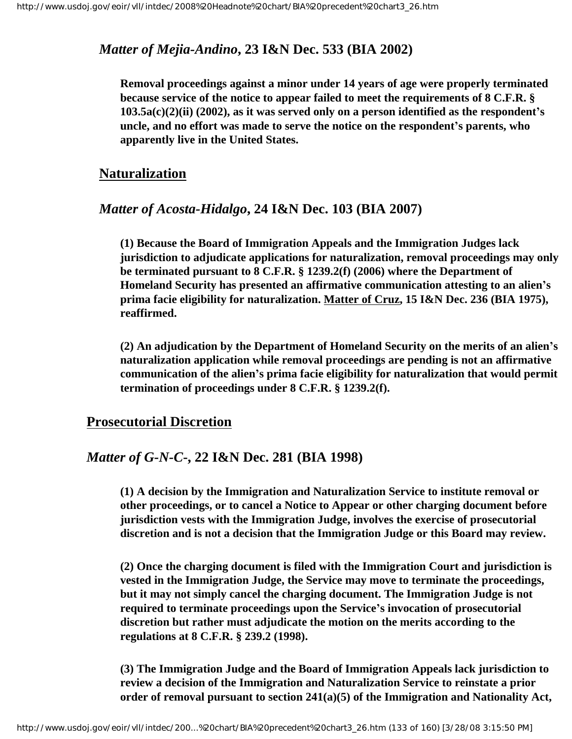# *Matter of Mejia-Andino***, 23 I&N Dec. 533 (BIA 2002)**

**Removal proceedings against a minor under 14 years of age were properly terminated because service of the notice to appear failed to meet the requirements of 8 C.F.R. § 103.5a(c)(2)(ii) (2002), as it was served only on a person identified as the respondent's uncle, and no effort was made to serve the notice on the respondent's parents, who apparently live in the United States.**

## **Naturalization**

#### *Matter of Acosta-Hidalgo***, 24 I&N Dec. 103 (BIA 2007)**

**(1) Because the Board of Immigration Appeals and the Immigration Judges lack jurisdiction to adjudicate applications for naturalization, removal proceedings may only be terminated pursuant to 8 C.F.R. § 1239.2(f) (2006) where the Department of Homeland Security has presented an affirmative communication attesting to an alien's prima facie eligibility for naturalization. Matter of Cruz, 15 I&N Dec. 236 (BIA 1975), reaffirmed.**

**(2) An adjudication by the Department of Homeland Security on the merits of an alien's naturalization application while removal proceedings are pending is not an affirmative communication of the alien's prima facie eligibility for naturalization that would permit termination of proceedings under 8 C.F.R. § 1239.2(f).**

#### **Prosecutorial Discretion**

#### *Matter of G-N-C***-, 22 I&N Dec. 281 (BIA 1998)**

**(1) A decision by the Immigration and Naturalization Service to institute removal or other proceedings, or to cancel a Notice to Appear or other charging document before jurisdiction vests with the Immigration Judge, involves the exercise of prosecutorial discretion and is not a decision that the Immigration Judge or this Board may review.**

**(2) Once the charging document is filed with the Immigration Court and jurisdiction is vested in the Immigration Judge, the Service may move to terminate the proceedings, but it may not simply cancel the charging document. The Immigration Judge is not required to terminate proceedings upon the Service's invocation of prosecutorial discretion but rather must adjudicate the motion on the merits according to the regulations at 8 C.F.R. § 239.2 (1998).**

**(3) The Immigration Judge and the Board of Immigration Appeals lack jurisdiction to review a decision of the Immigration and Naturalization Service to reinstate a prior order of removal pursuant to section 241(a)(5) of the Immigration and Nationality Act,**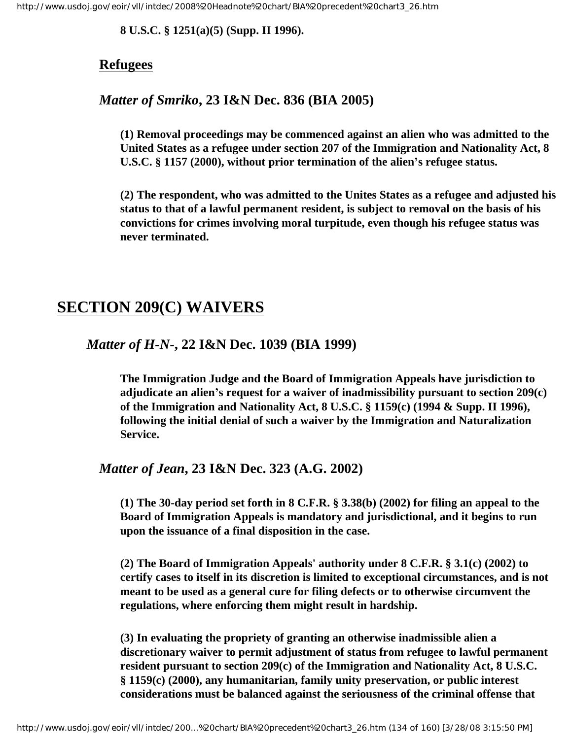**8 U.S.C. § 1251(a)(5) (Supp. II 1996).**

# **Refugees**

# *Matter of Smriko***, 23 I&N Dec. 836 (BIA 2005)**

**(1) Removal proceedings may be commenced against an alien who was admitted to the United States as a refugee under section 207 of the Immigration and Nationality Act, 8 U.S.C. § 1157 (2000), without prior termination of the alien's refugee status.**

**(2) The respondent, who was admitted to the Unites States as a refugee and adjusted his status to that of a lawful permanent resident, is subject to removal on the basis of his convictions for crimes involving moral turpitude, even though his refugee status was never terminated.**

# **SECTION 209(C) WAIVERS**

# *Matter of H-N***-, 22 I&N Dec. 1039 (BIA 1999)**

**The Immigration Judge and the Board of Immigration Appeals have jurisdiction to adjudicate an alien's request for a waiver of inadmissibility pursuant to section 209(c) of the Immigration and Nationality Act, 8 U.S.C. § 1159(c) (1994 & Supp. II 1996), following the initial denial of such a waiver by the Immigration and Naturalization Service.**

# *Matter of Jean***, 23 I&N Dec. 323 (A.G. 2002)**

**(1) The 30-day period set forth in 8 C.F.R. § 3.38(b) (2002) for filing an appeal to the Board of Immigration Appeals is mandatory and jurisdictional, and it begins to run upon the issuance of a final disposition in the case.**

**(2) The Board of Immigration Appeals' authority under 8 C.F.R. § 3.1(c) (2002) to certify cases to itself in its discretion is limited to exceptional circumstances, and is not meant to be used as a general cure for filing defects or to otherwise circumvent the regulations, where enforcing them might result in hardship.**

**(3) In evaluating the propriety of granting an otherwise inadmissible alien a discretionary waiver to permit adjustment of status from refugee to lawful permanent resident pursuant to section 209(c) of the Immigration and Nationality Act, 8 U.S.C. § 1159(c) (2000), any humanitarian, family unity preservation, or public interest considerations must be balanced against the seriousness of the criminal offense that**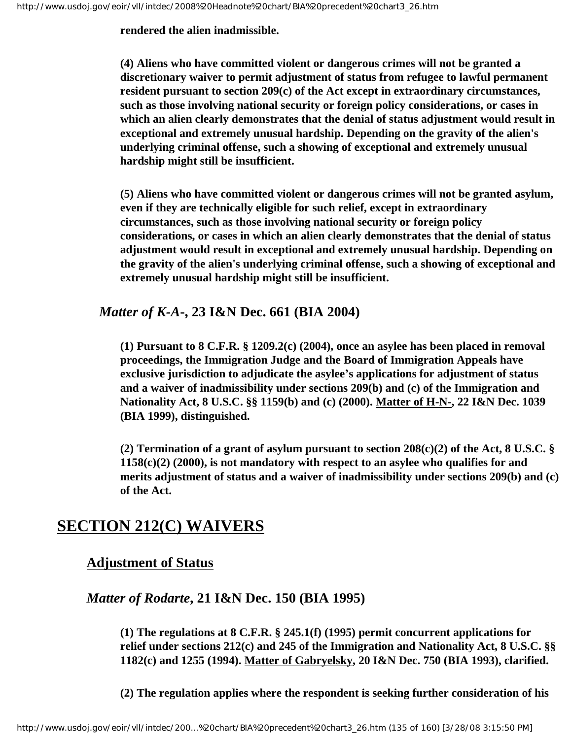**rendered the alien inadmissible.**

**(4) Aliens who have committed violent or dangerous crimes will not be granted a discretionary waiver to permit adjustment of status from refugee to lawful permanent resident pursuant to section 209(c) of the Act except in extraordinary circumstances, such as those involving national security or foreign policy considerations, or cases in which an alien clearly demonstrates that the denial of status adjustment would result in exceptional and extremely unusual hardship. Depending on the gravity of the alien's underlying criminal offense, such a showing of exceptional and extremely unusual hardship might still be insufficient.** 

**(5) Aliens who have committed violent or dangerous crimes will not be granted asylum, even if they are technically eligible for such relief, except in extraordinary circumstances, such as those involving national security or foreign policy considerations, or cases in which an alien clearly demonstrates that the denial of status adjustment would result in exceptional and extremely unusual hardship. Depending on the gravity of the alien's underlying criminal offense, such a showing of exceptional and extremely unusual hardship might still be insufficient.**

# *Matter of K-A***-, 23 I&N Dec. 661 (BIA 2004)**

**(1) Pursuant to 8 C.F.R. § 1209.2(c) (2004), once an asylee has been placed in removal proceedings, the Immigration Judge and the Board of Immigration Appeals have exclusive jurisdiction to adjudicate the asylee's applications for adjustment of status and a waiver of inadmissibility under sections 209(b) and (c) of the Immigration and Nationality Act, 8 U.S.C. §§ 1159(b) and (c) (2000). Matter of H-N-, 22 I&N Dec. 1039 (BIA 1999), distinguished.**

**(2) Termination of a grant of asylum pursuant to section 208(c)(2) of the Act, 8 U.S.C. § 1158(c)(2) (2000), is not mandatory with respect to an asylee who qualifies for and merits adjustment of status and a waiver of inadmissibility under sections 209(b) and (c) of the Act.**

# **SECTION 212(C) WAIVERS**

# **Adjustment of Status**

# *Matter of Rodarte***, 21 I&N Dec. 150 (BIA 1995)**

**(1) The regulations at 8 C.F.R. § 245.1(f) (1995) permit concurrent applications for relief under sections 212(c) and 245 of the Immigration and Nationality Act, 8 U.S.C. §§ 1182(c) and 1255 (1994). Matter of Gabryelsky, 20 I&N Dec. 750 (BIA 1993), clarified.** 

**(2) The regulation applies where the respondent is seeking further consideration of his**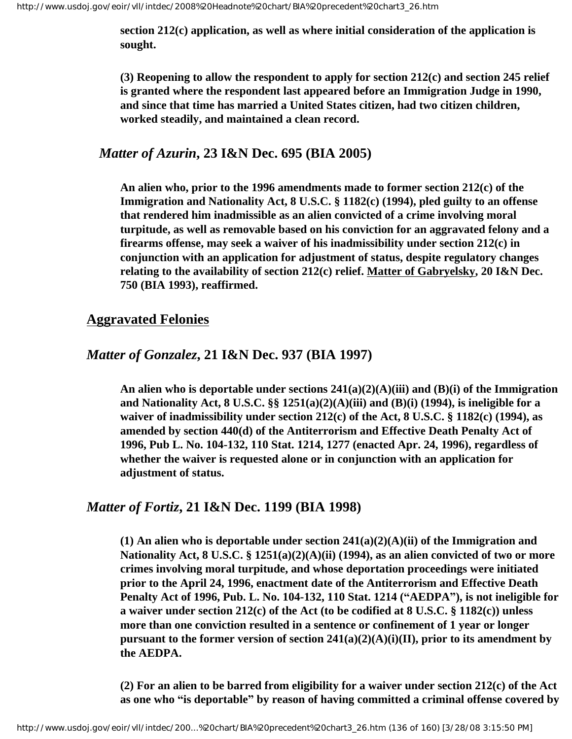**section 212(c) application, as well as where initial consideration of the application is sought.** 

**(3) Reopening to allow the respondent to apply for section 212(c) and section 245 relief is granted where the respondent last appeared before an Immigration Judge in 1990, and since that time has married a United States citizen, had two citizen children, worked steadily, and maintained a clean record.** 

## *Matter of Azurin***, 23 I&N Dec. 695 (BIA 2005)**

**An alien who, prior to the 1996 amendments made to former section 212(c) of the Immigration and Nationality Act, 8 U.S.C. § 1182(c) (1994), pled guilty to an offense that rendered him inadmissible as an alien convicted of a crime involving moral turpitude, as well as removable based on his conviction for an aggravated felony and a firearms offense, may seek a waiver of his inadmissibility under section 212(c) in conjunction with an application for adjustment of status, despite regulatory changes relating to the availability of section 212(c) relief. Matter of Gabryelsky, 20 I&N Dec. 750 (BIA 1993), reaffirmed.**

# **Aggravated Felonies**

# *Matter of Gonzalez***, 21 I&N Dec. 937 (BIA 1997)**

**An alien who is deportable under sections 241(a)(2)(A)(iii) and (B)(i) of the Immigration and Nationality Act, 8 U.S.C. §§ 1251(a)(2)(A)(iii) and (B)(i) (1994), is ineligible for a waiver of inadmissibility under section 212(c) of the Act, 8 U.S.C. § 1182(c) (1994), as amended by section 440(d) of the Antiterrorism and Effective Death Penalty Act of 1996, Pub L. No. 104-132, 110 Stat. 1214, 1277 (enacted Apr. 24, 1996), regardless of whether the waiver is requested alone or in conjunction with an application for adjustment of status.**

# *Matter of Fortiz***, 21 I&N Dec. 1199 (BIA 1998)**

**(1) An alien who is deportable under section 241(a)(2)(A)(ii) of the Immigration and Nationality Act, 8 U.S.C. § 1251(a)(2)(A)(ii) (1994), as an alien convicted of two or more crimes involving moral turpitude, and whose deportation proceedings were initiated prior to the April 24, 1996, enactment date of the Antiterrorism and Effective Death Penalty Act of 1996, Pub. L. No. 104-132, 110 Stat. 1214 ("AEDPA"), is not ineligible for a waiver under section 212(c) of the Act (to be codified at 8 U.S.C. § 1182(c)) unless more than one conviction resulted in a sentence or confinement of 1 year or longer pursuant to the former version of section 241(a)(2)(A)(i)(II), prior to its amendment by the AEDPA.**

**(2) For an alien to be barred from eligibility for a waiver under section 212(c) of the Act as one who "is deportable" by reason of having committed a criminal offense covered by**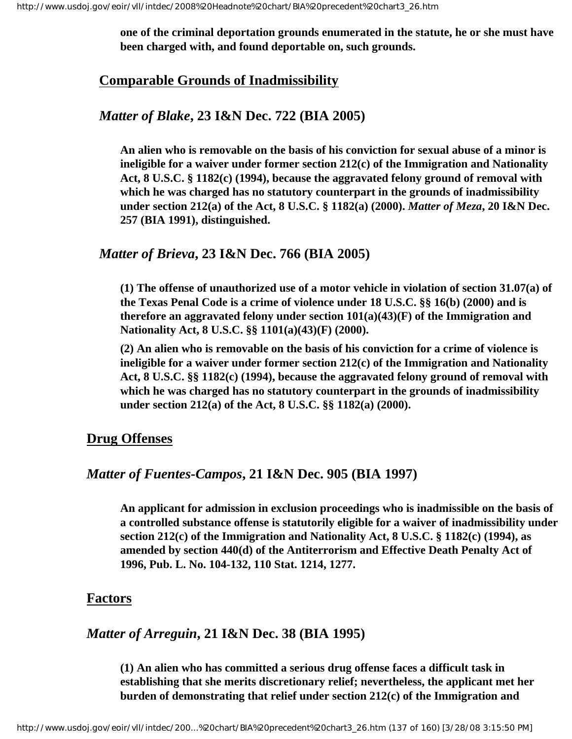**one of the criminal deportation grounds enumerated in the statute, he or she must have been charged with, and found deportable on, such grounds.** 

#### **Comparable Grounds of Inadmissibility**

#### *Matter of Blake***, 23 I&N Dec. 722 (BIA 2005)**

**An alien who is removable on the basis of his conviction for sexual abuse of a minor is ineligible for a waiver under former section 212(c) of the Immigration and Nationality Act, 8 U.S.C. § 1182(c) (1994), because the aggravated felony ground of removal with which he was charged has no statutory counterpart in the grounds of inadmissibility under section 212(a) of the Act, 8 U.S.C. § 1182(a) (2000).** *Matter of Meza***, 20 I&N Dec. 257 (BIA 1991), distinguished.**

#### *Matter of Brieva***, 23 I&N Dec. 766 (BIA 2005)**

**(1) The offense of unauthorized use of a motor vehicle in violation of section 31.07(a) of the Texas Penal Code is a crime of violence under 18 U.S.C. §§ 16(b) (2000) and is therefore an aggravated felony under section 101(a)(43)(F) of the Immigration and Nationality Act, 8 U.S.C. §§ 1101(a)(43)(F) (2000).**

**(2) An alien who is removable on the basis of his conviction for a crime of violence is ineligible for a waiver under former section 212(c) of the Immigration and Nationality Act, 8 U.S.C. §§ 1182(c) (1994), because the aggravated felony ground of removal with which he was charged has no statutory counterpart in the grounds of inadmissibility under section 212(a) of the Act, 8 U.S.C. §§ 1182(a) (2000).**

#### **Drug Offenses**

#### *Matter of Fuentes-Campos***, 21 I&N Dec. 905 (BIA 1997)**

**An applicant for admission in exclusion proceedings who is inadmissible on the basis of a controlled substance offense is statutorily eligible for a waiver of inadmissibility under section 212(c) of the Immigration and Nationality Act, 8 U.S.C. § 1182(c) (1994), as amended by section 440(d) of the Antiterrorism and Effective Death Penalty Act of 1996, Pub. L. No. 104-132, 110 Stat. 1214, 1277.** 

#### **Factors**

#### *Matter of Arreguin***, 21 I&N Dec. 38 (BIA 1995)**

**(1) An alien who has committed a serious drug offense faces a difficult task in establishing that she merits discretionary relief; nevertheless, the applicant met her burden of demonstrating that relief under section 212(c) of the Immigration and**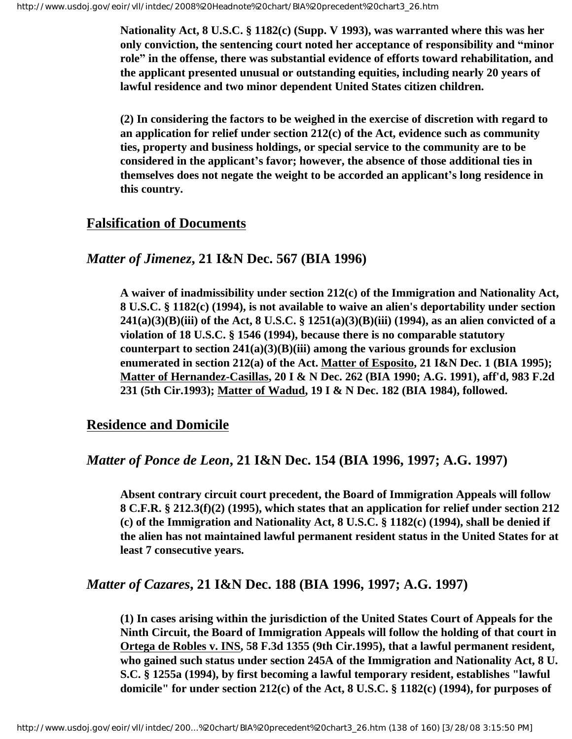**Nationality Act, 8 U.S.C. § 1182(c) (Supp. V 1993), was warranted where this was her only conviction, the sentencing court noted her acceptance of responsibility and "minor role" in the offense, there was substantial evidence of efforts toward rehabilitation, and the applicant presented unusual or outstanding equities, including nearly 20 years of lawful residence and two minor dependent United States citizen children.** 

**(2) In considering the factors to be weighed in the exercise of discretion with regard to an application for relief under section 212(c) of the Act, evidence such as community ties, property and business holdings, or special service to the community are to be considered in the applicant's favor; however, the absence of those additional ties in themselves does not negate the weight to be accorded an applicant's long residence in this country.** 

### **Falsification of Documents**

*Matter of Jimenez***, 21 I&N Dec. 567 (BIA 1996)**

**A waiver of inadmissibility under section 212(c) of the Immigration and Nationality Act, 8 U.S.C. § 1182(c) (1994), is not available to waive an alien's deportability under section 241(a)(3)(B)(iii) of the Act, 8 U.S.C. § 1251(a)(3)(B)(iii) (1994), as an alien convicted of a violation of 18 U.S.C. § 1546 (1994), because there is no comparable statutory counterpart to section 241(a)(3)(B)(iii) among the various grounds for exclusion enumerated in section 212(a) of the Act. Matter of Esposito, 21 I&N Dec. 1 (BIA 1995); Matter of Hernandez-Casillas, 20 I & N Dec. 262 (BIA 1990; A.G. 1991), aff'd, 983 F.2d 231 (5th Cir.1993); Matter of Wadud, 19 I & N Dec. 182 (BIA 1984), followed.**

## **Residence and Domicile**

# *Matter of Ponce de Leon***, 21 I&N Dec. 154 (BIA 1996, 1997; A.G. 1997)**

**Absent contrary circuit court precedent, the Board of Immigration Appeals will follow 8 C.F.R. § 212.3(f)(2) (1995), which states that an application for relief under section 212 (c) of the Immigration and Nationality Act, 8 U.S.C. § 1182(c) (1994), shall be denied if the alien has not maintained lawful permanent resident status in the United States for at least 7 consecutive years.**

# *Matter of Cazares***, 21 I&N Dec. 188 (BIA 1996, 1997; A.G. 1997)**

**(1) In cases arising within the jurisdiction of the United States Court of Appeals for the Ninth Circuit, the Board of Immigration Appeals will follow the holding of that court in Ortega de Robles v. INS, 58 F.3d 1355 (9th Cir.1995), that a lawful permanent resident, who gained such status under section 245A of the Immigration and Nationality Act, 8 U. S.C. § 1255a (1994), by first becoming a lawful temporary resident, establishes "lawful domicile" for under section 212(c) of the Act, 8 U.S.C. § 1182(c) (1994), for purposes of**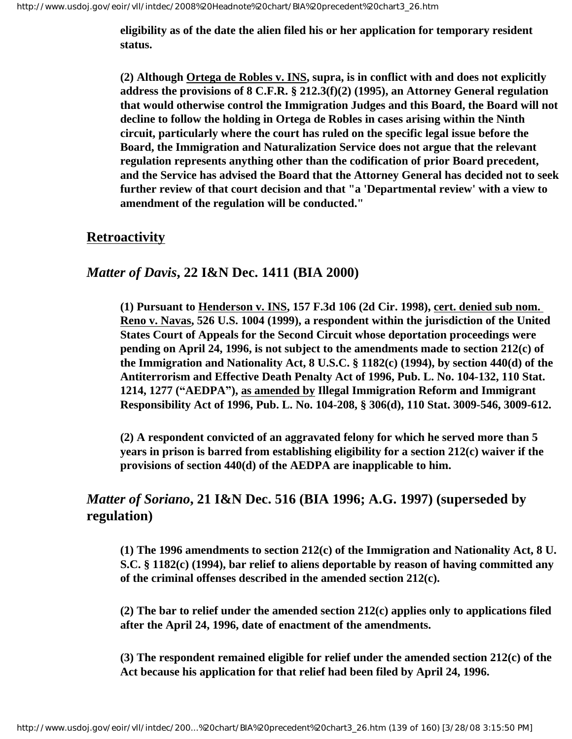**eligibility as of the date the alien filed his or her application for temporary resident status.**

**(2) Although Ortega de Robles v. INS, supra, is in conflict with and does not explicitly address the provisions of 8 C.F.R. § 212.3(f)(2) (1995), an Attorney General regulation that would otherwise control the Immigration Judges and this Board, the Board will not decline to follow the holding in Ortega de Robles in cases arising within the Ninth circuit, particularly where the court has ruled on the specific legal issue before the Board, the Immigration and Naturalization Service does not argue that the relevant regulation represents anything other than the codification of prior Board precedent, and the Service has advised the Board that the Attorney General has decided not to seek further review of that court decision and that "a 'Departmental review' with a view to amendment of the regulation will be conducted."**

## **Retroactivity**

## *Matter of Davis***, 22 I&N Dec. 1411 (BIA 2000)**

**(1) Pursuant to Henderson v. INS, 157 F.3d 106 (2d Cir. 1998), cert. denied sub nom. Reno v. Navas, 526 U.S. 1004 (1999), a respondent within the jurisdiction of the United States Court of Appeals for the Second Circuit whose deportation proceedings were pending on April 24, 1996, is not subject to the amendments made to section 212(c) of the Immigration and Nationality Act, 8 U.S.C. § 1182(c) (1994), by section 440(d) of the Antiterrorism and Effective Death Penalty Act of 1996, Pub. L. No. 104-132, 110 Stat. 1214, 1277 ("AEDPA"), as amended by Illegal Immigration Reform and Immigrant Responsibility Act of 1996, Pub. L. No. 104-208, § 306(d), 110 Stat. 3009-546, 3009-612.**

**(2) A respondent convicted of an aggravated felony for which he served more than 5 years in prison is barred from establishing eligibility for a section 212(c) waiver if the provisions of section 440(d) of the AEDPA are inapplicable to him.**

# *Matter of Soriano***, 21 I&N Dec. 516 (BIA 1996; A.G. 1997) (superseded by regulation)**

**(1) The 1996 amendments to section 212(c) of the Immigration and Nationality Act, 8 U. S.C. § 1182(c) (1994), bar relief to aliens deportable by reason of having committed any of the criminal offenses described in the amended section 212(c).**

**(2) The bar to relief under the amended section 212(c) applies only to applications filed after the April 24, 1996, date of enactment of the amendments.**

**(3) The respondent remained eligible for relief under the amended section 212(c) of the Act because his application for that relief had been filed by April 24, 1996.**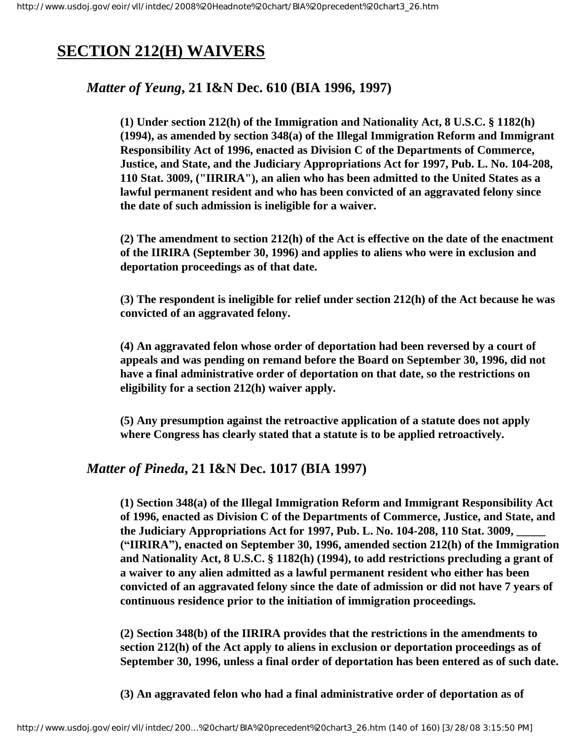# **SECTION 212(H) WAIVERS**

# *Matter of Yeung***, 21 I&N Dec. 610 (BIA 1996, 1997)**

**(1) Under section 212(h) of the Immigration and Nationality Act, 8 U.S.C. § 1182(h) (1994), as amended by section 348(a) of the Illegal Immigration Reform and Immigrant Responsibility Act of 1996, enacted as Division C of the Departments of Commerce, Justice, and State, and the Judiciary Appropriations Act for 1997, Pub. L. No. 104-208, 110 Stat. 3009, ("IIRIRA"), an alien who has been admitted to the United States as a lawful permanent resident and who has been convicted of an aggravated felony since the date of such admission is ineligible for a waiver.**

**(2) The amendment to section 212(h) of the Act is effective on the date of the enactment of the IIRIRA (September 30, 1996) and applies to aliens who were in exclusion and deportation proceedings as of that date.**

**(3) The respondent is ineligible for relief under section 212(h) of the Act because he was convicted of an aggravated felony.**

**(4) An aggravated felon whose order of deportation had been reversed by a court of appeals and was pending on remand before the Board on September 30, 1996, did not have a final administrative order of deportation on that date, so the restrictions on eligibility for a section 212(h) waiver apply.** 

**(5) Any presumption against the retroactive application of a statute does not apply where Congress has clearly stated that a statute is to be applied retroactively.**

## *Matter of Pineda***, 21 I&N Dec. 1017 (BIA 1997)**

**(1) Section 348(a) of the Illegal Immigration Reform and Immigrant Responsibility Act of 1996, enacted as Division C of the Departments of Commerce, Justice, and State, and the Judiciary Appropriations Act for 1997, Pub. L. No. 104-208, 110 Stat. 3009, \_\_\_\_\_ ("IIRIRA"), enacted on September 30, 1996, amended section 212(h) of the Immigration and Nationality Act, 8 U.S.C. § 1182(h) (1994), to add restrictions precluding a grant of a waiver to any alien admitted as a lawful permanent resident who either has been convicted of an aggravated felony since the date of admission or did not have 7 years of continuous residence prior to the initiation of immigration proceedings.**

**(2) Section 348(b) of the IIRIRA provides that the restrictions in the amendments to section 212(h) of the Act apply to aliens in exclusion or deportation proceedings as of September 30, 1996, unless a final order of deportation has been entered as of such date.**

**(3) An aggravated felon who had a final administrative order of deportation as of**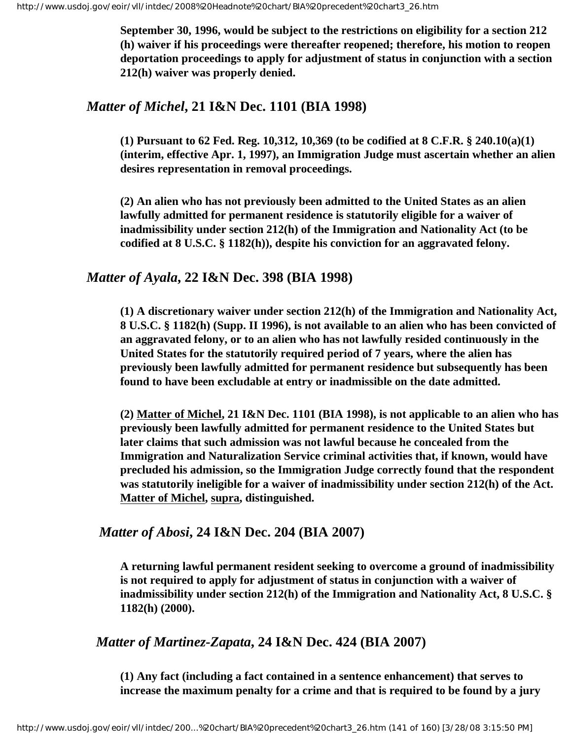**September 30, 1996, would be subject to the restrictions on eligibility for a section 212 (h) waiver if his proceedings were thereafter reopened; therefore, his motion to reopen deportation proceedings to apply for adjustment of status in conjunction with a section 212(h) waiver was properly denied.**

## *Matter of Michel***, 21 I&N Dec. 1101 (BIA 1998)**

**(1) Pursuant to 62 Fed. Reg. 10,312, 10,369 (to be codified at 8 C.F.R. § 240.10(a)(1) (interim, effective Apr. 1, 1997), an Immigration Judge must ascertain whether an alien desires representation in removal proceedings.** 

**(2) An alien who has not previously been admitted to the United States as an alien lawfully admitted for permanent residence is statutorily eligible for a waiver of inadmissibility under section 212(h) of the Immigration and Nationality Act (to be codified at 8 U.S.C. § 1182(h)), despite his conviction for an aggravated felony.**

# *Matter of Ayala***, 22 I&N Dec. 398 (BIA 1998)**

**(1) A discretionary waiver under section 212(h) of the Immigration and Nationality Act, 8 U.S.C. § 1182(h) (Supp. II 1996), is not available to an alien who has been convicted of an aggravated felony, or to an alien who has not lawfully resided continuously in the United States for the statutorily required period of 7 years, where the alien has previously been lawfully admitted for permanent residence but subsequently has been found to have been excludable at entry or inadmissible on the date admitted.**

**(2) Matter of Michel, 21 I&N Dec. 1101 (BIA 1998), is not applicable to an alien who has previously been lawfully admitted for permanent residence to the United States but later claims that such admission was not lawful because he concealed from the Immigration and Naturalization Service criminal activities that, if known, would have precluded his admission, so the Immigration Judge correctly found that the respondent was statutorily ineligible for a waiver of inadmissibility under section 212(h) of the Act. Matter of Michel, supra, distinguished.**

# *Matter of Abosi***, 24 I&N Dec. 204 (BIA 2007)**

**A returning lawful permanent resident seeking to overcome a ground of inadmissibility is not required to apply for adjustment of status in conjunction with a waiver of inadmissibility under section 212(h) of the Immigration and Nationality Act, 8 U.S.C. § 1182(h) (2000).**

## *Matter of Martinez-Zapata***, 24 I&N Dec. 424 (BIA 2007)**

**(1) Any fact (including a fact contained in a sentence enhancement) that serves to increase the maximum penalty for a crime and that is required to be found by a jury**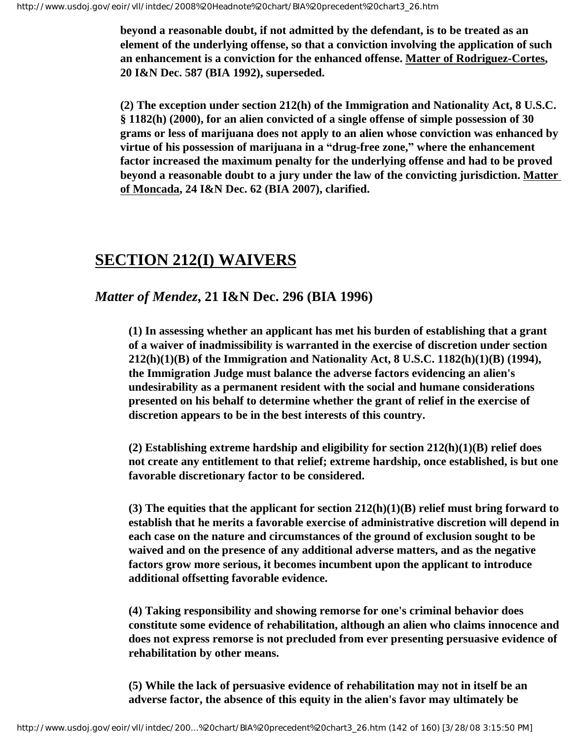**beyond a reasonable doubt, if not admitted by the defendant, is to be treated as an element of the underlying offense, so that a conviction involving the application of such an enhancement is a conviction for the enhanced offense. Matter of Rodriguez-Cortes, 20 I&N Dec. 587 (BIA 1992), superseded.** 

**(2) The exception under section 212(h) of the Immigration and Nationality Act, 8 U.S.C. § 1182(h) (2000), for an alien convicted of a single offense of simple possession of 30 grams or less of marijuana does not apply to an alien whose conviction was enhanced by virtue of his possession of marijuana in a "drug-free zone," where the enhancement factor increased the maximum penalty for the underlying offense and had to be proved beyond a reasonable doubt to a jury under the law of the convicting jurisdiction. Matter of Moncada, 24 I&N Dec. 62 (BIA 2007), clarified.**

# **SECTION 212(I) WAIVERS**

*Matter of Mendez***, 21 I&N Dec. 296 (BIA 1996)**

**(1) In assessing whether an applicant has met his burden of establishing that a grant of a waiver of inadmissibility is warranted in the exercise of discretion under section 212(h)(1)(B) of the Immigration and Nationality Act, 8 U.S.C. 1182(h)(1)(B) (1994), the Immigration Judge must balance the adverse factors evidencing an alien's undesirability as a permanent resident with the social and humane considerations presented on his behalf to determine whether the grant of relief in the exercise of discretion appears to be in the best interests of this country.**

**(2) Establishing extreme hardship and eligibility for section 212(h)(1)(B) relief does not create any entitlement to that relief; extreme hardship, once established, is but one favorable discretionary factor to be considered.**

**(3) The equities that the applicant for section 212(h)(1)(B) relief must bring forward to establish that he merits a favorable exercise of administrative discretion will depend in each case on the nature and circumstances of the ground of exclusion sought to be waived and on the presence of any additional adverse matters, and as the negative factors grow more serious, it becomes incumbent upon the applicant to introduce additional offsetting favorable evidence.**

**(4) Taking responsibility and showing remorse for one's criminal behavior does constitute some evidence of rehabilitation, although an alien who claims innocence and does not express remorse is not precluded from ever presenting persuasive evidence of rehabilitation by other means.**

**(5) While the lack of persuasive evidence of rehabilitation may not in itself be an adverse factor, the absence of this equity in the alien's favor may ultimately be**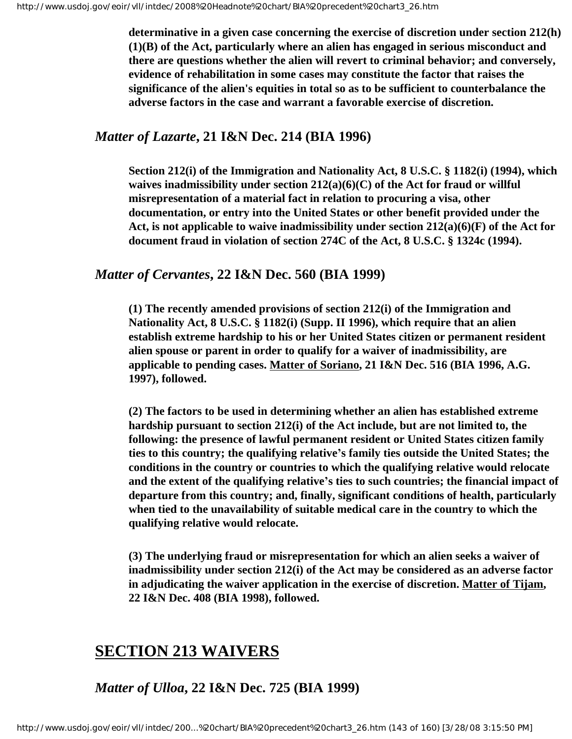**determinative in a given case concerning the exercise of discretion under section 212(h) (1)(B) of the Act, particularly where an alien has engaged in serious misconduct and there are questions whether the alien will revert to criminal behavior; and conversely, evidence of rehabilitation in some cases may constitute the factor that raises the significance of the alien's equities in total so as to be sufficient to counterbalance the adverse factors in the case and warrant a favorable exercise of discretion.**

## *Matter of Lazarte***, 21 I&N Dec. 214 (BIA 1996)**

**Section 212(i) of the Immigration and Nationality Act, 8 U.S.C. § 1182(i) (1994), which waives inadmissibility under section 212(a)(6)(C) of the Act for fraud or willful misrepresentation of a material fact in relation to procuring a visa, other documentation, or entry into the United States or other benefit provided under the Act, is not applicable to waive inadmissibility under section 212(a)(6)(F) of the Act for document fraud in violation of section 274C of the Act, 8 U.S.C. § 1324c (1994).** 

### *Matter of Cervantes***, 22 I&N Dec. 560 (BIA 1999)**

**(1) The recently amended provisions of section 212(i) of the Immigration and Nationality Act, 8 U.S.C. § 1182(i) (Supp. II 1996), which require that an alien establish extreme hardship to his or her United States citizen or permanent resident alien spouse or parent in order to qualify for a waiver of inadmissibility, are applicable to pending cases. Matter of Soriano, 21 I&N Dec. 516 (BIA 1996, A.G. 1997), followed.**

**(2) The factors to be used in determining whether an alien has established extreme hardship pursuant to section 212(i) of the Act include, but are not limited to, the following: the presence of lawful permanent resident or United States citizen family ties to this country; the qualifying relative's family ties outside the United States; the conditions in the country or countries to which the qualifying relative would relocate and the extent of the qualifying relative's ties to such countries; the financial impact of departure from this country; and, finally, significant conditions of health, particularly when tied to the unavailability of suitable medical care in the country to which the qualifying relative would relocate.**

**(3) The underlying fraud or misrepresentation for which an alien seeks a waiver of inadmissibility under section 212(i) of the Act may be considered as an adverse factor in adjudicating the waiver application in the exercise of discretion. Matter of Tijam, 22 I&N Dec. 408 (BIA 1998), followed.**

# **SECTION 213 WAIVERS**

*Matter of Ulloa***, 22 I&N Dec. 725 (BIA 1999)**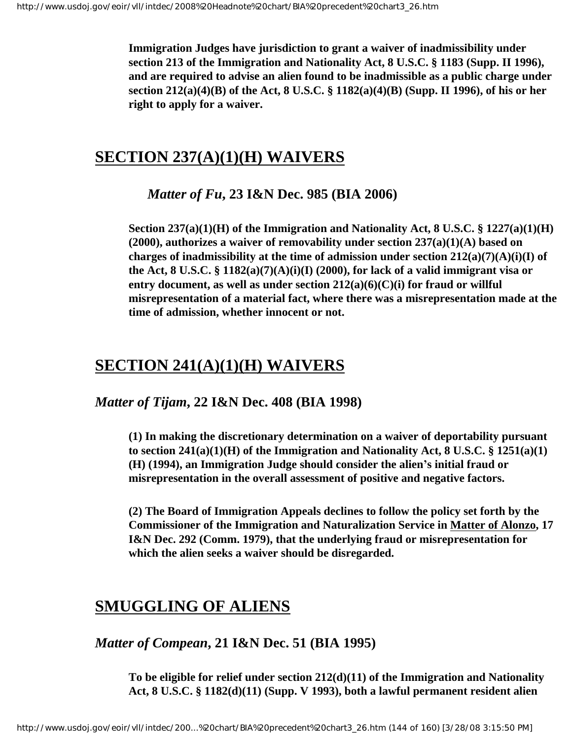**Immigration Judges have jurisdiction to grant a waiver of inadmissibility under section 213 of the Immigration and Nationality Act, 8 U.S.C. § 1183 (Supp. II 1996), and are required to advise an alien found to be inadmissible as a public charge under section 212(a)(4)(B) of the Act, 8 U.S.C. § 1182(a)(4)(B) (Supp. II 1996), of his or her right to apply for a waiver.**

# **SECTION 237(A)(1)(H) WAIVERS**

*Matter of Fu***, 23 I&N Dec. 985 (BIA 2006)**

**Section 237(a)(1)(H) of the Immigration and Nationality Act, 8 U.S.C. § 1227(a)(1)(H) (2000), authorizes a waiver of removability under section 237(a)(1)(A) based on charges of inadmissibility at the time of admission under section 212(a)(7)(A)(i)(I) of the Act, 8 U.S.C. § 1182(a)(7)(A)(i)(I) (2000), for lack of a valid immigrant visa or entry document, as well as under section 212(a)(6)(C)(i) for fraud or willful misrepresentation of a material fact, where there was a misrepresentation made at the time of admission, whether innocent or not.**

# **SECTION 241(A)(1)(H) WAIVERS**

*Matter of Tijam***, 22 I&N Dec. 408 (BIA 1998)**

**(1) In making the discretionary determination on a waiver of deportability pursuant to section 241(a)(1)(H) of the Immigration and Nationality Act, 8 U.S.C. § 1251(a)(1) (H) (1994), an Immigration Judge should consider the alien's initial fraud or misrepresentation in the overall assessment of positive and negative factors.**

**(2) The Board of Immigration Appeals declines to follow the policy set forth by the Commissioner of the Immigration and Naturalization Service in Matter of Alonzo, 17 I&N Dec. 292 (Comm. 1979), that the underlying fraud or misrepresentation for which the alien seeks a waiver should be disregarded.**

# **SMUGGLING OF ALIENS**

*Matter of Compean***, 21 I&N Dec. 51 (BIA 1995)**

**To be eligible for relief under section 212(d)(11) of the Immigration and Nationality Act, 8 U.S.C. § 1182(d)(11) (Supp. V 1993), both a lawful permanent resident alien**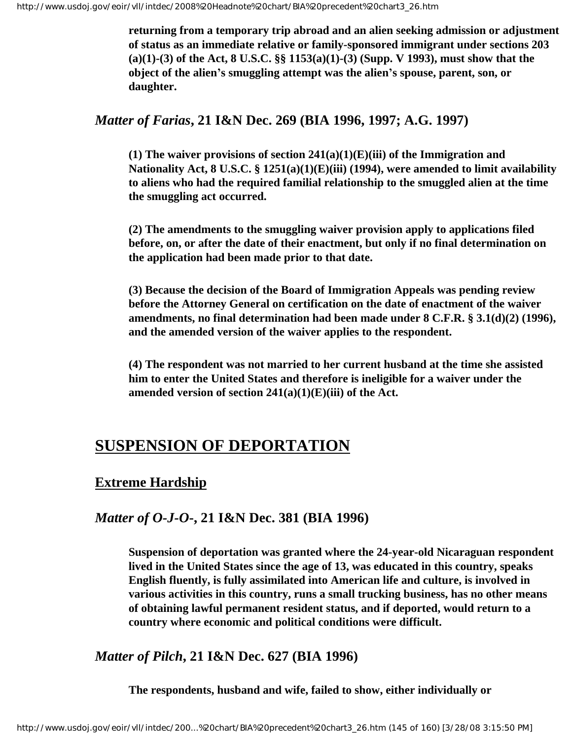**returning from a temporary trip abroad and an alien seeking admission or adjustment of status as an immediate relative or family-sponsored immigrant under sections 203 (a)(1)-(3) of the Act, 8 U.S.C. §§ 1153(a)(1)-(3) (Supp. V 1993), must show that the object of the alien's smuggling attempt was the alien's spouse, parent, son, or daughter.** 

### *Matter of Farias***, 21 I&N Dec. 269 (BIA 1996, 1997; A.G. 1997)**

**(1) The waiver provisions of section 241(a)(1)(E)(iii) of the Immigration and Nationality Act, 8 U.S.C. § 1251(a)(1)(E)(iii) (1994), were amended to limit availability to aliens who had the required familial relationship to the smuggled alien at the time the smuggling act occurred.** 

**(2) The amendments to the smuggling waiver provision apply to applications filed before, on, or after the date of their enactment, but only if no final determination on the application had been made prior to that date.** 

**(3) Because the decision of the Board of Immigration Appeals was pending review before the Attorney General on certification on the date of enactment of the waiver amendments, no final determination had been made under 8 C.F.R. § 3.1(d)(2) (1996), and the amended version of the waiver applies to the respondent.** 

**(4) The respondent was not married to her current husband at the time she assisted him to enter the United States and therefore is ineligible for a waiver under the amended version of section 241(a)(1)(E)(iii) of the Act.** 

## **SUSPENSION OF DEPORTATION**

### **Extreme Hardship**

### *Matter of O-J-O***-, 21 I&N Dec. 381 (BIA 1996)**

**Suspension of deportation was granted where the 24-year-old Nicaraguan respondent lived in the United States since the age of 13, was educated in this country, speaks English fluently, is fully assimilated into American life and culture, is involved in various activities in this country, runs a small trucking business, has no other means of obtaining lawful permanent resident status, and if deported, would return to a country where economic and political conditions were difficult.**

### *Matter of Pilch***, 21 I&N Dec. 627 (BIA 1996)**

**The respondents, husband and wife, failed to show, either individually or**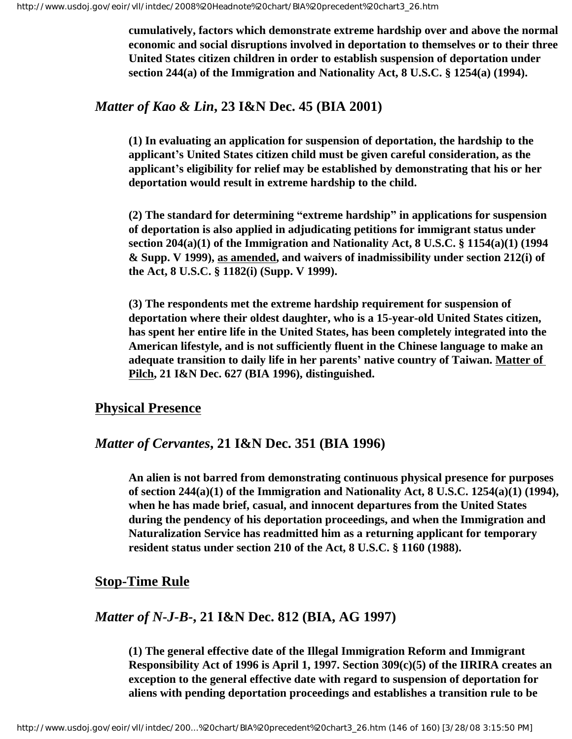**cumulatively, factors which demonstrate extreme hardship over and above the normal economic and social disruptions involved in deportation to themselves or to their three United States citizen children in order to establish suspension of deportation under section 244(a) of the Immigration and Nationality Act, 8 U.S.C. § 1254(a) (1994).**

### *Matter of Kao & Lin***, 23 I&N Dec. 45 (BIA 2001)**

**(1) In evaluating an application for suspension of deportation, the hardship to the applicant's United States citizen child must be given careful consideration, as the applicant's eligibility for relief may be established by demonstrating that his or her deportation would result in extreme hardship to the child.**

**(2) The standard for determining "extreme hardship" in applications for suspension of deportation is also applied in adjudicating petitions for immigrant status under section 204(a)(1) of the Immigration and Nationality Act, 8 U.S.C. § 1154(a)(1) (1994 & Supp. V 1999), as amended, and waivers of inadmissibility under section 212(i) of the Act, 8 U.S.C. § 1182(i) (Supp. V 1999).**

**(3) The respondents met the extreme hardship requirement for suspension of deportation where their oldest daughter, who is a 15-year-old United States citizen, has spent her entire life in the United States, has been completely integrated into the American lifestyle, and is not sufficiently fluent in the Chinese language to make an adequate transition to daily life in her parents' native country of Taiwan. Matter of Pilch, 21 I&N Dec. 627 (BIA 1996), distinguished.**

#### **Physical Presence**

### *Matter of Cervantes***, 21 I&N Dec. 351 (BIA 1996)**

**An alien is not barred from demonstrating continuous physical presence for purposes of section 244(a)(1) of the Immigration and Nationality Act, 8 U.S.C. 1254(a)(1) (1994), when he has made brief, casual, and innocent departures from the United States during the pendency of his deportation proceedings, and when the Immigration and Naturalization Service has readmitted him as a returning applicant for temporary resident status under section 210 of the Act, 8 U.S.C. § 1160 (1988).**

### **Stop-Time Rule**

### *Matter of N-J-B***-, 21 I&N Dec. 812 (BIA, AG 1997)**

**(1) The general effective date of the Illegal Immigration Reform and Immigrant Responsibility Act of 1996 is April 1, 1997. Section 309(c)(5) of the IIRIRA creates an exception to the general effective date with regard to suspension of deportation for aliens with pending deportation proceedings and establishes a transition rule to be**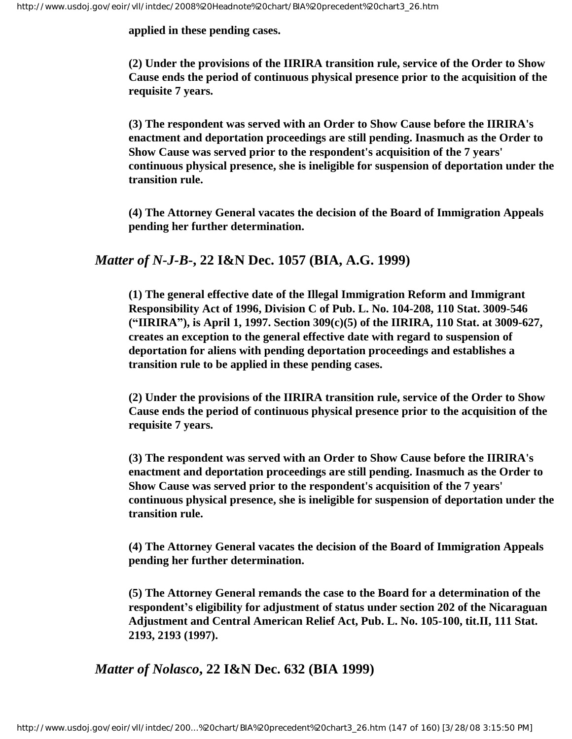**applied in these pending cases.**

**(2) Under the provisions of the IIRIRA transition rule, service of the Order to Show Cause ends the period of continuous physical presence prior to the acquisition of the requisite 7 years.**

**(3) The respondent was served with an Order to Show Cause before the IIRIRA's enactment and deportation proceedings are still pending. Inasmuch as the Order to Show Cause was served prior to the respondent's acquisition of the 7 years' continuous physical presence, she is ineligible for suspension of deportation under the transition rule.**

**(4) The Attorney General vacates the decision of the Board of Immigration Appeals pending her further determination.**

### *Matter of N-J-B***-, 22 I&N Dec. 1057 (BIA, A.G. 1999)**

**(1) The general effective date of the Illegal Immigration Reform and Immigrant Responsibility Act of 1996, Division C of Pub. L. No. 104-208, 110 Stat. 3009-546 ("IIRIRA"), is April 1, 1997. Section 309(c)(5) of the IIRIRA, 110 Stat. at 3009-627, creates an exception to the general effective date with regard to suspension of deportation for aliens with pending deportation proceedings and establishes a transition rule to be applied in these pending cases.**

**(2) Under the provisions of the IIRIRA transition rule, service of the Order to Show Cause ends the period of continuous physical presence prior to the acquisition of the requisite 7 years.**

**(3) The respondent was served with an Order to Show Cause before the IIRIRA's enactment and deportation proceedings are still pending. Inasmuch as the Order to Show Cause was served prior to the respondent's acquisition of the 7 years' continuous physical presence, she is ineligible for suspension of deportation under the transition rule.**

**(4) The Attorney General vacates the decision of the Board of Immigration Appeals pending her further determination.**

**(5) The Attorney General remands the case to the Board for a determination of the respondent's eligibility for adjustment of status under section 202 of the Nicaraguan Adjustment and Central American Relief Act, Pub. L. No. 105-100, tit.II, 111 Stat. 2193, 2193 (1997).**

*Matter of Nolasco***, 22 I&N Dec. 632 (BIA 1999)**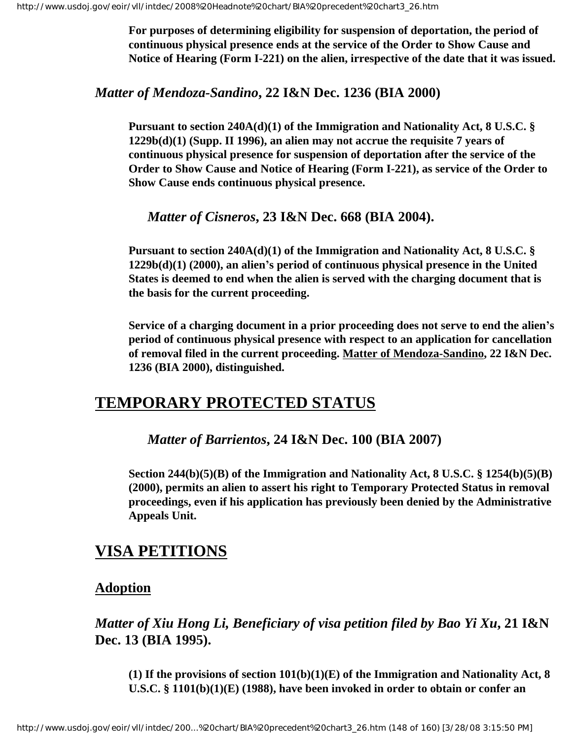**For purposes of determining eligibility for suspension of deportation, the period of continuous physical presence ends at the service of the Order to Show Cause and Notice of Hearing (Form I-221) on the alien, irrespective of the date that it was issued.**

*Matter of Mendoza-Sandino***, 22 I&N Dec. 1236 (BIA 2000)**

**Pursuant to section 240A(d)(1) of the Immigration and Nationality Act, 8 U.S.C. § 1229b(d)(1) (Supp. II 1996), an alien may not accrue the requisite 7 years of continuous physical presence for suspension of deportation after the service of the Order to Show Cause and Notice of Hearing (Form I-221), as service of the Order to Show Cause ends continuous physical presence.**

*Matter of Cisneros***, 23 I&N Dec. 668 (BIA 2004).**

**Pursuant to section 240A(d)(1) of the Immigration and Nationality Act, 8 U.S.C. § 1229b(d)(1) (2000), an alien's period of continuous physical presence in the United States is deemed to end when the alien is served with the charging document that is the basis for the current proceeding.**

**Service of a charging document in a prior proceeding does not serve to end the alien's period of continuous physical presence with respect to an application for cancellation of removal filed in the current proceeding. Matter of Mendoza-Sandino, 22 I&N Dec. 1236 (BIA 2000), distinguished.**

## **TEMPORARY PROTECTED STATUS**

*Matter of Barrientos***, 24 I&N Dec. 100 (BIA 2007)**

**Section 244(b)(5)(B) of the Immigration and Nationality Act, 8 U.S.C. § 1254(b)(5)(B) (2000), permits an alien to assert his right to Temporary Protected Status in removal proceedings, even if his application has previously been denied by the Administrative Appeals Unit.** 

# **VISA PETITIONS**

### **Adoption**

*Matter of Xiu Hong Li, Beneficiary of visa petition filed by Bao Yi Xu***, 21 I&N Dec. 13 (BIA 1995).**

**(1) If the provisions of section 101(b)(1)(E) of the Immigration and Nationality Act, 8 U.S.C. § 1101(b)(1)(E) (1988), have been invoked in order to obtain or confer an**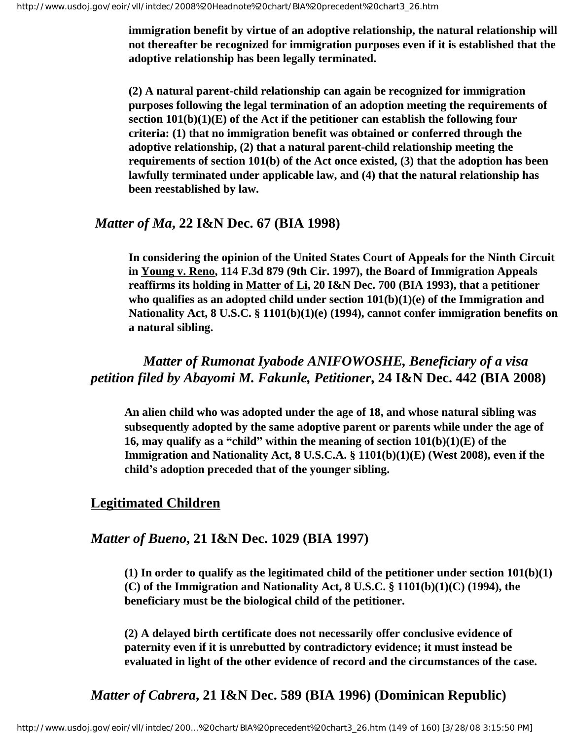**immigration benefit by virtue of an adoptive relationship, the natural relationship will not thereafter be recognized for immigration purposes even if it is established that the adoptive relationship has been legally terminated.** 

**(2) A natural parent-child relationship can again be recognized for immigration purposes following the legal termination of an adoption meeting the requirements of section 101(b)(1)(E) of the Act if the petitioner can establish the following four criteria: (1) that no immigration benefit was obtained or conferred through the adoptive relationship, (2) that a natural parent-child relationship meeting the requirements of section 101(b) of the Act once existed, (3) that the adoption has been lawfully terminated under applicable law, and (4) that the natural relationship has been reestablished by law.** 

#### *Matter of Ma***, 22 I&N Dec. 67 (BIA 1998)**

**In considering the opinion of the United States Court of Appeals for the Ninth Circuit in Young v. Reno, 114 F.3d 879 (9th Cir. 1997), the Board of Immigration Appeals reaffirms its holding in Matter of Li, 20 I&N Dec. 700 (BIA 1993), that a petitioner who qualifies as an adopted child under section 101(b)(1)(e) of the Immigration and Nationality Act, 8 U.S.C. § 1101(b)(1)(e) (1994), cannot confer immigration benefits on a natural sibling.**

## *Matter of Rumonat Iyabode ANIFOWOSHE, Beneficiary of a visa petition filed by Abayomi M. Fakunle, Petitioner***, 24 I&N Dec. 442 (BIA 2008)**

**An alien child who was adopted under the age of 18, and whose natural sibling was subsequently adopted by the same adoptive parent or parents while under the age of 16, may qualify as a "child" within the meaning of section 101(b)(1)(E) of the Immigration and Nationality Act, 8 U.S.C.A. § 1101(b)(1)(E) (West 2008), even if the child's adoption preceded that of the younger sibling.**

### **Legitimated Children**

### *Matter of Bueno***, 21 I&N Dec. 1029 (BIA 1997)**

**(1) In order to qualify as the legitimated child of the petitioner under section 101(b)(1) (C) of the Immigration and Nationality Act, 8 U.S.C. § 1101(b)(1)(C) (1994), the beneficiary must be the biological child of the petitioner.**

**(2) A delayed birth certificate does not necessarily offer conclusive evidence of paternity even if it is unrebutted by contradictory evidence; it must instead be evaluated in light of the other evidence of record and the circumstances of the case.**

## *Matter of Cabrera***, 21 I&N Dec. 589 (BIA 1996) (Dominican Republic)**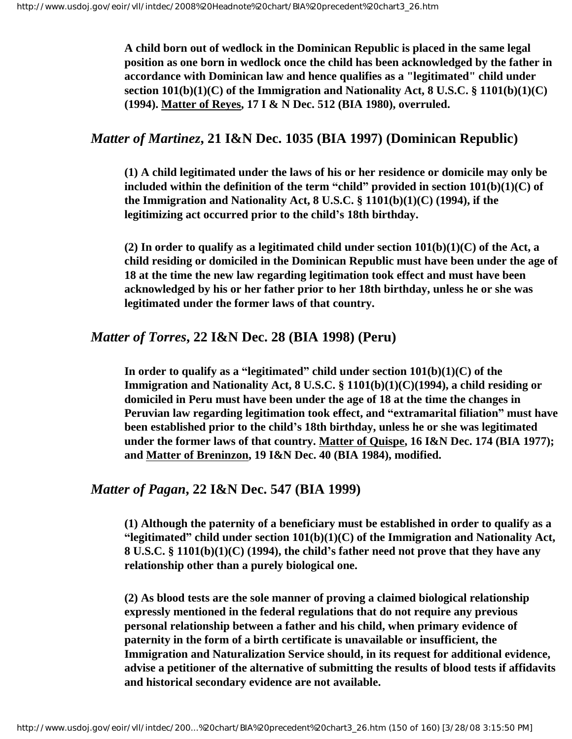**A child born out of wedlock in the Dominican Republic is placed in the same legal position as one born in wedlock once the child has been acknowledged by the father in accordance with Dominican law and hence qualifies as a "legitimated" child under section 101(b)(1)(C) of the Immigration and Nationality Act, 8 U.S.C. § 1101(b)(1)(C) (1994). Matter of Reyes, 17 I & N Dec. 512 (BIA 1980), overruled.** 

### *Matter of Martinez***, 21 I&N Dec. 1035 (BIA 1997) (Dominican Republic)**

**(1) A child legitimated under the laws of his or her residence or domicile may only be included within the definition of the term "child" provided in section 101(b)(1)(C) of the Immigration and Nationality Act, 8 U.S.C. § 1101(b)(1)(C) (1994), if the legitimizing act occurred prior to the child's 18th birthday.** 

**(2) In order to qualify as a legitimated child under section 101(b)(1)(C) of the Act, a child residing or domiciled in the Dominican Republic must have been under the age of 18 at the time the new law regarding legitimation took effect and must have been acknowledged by his or her father prior to her 18th birthday, unless he or she was legitimated under the former laws of that country.** 

#### *Matter of Torres***, 22 I&N Dec. 28 (BIA 1998) (Peru)**

In order to qualify as a "legitimated" child under section  $101(b)(1)(C)$  of the **Immigration and Nationality Act, 8 U.S.C. § 1101(b)(1)(C)(1994), a child residing or domiciled in Peru must have been under the age of 18 at the time the changes in Peruvian law regarding legitimation took effect, and "extramarital filiation" must have been established prior to the child's 18th birthday, unless he or she was legitimated under the former laws of that country. Matter of Quispe, 16 I&N Dec. 174 (BIA 1977); and Matter of Breninzon, 19 I&N Dec. 40 (BIA 1984), modified.**

#### *Matter of Pagan***, 22 I&N Dec. 547 (BIA 1999)**

**(1) Although the paternity of a beneficiary must be established in order to qualify as a "legitimated" child under section 101(b)(1)(C) of the Immigration and Nationality Act, 8 U.S.C. § 1101(b)(1)(C) (1994), the child's father need not prove that they have any relationship other than a purely biological one.**

**(2) As blood tests are the sole manner of proving a claimed biological relationship expressly mentioned in the federal regulations that do not require any previous personal relationship between a father and his child, when primary evidence of paternity in the form of a birth certificate is unavailable or insufficient, the Immigration and Naturalization Service should, in its request for additional evidence, advise a petitioner of the alternative of submitting the results of blood tests if affidavits and historical secondary evidence are not available.**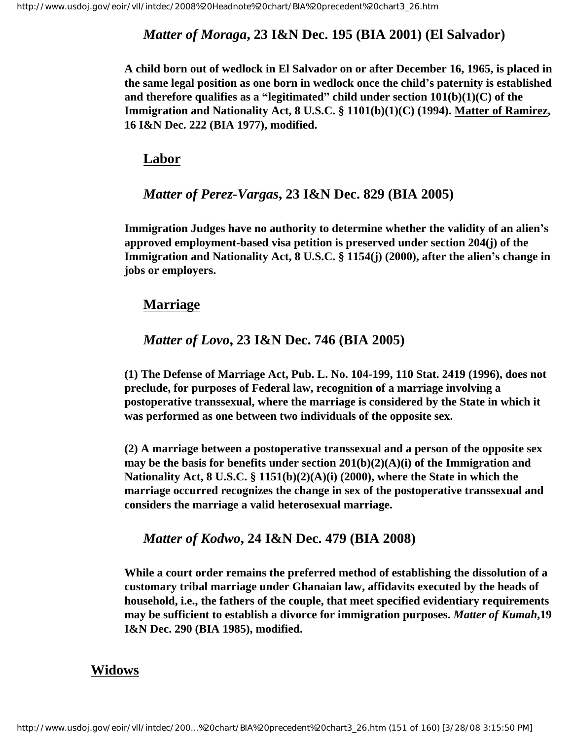### *Matter of Moraga***, 23 I&N Dec. 195 (BIA 2001) (El Salvador)**

**A child born out of wedlock in El Salvador on or after December 16, 1965, is placed in the same legal position as one born in wedlock once the child's paternity is established and therefore qualifies as a "legitimated" child under section 101(b)(1)(C) of the Immigration and Nationality Act, 8 U.S.C. § 1101(b)(1)(C) (1994). Matter of Ramirez, 16 I&N Dec. 222 (BIA 1977), modified.** 

#### **Labor**

### *Matter of Perez-Vargas***, 23 I&N Dec. 829 (BIA 2005)**

**Immigration Judges have no authority to determine whether the validity of an alien's approved employment-based visa petition is preserved under section 204(j) of the Immigration and Nationality Act, 8 U.S.C. § 1154(j) (2000), after the alien's change in jobs or employers.**

### **Marriage**

### *Matter of Lovo***, 23 I&N Dec. 746 (BIA 2005)**

**(1) The Defense of Marriage Act, Pub. L. No. 104-199, 110 Stat. 2419 (1996), does not preclude, for purposes of Federal law, recognition of a marriage involving a postoperative transsexual, where the marriage is considered by the State in which it was performed as one between two individuals of the opposite sex.**

**(2) A marriage between a postoperative transsexual and a person of the opposite sex may be the basis for benefits under section 201(b)(2)(A)(i) of the Immigration and Nationality Act, 8 U.S.C. § 1151(b)(2)(A)(i) (2000), where the State in which the marriage occurred recognizes the change in sex of the postoperative transsexual and considers the marriage a valid heterosexual marriage.**

#### *Matter of Kodwo***, 24 I&N Dec. 479 (BIA 2008)**

**While a court order remains the preferred method of establishing the dissolution of a customary tribal marriage under Ghanaian law, affidavits executed by the heads of household, i.e., the fathers of the couple, that meet specified evidentiary requirements may be sufficient to establish a divorce for immigration purposes.** *Matter of Kumah***,19 I&N Dec. 290 (BIA 1985), modified.** 

### **Widows**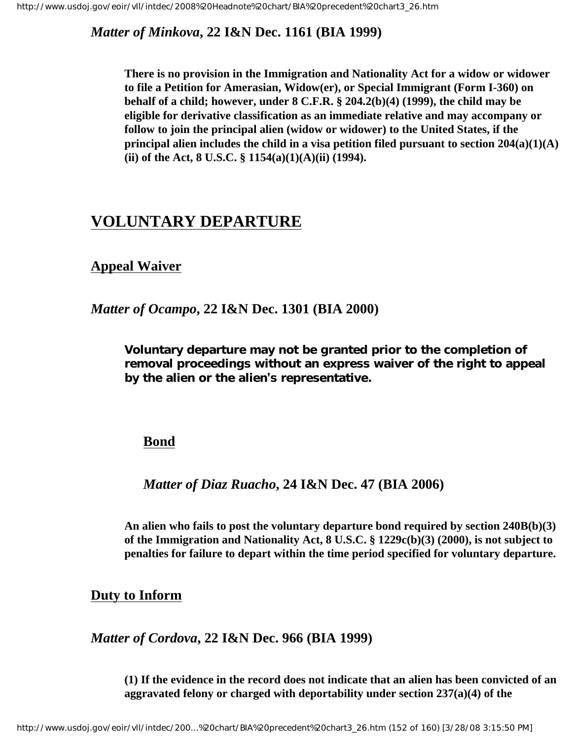*Matter of Minkova***, 22 I&N Dec. 1161 (BIA 1999)**

**There is no provision in the Immigration and Nationality Act for a widow or widower to file a Petition for Amerasian, Widow(er), or Special Immigrant (Form I-360) on behalf of a child; however, under 8 C.F.R. § 204.2(b)(4) (1999), the child may be eligible for derivative classification as an immediate relative and may accompany or follow to join the principal alien (widow or widower) to the United States, if the principal alien includes the child in a visa petition filed pursuant to section 204(a)(1)(A) (ii) of the Act, 8 U.S.C. § 1154(a)(1)(A)(ii) (1994).**

# **VOLUNTARY DEPARTURE**

## **Appeal Waiver**

### *Matter of Ocampo***, 22 I&N Dec. 1301 (BIA 2000)**

**Voluntary departure may not be granted prior to the completion of removal proceedings without an express waiver of the right to appeal by the alien or the alien's representative.**

### **Bond**

### *Matter of Diaz Ruacho***, 24 I&N Dec. 47 (BIA 2006)**

**An alien who fails to post the voluntary departure bond required by section 240B(b)(3) of the Immigration and Nationality Act, 8 U.S.C. § 1229c(b)(3) (2000), is not subject to penalties for failure to depart within the time period specified for voluntary departure.**

### **Duty to Inform**

*Matter of Cordova***, 22 I&N Dec. 966 (BIA 1999)**

**(1) If the evidence in the record does not indicate that an alien has been convicted of an aggravated felony or charged with deportability under section 237(a)(4) of the**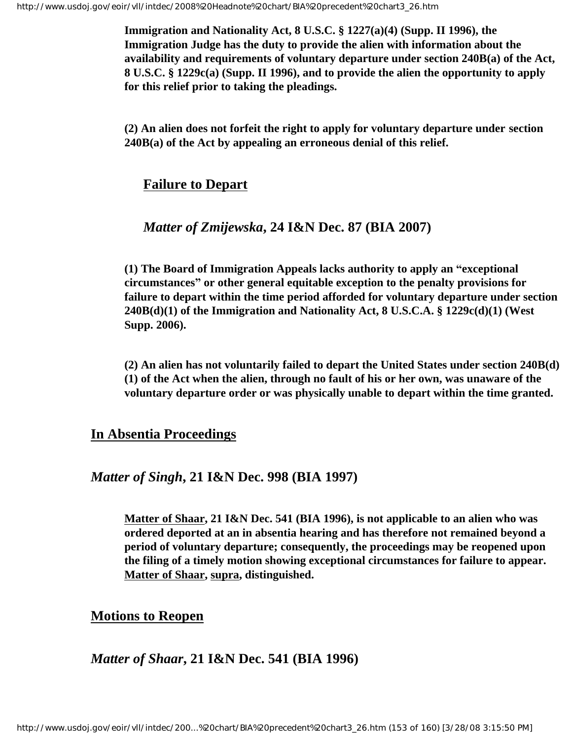**Immigration and Nationality Act, 8 U.S.C. § 1227(a)(4) (Supp. II 1996), the Immigration Judge has the duty to provide the alien with information about the availability and requirements of voluntary departure under section 240B(a) of the Act, 8 U.S.C. § 1229c(a) (Supp. II 1996), and to provide the alien the opportunity to apply for this relief prior to taking the pleadings.**

**(2) An alien does not forfeit the right to apply for voluntary departure under section 240B(a) of the Act by appealing an erroneous denial of this relief.**

### **Failure to Depart**

### *Matter of Zmijewska***, 24 I&N Dec. 87 (BIA 2007)**

**(1) The Board of Immigration Appeals lacks authority to apply an "exceptional circumstances" or other general equitable exception to the penalty provisions for failure to depart within the time period afforded for voluntary departure under section 240B(d)(1) of the Immigration and Nationality Act, 8 U.S.C.A. § 1229c(d)(1) (West Supp. 2006).**

**(2) An alien has not voluntarily failed to depart the United States under section 240B(d) (1) of the Act when the alien, through no fault of his or her own, was unaware of the voluntary departure order or was physically unable to depart within the time granted.** 

### **In Absentia Proceedings**

### *Matter of Singh***, 21 I&N Dec. 998 (BIA 1997)**

**Matter of Shaar, 21 I&N Dec. 541 (BIA 1996), is not applicable to an alien who was ordered deported at an in absentia hearing and has therefore not remained beyond a period of voluntary departure; consequently, the proceedings may be reopened upon the filing of a timely motion showing exceptional circumstances for failure to appear. Matter of Shaar, supra, distinguished.**

### **Motions to Reopen**

### *Matter of Shaar***, 21 I&N Dec. 541 (BIA 1996)**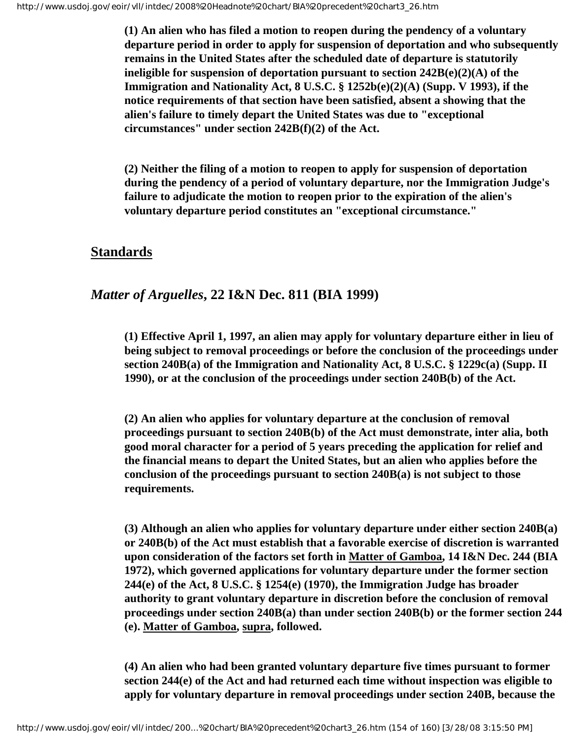**(1) An alien who has filed a motion to reopen during the pendency of a voluntary departure period in order to apply for suspension of deportation and who subsequently remains in the United States after the scheduled date of departure is statutorily ineligible for suspension of deportation pursuant to section 242B(e)(2)(A) of the Immigration and Nationality Act, 8 U.S.C. § 1252b(e)(2)(A) (Supp. V 1993), if the notice requirements of that section have been satisfied, absent a showing that the alien's failure to timely depart the United States was due to "exceptional circumstances" under section 242B(f)(2) of the Act.**

**(2) Neither the filing of a motion to reopen to apply for suspension of deportation during the pendency of a period of voluntary departure, nor the Immigration Judge's failure to adjudicate the motion to reopen prior to the expiration of the alien's voluntary departure period constitutes an "exceptional circumstance."**

### **Standards**

### *Matter of Arguelles***, 22 I&N Dec. 811 (BIA 1999)**

**(1) Effective April 1, 1997, an alien may apply for voluntary departure either in lieu of being subject to removal proceedings or before the conclusion of the proceedings under section 240B(a) of the Immigration and Nationality Act, 8 U.S.C. § 1229c(a) (Supp. II 1990), or at the conclusion of the proceedings under section 240B(b) of the Act.**

**(2) An alien who applies for voluntary departure at the conclusion of removal proceedings pursuant to section 240B(b) of the Act must demonstrate, inter alia, both good moral character for a period of 5 years preceding the application for relief and the financial means to depart the United States, but an alien who applies before the conclusion of the proceedings pursuant to section 240B(a) is not subject to those requirements.**

**(3) Although an alien who applies for voluntary departure under either section 240B(a) or 240B(b) of the Act must establish that a favorable exercise of discretion is warranted upon consideration of the factors set forth in Matter of Gamboa, 14 I&N Dec. 244 (BIA 1972), which governed applications for voluntary departure under the former section 244(e) of the Act, 8 U.S.C. § 1254(e) (1970), the Immigration Judge has broader authority to grant voluntary departure in discretion before the conclusion of removal proceedings under section 240B(a) than under section 240B(b) or the former section 244 (e). Matter of Gamboa, supra, followed.**

**(4) An alien who had been granted voluntary departure five times pursuant to former section 244(e) of the Act and had returned each time without inspection was eligible to apply for voluntary departure in removal proceedings under section 240B, because the**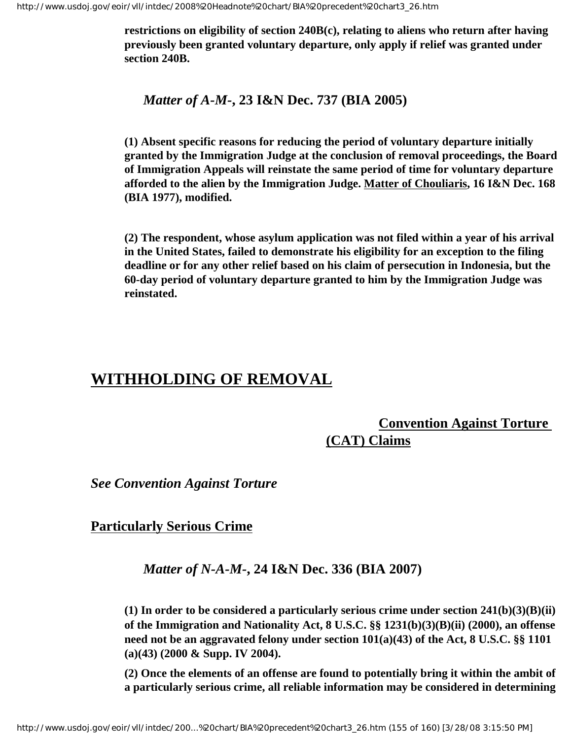**restrictions on eligibility of section 240B(c), relating to aliens who return after having previously been granted voluntary departure, only apply if relief was granted under section 240B.**

*Matter of A-M-***, 23 I&N Dec. 737 (BIA 2005)**

**(1) Absent specific reasons for reducing the period of voluntary departure initially granted by the Immigration Judge at the conclusion of removal proceedings, the Board of Immigration Appeals will reinstate the same period of time for voluntary departure afforded to the alien by the Immigration Judge. Matter of Chouliaris, 16 I&N Dec. 168 (BIA 1977), modified.**

**(2) The respondent, whose asylum application was not filed within a year of his arrival in the United States, failed to demonstrate his eligibility for an exception to the filing deadline or for any other relief based on his claim of persecution in Indonesia, but the 60-day period of voluntary departure granted to him by the Immigration Judge was reinstated.**

## **WITHHOLDING OF REMOVAL**

## **Convention Against Torture (CAT) Claims**

*See Convention Against Torture*

### **Particularly Serious Crime**

#### *Matter of N-A-M-***, 24 I&N Dec. 336 (BIA 2007)**

**(1) In order to be considered a particularly serious crime under section 241(b)(3)(B)(ii) of the Immigration and Nationality Act, 8 U.S.C. §§ 1231(b)(3)(B)(ii) (2000), an offense need not be an aggravated felony under section 101(a)(43) of the Act, 8 U.S.C. §§ 1101 (a)(43) (2000 & Supp. IV 2004).**

**(2) Once the elements of an offense are found to potentially bring it within the ambit of a particularly serious crime, all reliable information may be considered in determining**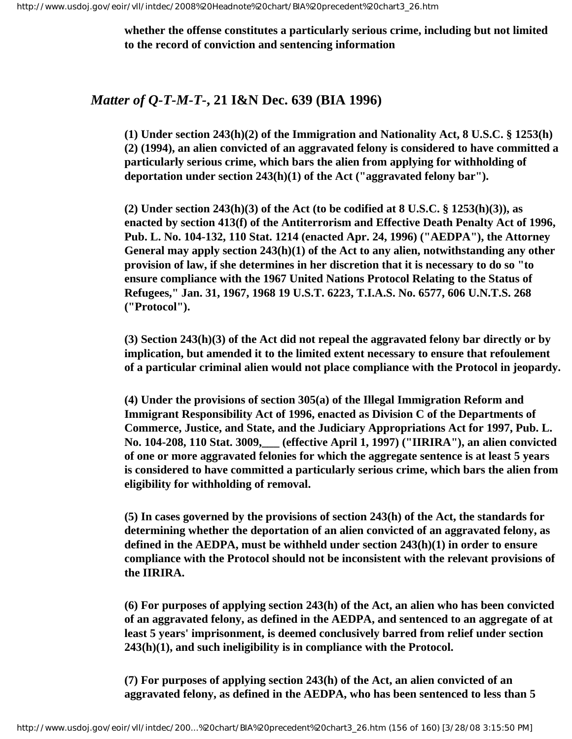**whether the offense constitutes a particularly serious crime, including but not limited to the record of conviction and sentencing information**

### *Matter of Q-T-M-T-***, 21 I&N Dec. 639 (BIA 1996)**

**(1) Under section 243(h)(2) of the Immigration and Nationality Act, 8 U.S.C. § 1253(h) (2) (1994), an alien convicted of an aggravated felony is considered to have committed a particularly serious crime, which bars the alien from applying for withholding of deportation under section 243(h)(1) of the Act ("aggravated felony bar").**

**(2) Under section 243(h)(3) of the Act (to be codified at 8 U.S.C. § 1253(h)(3)), as enacted by section 413(f) of the Antiterrorism and Effective Death Penalty Act of 1996, Pub. L. No. 104-132, 110 Stat. 1214 (enacted Apr. 24, 1996) ("AEDPA"), the Attorney General may apply section 243(h)(1) of the Act to any alien, notwithstanding any other provision of law, if she determines in her discretion that it is necessary to do so "to ensure compliance with the 1967 United Nations Protocol Relating to the Status of Refugees," Jan. 31, 1967, 1968 19 U.S.T. 6223, T.I.A.S. No. 6577, 606 U.N.T.S. 268 ("Protocol").**

**(3) Section 243(h)(3) of the Act did not repeal the aggravated felony bar directly or by implication, but amended it to the limited extent necessary to ensure that refoulement of a particular criminal alien would not place compliance with the Protocol in jeopardy.**

**(4) Under the provisions of section 305(a) of the Illegal Immigration Reform and Immigrant Responsibility Act of 1996, enacted as Division C of the Departments of Commerce, Justice, and State, and the Judiciary Appropriations Act for 1997, Pub. L. No. 104-208, 110 Stat. 3009,\_\_\_ (effective April 1, 1997) ("IIRIRA"), an alien convicted of one or more aggravated felonies for which the aggregate sentence is at least 5 years is considered to have committed a particularly serious crime, which bars the alien from eligibility for withholding of removal.**

**(5) In cases governed by the provisions of section 243(h) of the Act, the standards for determining whether the deportation of an alien convicted of an aggravated felony, as defined in the AEDPA, must be withheld under section 243(h)(1) in order to ensure compliance with the Protocol should not be inconsistent with the relevant provisions of the IIRIRA.**

**(6) For purposes of applying section 243(h) of the Act, an alien who has been convicted of an aggravated felony, as defined in the AEDPA, and sentenced to an aggregate of at least 5 years' imprisonment, is deemed conclusively barred from relief under section 243(h)(1), and such ineligibility is in compliance with the Protocol.**

**(7) For purposes of applying section 243(h) of the Act, an alien convicted of an aggravated felony, as defined in the AEDPA, who has been sentenced to less than 5**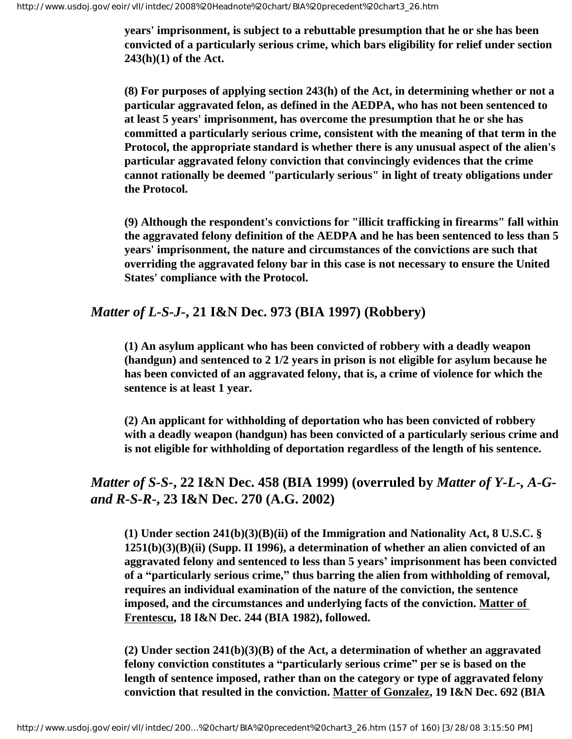**years' imprisonment, is subject to a rebuttable presumption that he or she has been convicted of a particularly serious crime, which bars eligibility for relief under section 243(h)(1) of the Act.**

**(8) For purposes of applying section 243(h) of the Act, in determining whether or not a particular aggravated felon, as defined in the AEDPA, who has not been sentenced to at least 5 years' imprisonment, has overcome the presumption that he or she has committed a particularly serious crime, consistent with the meaning of that term in the Protocol, the appropriate standard is whether there is any unusual aspect of the alien's particular aggravated felony conviction that convincingly evidences that the crime cannot rationally be deemed "particularly serious" in light of treaty obligations under the Protocol.**

**(9) Although the respondent's convictions for "illicit trafficking in firearms" fall within the aggravated felony definition of the AEDPA and he has been sentenced to less than 5 years' imprisonment, the nature and circumstances of the convictions are such that overriding the aggravated felony bar in this case is not necessary to ensure the United States' compliance with the Protocol.**

## *Matter of L-S-J-***, 21 I&N Dec. 973 (BIA 1997) (Robbery)**

**(1) An asylum applicant who has been convicted of robbery with a deadly weapon (handgun) and sentenced to 2 1/2 years in prison is not eligible for asylum because he has been convicted of an aggravated felony, that is, a crime of violence for which the sentence is at least 1 year.**

**(2) An applicant for withholding of deportation who has been convicted of robbery with a deadly weapon (handgun) has been convicted of a particularly serious crime and is not eligible for withholding of deportation regardless of the length of his sentence.**

## *Matter of S-S-***, 22 I&N Dec. 458 (BIA 1999) (overruled by** *Matter of Y-L-, A-Gand R-S-R-***, 23 I&N Dec. 270 (A.G. 2002)**

**(1) Under section 241(b)(3)(B)(ii) of the Immigration and Nationality Act, 8 U.S.C. § 1251(b)(3)(B)(ii) (Supp. II 1996), a determination of whether an alien convicted of an aggravated felony and sentenced to less than 5 years' imprisonment has been convicted of a "particularly serious crime," thus barring the alien from withholding of removal, requires an individual examination of the nature of the conviction, the sentence imposed, and the circumstances and underlying facts of the conviction. Matter of Frentescu, 18 I&N Dec. 244 (BIA 1982), followed.**

**(2) Under section 241(b)(3)(B) of the Act, a determination of whether an aggravated felony conviction constitutes a "particularly serious crime" per se is based on the length of sentence imposed, rather than on the category or type of aggravated felony conviction that resulted in the conviction. Matter of Gonzalez, 19 I&N Dec. 692 (BIA**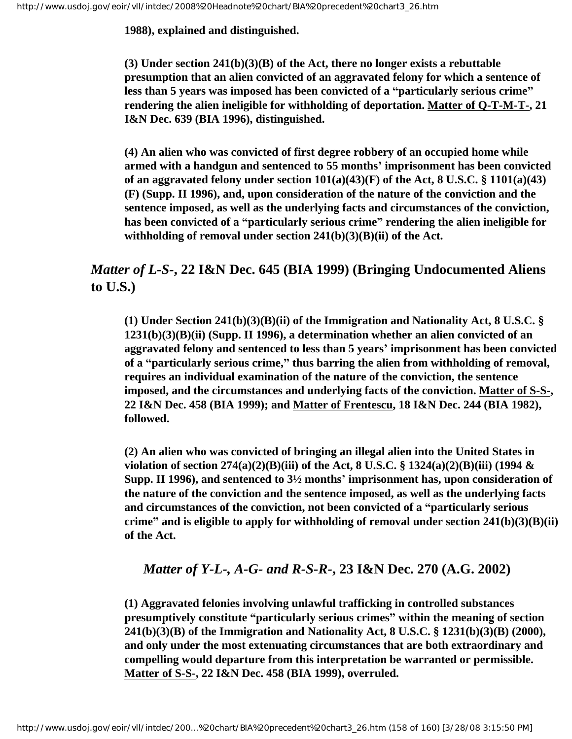**1988), explained and distinguished.**

**(3) Under section 241(b)(3)(B) of the Act, there no longer exists a rebuttable presumption that an alien convicted of an aggravated felony for which a sentence of less than 5 years was imposed has been convicted of a "particularly serious crime" rendering the alien ineligible for withholding of deportation. Matter of Q-T-M-T-, 21 I&N Dec. 639 (BIA 1996), distinguished.**

**(4) An alien who was convicted of first degree robbery of an occupied home while armed with a handgun and sentenced to 55 months' imprisonment has been convicted of an aggravated felony under section 101(a)(43)(F) of the Act, 8 U.S.C. § 1101(a)(43) (F) (Supp. II 1996), and, upon consideration of the nature of the conviction and the sentence imposed, as well as the underlying facts and circumstances of the conviction, has been convicted of a "particularly serious crime" rendering the alien ineligible for withholding of removal under section 241(b)(3)(B)(ii) of the Act.**

## *Matter of L-S-***, 22 I&N Dec. 645 (BIA 1999) (Bringing Undocumented Aliens to U.S.)**

**(1) Under Section 241(b)(3)(B)(ii) of the Immigration and Nationality Act, 8 U.S.C. § 1231(b)(3)(B)(ii) (Supp. II 1996), a determination whether an alien convicted of an aggravated felony and sentenced to less than 5 years' imprisonment has been convicted of a "particularly serious crime," thus barring the alien from withholding of removal, requires an individual examination of the nature of the conviction, the sentence imposed, and the circumstances and underlying facts of the conviction. Matter of S-S-, 22 I&N Dec. 458 (BIA 1999); and Matter of Frentescu, 18 I&N Dec. 244 (BIA 1982), followed.**

**(2) An alien who was convicted of bringing an illegal alien into the United States in violation of section 274(a)(2)(B)(iii) of the Act, 8 U.S.C. § 1324(a)(2)(B)(iii) (1994 & Supp. II 1996), and sentenced to 3½ months' imprisonment has, upon consideration of the nature of the conviction and the sentence imposed, as well as the underlying facts and circumstances of the conviction, not been convicted of a "particularly serious crime" and is eligible to apply for withholding of removal under section 241(b)(3)(B)(ii) of the Act.**

## *Matter of Y-L-, A-G- and R-S-R-***, 23 I&N Dec. 270 (A.G. 2002)**

**(1) Aggravated felonies involving unlawful trafficking in controlled substances presumptively constitute "particularly serious crimes" within the meaning of section 241(b)(3)(B) of the Immigration and Nationality Act, 8 U.S.C. § 1231(b)(3)(B) (2000), and only under the most extenuating circumstances that are both extraordinary and compelling would departure from this interpretation be warranted or permissible. Matter of S-S-, 22 I&N Dec. 458 (BIA 1999), overruled.**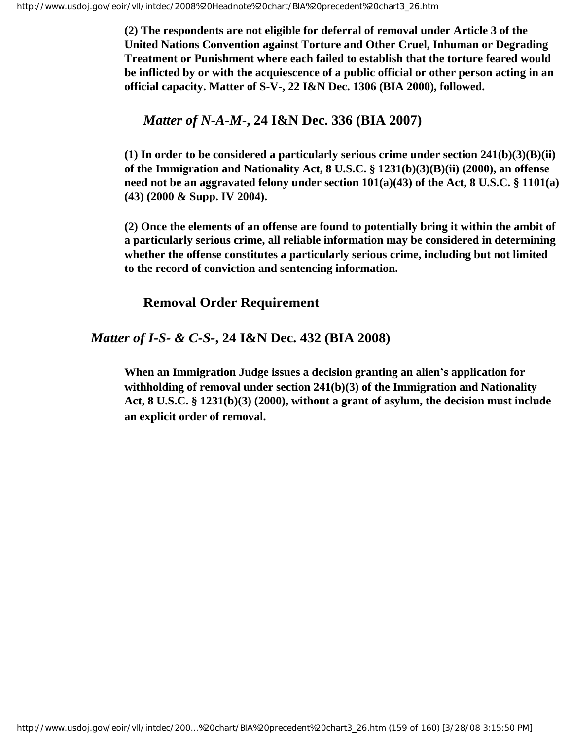**(2) The respondents are not eligible for deferral of removal under Article 3 of the United Nations Convention against Torture and Other Cruel, Inhuman or Degrading Treatment or Punishment where each failed to establish that the torture feared would be inflicted by or with the acquiescence of a public official or other person acting in an official capacity. Matter of S-V-, 22 I&N Dec. 1306 (BIA 2000), followed.** 

### *Matter of N-A-M-***, 24 I&N Dec. 336 (BIA 2007)**

**(1) In order to be considered a particularly serious crime under section 241(b)(3)(B)(ii) of the Immigration and Nationality Act, 8 U.S.C. § 1231(b)(3)(B)(ii) (2000), an offense need not be an aggravated felony under section 101(a)(43) of the Act, 8 U.S.C. § 1101(a) (43) (2000 & Supp. IV 2004).**

**(2) Once the elements of an offense are found to potentially bring it within the ambit of a particularly serious crime, all reliable information may be considered in determining whether the offense constitutes a particularly serious crime, including but not limited to the record of conviction and sentencing information.**

### **Removal Order Requirement**

### *Matter of I-S- & C-S-***, 24 I&N Dec. 432 (BIA 2008)**

**When an Immigration Judge issues a decision granting an alien's application for withholding of removal under section 241(b)(3) of the Immigration and Nationality Act, 8 U.S.C. § 1231(b)(3) (2000), without a grant of asylum, the decision must include an explicit order of removal.**